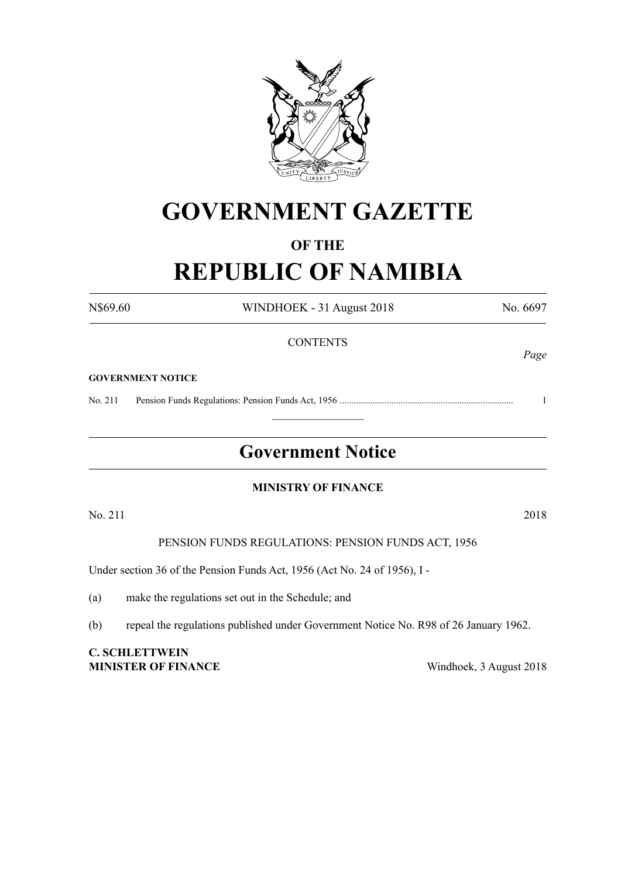

# **GOVERNMENT GAZETTE**

# **OF THE REPUBLIC OF NAMIBIA**

N\$69.60 WINDHOEK - 31 August 2018 No. 6697 **CONTENTS** *Page* **GOVERNMENT NOTICE** No. 211 Pension Funds Regulations: Pension Funds Act, 1956 .......................................................................... 1  $\frac{1}{2}$ **Government Notice MINISTRY OF FINANCE** No. 211 2018 PENSION FUNDS REGULATIONS: PENSION FUNDS ACT, 1956 Under section 36 of the Pension Funds Act, 1956 (Act No. 24 of 1956), I - (a) make the regulations set out in the Schedule; and (b) repeal the regulations published under Government Notice No. R98 of 26 January 1962. **C. SCHLETTWEIN MINISTER OF FINANCE** Windhoek, 3 August 2018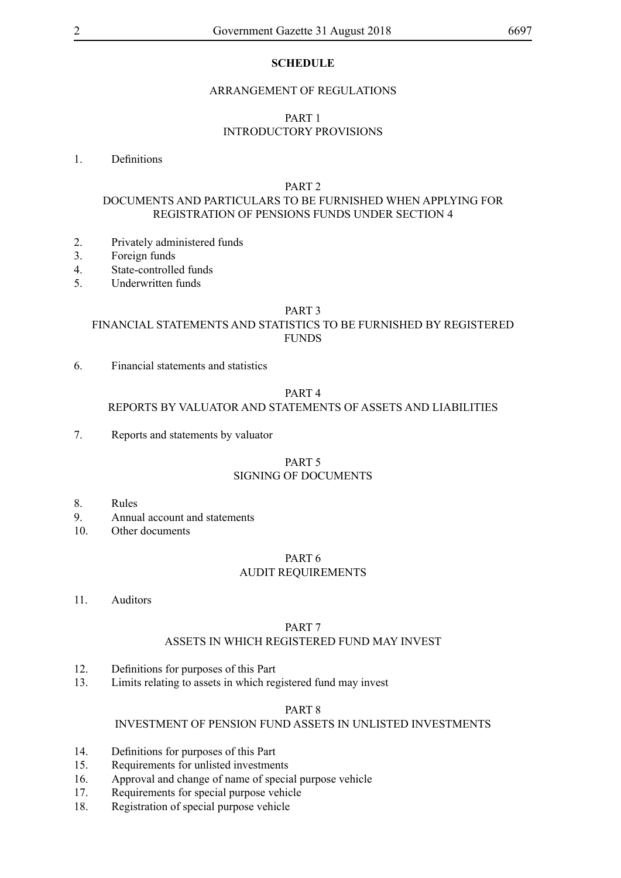# **SCHEDULE**

#### ARRANGEMENT OF REGULATIONS

# PART 1 INTRODUCTORY PROVISIONS

#### 1. Definitions

#### PART 2

# DOCUMENTS AND PARTICULARS TO BE FURNISHED WHEN APPLYING FOR REGISTRATION OF PENSIONS FUNDS UNDER SECTION 4

- 2. Privately administered funds
- 3. Foreign funds
- 4. State-controlled funds
- 5. Underwritten funds

#### PART 3

# FINANCIAL STATEMENTS AND STATISTICS TO BE FURNISHED BY REGISTERED FUNDS

6. Financial statements and statistics

#### PART 4

#### REPORTS BY VALUATOR AND STATEMENTS OF ASSETS AND LIABILITIES

7. Reports and statements by valuator

#### PART 5 SIGNING OF DOCUMENTS

- 8. Rules
- 9. Annual account and statements
- 10. Other documents

#### PART 6

#### AUDIT REQUIREMENTS

11. Auditors

#### PART 7

#### ASSETS IN WHICH REGISTERED FUND MAY INVEST

- 12. Definitions for purposes of this Part
- 13. Limits relating to assets in which registered fund may invest

#### PART 8

# INVESTMENT OF PENSION FUND ASSETS IN UNLISTED INVESTMENTS

- 14. Definitions for purposes of this Part
- 15. Requirements for unlisted investments
- 16. Approval and change of name of special purpose vehicle
- 17. Requirements for special purpose vehicle
- 18. Registration of special purpose vehicle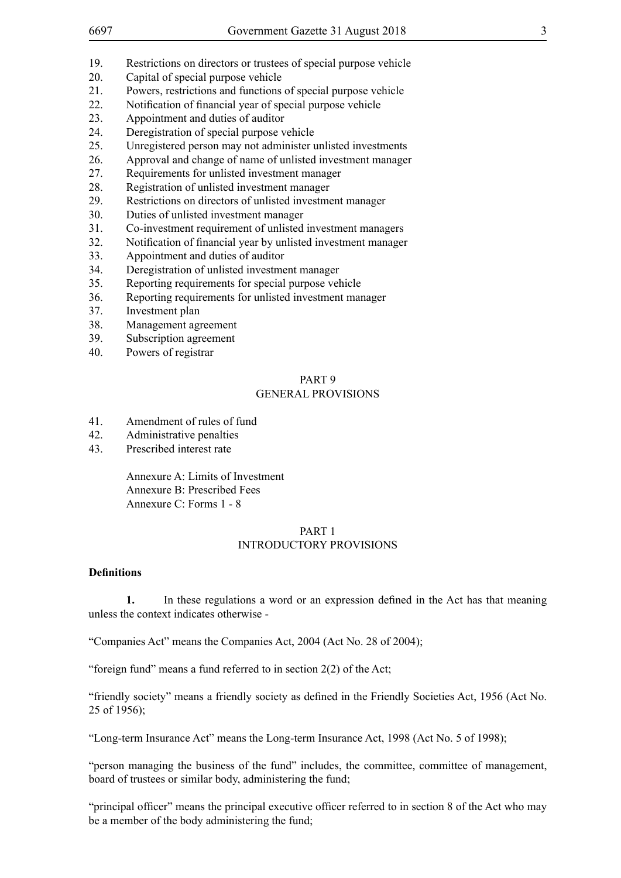- 19. Restrictions on directors or trustees of special purpose vehicle
- 20. Capital of special purpose vehicle
- 21. Powers, restrictions and functions of special purpose vehicle
- 22. Notification of financial year of special purpose vehicle
- 23. Appointment and duties of auditor
- 24. Deregistration of special purpose vehicle<br>25 Unregistered person may not administer u
- Unregistered person may not administer unlisted investments
- 26. Approval and change of name of unlisted investment manager
- 27. Requirements for unlisted investment manager
- 28. Registration of unlisted investment manager
- 29. Restrictions on directors of unlisted investment manager
- 30. Duties of unlisted investment manager
- 31. Co-investment requirement of unlisted investment managers
- 32. Notification of financial year by unlisted investment manager
- 33. Appointment and duties of auditor
- 34. Deregistration of unlisted investment manager
- 35. Reporting requirements for special purpose vehicle
- 36. Reporting requirements for unlisted investment manager
- 37. Investment plan
- 38. Management agreement
- 39. Subscription agreement
- 40. Powers of registrar

#### PART 9 GENERAL PROVISIONS

- 41. Amendment of rules of fund
- 42. Administrative penalties
- 43. Prescribed interest rate

Annexure A: Limits of Investment Annexure B: Prescribed Fees Annexure C: Forms 1 - 8

#### PART 1 INTRODUCTORY PROVISIONS

#### **Definitions**

**1.** In these regulations a word or an expression defined in the Act has that meaning unless the context indicates otherwise -

"Companies Act" means the Companies Act, 2004 (Act No. 28 of 2004);

"foreign fund" means a fund referred to in section 2(2) of the Act;

"friendly society" means a friendly society as defined in the Friendly Societies Act, 1956 (Act No. 25 of 1956);

"Long-term Insurance Act" means the Long-term Insurance Act, 1998 (Act No. 5 of 1998);

"person managing the business of the fund" includes, the committee, committee of management, board of trustees or similar body, administering the fund;

"principal officer" means the principal executive officer referred to in section 8 of the Act who may be a member of the body administering the fund;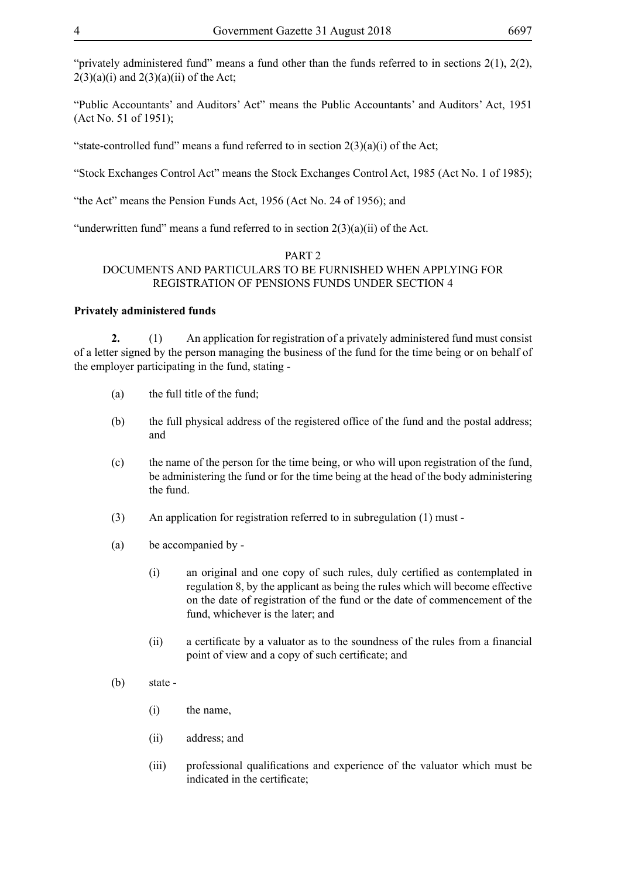"privately administered fund" means a fund other than the funds referred to in sections 2(1), 2(2),  $2(3)(a)(i)$  and  $2(3)(a)(ii)$  of the Act:

"Public Accountants' and Auditors' Act" means the Public Accountants' and Auditors' Act, 1951 (Act No. 51 of 1951);

"state-controlled fund" means a fund referred to in section  $2(3)(a)(i)$  of the Act;

"Stock Exchanges Control Act" means the Stock Exchanges Control Act, 1985 (Act No. 1 of 1985);

"the Act" means the Pension Funds Act, 1956 (Act No. 24 of 1956); and

"underwritten fund" means a fund referred to in section  $2(3)(a)(ii)$  of the Act.

#### PART 2

## DOCUMENTS AND PARTICULARS TO BE FURNISHED WHEN APPLYING FOR REGISTRATION OF PENSIONS FUNDS UNDER SECTION 4

#### **Privately administered funds**

**2.** (1) An application for registration of a privately administered fund must consist of a letter signed by the person managing the business of the fund for the time being or on behalf of the employer participating in the fund, stating -

- (a) the full title of the fund;
- (b) the full physical address of the registered office of the fund and the postal address; and
- (c) the name of the person for the time being, or who will upon registration of the fund, be administering the fund or for the time being at the head of the body administering the fund.
- (3) An application for registration referred to in subregulation (1) must -
- (a) be accompanied by
	- (i) an original and one copy of such rules, duly certified as contemplated in regulation 8, by the applicant as being the rules which will become effective on the date of registration of the fund or the date of commencement of the fund, whichever is the later; and
	- (ii) a certificate by a valuator as to the soundness of the rules from a financial point of view and a copy of such certificate; and
- (b) state
	- (i) the name,
	- (ii) address; and
	- (iii) professional qualifications and experience of the valuator which must be indicated in the certificate;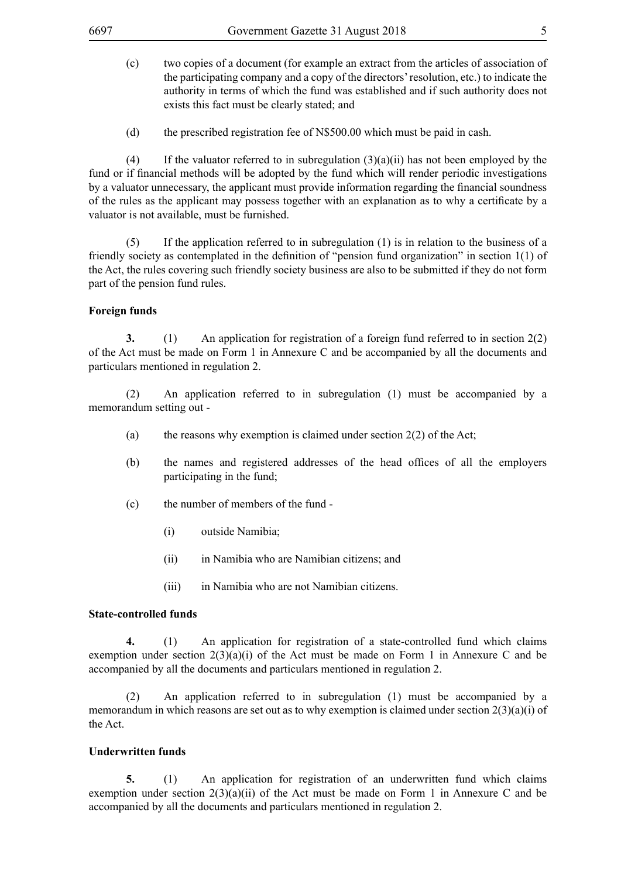- (c) two copies of a document (for example an extract from the articles of association of the participating company and a copy of the directors' resolution, etc.) to indicate the authority in terms of which the fund was established and if such authority does not exists this fact must be clearly stated; and
- (d) the prescribed registration fee of N\$500.00 which must be paid in cash.

(4) If the valuator referred to in subregulation  $(3)(a)(ii)$  has not been employed by the fund or if financial methods will be adopted by the fund which will render periodic investigations by a valuator unnecessary, the applicant must provide information regarding the financial soundness of the rules as the applicant may possess together with an explanation as to why a certificate by a valuator is not available, must be furnished.

(5) If the application referred to in subregulation (1) is in relation to the business of a friendly society as contemplated in the definition of "pension fund organization" in section 1(1) of the Act, the rules covering such friendly society business are also to be submitted if they do not form part of the pension fund rules.

#### **Foreign funds**

**3.** (1) An application for registration of a foreign fund referred to in section 2(2) of the Act must be made on Form 1 in Annexure C and be accompanied by all the documents and particulars mentioned in regulation 2.

(2) An application referred to in subregulation (1) must be accompanied by a memorandum setting out -

- (a) the reasons why exemption is claimed under section  $2(2)$  of the Act;
- (b) the names and registered addresses of the head offices of all the employers participating in the fund;
- (c) the number of members of the fund
	- (i) outside Namibia;
	- (ii) in Namibia who are Namibian citizens; and
	- (iii) in Namibia who are not Namibian citizens.

#### **State-controlled funds**

**4.** (1) An application for registration of a state-controlled fund which claims exemption under section  $2(3)(a)(i)$  of the Act must be made on Form 1 in Annexure C and be accompanied by all the documents and particulars mentioned in regulation 2.

(2) An application referred to in subregulation (1) must be accompanied by a memorandum in which reasons are set out as to why exemption is claimed under section 2(3)(a)(i) of the Act.

# **Underwritten funds**

**5.** (1) An application for registration of an underwritten fund which claims exemption under section  $2(3)(a)(ii)$  of the Act must be made on Form 1 in Annexure C and be accompanied by all the documents and particulars mentioned in regulation 2.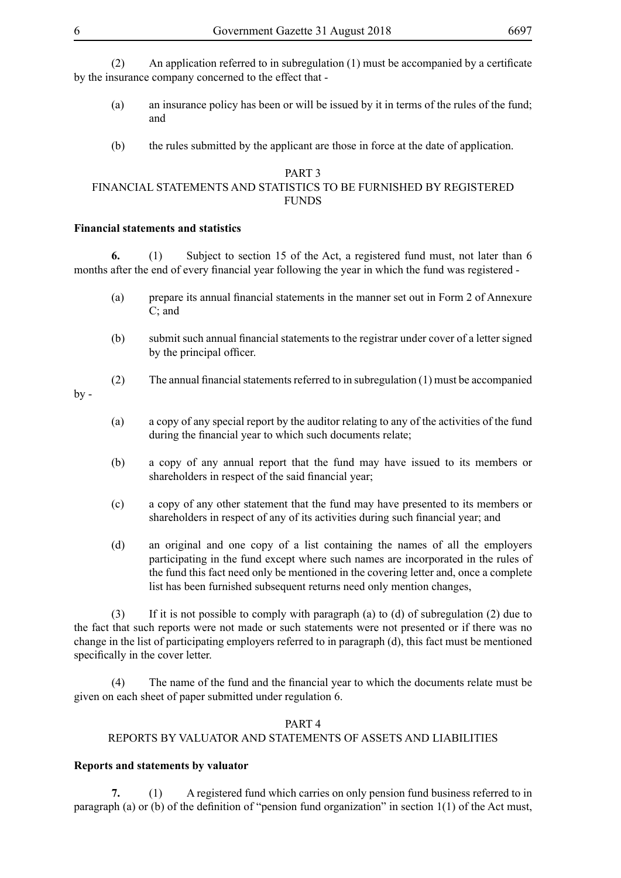(2) An application referred to in subregulation  $(1)$  must be accompanied by a certificate by the insurance company concerned to the effect that -

- (a) an insurance policy has been or will be issued by it in terms of the rules of the fund; and
- (b) the rules submitted by the applicant are those in force at the date of application.

#### PART 3 FINANCIAL STATEMENTS AND STATISTICS TO BE FURNISHED BY REGISTERED FUNDS

#### **Financial statements and statistics**

**6.** (1) Subject to section 15 of the Act, a registered fund must, not later than 6 months after the end of every financial year following the year in which the fund was registered -

- (a) prepare its annual financial statements in the manner set out in Form 2 of Annexure C; and
- (b) submit such annual financial statements to the registrar under cover of a letter signed by the principal officer.
- (2) The annual financial statements referred to in subregulation  $(1)$  must be accompanied

 $by -$ 

- (a) a copy of any special report by the auditor relating to any of the activities of the fund during the financial year to which such documents relate;
- (b) a copy of any annual report that the fund may have issued to its members or shareholders in respect of the said financial year;
- (c) a copy of any other statement that the fund may have presented to its members or shareholders in respect of any of its activities during such financial year; and
- (d) an original and one copy of a list containing the names of all the employers participating in the fund except where such names are incorporated in the rules of the fund this fact need only be mentioned in the covering letter and, once a complete list has been furnished subsequent returns need only mention changes,

(3) If it is not possible to comply with paragraph (a) to (d) of subregulation (2) due to the fact that such reports were not made or such statements were not presented or if there was no change in the list of participating employers referred to in paragraph (d), this fact must be mentioned specifically in the cover letter.

 (4) The name of the fund and the financial year to which the documents relate must be given on each sheet of paper submitted under regulation 6.

#### PART 4

# REPORTS BY VALUATOR AND STATEMENTS OF ASSETS AND LIABILITIES

#### **Reports and statements by valuator**

**7.** (1) A registered fund which carries on only pension fund business referred to in paragraph (a) or (b) of the definition of "pension fund organization" in section 1(1) of the Act must,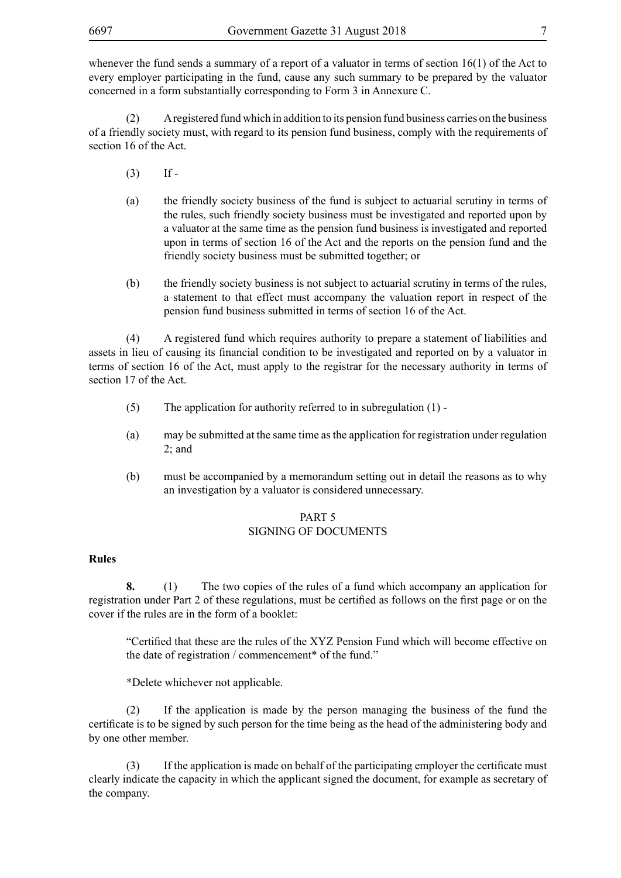whenever the fund sends a summary of a report of a valuator in terms of section 16(1) of the Act to every employer participating in the fund, cause any such summary to be prepared by the valuator concerned in a form substantially corresponding to Form 3 in Annexure C.

(2) A registered fund which in addition to its pension fund business carries on the business of a friendly society must, with regard to its pension fund business, comply with the requirements of section 16 of the Act.

- $(3)$  If -
- (a) the friendly society business of the fund is subject to actuarial scrutiny in terms of the rules, such friendly society business must be investigated and reported upon by a valuator at the same time as the pension fund business is investigated and reported upon in terms of section 16 of the Act and the reports on the pension fund and the friendly society business must be submitted together; or
- (b) the friendly society business is not subject to actuarial scrutiny in terms of the rules, a statement to that effect must accompany the valuation report in respect of the pension fund business submitted in terms of section 16 of the Act.

(4) A registered fund which requires authority to prepare a statement of liabilities and assets in lieu of causing its financial condition to be investigated and reported on by a valuator in terms of section 16 of the Act, must apply to the registrar for the necessary authority in terms of section 17 of the Act.

- (5) The application for authority referred to in subregulation (1) -
- (a) may be submitted at the same time as the application for registration under regulation  $2$ ; and
- (b) must be accompanied by a memorandum setting out in detail the reasons as to why an investigation by a valuator is considered unnecessary.

#### PART 5 SIGNING OF DOCUMENTS

#### **Rules**

**8.** (1) The two copies of the rules of a fund which accompany an application for registration under Part 2 of these regulations, must be certified as follows on the first page or on the cover if the rules are in the form of a booklet:

"Certified that these are the rules of the XYZ Pension Fund which will become effective on the date of registration / commencement\* of the fund."

\*Delete whichever not applicable.

(2) If the application is made by the person managing the business of the fund the certificate is to be signed by such person for the time being as the head of the administering body and by one other member.

(3) If the application is made on behalf of the participating employer the certificate must clearly indicate the capacity in which the applicant signed the document, for example as secretary of the company.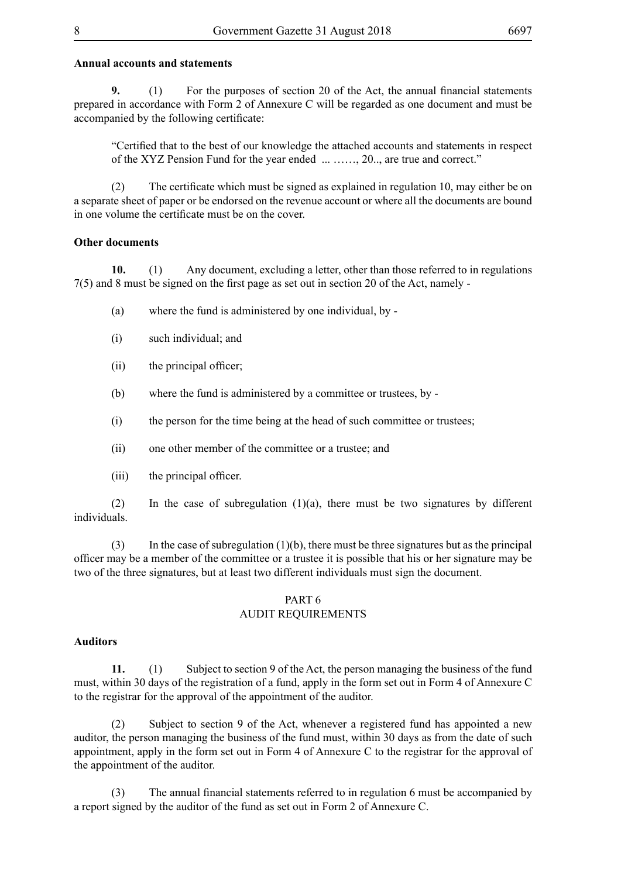# **Annual accounts and statements**

**9.** (1) For the purposes of section 20 of the Act, the annual financial statements prepared in accordance with Form 2 of Annexure C will be regarded as one document and must be accompanied by the following certificate:

"Certified that to the best of our knowledge the attached accounts and statements in respect of the XYZ Pension Fund for the year ended ... ……, 20.., are true and correct."

 (2) The certificate which must be signed as explained in regulation 10, may either be on a separate sheet of paper or be endorsed on the revenue account or where all the documents are bound in one volume the certificate must be on the cover.

#### **Other documents**

**10.** (1) Any document, excluding a letter, other than those referred to in regulations 7(5) and 8 must be signed on the first page as set out in section 20 of the Act, namely -

- (a) where the fund is administered by one individual, by -
- (i) such individual; and
- (ii) the principal officer;
- (b) where the fund is administered by a committee or trustees, by -
- (i) the person for the time being at the head of such committee or trustees;
- (ii) one other member of the committee or a trustee; and
- (iii) the principal officer.

(2) In the case of subregulation  $(1)(a)$ , there must be two signatures by different individuals.

 $(3)$  In the case of subregulation  $(1)(b)$ , there must be three signatures but as the principal officer may be a member of the committee or a trustee it is possible that his or her signature may be two of the three signatures, but at least two different individuals must sign the document.

#### PART 6 AUDIT REQUIREMENTS

#### **Auditors**

**11.** (1) Subject to section 9 of the Act, the person managing the business of the fund must, within 30 days of the registration of a fund, apply in the form set out in Form 4 of Annexure C to the registrar for the approval of the appointment of the auditor.

(2) Subject to section 9 of the Act, whenever a registered fund has appointed a new auditor, the person managing the business of the fund must, within 30 days as from the date of such appointment, apply in the form set out in Form 4 of Annexure C to the registrar for the approval of the appointment of the auditor.

 (3) The annual financial statements referred to in regulation 6 must be accompanied by a report signed by the auditor of the fund as set out in Form 2 of Annexure C.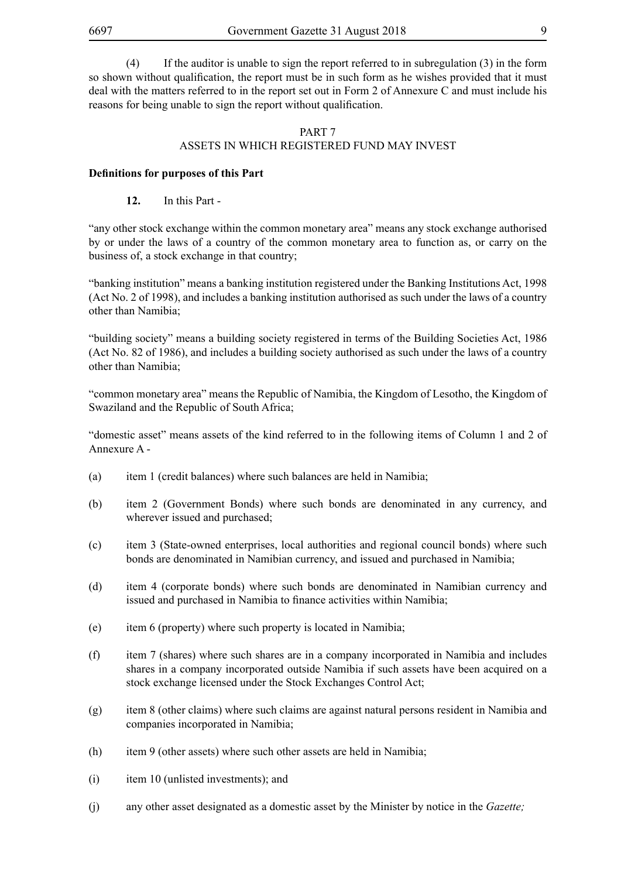(4) If the auditor is unable to sign the report referred to in subregulation (3) in the form so shown without qualification, the report must be in such form as he wishes provided that it must deal with the matters referred to in the report set out in Form 2 of Annexure C and must include his reasons for being unable to sign the report without qualification.

#### PART 7 ASSETS IN WHICH REGISTERED FUND MAY INVEST

#### **Definitions for purposes of this Part**

#### **12.** In this Part -

"any other stock exchange within the common monetary area" means any stock exchange authorised by or under the laws of a country of the common monetary area to function as, or carry on the business of, a stock exchange in that country;

"banking institution" means a banking institution registered under the Banking Institutions Act, 1998 (Act No. 2 of 1998), and includes a banking institution authorised as such under the laws of a country other than Namibia;

"building society" means a building society registered in terms of the Building Societies Act, 1986 (Act No. 82 of 1986), and includes a building society authorised as such under the laws of a country other than Namibia;

"common monetary area" means the Republic of Namibia, the Kingdom of Lesotho, the Kingdom of Swaziland and the Republic of South Africa;

"domestic asset" means assets of the kind referred to in the following items of Column 1 and 2 of Annexure A -

- (a) item 1 (credit balances) where such balances are held in Namibia;
- (b) item 2 (Government Bonds) where such bonds are denominated in any currency, and wherever issued and purchased;
- (c) item 3 (State-owned enterprises, local authorities and regional council bonds) where such bonds are denominated in Namibian currency, and issued and purchased in Namibia;
- (d) item 4 (corporate bonds) where such bonds are denominated in Namibian currency and issued and purchased in Namibia to finance activities within Namibia;
- (e) item 6 (property) where such property is located in Namibia;
- (f) item 7 (shares) where such shares are in a company incorporated in Namibia and includes shares in a company incorporated outside Namibia if such assets have been acquired on a stock exchange licensed under the Stock Exchanges Control Act;
- (g) item 8 (other claims) where such claims are against natural persons resident in Namibia and companies incorporated in Namibia;
- (h) item 9 (other assets) where such other assets are held in Namibia;
- (i) item 10 (unlisted investments); and
- (j) any other asset designated as a domestic asset by the Minister by notice in the *Gazette;*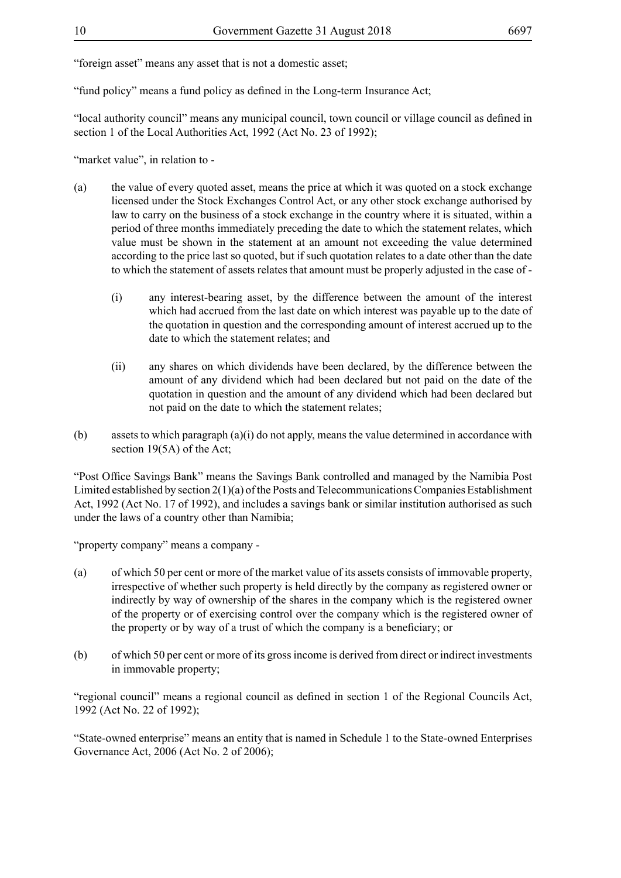"foreign asset" means any asset that is not a domestic asset;

"fund policy" means a fund policy as defined in the Long-term Insurance Act;

"local authority council" means any municipal council, town council or village council as defined in section 1 of the Local Authorities Act, 1992 (Act No. 23 of 1992);

"market value", in relation to -

- (a) the value of every quoted asset, means the price at which it was quoted on a stock exchange licensed under the Stock Exchanges Control Act, or any other stock exchange authorised by law to carry on the business of a stock exchange in the country where it is situated, within a period of three months immediately preceding the date to which the statement relates, which value must be shown in the statement at an amount not exceeding the value determined according to the price last so quoted, but if such quotation relates to a date other than the date to which the statement of assets relates that amount must be properly adjusted in the case of -
	- (i) any interest-bearing asset, by the difference between the amount of the interest which had accrued from the last date on which interest was payable up to the date of the quotation in question and the corresponding amount of interest accrued up to the date to which the statement relates; and
	- (ii) any shares on which dividends have been declared, by the difference between the amount of any dividend which had been declared but not paid on the date of the quotation in question and the amount of any dividend which had been declared but not paid on the date to which the statement relates;
- (b) assets to which paragraph (a)(i) do not apply, means the value determined in accordance with section 19(5A) of the Act;

"Post Office Savings Bank" means the Savings Bank controlled and managed by the Namibia Post Limited established by section 2(1)(a) of the Posts and Telecommunications Companies Establishment Act, 1992 (Act No. 17 of 1992), and includes a savings bank or similar institution authorised as such under the laws of a country other than Namibia;

"property company" means a company -

- (a) of which 50 per cent or more of the market value of its assets consists of immovable property, irrespective of whether such property is held directly by the company as registered owner or indirectly by way of ownership of the shares in the company which is the registered owner of the property or of exercising control over the company which is the registered owner of the property or by way of a trust of which the company is a beneficiary; or
- (b) of which 50 per cent or more of its gross income is derived from direct or indirect investments in immovable property;

"regional council" means a regional council as defined in section 1 of the Regional Councils Act, 1992 (Act No. 22 of 1992);

"State-owned enterprise" means an entity that is named in Schedule 1 to the State-owned Enterprises Governance Act, 2006 (Act No. 2 of 2006);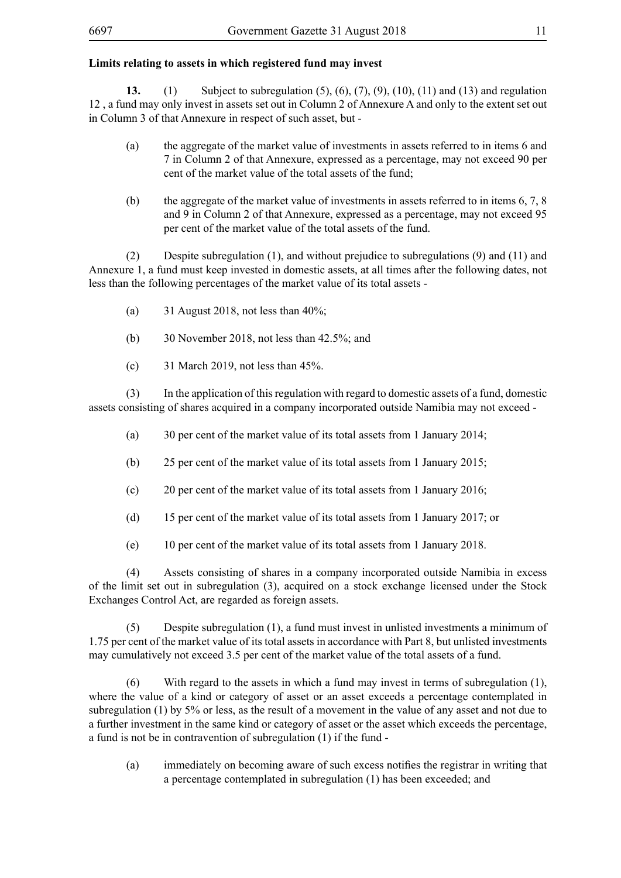# **Limits relating to assets in which registered fund may invest**

**13.** (1) Subject to subregulation (5), (6), (7), (9), (10), (11) and (13) and regulation 12 , a fund may only invest in assets set out in Column 2 of Annexure A and only to the extent set out in Column 3 of that Annexure in respect of such asset, but -

- (a) the aggregate of the market value of investments in assets referred to in items 6 and 7 in Column 2 of that Annexure, expressed as a percentage, may not exceed 90 per cent of the market value of the total assets of the fund;
- (b) the aggregate of the market value of investments in assets referred to in items 6, 7, 8 and 9 in Column 2 of that Annexure, expressed as a percentage, may not exceed 95 per cent of the market value of the total assets of the fund.

(2) Despite subregulation (1), and without prejudice to subregulations (9) and (11) and Annexure 1, a fund must keep invested in domestic assets, at all times after the following dates, not less than the following percentages of the market value of its total assets -

- (a)  $31$  August 2018, not less than 40%;
- (b) 30 November 2018, not less than 42.5%; and
- (c) 31 March 2019, not less than 45%.

(3) In the application of this regulation with regard to domestic assets of a fund, domestic assets consisting of shares acquired in a company incorporated outside Namibia may not exceed -

- (a) 30 per cent of the market value of its total assets from 1 January 2014;
- (b) 25 per cent of the market value of its total assets from 1 January 2015;
- (c) 20 per cent of the market value of its total assets from 1 January 2016;
- (d) 15 per cent of the market value of its total assets from 1 January 2017; or
- (e) 10 per cent of the market value of its total assets from 1 January 2018.

(4) Assets consisting of shares in a company incorporated outside Namibia in excess of the limit set out in subregulation (3), acquired on a stock exchange licensed under the Stock Exchanges Control Act, are regarded as foreign assets.

(5) Despite subregulation (1), a fund must invest in unlisted investments a minimum of 1.75 per cent of the market value of its total assets in accordance with Part 8, but unlisted investments may cumulatively not exceed 3.5 per cent of the market value of the total assets of a fund.

(6) With regard to the assets in which a fund may invest in terms of subregulation (1), where the value of a kind or category of asset or an asset exceeds a percentage contemplated in subregulation (1) by 5% or less, as the result of a movement in the value of any asset and not due to a further investment in the same kind or category of asset or the asset which exceeds the percentage, a fund is not be in contravention of subregulation (1) if the fund -

(a) immediately on becoming aware of such excess notifies the registrar in writing that a percentage contemplated in subregulation (1) has been exceeded; and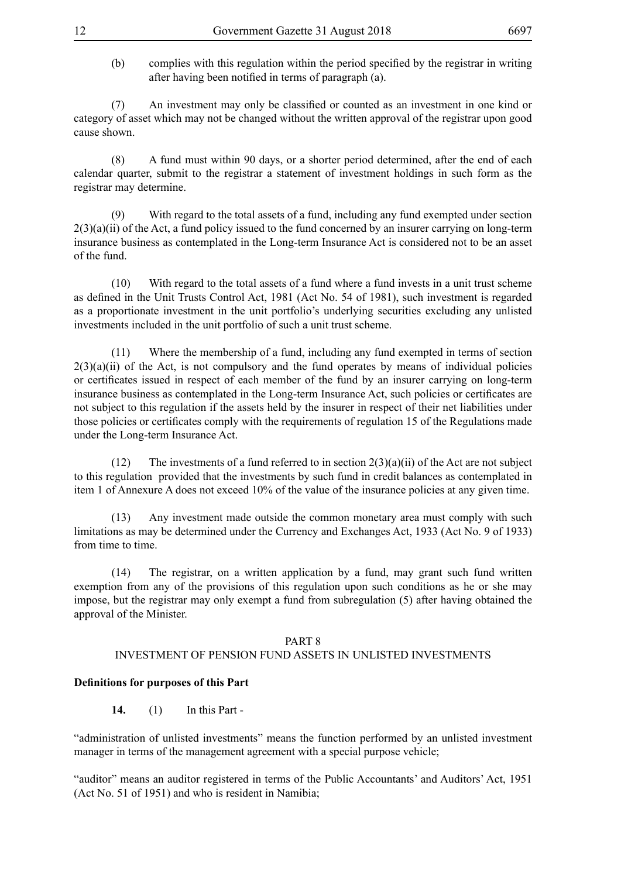(b) complies with this regulation within the period specified by the registrar in writing after having been notified in terms of paragraph (a).

 (7) An investment may only be classified or counted as an investment in one kind or category of asset which may not be changed without the written approval of the registrar upon good cause shown.

(8) A fund must within 90 days, or a shorter period determined, after the end of each calendar quarter, submit to the registrar a statement of investment holdings in such form as the registrar may determine.

(9) With regard to the total assets of a fund, including any fund exempted under section  $2(3)(a)(ii)$  of the Act, a fund policy issued to the fund concerned by an insurer carrying on long-term insurance business as contemplated in the Long-term Insurance Act is considered not to be an asset of the fund.

(10) With regard to the total assets of a fund where a fund invests in a unit trust scheme as defined in the Unit Trusts Control Act, 1981 (Act No. 54 of 1981), such investment is regarded as a proportionate investment in the unit portfolio's underlying securities excluding any unlisted investments included in the unit portfolio of such a unit trust scheme.

(11) Where the membership of a fund, including any fund exempted in terms of section  $2(3)(a)(ii)$  of the Act, is not compulsory and the fund operates by means of individual policies or certificates issued in respect of each member of the fund by an insurer carrying on long-term insurance business as contemplated in the Long-term Insurance Act, such policies or certificates are not subject to this regulation if the assets held by the insurer in respect of their net liabilities under those policies or certificates comply with the requirements of regulation 15 of the Regulations made under the Long-term Insurance Act.

(12) The investments of a fund referred to in section  $2(3)(a)(ii)$  of the Act are not subject to this regulation provided that the investments by such fund in credit balances as contemplated in item 1 of Annexure A does not exceed 10% of the value of the insurance policies at any given time.

(13) Any investment made outside the common monetary area must comply with such limitations as may be determined under the Currency and Exchanges Act, 1933 (Act No. 9 of 1933) from time to time.

(14) The registrar, on a written application by a fund, may grant such fund written exemption from any of the provisions of this regulation upon such conditions as he or she may impose, but the registrar may only exempt a fund from subregulation (5) after having obtained the approval of the Minister.

#### PART 8

#### INVESTMENT OF PENSION FUND ASSETS IN UNLISTED INVESTMENTS

#### **Definitions for purposes of this Part**

**14.** (1) In this Part -

"administration of unlisted investments" means the function performed by an unlisted investment manager in terms of the management agreement with a special purpose vehicle;

"auditor" means an auditor registered in terms of the Public Accountants' and Auditors' Act, 1951 (Act No. 51 of 1951) and who is resident in Namibia;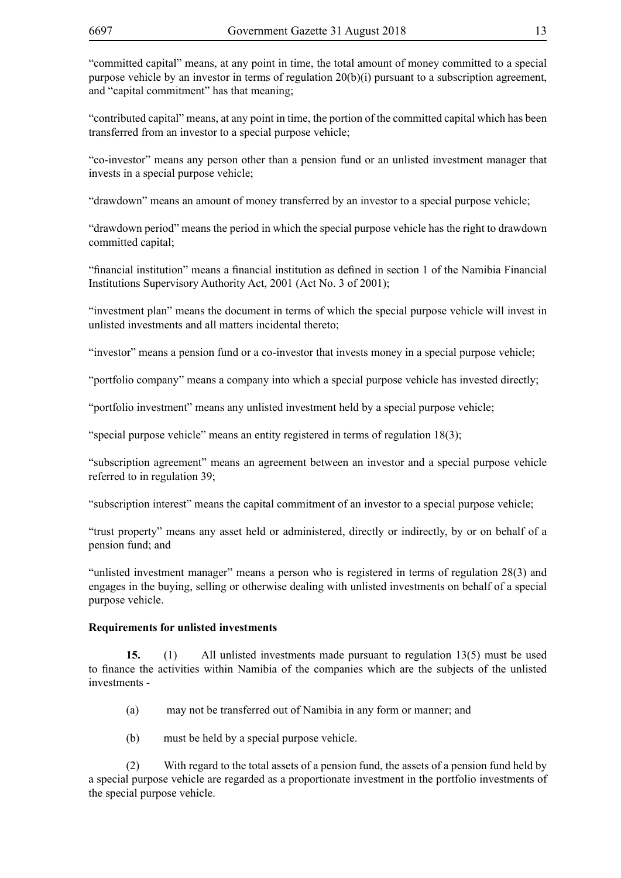"committed capital" means, at any point in time, the total amount of money committed to a special purpose vehicle by an investor in terms of regulation 20(b)(i) pursuant to a subscription agreement, and "capital commitment" has that meaning;

"contributed capital" means, at any point in time, the portion of the committed capital which has been transferred from an investor to a special purpose vehicle;

"co-investor" means any person other than a pension fund or an unlisted investment manager that invests in a special purpose vehicle;

"drawdown" means an amount of money transferred by an investor to a special purpose vehicle;

"drawdown period" means the period in which the special purpose vehicle has the right to drawdown committed capital;

"financial institution" means a financial institution as defined in section 1 of the Namibia Financial Institutions Supervisory Authority Act, 2001 (Act No. 3 of 2001);

"investment plan" means the document in terms of which the special purpose vehicle will invest in unlisted investments and all matters incidental thereto;

"investor" means a pension fund or a co-investor that invests money in a special purpose vehicle;

"portfolio company" means a company into which a special purpose vehicle has invested directly;

"portfolio investment" means any unlisted investment held by a special purpose vehicle;

"special purpose vehicle" means an entity registered in terms of regulation 18(3);

"subscription agreement" means an agreement between an investor and a special purpose vehicle referred to in regulation 39;

"subscription interest" means the capital commitment of an investor to a special purpose vehicle;

"trust property" means any asset held or administered, directly or indirectly, by or on behalf of a pension fund; and

"unlisted investment manager" means a person who is registered in terms of regulation 28(3) and engages in the buying, selling or otherwise dealing with unlisted investments on behalf of a special purpose vehicle.

#### **Requirements for unlisted investments**

**15.** (1) All unlisted investments made pursuant to regulation 13(5) must be used to finance the activities within Namibia of the companies which are the subjects of the unlisted investments -

- (a) may not be transferred out of Namibia in any form or manner; and
- (b) must be held by a special purpose vehicle.

(2) With regard to the total assets of a pension fund, the assets of a pension fund held by a special purpose vehicle are regarded as a proportionate investment in the portfolio investments of the special purpose vehicle.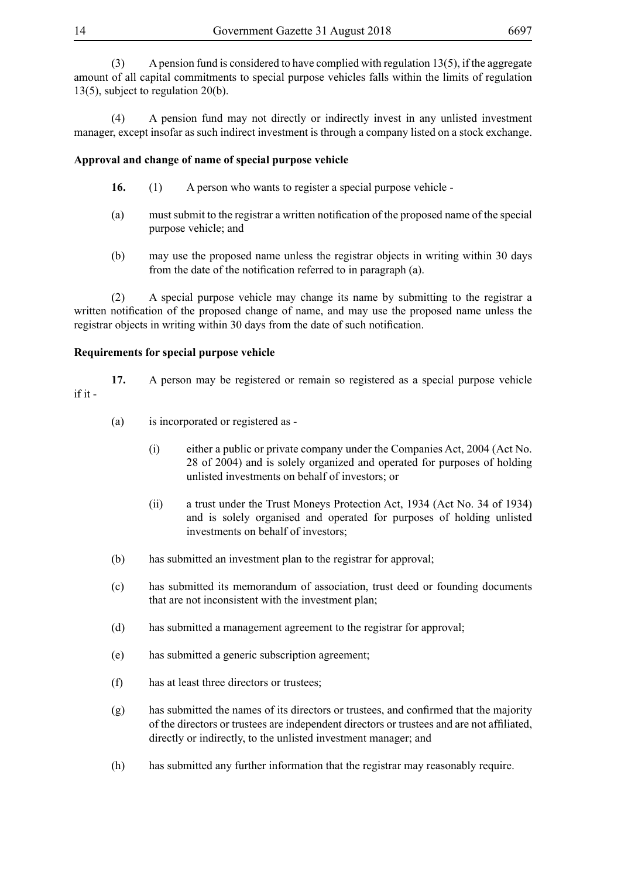(3) A pension fund is considered to have complied with regulation 13(5), if the aggregate amount of all capital commitments to special purpose vehicles falls within the limits of regulation 13(5), subject to regulation 20(b).

(4) A pension fund may not directly or indirectly invest in any unlisted investment manager, except insofar as such indirect investment is through a company listed on a stock exchange.

# **Approval and change of name of special purpose vehicle**

- **16.** (1) A person who wants to register a special purpose vehicle -
- (a) must submit to the registrar a written notification of the proposed name of the special purpose vehicle; and
- (b) may use the proposed name unless the registrar objects in writing within 30 days from the date of the notification referred to in paragraph (a).

(2) A special purpose vehicle may change its name by submitting to the registrar a written notification of the proposed change of name, and may use the proposed name unless the registrar objects in writing within 30 days from the date of such notification.

#### **Requirements for special purpose vehicle**

**17.** A person may be registered or remain so registered as a special purpose vehicle if it -

- (a) is incorporated or registered as
	- (i) either a public or private company under the Companies Act, 2004 (Act No. 28 of 2004) and is solely organized and operated for purposes of holding unlisted investments on behalf of investors; or
	- (ii) a trust under the Trust Moneys Protection Act, 1934 (Act No. 34 of 1934) and is solely organised and operated for purposes of holding unlisted investments on behalf of investors;
- (b) has submitted an investment plan to the registrar for approval;
- (c) has submitted its memorandum of association, trust deed or founding documents that are not inconsistent with the investment plan;
- (d) has submitted a management agreement to the registrar for approval;
- (e) has submitted a generic subscription agreement;
- (f) has at least three directors or trustees;
- (g) has submitted the names of its directors or trustees, and confirmed that the majority of the directors or trustees are independent directors or trustees and are not affiliated, directly or indirectly, to the unlisted investment manager; and
- (h) has submitted any further information that the registrar may reasonably require.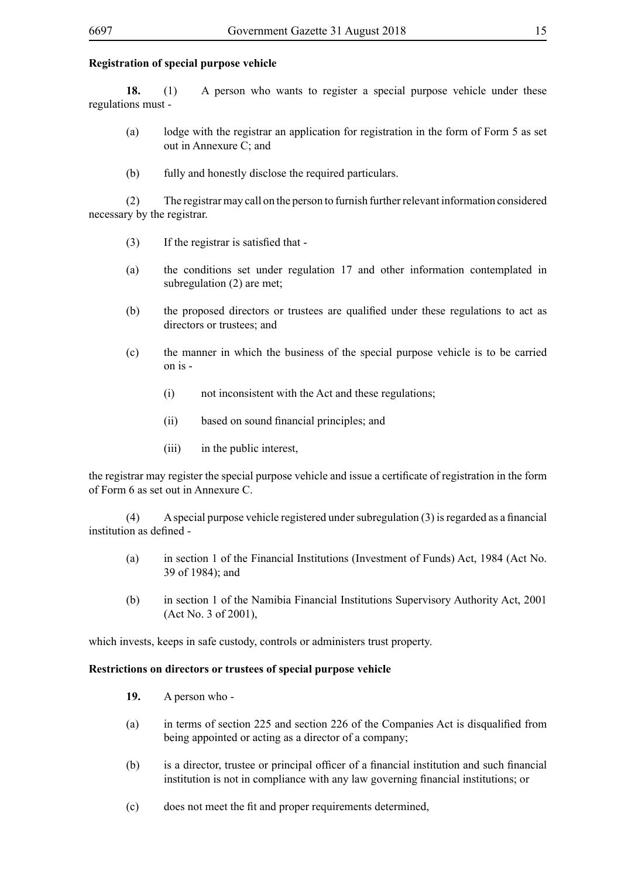# **Registration of special purpose vehicle**

**18.** (1) A person who wants to register a special purpose vehicle under these regulations must -

- (a) lodge with the registrar an application for registration in the form of Form 5 as set out in Annexure C; and
- (b) fully and honestly disclose the required particulars.

(2) The registrar may call on the person to furnish further relevant information considered necessary by the registrar.

- $(3)$  If the registrar is satisfied that -
- (a) the conditions set under regulation 17 and other information contemplated in subregulation (2) are met;
- (b) the proposed directors or trustees are qualified under these regulations to act as directors or trustees; and
- (c) the manner in which the business of the special purpose vehicle is to be carried on is -
	- (i) not inconsistent with the Act and these regulations;
	- (ii) based on sound financial principles; and
	- (iii) in the public interest,

the registrar may register the special purpose vehicle and issue a certificate of registration in the form of Form 6 as set out in Annexure C.

 $(4)$  A special purpose vehicle registered under subregulation  $(3)$  is regarded as a financial institution as defined -

- (a) in section 1 of the Financial Institutions (Investment of Funds) Act, 1984 (Act No. 39 of 1984); and
- (b) in section 1 of the Namibia Financial Institutions Supervisory Authority Act, 2001 (Act No. 3 of 2001),

which invests, keeps in safe custody, controls or administers trust property.

#### **Restrictions on directors or trustees of special purpose vehicle**

- **19.** A person who -
- (a) in terms of section 225 and section 226 of the Companies Act is disqualified from being appointed or acting as a director of a company;
- (b) is a director, trustee or principal officer of a financial institution and such financial institution is not in compliance with any law governing financial institutions; or
- (c) does not meet the fit and proper requirements determined,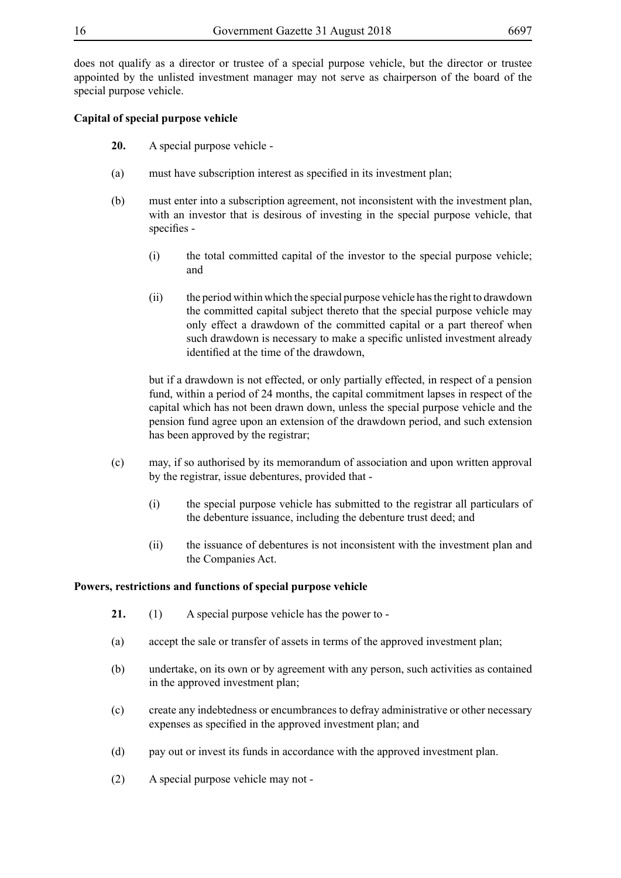does not qualify as a director or trustee of a special purpose vehicle, but the director or trustee appointed by the unlisted investment manager may not serve as chairperson of the board of the special purpose vehicle.

# **Capital of special purpose vehicle**

- **20.** A special purpose vehicle -
- (a) must have subscription interest as specified in its investment plan;
- (b) must enter into a subscription agreement, not inconsistent with the investment plan, with an investor that is desirous of investing in the special purpose vehicle, that specifies -
	- (i) the total committed capital of the investor to the special purpose vehicle; and
	- (ii) the period within which the special purpose vehicle has the right to drawdown the committed capital subject thereto that the special purpose vehicle may only effect a drawdown of the committed capital or a part thereof when such drawdown is necessary to make a specific unlisted investment already identified at the time of the drawdown,

but if a drawdown is not effected, or only partially effected, in respect of a pension fund, within a period of 24 months, the capital commitment lapses in respect of the capital which has not been drawn down, unless the special purpose vehicle and the pension fund agree upon an extension of the drawdown period, and such extension has been approved by the registrar;

- (c) may, if so authorised by its memorandum of association and upon written approval by the registrar, issue debentures, provided that -
	- (i) the special purpose vehicle has submitted to the registrar all particulars of the debenture issuance, including the debenture trust deed; and
	- (ii) the issuance of debentures is not inconsistent with the investment plan and the Companies Act.

# **Powers, restrictions and functions of special purpose vehicle**

- **21.** (1) A special purpose vehicle has the power to -
- (a) accept the sale or transfer of assets in terms of the approved investment plan;
- (b) undertake, on its own or by agreement with any person, such activities as contained in the approved investment plan;
- (c) create any indebtedness or encumbrances to defray administrative or other necessary expenses as specified in the approved investment plan; and
- (d) pay out or invest its funds in accordance with the approved investment plan.
- (2) A special purpose vehicle may not -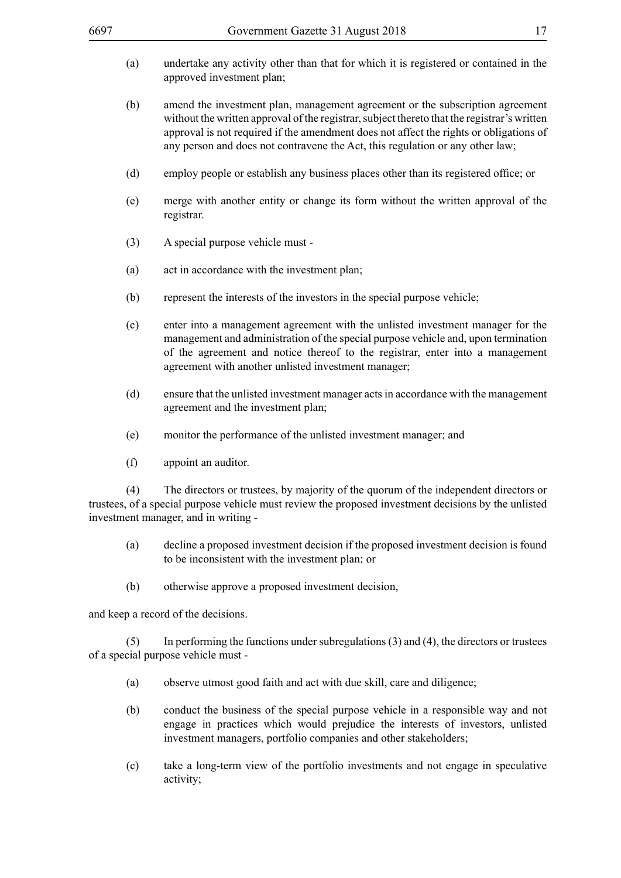- (a) undertake any activity other than that for which it is registered or contained in the approved investment plan;
- (b) amend the investment plan, management agreement or the subscription agreement without the written approval of the registrar, subject thereto that the registrar's written approval is not required if the amendment does not affect the rights or obligations of any person and does not contravene the Act, this regulation or any other law;
- (d) employ people or establish any business places other than its registered office; or
- (e) merge with another entity or change its form without the written approval of the registrar.
- (3) A special purpose vehicle must -
- (a) act in accordance with the investment plan;
- (b) represent the interests of the investors in the special purpose vehicle;
- (c) enter into a management agreement with the unlisted investment manager for the management and administration of the special purpose vehicle and, upon termination of the agreement and notice thereof to the registrar, enter into a management agreement with another unlisted investment manager;
- (d) ensure that the unlisted investment manager acts in accordance with the management agreement and the investment plan;
- (e) monitor the performance of the unlisted investment manager; and
- (f) appoint an auditor.

(4) The directors or trustees, by majority of the quorum of the independent directors or trustees, of a special purpose vehicle must review the proposed investment decisions by the unlisted investment manager, and in writing -

- (a) decline a proposed investment decision if the proposed investment decision is found to be inconsistent with the investment plan; or
- (b) otherwise approve a proposed investment decision,

and keep a record of the decisions.

 $(5)$  In performing the functions under subregulations  $(3)$  and  $(4)$ , the directors or trustees of a special purpose vehicle must -

- (a) observe utmost good faith and act with due skill, care and diligence;
- (b) conduct the business of the special purpose vehicle in a responsible way and not engage in practices which would prejudice the interests of investors, unlisted investment managers, portfolio companies and other stakeholders;
- (c) take a long-term view of the portfolio investments and not engage in speculative activity;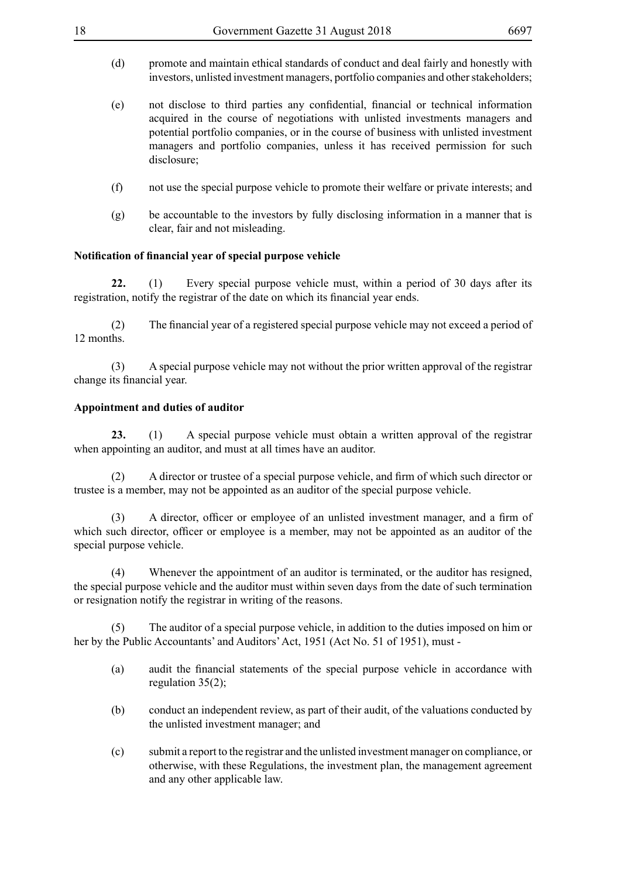- (d) promote and maintain ethical standards of conduct and deal fairly and honestly with investors, unlisted investment managers, portfolio companies and other stakeholders;
- (e) not disclose to third parties any confidential, financial or technical information acquired in the course of negotiations with unlisted investments managers and potential portfolio companies, or in the course of business with unlisted investment managers and portfolio companies, unless it has received permission for such disclosure;
- (f) not use the special purpose vehicle to promote their welfare or private interests; and
- (g) be accountable to the investors by fully disclosing information in a manner that is clear, fair and not misleading.

## **Notification of financial year of special purpose vehicle**

**22.** (1) Every special purpose vehicle must, within a period of 30 days after its registration, notify the registrar of the date on which its financial year ends.

 (2) The financial year of a registered special purpose vehicle may not exceed a period of 12 months.

(3) A special purpose vehicle may not without the prior written approval of the registrar change its financial year.

## **Appointment and duties of auditor**

**23.** (1) A special purpose vehicle must obtain a written approval of the registrar when appointing an auditor, and must at all times have an auditor.

 (2) A director or trustee of a special purpose vehicle, and firm of which such director or trustee is a member, may not be appointed as an auditor of the special purpose vehicle.

 (3) A director, officer or employee of an unlisted investment manager, and a firm of which such director, officer or employee is a member, may not be appointed as an auditor of the special purpose vehicle.

(4) Whenever the appointment of an auditor is terminated, or the auditor has resigned, the special purpose vehicle and the auditor must within seven days from the date of such termination or resignation notify the registrar in writing of the reasons.

The auditor of a special purpose vehicle, in addition to the duties imposed on him or her by the Public Accountants' and Auditors' Act, 1951 (Act No. 51 of 1951), must -

- (a) audit the financial statements of the special purpose vehicle in accordance with regulation 35(2);
- (b) conduct an independent review, as part of their audit, of the valuations conducted by the unlisted investment manager; and
- (c) submit a report to the registrar and the unlisted investment manager on compliance, or otherwise, with these Regulations, the investment plan, the management agreement and any other applicable law.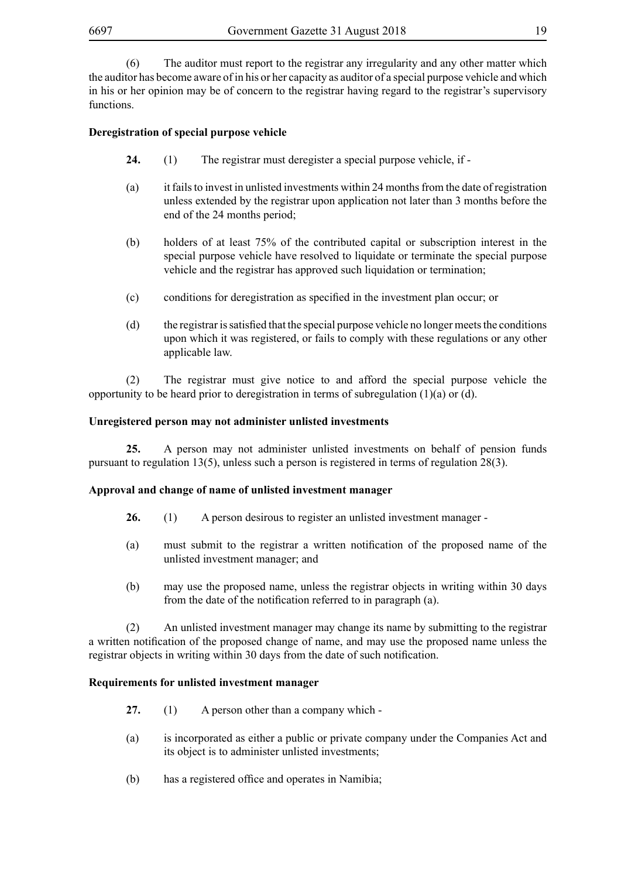(6) The auditor must report to the registrar any irregularity and any other matter which the auditor has become aware of in his or her capacity as auditor of a special purpose vehicle and which in his or her opinion may be of concern to the registrar having regard to the registrar's supervisory functions.

# **Deregistration of special purpose vehicle**

- **24.** (1) The registrar must deregister a special purpose vehicle, if -
- (a) it fails to invest in unlisted investments within 24 months from the date of registration unless extended by the registrar upon application not later than 3 months before the end of the 24 months period;
- (b) holders of at least 75% of the contributed capital or subscription interest in the special purpose vehicle have resolved to liquidate or terminate the special purpose vehicle and the registrar has approved such liquidation or termination;
- (c) conditions for deregistration as specified in the investment plan occur; or
- $(d)$  the registrar is satisfied that the special purpose vehicle no longer meets the conditions upon which it was registered, or fails to comply with these regulations or any other applicable law.

(2) The registrar must give notice to and afford the special purpose vehicle the opportunity to be heard prior to deregistration in terms of subregulation  $(1)(a)$  or  $(d)$ .

#### **Unregistered person may not administer unlisted investments**

**25.** A person may not administer unlisted investments on behalf of pension funds pursuant to regulation 13(5), unless such a person is registered in terms of regulation 28(3).

#### **Approval and change of name of unlisted investment manager**

- **26.** (1) A person desirous to register an unlisted investment manager -
- (a) must submit to the registrar a written notification of the proposed name of the unlisted investment manager; and
- (b) may use the proposed name, unless the registrar objects in writing within 30 days from the date of the notification referred to in paragraph (a).

(2) An unlisted investment manager may change its name by submitting to the registrar a written notification of the proposed change of name, and may use the proposed name unless the registrar objects in writing within 30 days from the date of such notification.

#### **Requirements for unlisted investment manager**

- **27.** (1) A person other than a company which -
- (a) is incorporated as either a public or private company under the Companies Act and its object is to administer unlisted investments;
- (b) has a registered office and operates in Namibia;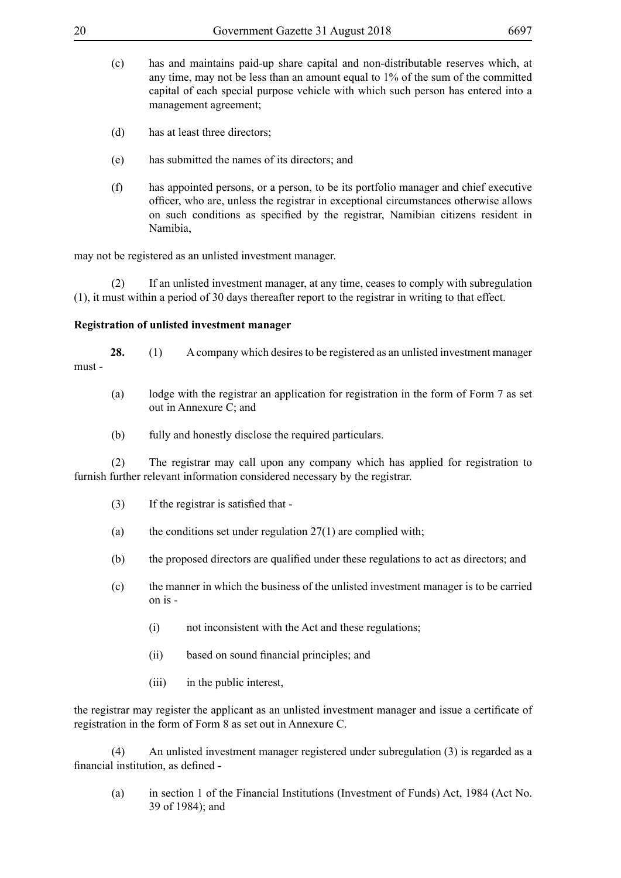- (c) has and maintains paid-up share capital and non-distributable reserves which, at any time, may not be less than an amount equal to 1% of the sum of the committed capital of each special purpose vehicle with which such person has entered into a management agreement;
- (d) has at least three directors;
- (e) has submitted the names of its directors; and
- (f) has appointed persons, or a person, to be its portfolio manager and chief executive officer, who are, unless the registrar in exceptional circumstances otherwise allows on such conditions as specified by the registrar, Namibian citizens resident in Namibia,

may not be registered as an unlisted investment manager.

(2) If an unlisted investment manager, at any time, ceases to comply with subregulation (1), it must within a period of 30 days thereafter report to the registrar in writing to that effect.

## **Registration of unlisted investment manager**

**28.** (1) A company which desires to be registered as an unlisted investment manager must -

- (a) lodge with the registrar an application for registration in the form of Form 7 as set out in Annexure C; and
- (b) fully and honestly disclose the required particulars.

(2) The registrar may call upon any company which has applied for registration to furnish further relevant information considered necessary by the registrar.

- $(3)$  If the registrar is satisfied that -
- (a) the conditions set under regulation  $27(1)$  are complied with:
- (b) the proposed directors are qualified under these regulations to act as directors; and
- (c) the manner in which the business of the unlisted investment manager is to be carried on is -
	- (i) not inconsistent with the Act and these regulations;
	- (ii) based on sound financial principles; and
	- (iii) in the public interest,

the registrar may register the applicant as an unlisted investment manager and issue a certificate of registration in the form of Form 8 as set out in Annexure C.

(4) An unlisted investment manager registered under subregulation (3) is regarded as a financial institution, as defined -

(a) in section 1 of the Financial Institutions (Investment of Funds) Act, 1984 (Act No. 39 of 1984); and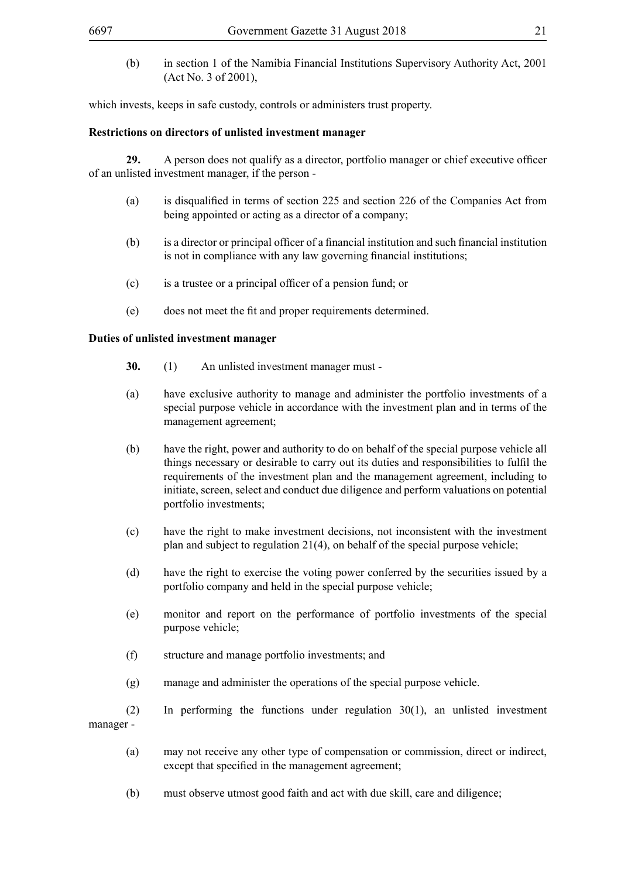(b) in section 1 of the Namibia Financial Institutions Supervisory Authority Act, 2001 (Act No. 3 of 2001),

which invests, keeps in safe custody, controls or administers trust property.

#### **Restrictions on directors of unlisted investment manager**

**29.** A person does not qualify as a director, portfolio manager or chief executive officer of an unlisted investment manager, if the person -

- (a) is disqualified in terms of section 225 and section 226 of the Companies Act from being appointed or acting as a director of a company;
- (b) is a director or principal officer of a financial institution and such financial institution is not in compliance with any law governing financial institutions;
- (c) is a trustee or a principal officer of a pension fund; or
- (e) does not meet the fit and proper requirements determined.

#### **Duties of unlisted investment manager**

- **30.** (1) An unlisted investment manager must -
- (a) have exclusive authority to manage and administer the portfolio investments of a special purpose vehicle in accordance with the investment plan and in terms of the management agreement;
- (b) have the right, power and authority to do on behalf of the special purpose vehicle all things necessary or desirable to carry out its duties and responsibilities to fulfil the requirements of the investment plan and the management agreement, including to initiate, screen, select and conduct due diligence and perform valuations on potential portfolio investments;
- (c) have the right to make investment decisions, not inconsistent with the investment plan and subject to regulation 21(4), on behalf of the special purpose vehicle;
- (d) have the right to exercise the voting power conferred by the securities issued by a portfolio company and held in the special purpose vehicle;
- (e) monitor and report on the performance of portfolio investments of the special purpose vehicle;
- (f) structure and manage portfolio investments; and
- (g) manage and administer the operations of the special purpose vehicle.
- $(2)$  In performing the functions under regulation  $30(1)$ , an unlisted investment manager -
	- (a) may not receive any other type of compensation or commission, direct or indirect, except that specified in the management agreement;
	- (b) must observe utmost good faith and act with due skill, care and diligence;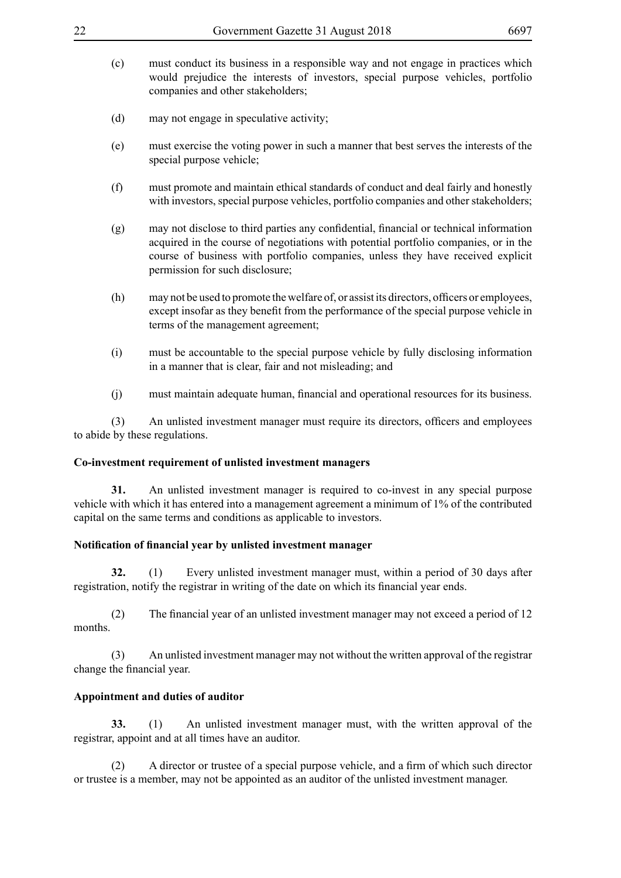- (c) must conduct its business in a responsible way and not engage in practices which would prejudice the interests of investors, special purpose vehicles, portfolio companies and other stakeholders;
- (d) may not engage in speculative activity;
- (e) must exercise the voting power in such a manner that best serves the interests of the special purpose vehicle;
- (f) must promote and maintain ethical standards of conduct and deal fairly and honestly with investors, special purpose vehicles, portfolio companies and other stakeholders;
- (g) may not disclose to third parties any confidential, financial or technical information acquired in the course of negotiations with potential portfolio companies, or in the course of business with portfolio companies, unless they have received explicit permission for such disclosure;
- (h) may not be used to promote the welfare of, or assist its directors, officers or employees, except insofar as they benefit from the performance of the special purpose vehicle in terms of the management agreement;
- (i) must be accountable to the special purpose vehicle by fully disclosing information in a manner that is clear, fair and not misleading; and
- (j) must maintain adequate human, financial and operational resources for its business.

 (3) An unlisted investment manager must require its directors, officers and employees to abide by these regulations.

#### **Co-investment requirement of unlisted investment managers**

**31.** An unlisted investment manager is required to co-invest in any special purpose vehicle with which it has entered into a management agreement a minimum of 1% of the contributed capital on the same terms and conditions as applicable to investors.

#### **Notification of financial year by unlisted investment manager**

**32.** (1) Every unlisted investment manager must, within a period of 30 days after registration, notify the registrar in writing of the date on which its financial year ends.

 (2) The financial year of an unlisted investment manager may not exceed a period of 12 months.

(3) An unlisted investment manager may not without the written approval of the registrar change the financial year.

# **Appointment and duties of auditor**

**33.** (1) An unlisted investment manager must, with the written approval of the registrar, appoint and at all times have an auditor.

 (2) A director or trustee of a special purpose vehicle, and a firm of which such director or trustee is a member, may not be appointed as an auditor of the unlisted investment manager.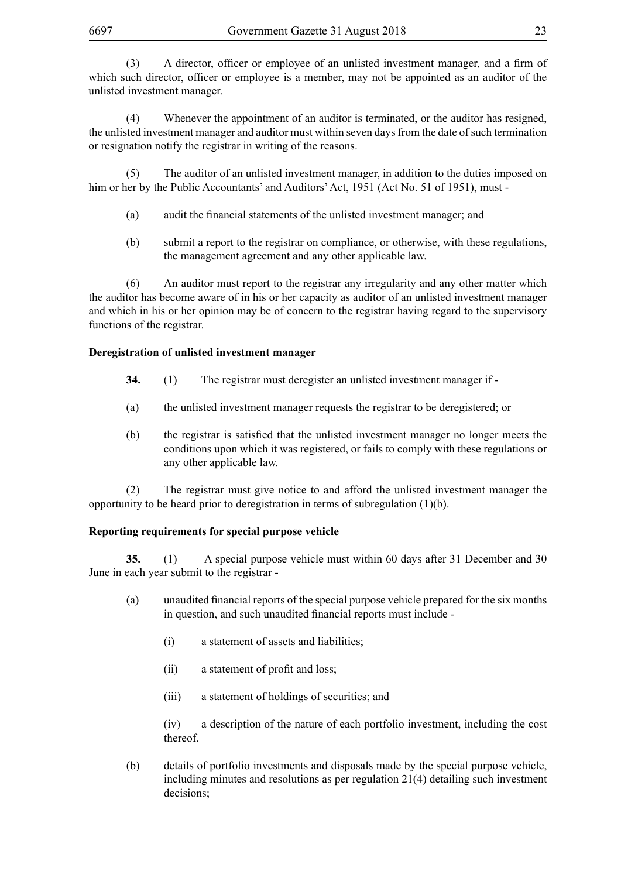(3) A director, officer or employee of an unlisted investment manager, and a firm of which such director, officer or employee is a member, may not be appointed as an auditor of the unlisted investment manager.

(4) Whenever the appointment of an auditor is terminated, or the auditor has resigned, the unlisted investment manager and auditor must within seven days from the date of such termination or resignation notify the registrar in writing of the reasons.

(5) The auditor of an unlisted investment manager, in addition to the duties imposed on him or her by the Public Accountants' and Auditors' Act, 1951 (Act No. 51 of 1951), must -

- (a) audit the financial statements of the unlisted investment manager; and
- (b) submit a report to the registrar on compliance, or otherwise, with these regulations, the management agreement and any other applicable law.

(6) An auditor must report to the registrar any irregularity and any other matter which the auditor has become aware of in his or her capacity as auditor of an unlisted investment manager and which in his or her opinion may be of concern to the registrar having regard to the supervisory functions of the registrar.

# **Deregistration of unlisted investment manager**

- **34.** (1) The registrar must deregister an unlisted investment manager if -
- (a) the unlisted investment manager requests the registrar to be deregistered; or
- (b) the registrar is satisfied that the unlisted investment manager no longer meets the conditions upon which it was registered, or fails to comply with these regulations or any other applicable law.

(2) The registrar must give notice to and afford the unlisted investment manager the opportunity to be heard prior to deregistration in terms of subregulation (1)(b).

# **Reporting requirements for special purpose vehicle**

**35.** (1) A special purpose vehicle must within 60 days after 31 December and 30 June in each year submit to the registrar -

- (a) unaudited financial reports of the special purpose vehicle prepared for the six months in question, and such unaudited financial reports must include -
	- (i) a statement of assets and liabilities;
	- (ii) a statement of profit and loss;
	- (iii) a statement of holdings of securities; and

(iv) a description of the nature of each portfolio investment, including the cost thereof.

(b) details of portfolio investments and disposals made by the special purpose vehicle, including minutes and resolutions as per regulation 21(4) detailing such investment decisions;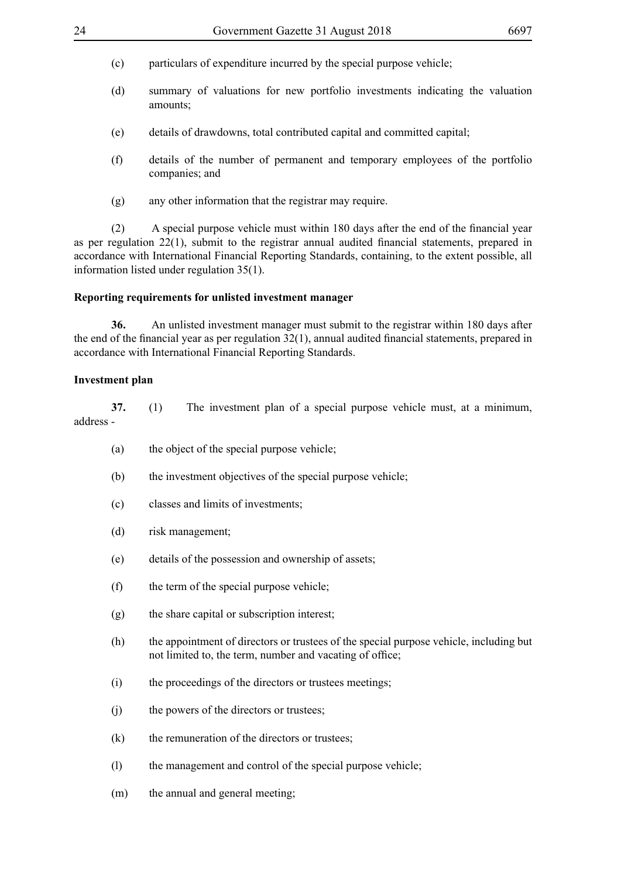- (c) particulars of expenditure incurred by the special purpose vehicle;
- (d) summary of valuations for new portfolio investments indicating the valuation amounts;
- (e) details of drawdowns, total contributed capital and committed capital;
- (f) details of the number of permanent and temporary employees of the portfolio companies; and
- (g) any other information that the registrar may require.

 (2) A special purpose vehicle must within 180 days after the end of the financial year as per regulation 22(1), submit to the registrar annual audited financial statements, prepared in accordance with International Financial Reporting Standards, containing, to the extent possible, all information listed under regulation 35(1).

#### **Reporting requirements for unlisted investment manager**

**36.** An unlisted investment manager must submit to the registrar within 180 days after the end of the financial year as per regulation 32(1), annual audited financial statements, prepared in accordance with International Financial Reporting Standards.

#### **Investment plan**

**37.** (1) The investment plan of a special purpose vehicle must, at a minimum, address -

- (a) the object of the special purpose vehicle;
- (b) the investment objectives of the special purpose vehicle;
- (c) classes and limits of investments;
- (d) risk management;
- (e) details of the possession and ownership of assets;
- (f) the term of the special purpose vehicle;
- (g) the share capital or subscription interest;
- (h) the appointment of directors or trustees of the special purpose vehicle, including but not limited to, the term, number and vacating of office;
- (i) the proceedings of the directors or trustees meetings;
- (j) the powers of the directors or trustees;
- (k) the remuneration of the directors or trustees;
- (l) the management and control of the special purpose vehicle;
- (m) the annual and general meeting;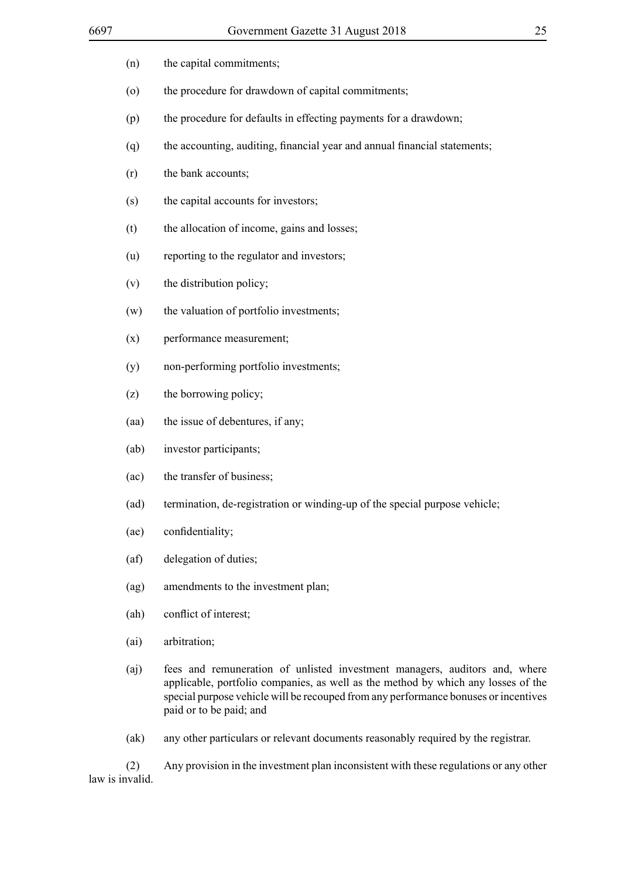| (n)                | the capital commitments;                                                                                                                                                                                                                                                          |
|--------------------|-----------------------------------------------------------------------------------------------------------------------------------------------------------------------------------------------------------------------------------------------------------------------------------|
| $\left( 0 \right)$ | the procedure for drawdown of capital commitments;                                                                                                                                                                                                                                |
| (p)                | the procedure for defaults in effecting payments for a drawdown;                                                                                                                                                                                                                  |
| (q)                | the accounting, auditing, financial year and annual financial statements;                                                                                                                                                                                                         |
| (r)                | the bank accounts;                                                                                                                                                                                                                                                                |
| (s)                | the capital accounts for investors;                                                                                                                                                                                                                                               |
| (t)                | the allocation of income, gains and losses;                                                                                                                                                                                                                                       |
| (u)                | reporting to the regulator and investors;                                                                                                                                                                                                                                         |
| (v)                | the distribution policy;                                                                                                                                                                                                                                                          |
| (w)                | the valuation of portfolio investments;                                                                                                                                                                                                                                           |
| (x)                | performance measurement;                                                                                                                                                                                                                                                          |
| (y)                | non-performing portfolio investments;                                                                                                                                                                                                                                             |
| (z)                | the borrowing policy;                                                                                                                                                                                                                                                             |
| (aa)               | the issue of debentures, if any;                                                                                                                                                                                                                                                  |
| (ab)               | investor participants;                                                                                                                                                                                                                                                            |
| (ac)               | the transfer of business;                                                                                                                                                                                                                                                         |
| (ad)               | termination, de-registration or winding-up of the special purpose vehicle;                                                                                                                                                                                                        |
| (ae)               | confidentiality;                                                                                                                                                                                                                                                                  |
| (af)               | delegation of duties;                                                                                                                                                                                                                                                             |
| (ag)               | amendments to the investment plan;                                                                                                                                                                                                                                                |
| (ah)               | conflict of interest;                                                                                                                                                                                                                                                             |
| (ai)               | arbitration;                                                                                                                                                                                                                                                                      |
| (a <sub>j</sub> )  | fees and remuneration of unlisted investment managers, auditors and, where<br>applicable, portfolio companies, as well as the method by which any losses of the<br>special purpose vehicle will be recouped from any performance bonuses or incentives<br>paid or to be paid; and |

(ak) any other particulars or relevant documents reasonably required by the registrar.

(2) Any provision in the investment plan inconsistent with these regulations or any other law is invalid.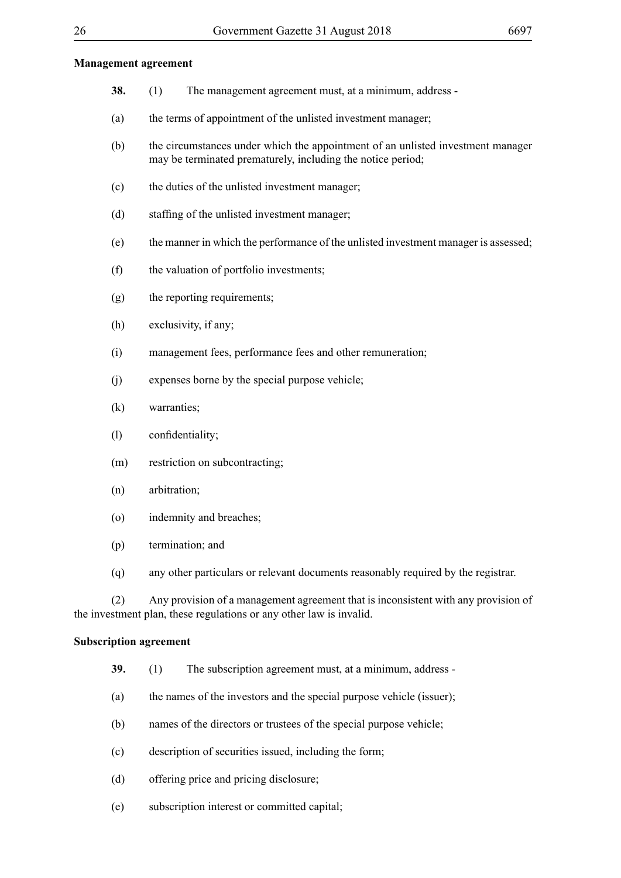#### **Management agreement**

- **38.** (1) The management agreement must, at a minimum, address -
- (a) the terms of appointment of the unlisted investment manager;
- (b) the circumstances under which the appointment of an unlisted investment manager may be terminated prematurely, including the notice period;
- (c) the duties of the unlisted investment manager;
- (d) staffing of the unlisted investment manager;
- (e) the manner in which the performance of the unlisted investment manager is assessed;
- (f) the valuation of portfolio investments;
- (g) the reporting requirements;
- (h) exclusivity, if any;
- (i) management fees, performance fees and other remuneration;
- (j) expenses borne by the special purpose vehicle;
- (k) warranties;
- (l) confidentiality;
- (m) restriction on subcontracting;
- (n) arbitration;
- (o) indemnity and breaches;
- (p) termination; and
- (q) any other particulars or relevant documents reasonably required by the registrar.

(2) Any provision of a management agreement that is inconsistent with any provision of the investment plan, these regulations or any other law is invalid.

#### **Subscription agreement**

- **39.** (1) The subscription agreement must, at a minimum, address -
- (a) the names of the investors and the special purpose vehicle (issuer);
- (b) names of the directors or trustees of the special purpose vehicle;
- (c) description of securities issued, including the form;
- (d) offering price and pricing disclosure;
- (e) subscription interest or committed capital;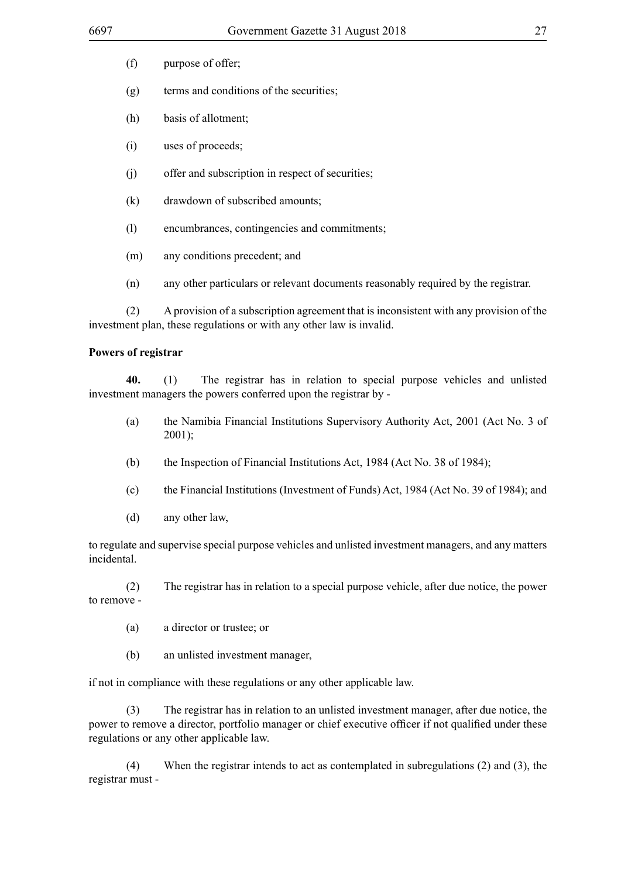- (f) purpose of offer;
- (g) terms and conditions of the securities;
- (h) basis of allotment;
- (i) uses of proceeds;
- (j) offer and subscription in respect of securities;
- (k) drawdown of subscribed amounts;
- (l) encumbrances, contingencies and commitments;
- (m) any conditions precedent; and
- (n) any other particulars or relevant documents reasonably required by the registrar.

(2) A provision of a subscription agreement that is inconsistent with any provision of the investment plan, these regulations or with any other law is invalid.

#### **Powers of registrar**

**40.** (1) The registrar has in relation to special purpose vehicles and unlisted investment managers the powers conferred upon the registrar by -

- (a) the Namibia Financial Institutions Supervisory Authority Act, 2001 (Act No. 3 of 2001);
- (b) the Inspection of Financial Institutions Act, 1984 (Act No. 38 of 1984);
- (c) the Financial Institutions (Investment of Funds) Act, 1984 (Act No. 39 of 1984); and
- (d) any other law,

to regulate and supervise special purpose vehicles and unlisted investment managers, and any matters incidental.

(2) The registrar has in relation to a special purpose vehicle, after due notice, the power to remove -

- (a) a director or trustee; or
- (b) an unlisted investment manager,

if not in compliance with these regulations or any other applicable law.

(3) The registrar has in relation to an unlisted investment manager, after due notice, the power to remove a director, portfolio manager or chief executive officer if not qualified under these regulations or any other applicable law.

(4) When the registrar intends to act as contemplated in subregulations (2) and (3), the registrar must -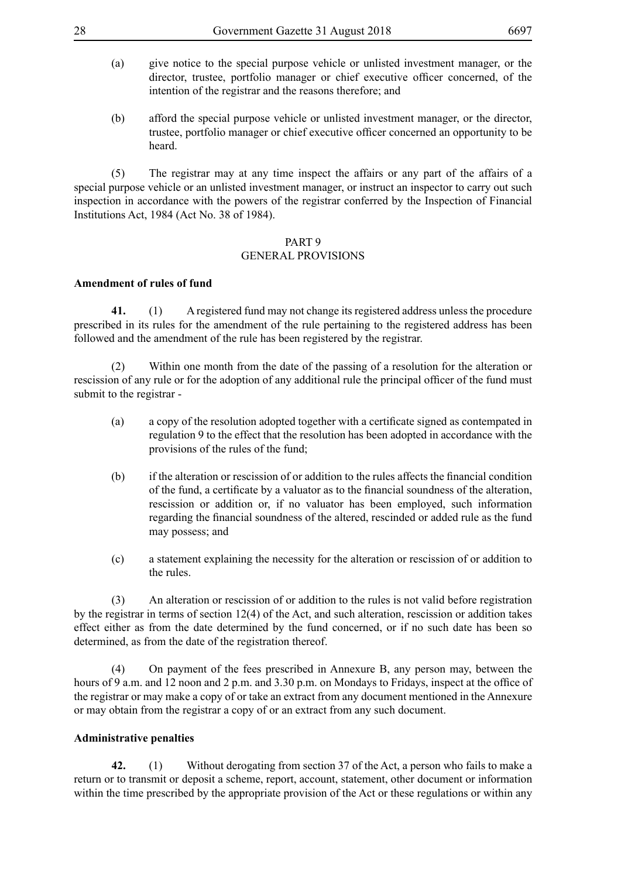- (a) give notice to the special purpose vehicle or unlisted investment manager, or the director, trustee, portfolio manager or chief executive officer concerned, of the intention of the registrar and the reasons therefore; and
- (b) afford the special purpose vehicle or unlisted investment manager, or the director, trustee, portfolio manager or chief executive officer concerned an opportunity to be heard.

(5) The registrar may at any time inspect the affairs or any part of the affairs of a special purpose vehicle or an unlisted investment manager, or instruct an inspector to carry out such inspection in accordance with the powers of the registrar conferred by the Inspection of Financial Institutions Act, 1984 (Act No. 38 of 1984).

#### PART 9

## GENERAL PROVISIONS

# **Amendment of rules of fund**

**41.** (1) A registered fund may not change its registered address unless the procedure prescribed in its rules for the amendment of the rule pertaining to the registered address has been followed and the amendment of the rule has been registered by the registrar.

(2) Within one month from the date of the passing of a resolution for the alteration or rescission of any rule or for the adoption of any additional rule the principal officer of the fund must submit to the registrar -

- (a) a copy of the resolution adopted together with a certificate signed as contempated in regulation 9 to the effect that the resolution has been adopted in accordance with the provisions of the rules of the fund;
- (b) if the alteration or rescission of or addition to the rules affects the financial condition of the fund, a certificate by a valuator as to the financial soundness of the alteration, rescission or addition or, if no valuator has been employed, such information regarding the financial soundness of the altered, rescinded or added rule as the fund may possess; and
- (c) a statement explaining the necessity for the alteration or rescission of or addition to the rules.

(3) An alteration or rescission of or addition to the rules is not valid before registration by the registrar in terms of section 12(4) of the Act, and such alteration, rescission or addition takes effect either as from the date determined by the fund concerned, or if no such date has been so determined, as from the date of the registration thereof.

(4) On payment of the fees prescribed in Annexure B, any person may, between the hours of 9 a.m. and 12 noon and 2 p.m. and 3.30 p.m. on Mondays to Fridays, inspect at the office of the registrar or may make a copy of or take an extract from any document mentioned in the Annexure or may obtain from the registrar a copy of or an extract from any such document.

#### **Administrative penalties**

**42.** (1) Without derogating from section 37 of the Act, a person who fails to make a return or to transmit or deposit a scheme, report, account, statement, other document or information within the time prescribed by the appropriate provision of the Act or these regulations or within any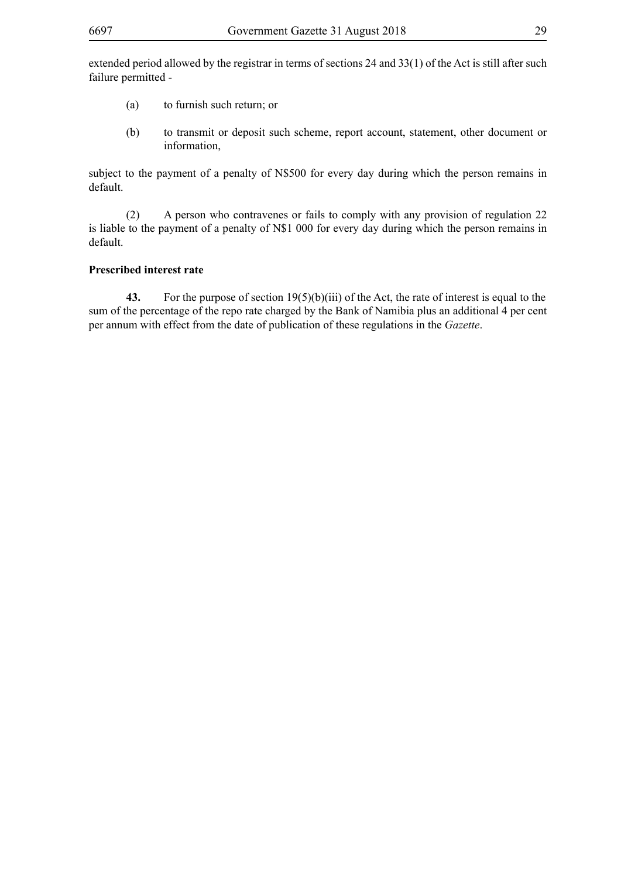- (a) to furnish such return; or
- (b) to transmit or deposit such scheme, report account, statement, other document or information,

subject to the payment of a penalty of N\$500 for every day during which the person remains in default.

(2) A person who contravenes or fails to comply with any provision of regulation 22 is liable to the payment of a penalty of N\$1 000 for every day during which the person remains in default.

#### **Prescribed interest rate**

**43.** For the purpose of section 19(5)(b)(iii) of the Act, the rate of interest is equal to the sum of the percentage of the repo rate charged by the Bank of Namibia plus an additional 4 per cent per annum with effect from the date of publication of these regulations in the *Gazette*.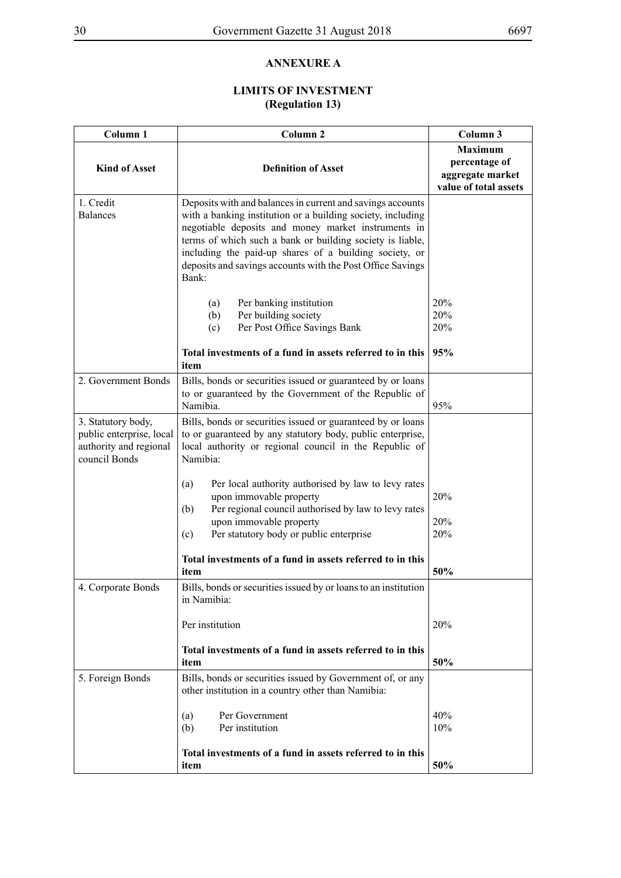# **ANNEXURE A**

# **LIMITS OF INVESTMENT (Regulation 13)**

| Column <sub>1</sub>                                                                       | Column <sub>2</sub>                                                                                                                                                                                                                                                                                                                                                            | Column 3                                                                     |
|-------------------------------------------------------------------------------------------|--------------------------------------------------------------------------------------------------------------------------------------------------------------------------------------------------------------------------------------------------------------------------------------------------------------------------------------------------------------------------------|------------------------------------------------------------------------------|
| <b>Kind of Asset</b>                                                                      | <b>Definition of Asset</b>                                                                                                                                                                                                                                                                                                                                                     | <b>Maximum</b><br>percentage of<br>aggregate market<br>value of total assets |
| 1. Credit<br><b>Balances</b>                                                              | Deposits with and balances in current and savings accounts<br>with a banking institution or a building society, including<br>negotiable deposits and money market instruments in<br>terms of which such a bank or building society is liable,<br>including the paid-up shares of a building society, or<br>deposits and savings accounts with the Post Office Savings<br>Bank: |                                                                              |
|                                                                                           | Per banking institution<br>(a)<br>(b)<br>Per building society<br>Per Post Office Savings Bank<br>(c)                                                                                                                                                                                                                                                                           | 20%<br>20%<br>20%                                                            |
|                                                                                           | Total investments of a fund in assets referred to in this<br>item                                                                                                                                                                                                                                                                                                              | 95%                                                                          |
| 2. Government Bonds                                                                       | Bills, bonds or securities issued or guaranteed by or loans<br>to or guaranteed by the Government of the Republic of<br>Namibia.                                                                                                                                                                                                                                               | 95%                                                                          |
| 3. Statutory body,<br>public enterprise, local<br>authority and regional<br>council Bonds | Bills, bonds or securities issued or guaranteed by or loans<br>to or guaranteed by any statutory body, public enterprise,<br>local authority or regional council in the Republic of<br>Namibia:                                                                                                                                                                                |                                                                              |
|                                                                                           | Per local authority authorised by law to levy rates<br>(a)<br>upon immovable property<br>Per regional council authorised by law to levy rates<br>(b)                                                                                                                                                                                                                           | 20%                                                                          |
|                                                                                           | upon immovable property<br>Per statutory body or public enterprise<br>(c)                                                                                                                                                                                                                                                                                                      | 20%<br>20%                                                                   |
|                                                                                           | Total investments of a fund in assets referred to in this<br>item                                                                                                                                                                                                                                                                                                              | 50%                                                                          |
| 4. Corporate Bonds                                                                        | Bills, bonds or securities issued by or loans to an institution<br>in Namibia:                                                                                                                                                                                                                                                                                                 |                                                                              |
|                                                                                           | Per institution                                                                                                                                                                                                                                                                                                                                                                | 20%                                                                          |
|                                                                                           | Total investments of a fund in assets referred to in this<br>item                                                                                                                                                                                                                                                                                                              | 50%                                                                          |
| 5. Foreign Bonds                                                                          | Bills, bonds or securities issued by Government of, or any<br>other institution in a country other than Namibia:                                                                                                                                                                                                                                                               |                                                                              |
|                                                                                           | Per Government<br>(a)<br>(b)<br>Per institution                                                                                                                                                                                                                                                                                                                                | 40%<br>10%                                                                   |
|                                                                                           | Total investments of a fund in assets referred to in this<br>item                                                                                                                                                                                                                                                                                                              | 50%                                                                          |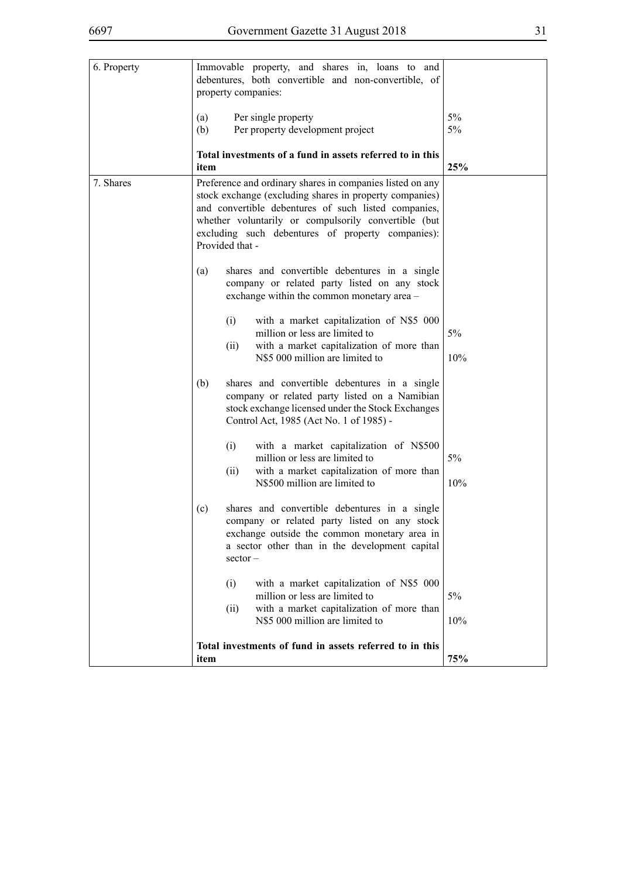| v<br>I<br>I  |  |
|--------------|--|
| ×<br>۰.      |  |
| ۰.<br>×<br>v |  |

| 6. Property | Immovable property, and shares in, loans to and<br>debentures, both convertible and non-convertible, of<br>property companies:                                                                                                                                                                               |           |
|-------------|--------------------------------------------------------------------------------------------------------------------------------------------------------------------------------------------------------------------------------------------------------------------------------------------------------------|-----------|
|             | (a)<br>Per single property                                                                                                                                                                                                                                                                                   | 5%        |
|             | Per property development project<br>(b)                                                                                                                                                                                                                                                                      | 5%        |
|             | Total investments of a fund in assets referred to in this<br>item                                                                                                                                                                                                                                            | 25%       |
| 7. Shares   | Preference and ordinary shares in companies listed on any<br>stock exchange (excluding shares in property companies)<br>and convertible debentures of such listed companies,<br>whether voluntarily or compulsorily convertible (but<br>excluding such debentures of property companies):<br>Provided that - |           |
|             | shares and convertible debentures in a single<br>(a)<br>company or related party listed on any stock<br>exchange within the common monetary area -                                                                                                                                                           |           |
|             | (i)<br>with a market capitalization of N\$5 000<br>million or less are limited to<br>with a market capitalization of more than<br>(ii)<br>N\$5 000 million are limited to                                                                                                                                    | 5%<br>10% |
|             | (b)<br>shares and convertible debentures in a single<br>company or related party listed on a Namibian<br>stock exchange licensed under the Stock Exchanges<br>Control Act, 1985 (Act No. 1 of 1985) -                                                                                                        |           |
|             | (i)<br>with a market capitalization of N\$500<br>million or less are limited to<br>(ii)<br>with a market capitalization of more than<br>N\$500 million are limited to                                                                                                                                        | 5%<br>10% |
|             | shares and convertible debentures in a single<br>(c)<br>company or related party listed on any stock<br>exchange outside the common monetary area in<br>a sector other than in the development capital<br>$sector -$                                                                                         |           |
|             | with a market capitalization of N\$5 000<br>(i)<br>million or less are limited to<br>with a market capitalization of more than<br>(ii)<br>N\$5 000 million are limited to                                                                                                                                    | 5%<br>10% |
|             | Total investments of fund in assets referred to in this<br>item                                                                                                                                                                                                                                              | 75%       |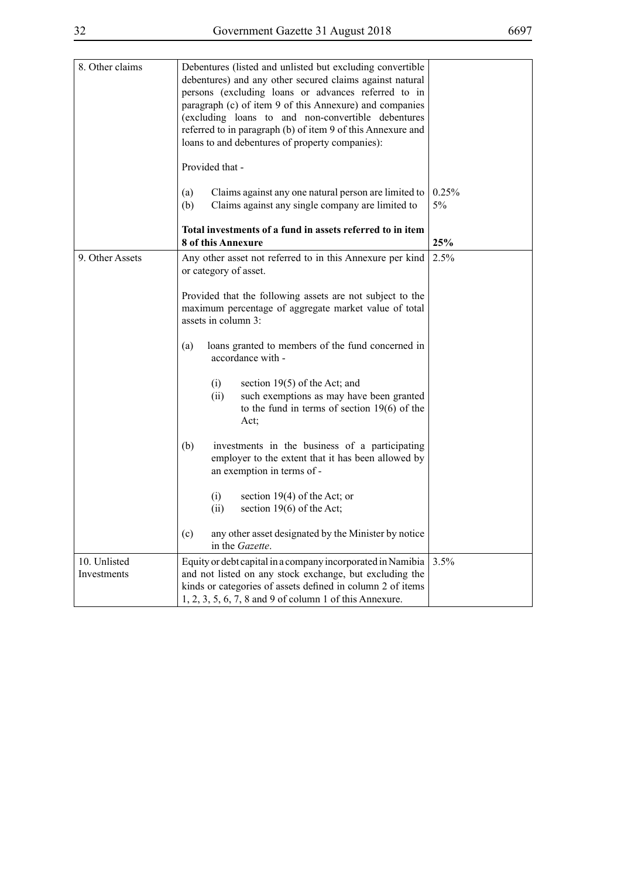| 8. Other claims             | Debentures (listed and unlisted but excluding convertible<br>debentures) and any other secured claims against natural<br>persons (excluding loans or advances referred to in<br>paragraph (c) of item 9 of this Annexure) and companies<br>(excluding loans to and non-convertible debentures<br>referred to in paragraph (b) of item 9 of this Annexure and<br>loans to and debentures of property companies):<br>Provided that -                                                                                                                                                                                                                                                                  |             |
|-----------------------------|-----------------------------------------------------------------------------------------------------------------------------------------------------------------------------------------------------------------------------------------------------------------------------------------------------------------------------------------------------------------------------------------------------------------------------------------------------------------------------------------------------------------------------------------------------------------------------------------------------------------------------------------------------------------------------------------------------|-------------|
|                             | Claims against any one natural person are limited to<br>(a)<br>Claims against any single company are limited to<br>(b)                                                                                                                                                                                                                                                                                                                                                                                                                                                                                                                                                                              | 0.25%<br>5% |
|                             | Total investments of a fund in assets referred to in item<br><b>8 of this Annexure</b>                                                                                                                                                                                                                                                                                                                                                                                                                                                                                                                                                                                                              | 25%         |
| 9. Other Assets             | Any other asset not referred to in this Annexure per kind<br>or category of asset.<br>Provided that the following assets are not subject to the<br>maximum percentage of aggregate market value of total<br>assets in column 3:<br>loans granted to members of the fund concerned in<br>(a)<br>accordance with -<br>section $19(5)$ of the Act; and<br>(i)<br>such exemptions as may have been granted<br>(ii)<br>to the fund in terms of section $19(6)$ of the<br>Act;<br>investments in the business of a participating<br>(b)<br>employer to the extent that it has been allowed by<br>an exemption in terms of -<br>(i)<br>section $19(4)$ of the Act; or<br>section 19(6) of the Act;<br>(ii) | 2.5%        |
|                             | any other asset designated by the Minister by notice<br>(c)<br>in the Gazette.                                                                                                                                                                                                                                                                                                                                                                                                                                                                                                                                                                                                                      |             |
| 10. Unlisted<br>Investments | Equity or debt capital in a company incorporated in Namibia<br>and not listed on any stock exchange, but excluding the<br>kinds or categories of assets defined in column 2 of items<br>1, 2, 3, 5, 6, 7, 8 and 9 of column 1 of this Annexure.                                                                                                                                                                                                                                                                                                                                                                                                                                                     | 3.5%        |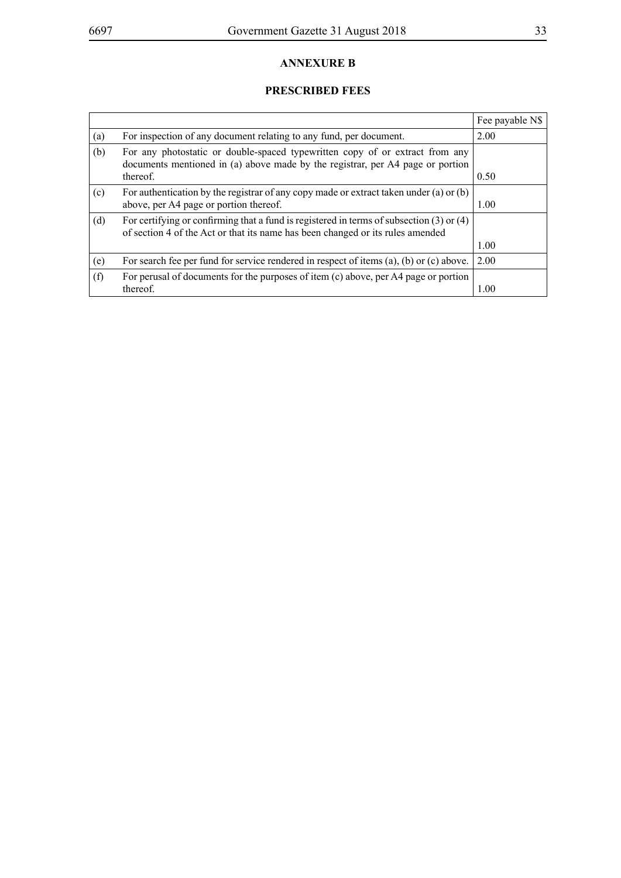# **ANNEXURE B**

# **PRESCRIBED FEES**

|     |                                                                                                                                                                                | Fee payable N\$ |
|-----|--------------------------------------------------------------------------------------------------------------------------------------------------------------------------------|-----------------|
| (a) | For inspection of any document relating to any fund, per document.                                                                                                             | 2.00            |
| (b) | For any photostatic or double-spaced typewritten copy of or extract from any<br>documents mentioned in (a) above made by the registrar, per A4 page or portion                 |                 |
|     | thereof.                                                                                                                                                                       | 0.50            |
| (c) | For authentication by the registrar of any copy made or extract taken under (a) or (b)                                                                                         |                 |
|     | above, per A4 page or portion thereof.                                                                                                                                         | 1.00            |
| (d) | For certifying or confirming that a fund is registered in terms of subsection $(3)$ or $(4)$<br>of section 4 of the Act or that its name has been changed or its rules amended |                 |
|     |                                                                                                                                                                                | 1.00            |
| (e) | For search fee per fund for service rendered in respect of items (a), (b) or (c) above.                                                                                        | 2.00            |
| (f) | For perusal of documents for the purposes of item $(c)$ above, per A4 page or portion                                                                                          |                 |
|     | thereof.                                                                                                                                                                       | 1.00            |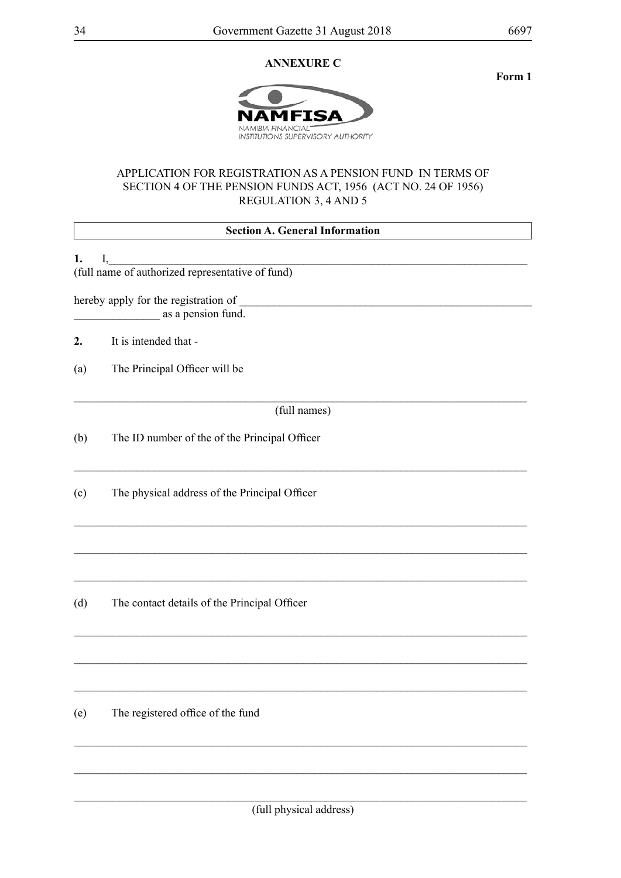# **ANNEXURE C**



# APPLICATION FOR REGISTRATION AS A PENSION FUND IN TERMS OF SECTION 4 OF THE PENSION FUNDS ACT, 1956 (ACT NO. 24 OF 1956) REGULATION 3, 4 AND 5

|     | <b>Section A. General Information</b>                      |  |  |
|-----|------------------------------------------------------------|--|--|
| 1.  | I,                                                         |  |  |
|     | (full name of authorized representative of fund)           |  |  |
|     | hereby apply for the registration of<br>as a pension fund. |  |  |
| 2.  | It is intended that -                                      |  |  |
| (a) | The Principal Officer will be                              |  |  |
|     | (full names)                                               |  |  |
| (b) | The ID number of the of the Principal Officer              |  |  |
| (c) | The physical address of the Principal Officer              |  |  |
|     |                                                            |  |  |
| (d) | The contact details of the Principal Officer               |  |  |
|     |                                                            |  |  |
| (e) | The registered office of the fund                          |  |  |

\_\_\_\_\_\_\_\_\_\_\_\_\_\_\_\_\_\_\_\_\_\_\_\_\_\_\_\_\_\_\_\_\_\_\_\_\_\_\_\_\_\_\_\_\_\_\_\_\_\_\_\_\_\_\_\_\_\_\_\_\_\_\_\_\_\_\_\_\_\_\_\_\_\_\_\_\_\_\_

\_\_\_\_\_\_\_\_\_\_\_\_\_\_\_\_\_\_\_\_\_\_\_\_\_\_\_\_\_\_\_\_\_\_\_\_\_\_\_\_\_\_\_\_\_\_\_\_\_\_\_\_\_\_\_\_\_\_\_\_\_\_\_\_\_\_\_\_\_\_\_\_\_\_\_\_\_\_\_

**Form 1**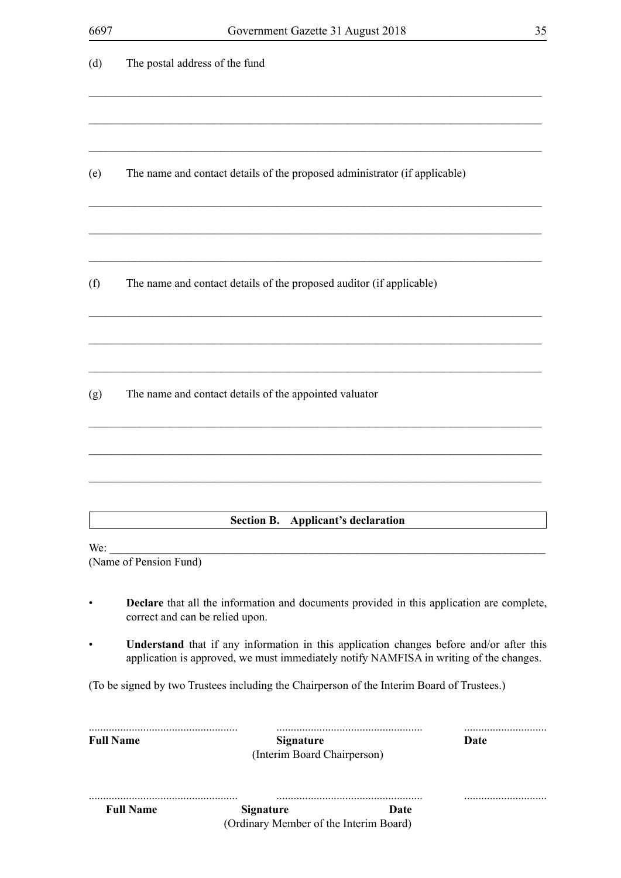|                  | <b>Full Name</b>                | <b>Signature</b><br>(Ordinary Member of the Interim Board)                                                                                                                        | Date |
|------------------|---------------------------------|-----------------------------------------------------------------------------------------------------------------------------------------------------------------------------------|------|
|                  |                                 |                                                                                                                                                                                   |      |
| <b>Full Name</b> |                                 | <b>Signature</b><br>(Interim Board Chairperson)                                                                                                                                   | Date |
|                  |                                 | (To be signed by two Trustees including the Chairperson of the Interim Board of Trustees.)                                                                                        |      |
| $\bullet$        |                                 | Understand that if any information in this application changes before and/or after this<br>application is approved, we must immediately notify NAMFISA in writing of the changes. |      |
| $\bullet$        | correct and can be relied upon. | <b>Declare</b> that all the information and documents provided in this application are complete,                                                                                  |      |
| We:              | (Name of Pension Fund)          |                                                                                                                                                                                   |      |
|                  |                                 | Section B. Applicant's declaration                                                                                                                                                |      |
|                  |                                 |                                                                                                                                                                                   |      |
| (g)              |                                 | The name and contact details of the appointed valuator                                                                                                                            |      |
|                  |                                 |                                                                                                                                                                                   |      |
| (f)              |                                 | The name and contact details of the proposed auditor (if applicable)                                                                                                              |      |
| (e)              |                                 | The name and contact details of the proposed administrator (if applicable)                                                                                                        |      |
|                  |                                 |                                                                                                                                                                                   |      |
|                  |                                 |                                                                                                                                                                                   |      |
| (d)              | The postal address of the fund  |                                                                                                                                                                                   |      |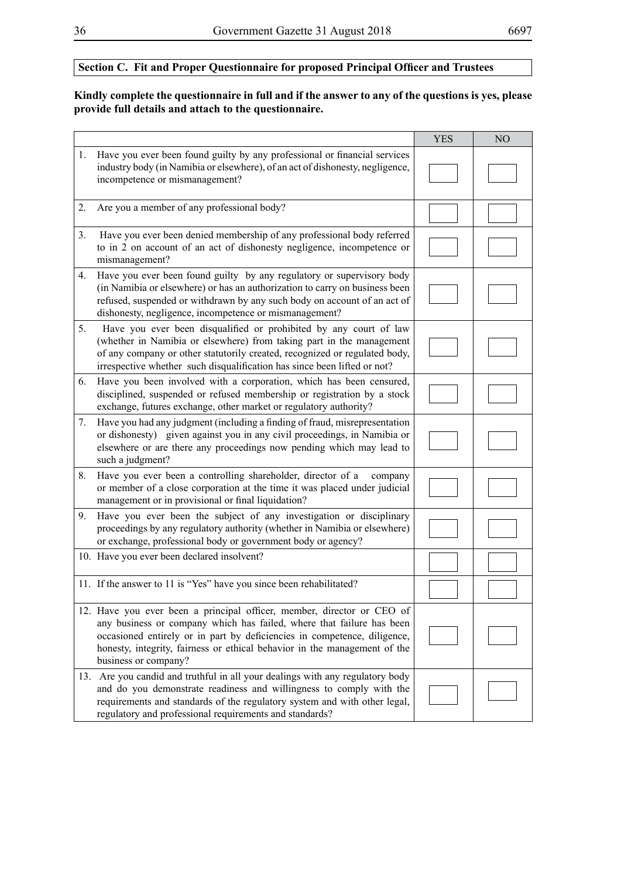# **Section C. Fit and Proper Questionnaire for proposed Principal Officer and Trustees**

# **Kindly complete the questionnaire in full and if the answer to any of the questions is yes, please provide full details and attach to the questionnaire.**

|    |                                                                                                                                                                                                                                                                                                                                  | <b>YES</b> | N <sub>O</sub> |
|----|----------------------------------------------------------------------------------------------------------------------------------------------------------------------------------------------------------------------------------------------------------------------------------------------------------------------------------|------------|----------------|
| 1. | Have you ever been found guilty by any professional or financial services<br>industry body (in Namibia or elsewhere), of an act of dishonesty, negligence,<br>incompetence or mismanagement?                                                                                                                                     |            |                |
| 2. | Are you a member of any professional body?                                                                                                                                                                                                                                                                                       |            |                |
| 3. | Have you ever been denied membership of any professional body referred<br>to in 2 on account of an act of dishonesty negligence, incompetence or<br>mismanagement?                                                                                                                                                               |            |                |
| 4. | Have you ever been found guilty by any regulatory or supervisory body<br>(in Namibia or elsewhere) or has an authorization to carry on business been<br>refused, suspended or withdrawn by any such body on account of an act of<br>dishonesty, negligence, incompetence or mismanagement?                                       |            |                |
| 5. | Have you ever been disqualified or prohibited by any court of law<br>(whether in Namibia or elsewhere) from taking part in the management<br>of any company or other statutorily created, recognized or regulated body,<br>irrespective whether such disqualification has since been lifted or not?                              |            |                |
| 6. | Have you been involved with a corporation, which has been censured,<br>disciplined, suspended or refused membership or registration by a stock<br>exchange, futures exchange, other market or regulatory authority?                                                                                                              |            |                |
| 7. | Have you had any judgment (including a finding of fraud, misrepresentation<br>or dishonesty) given against you in any civil proceedings, in Namibia or<br>elsewhere or are there any proceedings now pending which may lead to<br>such a judgment?                                                                               |            |                |
| 8. | Have you ever been a controlling shareholder, director of a<br>company<br>or member of a close corporation at the time it was placed under judicial<br>management or in provisional or final liquidation?                                                                                                                        |            |                |
| 9. | Have you ever been the subject of any investigation or disciplinary<br>proceedings by any regulatory authority (whether in Namibia or elsewhere)<br>or exchange, professional body or government body or agency?                                                                                                                 |            |                |
|    | 10. Have you ever been declared insolvent?                                                                                                                                                                                                                                                                                       |            |                |
|    | 11. If the answer to 11 is "Yes" have you since been rehabilitated?                                                                                                                                                                                                                                                              |            |                |
|    | 12. Have you ever been a principal officer, member, director or CEO of<br>any business or company which has failed, where that failure has been<br>occasioned entirely or in part by deficiencies in competence, diligence,<br>honesty, integrity, fairness or ethical behavior in the management of the<br>business or company? |            |                |
|    | 13. Are you candid and truthful in all your dealings with any regulatory body<br>and do you demonstrate readiness and willingness to comply with the<br>requirements and standards of the regulatory system and with other legal,<br>regulatory and professional requirements and standards?                                     |            |                |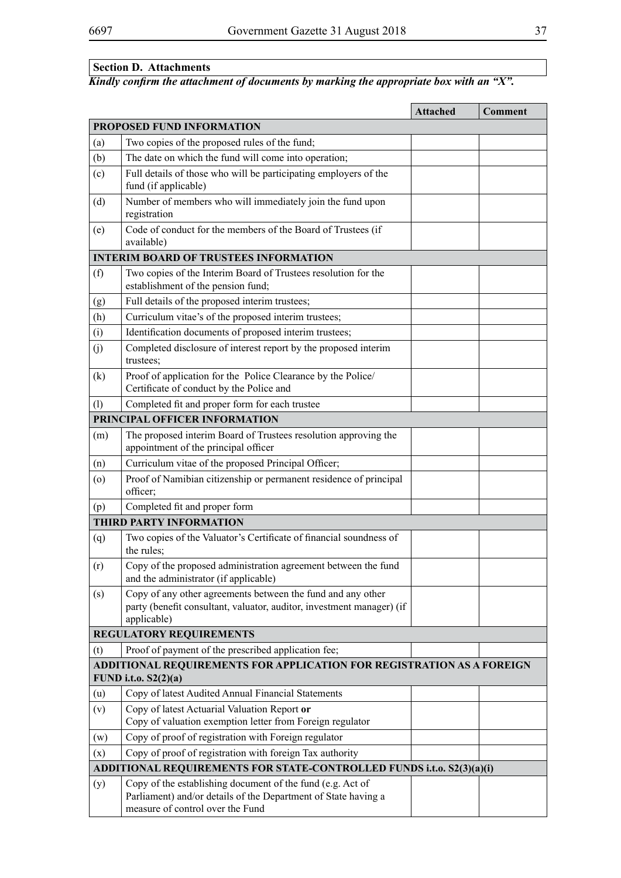# **Section D. Attachments**

# *Kindly confirm the attachment of documents by marking the appropriate box with an "X".*

|                                                                                               |                                                                                                                                                                  | <b>Attached</b> | Comment |
|-----------------------------------------------------------------------------------------------|------------------------------------------------------------------------------------------------------------------------------------------------------------------|-----------------|---------|
| PROPOSED FUND INFORMATION                                                                     |                                                                                                                                                                  |                 |         |
| (a)                                                                                           | Two copies of the proposed rules of the fund;                                                                                                                    |                 |         |
| (b)                                                                                           | The date on which the fund will come into operation;                                                                                                             |                 |         |
| (c)                                                                                           | Full details of those who will be participating employers of the<br>fund (if applicable)                                                                         |                 |         |
| (d)                                                                                           | Number of members who will immediately join the fund upon<br>registration                                                                                        |                 |         |
| (e)                                                                                           | Code of conduct for the members of the Board of Trustees (if<br>available)                                                                                       |                 |         |
|                                                                                               | <b>INTERIM BOARD OF TRUSTEES INFORMATION</b>                                                                                                                     |                 |         |
| (f)                                                                                           | Two copies of the Interim Board of Trustees resolution for the                                                                                                   |                 |         |
|                                                                                               | establishment of the pension fund;                                                                                                                               |                 |         |
| (g)                                                                                           | Full details of the proposed interim trustees;                                                                                                                   |                 |         |
| (h)                                                                                           | Curriculum vitae's of the proposed interim trustees;                                                                                                             |                 |         |
| (i)                                                                                           | Identification documents of proposed interim trustees;                                                                                                           |                 |         |
| (j)                                                                                           | Completed disclosure of interest report by the proposed interim<br>trustees;                                                                                     |                 |         |
| (k)                                                                                           | Proof of application for the Police Clearance by the Police/<br>Certificate of conduct by the Police and                                                         |                 |         |
| (1)                                                                                           | Completed fit and proper form for each trustee                                                                                                                   |                 |         |
|                                                                                               | PRINCIPAL OFFICER INFORMATION                                                                                                                                    |                 |         |
| (m)                                                                                           | The proposed interim Board of Trustees resolution approving the<br>appointment of the principal officer                                                          |                 |         |
| (n)                                                                                           | Curriculum vitae of the proposed Principal Officer;                                                                                                              |                 |         |
| (0)                                                                                           | Proof of Namibian citizenship or permanent residence of principal<br>officer;                                                                                    |                 |         |
| (p)                                                                                           | Completed fit and proper form                                                                                                                                    |                 |         |
|                                                                                               | <b>THIRD PARTY INFORMATION</b>                                                                                                                                   |                 |         |
| (q)                                                                                           | Two copies of the Valuator's Certificate of financial soundness of<br>the rules:                                                                                 |                 |         |
| (r)                                                                                           | Copy of the proposed administration agreement between the fund<br>and the administrator (if applicable)                                                          |                 |         |
| (s)                                                                                           | Copy of any other agreements between the fund and any other<br>party (benefit consultant, valuator, auditor, investment manager) (if<br>applicable)              |                 |         |
|                                                                                               | <b>REGULATORY REQUIREMENTS</b>                                                                                                                                   |                 |         |
| (t)                                                                                           | Proof of payment of the prescribed application fee;                                                                                                              |                 |         |
| ADDITIONAL REQUIREMENTS FOR APPLICATION FOR REGISTRATION AS A FOREIGN<br>FUND i.t.o. S2(2)(a) |                                                                                                                                                                  |                 |         |
| (u)                                                                                           | Copy of latest Audited Annual Financial Statements                                                                                                               |                 |         |
| (v)                                                                                           | Copy of latest Actuarial Valuation Report or<br>Copy of valuation exemption letter from Foreign regulator                                                        |                 |         |
| (w)                                                                                           | Copy of proof of registration with Foreign regulator                                                                                                             |                 |         |
| (x)                                                                                           | Copy of proof of registration with foreign Tax authority                                                                                                         |                 |         |
| ADDITIONAL REQUIREMENTS FOR STATE-CONTROLLED FUNDS i.t.o. S2(3)(a)(i)                         |                                                                                                                                                                  |                 |         |
| (y)                                                                                           | Copy of the establishing document of the fund (e.g. Act of<br>Parliament) and/or details of the Department of State having a<br>measure of control over the Fund |                 |         |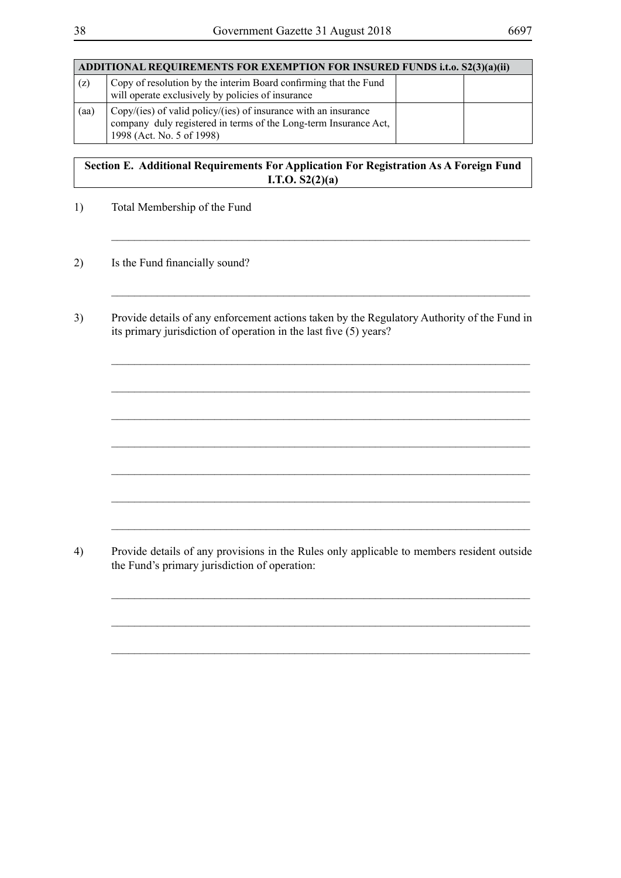| ADDITIONAL REQUIREMENTS FOR EXEMPTION FOR INSURED FUNDS i.t.o. S2(3)(a)(ii) |                                                                                                                                                                  |  |  |
|-----------------------------------------------------------------------------|------------------------------------------------------------------------------------------------------------------------------------------------------------------|--|--|
| (z)                                                                         | Copy of resolution by the interim Board confirming that the Fund<br>will operate exclusively by policies of insurance                                            |  |  |
| (aa)                                                                        | Copy/(ies) of valid policy/(ies) of insurance with an insurance<br>company duly registered in terms of the Long-term Insurance Act,<br>1998 (Act. No. 5 of 1998) |  |  |

# **Section E. Additional Requirements For Application For Registration As A Foreign Fund I.T.O. S2(2)(a)**

\_\_\_\_\_\_\_\_\_\_\_\_\_\_\_\_\_\_\_\_\_\_\_\_\_\_\_\_\_\_\_\_\_\_\_\_\_\_\_\_\_\_\_\_\_\_\_\_\_\_\_\_\_\_\_\_\_\_\_\_\_\_\_\_\_\_\_\_\_\_\_\_\_

\_\_\_\_\_\_\_\_\_\_\_\_\_\_\_\_\_\_\_\_\_\_\_\_\_\_\_\_\_\_\_\_\_\_\_\_\_\_\_\_\_\_\_\_\_\_\_\_\_\_\_\_\_\_\_\_\_\_\_\_\_\_\_\_\_\_\_\_\_\_\_\_\_

\_\_\_\_\_\_\_\_\_\_\_\_\_\_\_\_\_\_\_\_\_\_\_\_\_\_\_\_\_\_\_\_\_\_\_\_\_\_\_\_\_\_\_\_\_\_\_\_\_\_\_\_\_\_\_\_\_\_\_\_\_\_\_\_\_\_\_\_\_\_\_\_\_

 $\_$  , and the set of the set of the set of the set of the set of the set of the set of the set of the set of the set of the set of the set of the set of the set of the set of the set of the set of the set of the set of th

\_\_\_\_\_\_\_\_\_\_\_\_\_\_\_\_\_\_\_\_\_\_\_\_\_\_\_\_\_\_\_\_\_\_\_\_\_\_\_\_\_\_\_\_\_\_\_\_\_\_\_\_\_\_\_\_\_\_\_\_\_\_\_\_\_\_\_\_\_\_\_\_\_

 $\_$  , and the set of the set of the set of the set of the set of the set of the set of the set of the set of the set of the set of the set of the set of the set of the set of the set of the set of the set of the set of th

\_\_\_\_\_\_\_\_\_\_\_\_\_\_\_\_\_\_\_\_\_\_\_\_\_\_\_\_\_\_\_\_\_\_\_\_\_\_\_\_\_\_\_\_\_\_\_\_\_\_\_\_\_\_\_\_\_\_\_\_\_\_\_\_\_\_\_\_\_\_\_\_\_

\_\_\_\_\_\_\_\_\_\_\_\_\_\_\_\_\_\_\_\_\_\_\_\_\_\_\_\_\_\_\_\_\_\_\_\_\_\_\_\_\_\_\_\_\_\_\_\_\_\_\_\_\_\_\_\_\_\_\_\_\_\_\_\_\_\_\_\_\_\_\_\_\_

 $\_$  , and the set of the set of the set of the set of the set of the set of the set of the set of the set of the set of the set of the set of the set of the set of the set of the set of the set of the set of the set of th

 $\_$  , and the set of the set of the set of the set of the set of the set of the set of the set of the set of the set of the set of the set of the set of the set of the set of the set of the set of the set of the set of th

\_\_\_\_\_\_\_\_\_\_\_\_\_\_\_\_\_\_\_\_\_\_\_\_\_\_\_\_\_\_\_\_\_\_\_\_\_\_\_\_\_\_\_\_\_\_\_\_\_\_\_\_\_\_\_\_\_\_\_\_\_\_\_\_\_\_\_\_\_\_\_\_\_

 $\_$  , and the set of the set of the set of the set of the set of the set of the set of the set of the set of the set of the set of the set of the set of the set of the set of the set of the set of the set of the set of th

- 1) Total Membership of the Fund
- 2) Is the Fund financially sound?
- 3) Provide details of any enforcement actions taken by the Regulatory Authority of the Fund in its primary jurisdiction of operation in the last five (5) years?

4) Provide details of any provisions in the Rules only applicable to members resident outside the Fund's primary jurisdiction of operation: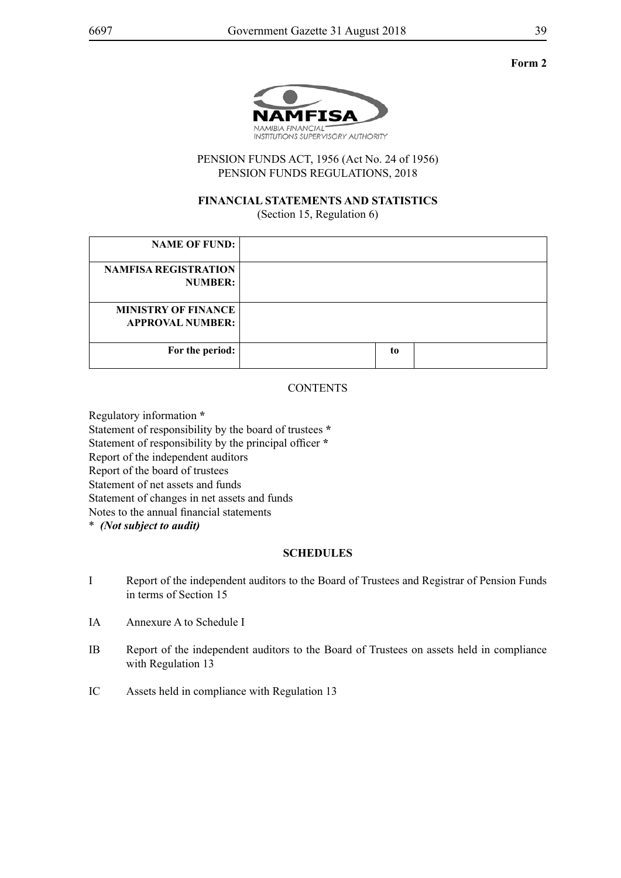

PENSION FUNDS ACT, 1956 (Act No. 24 of 1956) PENSION FUNDS REGULATIONS, 2018

#### **FINANCIAL STATEMENTS AND STATISTICS** (Section 15, Regulation 6)

| <b>NAME OF FUND:</b>                                  |    |  |
|-------------------------------------------------------|----|--|
| <b>NAMFISA REGISTRATION</b><br><b>NUMBER:</b>         |    |  |
| <b>MINISTRY OF FINANCE</b><br><b>APPROVAL NUMBER:</b> |    |  |
| For the period:                                       | to |  |

## **CONTENTS**

Regulatory information **\*** Statement of responsibility by the board of trustees **\*** Statement of responsibility by the principal officer **\*** Report of the independent auditors Report of the board of trustees Statement of net assets and funds Statement of changes in net assets and funds Notes to the annual financial statements \* *(Not subject to audit)*

## **SCHEDULES**

- I Report of the independent auditors to the Board of Trustees and Registrar of Pension Funds in terms of Section 15
- IA Annexure A to Schedule I
- IB Report of the independent auditors to the Board of Trustees on assets held in compliance with Regulation 13
- IC Assets held in compliance with Regulation 13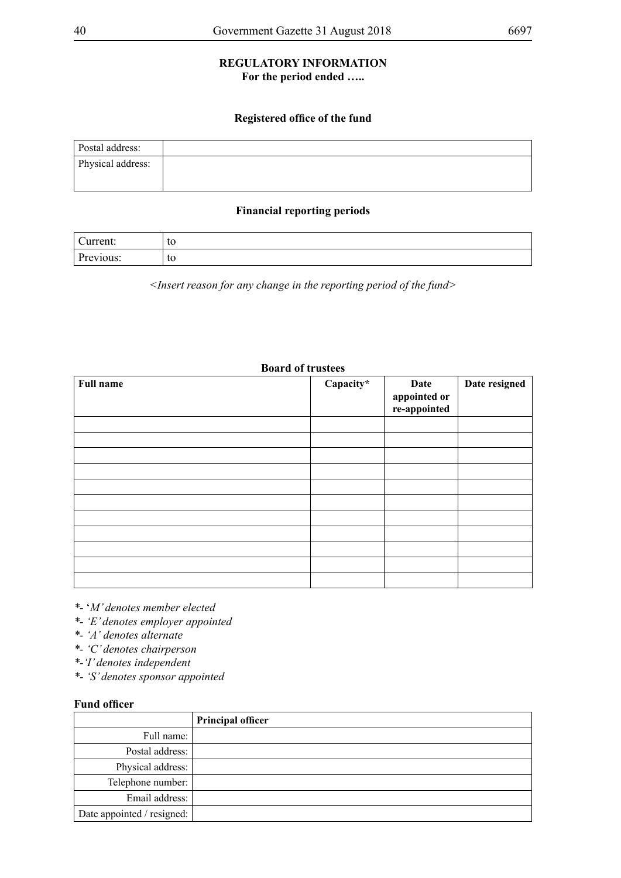## **REGULATORY INFORMATION For the period ended …..**

## **Registered office of the fund**

| Postal address:   |  |
|-------------------|--|
| Physical address: |  |
|                   |  |

### **Financial reporting periods**

| $\sim$<br>.<br>urrent. | to |
|------------------------|----|
| n.<br>10US.            | to |

*<Insert reason for any change in the reporting period of the fund>*

## **Board of trustees**

| <b>Full name</b> | Capacity* | Date<br>appointed or<br>re-appointed | Date resigned |
|------------------|-----------|--------------------------------------|---------------|
|                  |           |                                      |               |
|                  |           |                                      |               |
|                  |           |                                      |               |
|                  |           |                                      |               |
|                  |           |                                      |               |
|                  |           |                                      |               |
|                  |           |                                      |               |
|                  |           |                                      |               |
|                  |           |                                      |               |
|                  |           |                                      |               |
|                  |           |                                      |               |

*\*-* '*M' denotes member elected* 

- *\*- 'E' denotes employer appointed*
- *\*- 'A' denotes alternate*
- *\*- 'C' denotes chairperson*
- *\*-'I' denotes independent*

*\*- 'S' denotes sponsor appointed*

#### **Fund officer**

|                            | <b>Principal officer</b> |
|----------------------------|--------------------------|
| Full name:                 |                          |
| Postal address:            |                          |
| Physical address:          |                          |
| Telephone number:          |                          |
| Email address:             |                          |
| Date appointed / resigned: |                          |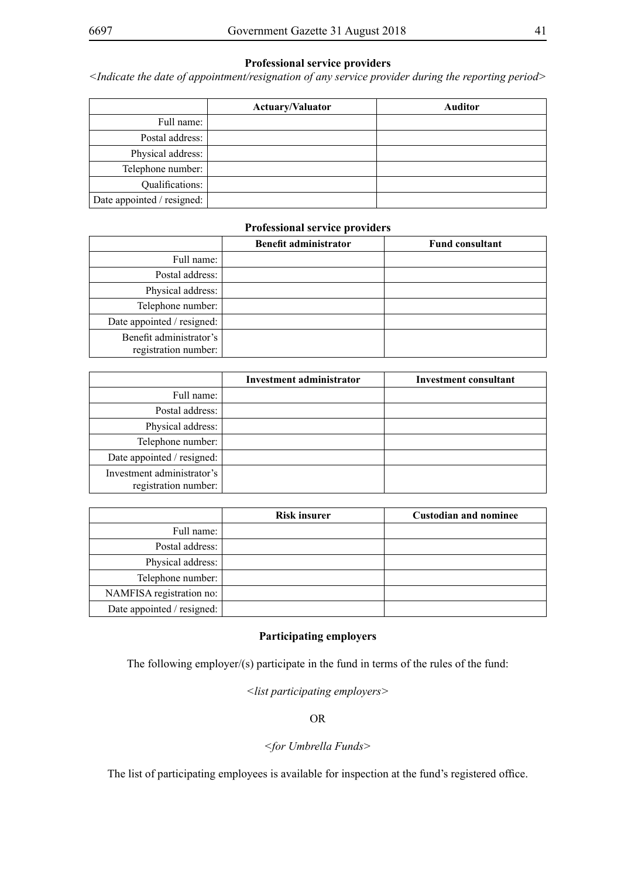## **Professional service providers**

*<Indicate the date of appointment/resignation of any service provider during the reporting period>*

|                            | <b>Actuary/Valuator</b> | <b>Auditor</b> |
|----------------------------|-------------------------|----------------|
| Full name:                 |                         |                |
| Postal address:            |                         |                |
| Physical address:          |                         |                |
| Telephone number:          |                         |                |
| Qualifications:            |                         |                |
| Date appointed / resigned: |                         |                |

#### **Professional service providers**

|                                                 | <b>Benefit administrator</b> | <b>Fund consultant</b> |
|-------------------------------------------------|------------------------------|------------------------|
| Full name:                                      |                              |                        |
| Postal address:                                 |                              |                        |
| Physical address:                               |                              |                        |
| Telephone number:                               |                              |                        |
| Date appointed / resigned:                      |                              |                        |
| Benefit administrator's<br>registration number: |                              |                        |

|                                                    | Investment administrator | Investment consultant |
|----------------------------------------------------|--------------------------|-----------------------|
| Full name:                                         |                          |                       |
| Postal address:                                    |                          |                       |
| Physical address:                                  |                          |                       |
| Telephone number:                                  |                          |                       |
| Date appointed / resigned:                         |                          |                       |
| Investment administrator's<br>registration number: |                          |                       |

|                            | <b>Risk insurer</b> | <b>Custodian and nominee</b> |
|----------------------------|---------------------|------------------------------|
| Full name:                 |                     |                              |
| Postal address:            |                     |                              |
| Physical address:          |                     |                              |
| Telephone number:          |                     |                              |
| NAMFISA registration no:   |                     |                              |
| Date appointed / resigned: |                     |                              |

#### **Participating employers**

The following employer/(s) participate in the fund in terms of the rules of the fund:

*<list participating employers>*

OR

## *<for Umbrella Funds>*

The list of participating employees is available for inspection at the fund's registered office.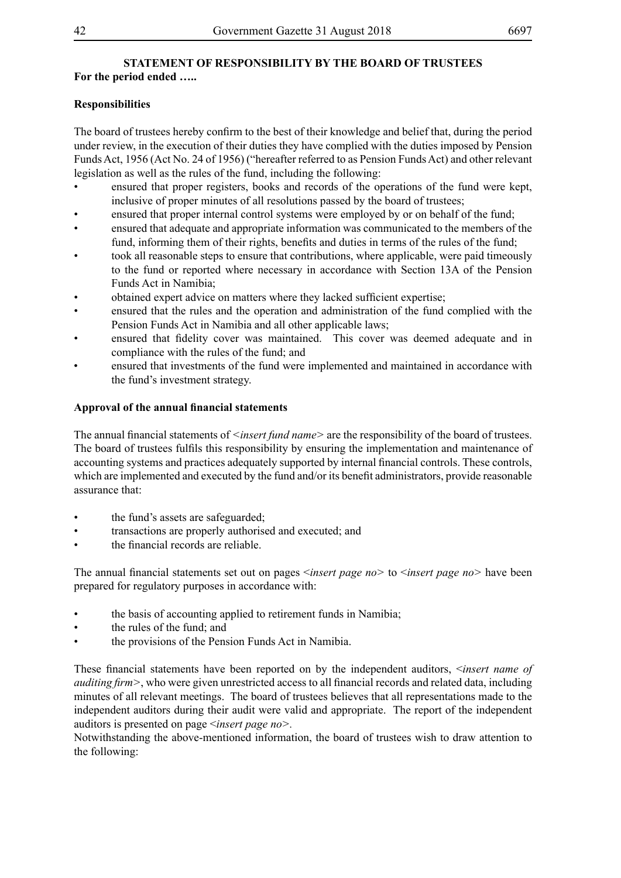#### **STATEMENT OF RESPONSIBILITY BY THE BOARD OF TRUSTEES For the period ended …..**

## **Responsibilities**

The board of trustees hereby confirm to the best of their knowledge and belief that, during the period under review, in the execution of their duties they have complied with the duties imposed by Pension Funds Act, 1956 (Act No. 24 of 1956) ("hereafter referred to as Pension Funds Act) and other relevant legislation as well as the rules of the fund, including the following:

- ensured that proper registers, books and records of the operations of the fund were kept, inclusive of proper minutes of all resolutions passed by the board of trustees;
- ensured that proper internal control systems were employed by or on behalf of the fund;
- ensured that adequate and appropriate information was communicated to the members of the fund, informing them of their rights, benefits and duties in terms of the rules of the fund;
- took all reasonable steps to ensure that contributions, where applicable, were paid timeously to the fund or reported where necessary in accordance with Section 13A of the Pension Funds Act in Namibia;
- obtained expert advice on matters where they lacked sufficient expertise;
- ensured that the rules and the operation and administration of the fund complied with the Pension Funds Act in Namibia and all other applicable laws;
- ensured that fidelity cover was maintained. This cover was deemed adequate and in compliance with the rules of the fund; and
- ensured that investments of the fund were implemented and maintained in accordance with the fund's investment strategy.

## **Approval of the annual financial statements**

The annual financial statements of *<insert fund name>* are the responsibility of the board of trustees. The board of trustees fulfils this responsibility by ensuring the implementation and maintenance of accounting systems and practices adequately supported by internal financial controls. These controls, which are implemented and executed by the fund and/or its benefit administrators, provide reasonable assurance that:

- the fund's assets are safeguarded;
- transactions are properly authorised and executed; and
- the financial records are reliable.

The annual financial statements set out on pages <*insert page no>* to <*insert page no>* have been prepared for regulatory purposes in accordance with:

- the basis of accounting applied to retirement funds in Namibia;
- the rules of the fund: and
- the provisions of the Pension Funds Act in Namibia.

These financial statements have been reported on by the independent auditors, <*insert name of auditing firm>*, who were given unrestricted access to all financial records and related data, including minutes of all relevant meetings. The board of trustees believes that all representations made to the independent auditors during their audit were valid and appropriate. The report of the independent auditors is presented on page <*insert page no>.*

Notwithstanding the above-mentioned information, the board of trustees wish to draw attention to the following: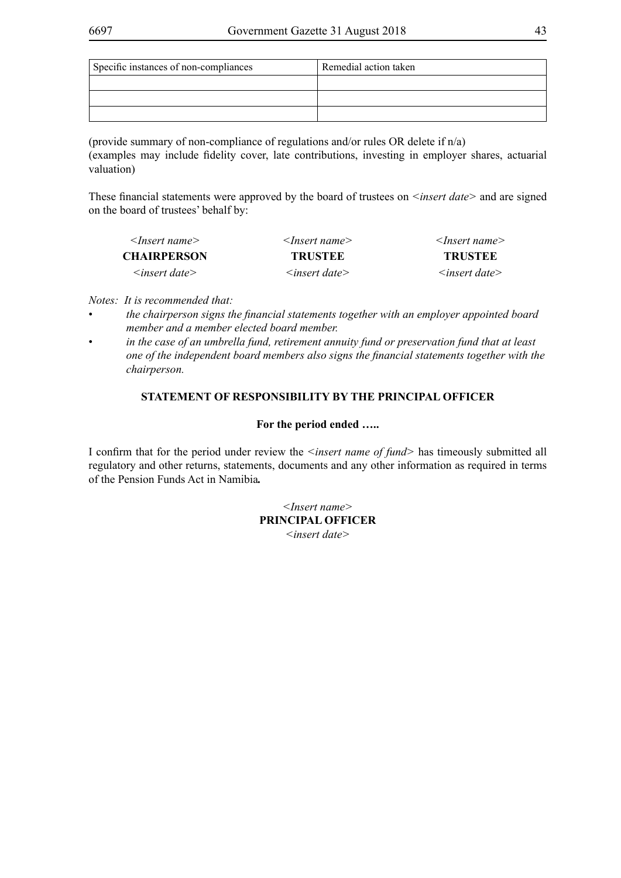| Specific instances of non-compliances | Remedial action taken |
|---------------------------------------|-----------------------|
|                                       |                       |
|                                       |                       |
|                                       |                       |

(provide summary of non-compliance of regulations and/or rules OR delete if n/a) (examples may include fidelity cover, late contributions, investing in employer shares, actuarial valuation)

These financial statements were approved by the board of trustees on *<insert date>* and are signed on the board of trustees' behalf by:

| $\leq$ Insert name $>$ | $\leq$ Insert name $>$    | $\leq$ Insert name $\geq$ |
|------------------------|---------------------------|---------------------------|
| <b>CHAIRPERSON</b>     | <b>TRUSTEE</b>            | <b>TRUSTEE</b>            |
| $\leq$ insert date $>$ | $\leq$ insert date $\geq$ | $\leq$ insert date $>$    |

*Notes: It is recommended that:* 

- the chairperson signs the financial statements together with an employer appointed board *member and a member elected board member.*
- in the case of an umbrella fund, retirement annuity fund or preservation fund that at least *one of the independent board members also signs the financial statements together with the chairperson.*

## **STATEMENT OF RESPONSIBILITY BY THE PRINCIPAL OFFICER**

## **For the period ended …..**

I confirm that for the period under review the *<insert name of fund>* has timeously submitted all regulatory and other returns, statements, documents and any other information as required in terms of the Pension Funds Act in Namibia*.*

> *<Insert name>* **PRINCIPAL OFFICER** *<insert date>*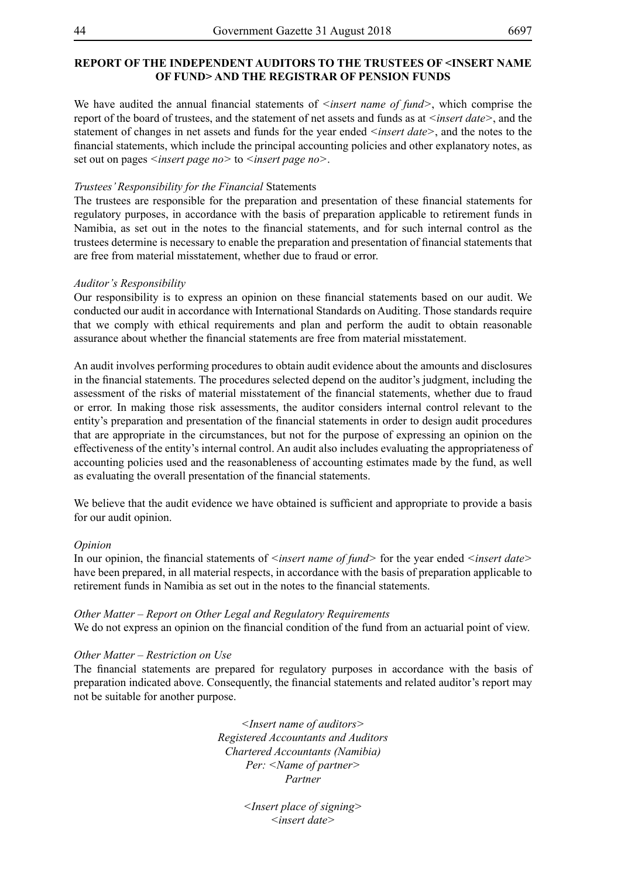#### **REPORT OF THE INDEPENDENT AUDITORS TO THE TRUSTEES OF <INSERT NAME OF FUND> AND THE REGISTRAR OF PENSION FUNDS**

We have audited the annual financial statements of *<insert name of fund*>, which comprise the report of the board of trustees, and the statement of net assets and funds as at *<insert date>*, and the statement of changes in net assets and funds for the year ended *<insert date>*, and the notes to the financial statements, which include the principal accounting policies and other explanatory notes, as set out on pages *<insert page no>* to *<insert page no>*.

#### *Trustees' Responsibility for the Financial* Statements

The trustees are responsible for the preparation and presentation of these financial statements for regulatory purposes, in accordance with the basis of preparation applicable to retirement funds in Namibia, as set out in the notes to the financial statements, and for such internal control as the trustees determine is necessary to enable the preparation and presentation of financial statements that are free from material misstatement, whether due to fraud or error.

#### *Auditor's Responsibility*

Our responsibility is to express an opinion on these financial statements based on our audit. We conducted our audit in accordance with International Standards on Auditing. Those standards require that we comply with ethical requirements and plan and perform the audit to obtain reasonable assurance about whether the financial statements are free from material misstatement.

An audit involves performing procedures to obtain audit evidence about the amounts and disclosures in the financial statements. The procedures selected depend on the auditor's judgment, including the assessment of the risks of material misstatement of the financial statements, whether due to fraud or error. In making those risk assessments, the auditor considers internal control relevant to the entity's preparation and presentation of the financial statements in order to design audit procedures that are appropriate in the circumstances, but not for the purpose of expressing an opinion on the effectiveness of the entity's internal control. An audit also includes evaluating the appropriateness of accounting policies used and the reasonableness of accounting estimates made by the fund, as well as evaluating the overall presentation of the financial statements.

We believe that the audit evidence we have obtained is sufficient and appropriate to provide a basis for our audit opinion.

#### *Opinion*

In our opinion, the financial statements of *<insert name of fund*> for the year ended *<insert date*> have been prepared, in all material respects, in accordance with the basis of preparation applicable to retirement funds in Namibia as set out in the notes to the financial statements.

#### *Other Matter – Report on Other Legal and Regulatory Requirements*

We do not express an opinion on the financial condition of the fund from an actuarial point of view.

#### *Other Matter – Restriction on Use*

The financial statements are prepared for regulatory purposes in accordance with the basis of preparation indicated above. Consequently, the financial statements and related auditor's report may not be suitable for another purpose.

> *<Insert name of auditors> Registered Accountants and Auditors Chartered Accountants (Namibia) Per: <Name of partner> Partner*

> > *<Insert place of signing> <insert date>*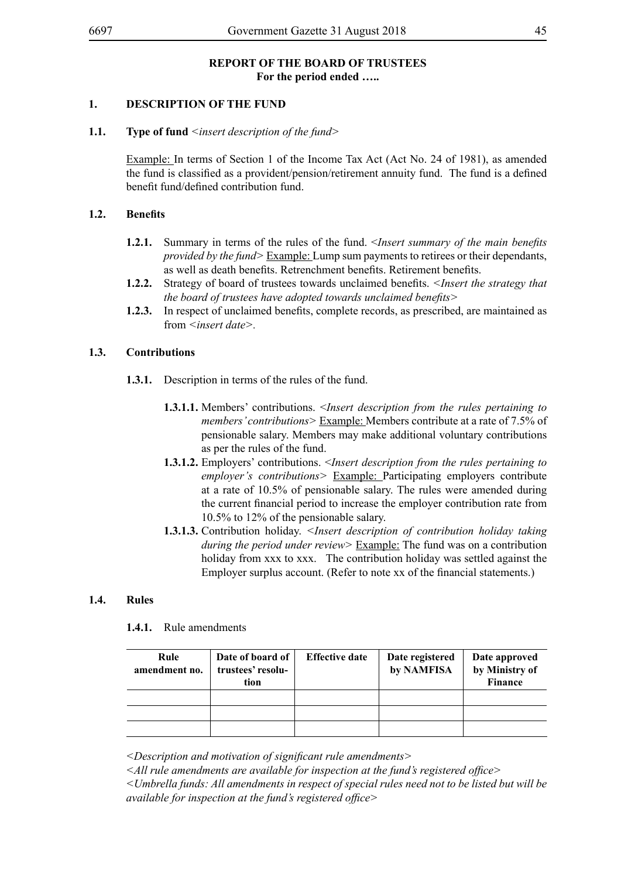## **REPORT OF THE BOARD OF TRUSTEES For the period ended …..**

## **1. DESCRIPTION OF THE FUND**

#### **1.1. Type of fund** *<insert description of the fund>*

Example: In terms of Section 1 of the Income Tax Act (Act No. 24 of 1981), as amended the fund is classified as a provident/pension/retirement annuity fund. The fund is a defined benefit fund/defined contribution fund.

#### **1.2. Benefits**

- **1.2.1.** Summary in terms of the rules of the fund. <*Insert summary of the main benefits provided by the fund>* Example: Lump sum payments to retirees or their dependants, as well as death benefits. Retrenchment benefits. Retirement benefits.
- **1.2.2.** Strategy of board of trustees towards unclaimed benefits. *<Insert the strategy that the board of trustees have adopted towards unclaimed benefits>*
- **1.2.3.** In respect of unclaimed benefits, complete records, as prescribed, are maintained as from *<insert date>.*

#### **1.3. Contributions**

- **1.3.1.** Description in terms of the rules of the fund.
	- **1.3.1.1.** Members' contributions. <*Insert description from the rules pertaining to members' contributions>* Example: Members contribute at a rate of 7.5% of pensionable salary. Members may make additional voluntary contributions as per the rules of the fund.
	- **1.3.1.2.** Employers' contributions. <*Insert description from the rules pertaining to employer's contributions>* Example: Participating employers contribute at a rate of 10.5% of pensionable salary. The rules were amended during the current financial period to increase the employer contribution rate from 10.5% to 12% of the pensionable salary.
	- **1.3.1.3.** Contribution holiday. *<Insert description of contribution holiday taking during the period under review>* Example: The fund was on a contribution holiday from xxx to xxx. The contribution holiday was settled against the Employer surplus account. (Refer to note xx of the financial statements.)

#### **1.4. Rules**

**1.4.1.** Rule amendments

| Rule<br>amendment no. | Date of board of<br>trustees' resolu-<br>tion | <b>Effective date</b> | Date registered<br>by NAMFISA | Date approved<br>by Ministry of<br>Finance |
|-----------------------|-----------------------------------------------|-----------------------|-------------------------------|--------------------------------------------|
|                       |                                               |                       |                               |                                            |
|                       |                                               |                       |                               |                                            |
|                       |                                               |                       |                               |                                            |

*<Description and motivation of significant rule amendments>*

*<All rule amendments are available for inspection at the fund's registered office>*

*<Umbrella funds: All amendments in respect of special rules need not to be listed but will be available for inspection at the fund's registered office>*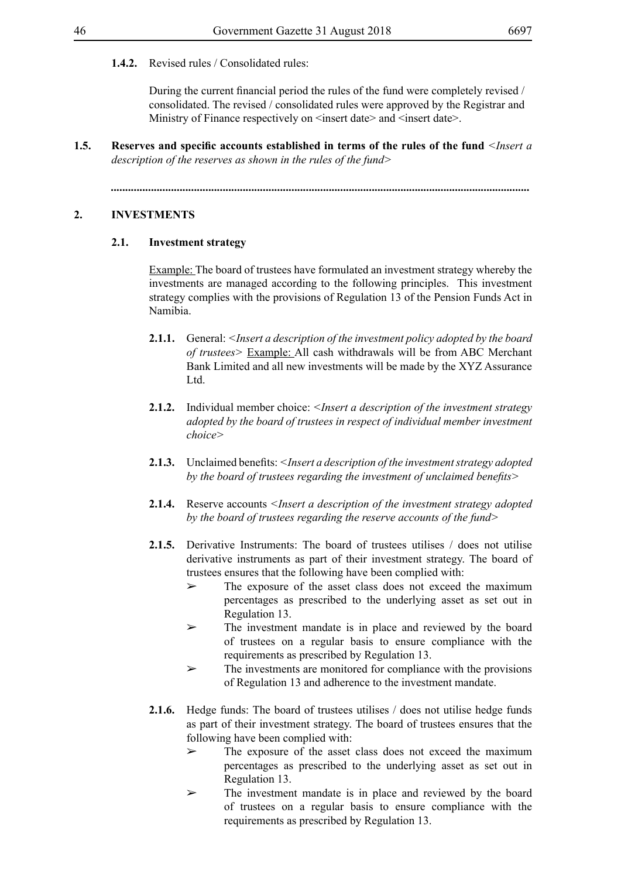## **1.4.2.** Revised rules / Consolidated rules:

During the current financial period the rules of the fund were completely revised / consolidated. The revised / consolidated rules were approved by the Registrar and Ministry of Finance respectively on  $\leq$ insert date $\geq$  and  $\leq$ insert date $\geq$ .

**1.5. Reserves and specific accounts established in terms of the rules of the fund** *<Insert a description of the reserves as shown in the rules of the fund>*

*..................................................................................................................................................*

## **2. INVESTMENTS**

## **2.1. Investment strategy**

Example: The board of trustees have formulated an investment strategy whereby the investments are managed according to the following principles. This investment strategy complies with the provisions of Regulation 13 of the Pension Funds Act in Namibia.

- **2.1.1.** General: *<Insert a description of the investment policy adopted by the board of trustees>* Example: All cash withdrawals will be from ABC Merchant Bank Limited and all new investments will be made by the XYZ Assurance Ltd.
- **2.1.2.** Individual member choice: *<Insert a description of the investment strategy adopted by the board of trustees in respect of individual member investment choice>*
- **2.1.3.** Unclaimed benefits: *<Insert a description of the investment strategy adopted by the board of trustees regarding the investment of unclaimed benefits>*
- **2.1.4.** Reserve accounts *<Insert a description of the investment strategy adopted by the board of trustees regarding the reserve accounts of the fund>*
- **2.1.5.** Derivative Instruments: The board of trustees utilises / does not utilise derivative instruments as part of their investment strategy. The board of trustees ensures that the following have been complied with:
	- ➢ The exposure of the asset class does not exceed the maximum percentages as prescribed to the underlying asset as set out in Regulation 13.
	- ➢ The investment mandate is in place and reviewed by the board of trustees on a regular basis to ensure compliance with the requirements as prescribed by Regulation 13.
	- $\triangleright$  The investments are monitored for compliance with the provisions of Regulation 13 and adherence to the investment mandate.
- **2.1.6.** Hedge funds: The board of trustees utilises / does not utilise hedge funds as part of their investment strategy. The board of trustees ensures that the following have been complied with:
	- $\triangleright$  The exposure of the asset class does not exceed the maximum percentages as prescribed to the underlying asset as set out in Regulation 13.
	- ➢ The investment mandate is in place and reviewed by the board of trustees on a regular basis to ensure compliance with the requirements as prescribed by Regulation 13.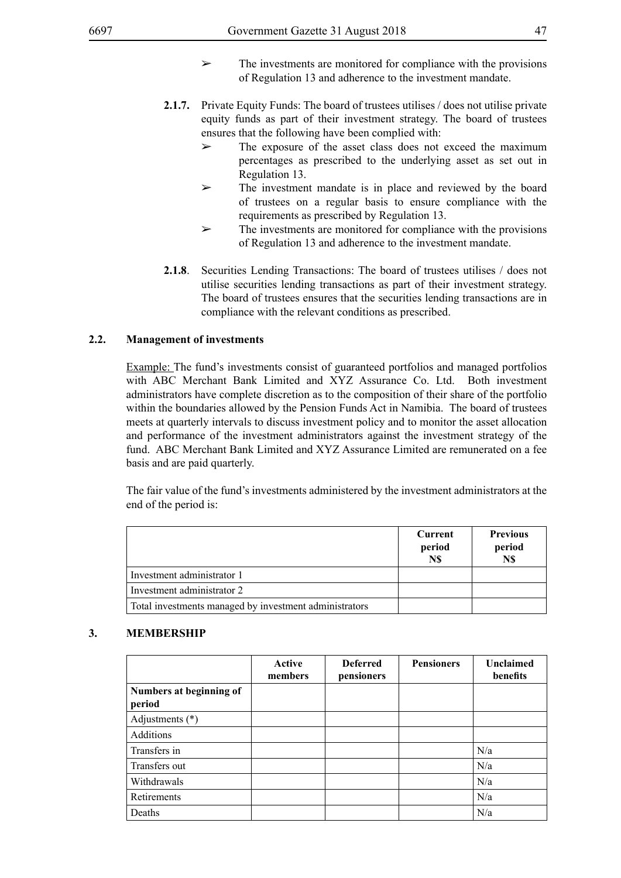- $\triangleright$  The investments are monitored for compliance with the provisions of Regulation 13 and adherence to the investment mandate.
- **2.1.7.** Private Equity Funds: The board of trustees utilises / does not utilise private equity funds as part of their investment strategy. The board of trustees ensures that the following have been complied with:
	- $\geq$  The exposure of the asset class does not exceed the maximum percentages as prescribed to the underlying asset as set out in Regulation 13.
	- ➢ The investment mandate is in place and reviewed by the board of trustees on a regular basis to ensure compliance with the requirements as prescribed by Regulation 13.
	- $\triangleright$  The investments are monitored for compliance with the provisions of Regulation 13 and adherence to the investment mandate.
- **2.1.8**. Securities Lending Transactions: The board of trustees utilises / does not utilise securities lending transactions as part of their investment strategy. The board of trustees ensures that the securities lending transactions are in compliance with the relevant conditions as prescribed.

## **2.2. Management of investments**

Example: The fund's investments consist of guaranteed portfolios and managed portfolios with ABC Merchant Bank Limited and XYZ Assurance Co. Ltd. Both investment administrators have complete discretion as to the composition of their share of the portfolio within the boundaries allowed by the Pension Funds Act in Namibia. The board of trustees meets at quarterly intervals to discuss investment policy and to monitor the asset allocation and performance of the investment administrators against the investment strategy of the fund. ABC Merchant Bank Limited and XYZ Assurance Limited are remunerated on a fee basis and are paid quarterly.

The fair value of the fund's investments administered by the investment administrators at the end of the period is:

|                                                        | Current<br>period<br>N\$ | <b>Previous</b><br>period<br>N\$ |
|--------------------------------------------------------|--------------------------|----------------------------------|
| Investment administrator 1                             |                          |                                  |
| Investment administrator 2                             |                          |                                  |
| Total investments managed by investment administrators |                          |                                  |

#### **3. MEMBERSHIP**

|                                   | Active<br>members | <b>Deferred</b><br>pensioners | <b>Pensioners</b> | <b>Unclaimed</b><br>benefits |
|-----------------------------------|-------------------|-------------------------------|-------------------|------------------------------|
| Numbers at beginning of<br>period |                   |                               |                   |                              |
| Adjustments $(*)$                 |                   |                               |                   |                              |
| <b>Additions</b>                  |                   |                               |                   |                              |
| Transfers in                      |                   |                               |                   | N/a                          |
| Transfers out                     |                   |                               |                   | N/a                          |
| Withdrawals                       |                   |                               |                   | N/a                          |
| Retirements                       |                   |                               |                   | N/a                          |
| Deaths                            |                   |                               |                   | N/a                          |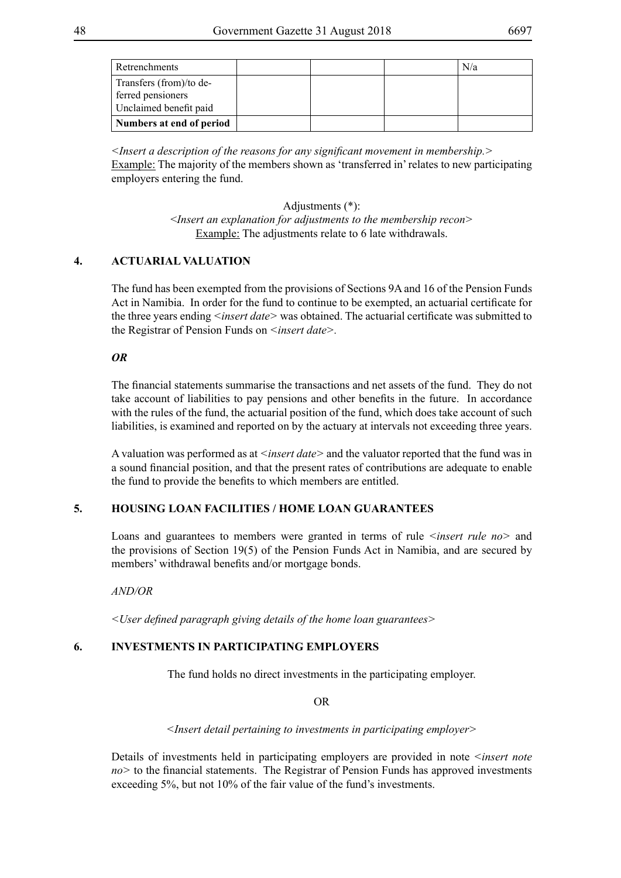| Retrenchments                                                          |  | N/a |
|------------------------------------------------------------------------|--|-----|
| Transfers (from)/to de-<br>ferred pensioners<br>Unclaimed benefit paid |  |     |
| Numbers at end of period                                               |  |     |

*<Insert a description of the reasons for any significant movement in membership.>* Example: The majority of the members shown as 'transferred in' relates to new participating employers entering the fund.

> Adjustments (\*): <*Insert an explanation for adjustments to the membership recon>* Example: The adjustments relate to 6 late withdrawals.

## **4. ACTUARIAL VALUATION**

The fund has been exempted from the provisions of Sections 9A and 16 of the Pension Funds Act in Namibia. In order for the fund to continue to be exempted, an actuarial certificate for the three years ending *<insert date>* was obtained. The actuarial certificate was submitted to the Registrar of Pension Funds on *<insert date>.*

## *OR*

The financial statements summarise the transactions and net assets of the fund. They do not take account of liabilities to pay pensions and other benefits in the future. In accordance with the rules of the fund, the actuarial position of the fund, which does take account of such liabilities, is examined and reported on by the actuary at intervals not exceeding three years.

A valuation was performed as at *<insert date>* and the valuator reported that the fund was in a sound financial position, and that the present rates of contributions are adequate to enable the fund to provide the benefits to which members are entitled.

# **5. HOUSING LOAN FACILITIES / HOME LOAN GUARANTEES**

Loans and guarantees to members were granted in terms of rule *<insert rule no* and the provisions of Section 19(5) of the Pension Funds Act in Namibia, and are secured by members' withdrawal benefits and/or mortgage bonds.

#### *AND/OR*

*<User defined paragraph giving details of the home loan guarantees>*

## **6. INVESTMENTS IN PARTICIPATING EMPLOYERS**

The fund holds no direct investments in the participating employer.

#### OR

*<Insert detail pertaining to investments in participating employer>*

Details of investments held in participating employers are provided in note *<insert note no>* to the financial statements. The Registrar of Pension Funds has approved investments exceeding 5%, but not 10% of the fair value of the fund's investments.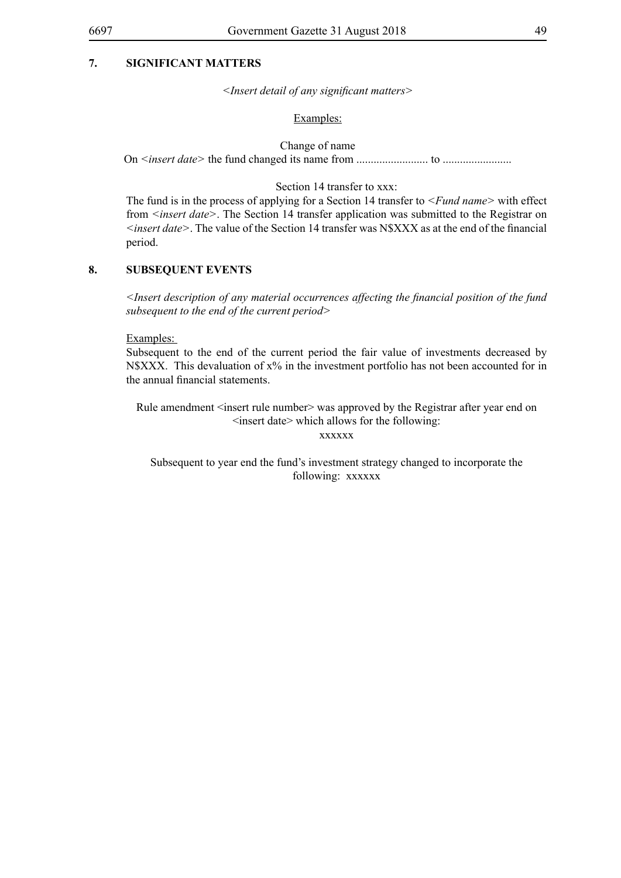*<Insert detail of any significant matters>*

#### Examples:

Change of name

On *<insert date>* the fund changed its name from ......................... to ........................

Section 14 transfer to xxx:

The fund is in the process of applying for a Section 14 transfer to *<Fund name>* with effect from *<insert date>*. The Section 14 transfer application was submitted to the Registrar on *<insert date>*. The value of the Section 14 transfer was N\$XXX as at the end of the financial period.

## **8. SUBSEQUENT EVENTS**

*<Insert description of any material occurrences affecting the financial position of the fund subsequent to the end of the current period>*

Examples:

Subsequent to the end of the current period the fair value of investments decreased by N\$XXX. This devaluation of x% in the investment portfolio has not been accounted for in the annual financial statements.

Rule amendment <insert rule number> was approved by the Registrar after year end on <insert date> which allows for the following:

xxxxxx

Subsequent to year end the fund's investment strategy changed to incorporate the following: xxxxxx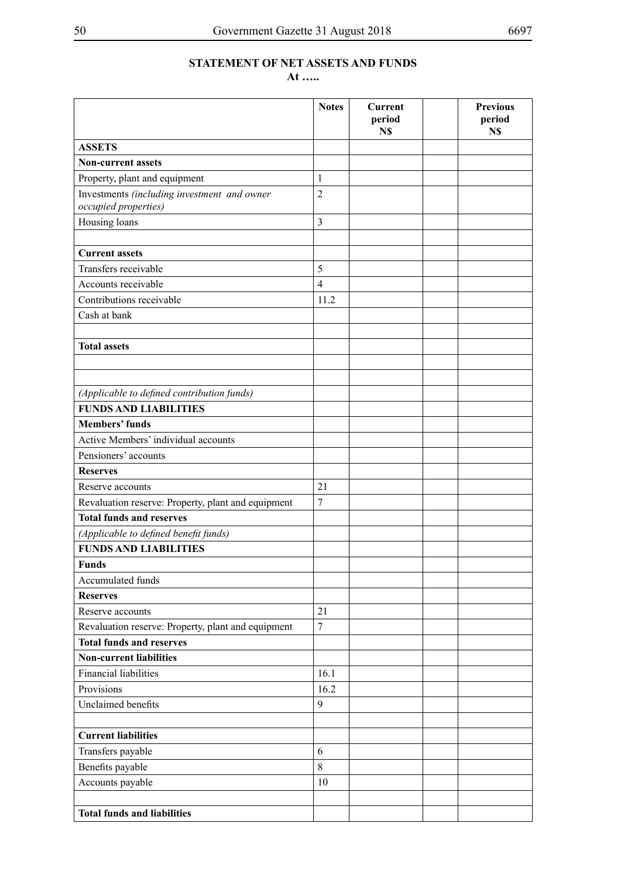# **STATEMENT OF NET ASSETS AND FUNDS**

**At …..**

|                                                    | <b>Notes</b>     | <b>Current</b><br>period<br>N\$ | <b>Previous</b><br>period<br>N\$ |
|----------------------------------------------------|------------------|---------------------------------|----------------------------------|
| <b>ASSETS</b>                                      |                  |                                 |                                  |
| <b>Non-current assets</b>                          |                  |                                 |                                  |
| Property, plant and equipment                      | 1                |                                 |                                  |
| Investments (including investment and owner        | $\overline{2}$   |                                 |                                  |
| occupied properties)                               |                  |                                 |                                  |
| Housing loans                                      | $\overline{3}$   |                                 |                                  |
|                                                    |                  |                                 |                                  |
| <b>Current assets</b>                              |                  |                                 |                                  |
| Transfers receivable                               | 5                |                                 |                                  |
| Accounts receivable                                | $\overline{4}$   |                                 |                                  |
| Contributions receivable                           | 11.2             |                                 |                                  |
| Cash at bank                                       |                  |                                 |                                  |
|                                                    |                  |                                 |                                  |
| <b>Total assets</b>                                |                  |                                 |                                  |
|                                                    |                  |                                 |                                  |
|                                                    |                  |                                 |                                  |
| (Applicable to defined contribution funds)         |                  |                                 |                                  |
| <b>FUNDS AND LIABILITIES</b>                       |                  |                                 |                                  |
| <b>Members' funds</b>                              |                  |                                 |                                  |
| Active Members' individual accounts                |                  |                                 |                                  |
| Pensioners' accounts                               |                  |                                 |                                  |
| <b>Reserves</b>                                    |                  |                                 |                                  |
| Reserve accounts                                   | 21               |                                 |                                  |
| Revaluation reserve: Property, plant and equipment | $\tau$           |                                 |                                  |
| <b>Total funds and reserves</b>                    |                  |                                 |                                  |
| (Applicable to defined benefit funds)              |                  |                                 |                                  |
| <b>FUNDS AND LIABILITIES</b>                       |                  |                                 |                                  |
| <b>Funds</b>                                       |                  |                                 |                                  |
| Accumulated funds                                  |                  |                                 |                                  |
| <b>Reserves</b>                                    |                  |                                 |                                  |
| Reserve accounts                                   | 21               |                                 |                                  |
| Revaluation reserve: Property, plant and equipment | $\boldsymbol{7}$ |                                 |                                  |
| <b>Total funds and reserves</b>                    |                  |                                 |                                  |
| <b>Non-current liabilities</b>                     |                  |                                 |                                  |
| <b>Financial liabilities</b>                       | 16.1             |                                 |                                  |
| Provisions                                         | 16.2             |                                 |                                  |
| Unclaimed benefits                                 | 9                |                                 |                                  |
| <b>Current liabilities</b>                         |                  |                                 |                                  |
| Transfers payable                                  | 6                |                                 |                                  |
| Benefits payable                                   | $\,8\,$          |                                 |                                  |
| Accounts payable                                   | 10               |                                 |                                  |
|                                                    |                  |                                 |                                  |
| <b>Total funds and liabilities</b>                 |                  |                                 |                                  |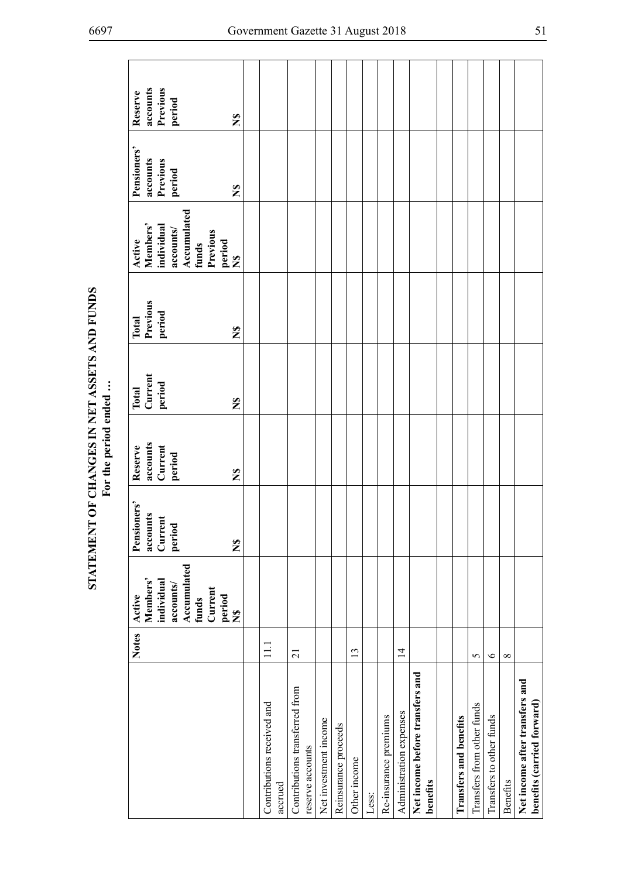| Previous<br>accounts<br>Reserve<br>period<br>$\tilde{\mathbf{z}}$                                                  |                                       |                                                    |                       |                      |              |       |                       |                         |                                             |                               |                            |                          |                 |                                                              |
|--------------------------------------------------------------------------------------------------------------------|---------------------------------------|----------------------------------------------------|-----------------------|----------------------|--------------|-------|-----------------------|-------------------------|---------------------------------------------|-------------------------------|----------------------------|--------------------------|-----------------|--------------------------------------------------------------|
| Pensioners'<br>accounts<br>Previous<br>period<br>$\tilde{\mathbf{z}}$                                              |                                       |                                                    |                       |                      |              |       |                       |                         |                                             |                               |                            |                          |                 |                                                              |
| Accumulated<br>funds<br>Members'<br>individual<br>accounts/<br>Previous<br>Active<br>period<br>N\$                 |                                       |                                                    |                       |                      |              |       |                       |                         |                                             |                               |                            |                          |                 |                                                              |
| Previous<br>period<br>Total<br>$\tilde{\mathbf{z}}$                                                                |                                       |                                                    |                       |                      |              |       |                       |                         |                                             |                               |                            |                          |                 |                                                              |
| Current<br>period<br>Total<br>$\frac{8}{5}$                                                                        |                                       |                                                    |                       |                      |              |       |                       |                         |                                             |                               |                            |                          |                 |                                                              |
| accounts<br>Current<br>Reserve<br>period<br>$\tilde{\mathbf{z}}$                                                   |                                       |                                                    |                       |                      |              |       |                       |                         |                                             |                               |                            |                          |                 |                                                              |
| Pensioners'<br>accounts<br>Current<br>period<br>$\tilde{\mathbf{z}}$                                               |                                       |                                                    |                       |                      |              |       |                       |                         |                                             |                               |                            |                          |                 |                                                              |
| Accumulated<br>Members'<br>individual<br>accounts/<br>Current<br>Active<br>period<br>funds<br>$\tilde{\mathbf{z}}$ |                                       |                                                    |                       |                      |              |       |                       |                         |                                             |                               |                            |                          |                 |                                                              |
| <b>Notes</b>                                                                                                       | $\Xi$                                 | 21                                                 |                       |                      | 13           |       |                       | $\overline{1}$          |                                             |                               | 5                          | $\circ$                  | $\infty$        |                                                              |
|                                                                                                                    | Contributions received and<br>accrued | Contributions transferred from<br>reserve accounts | Net investment income | Reinsurance proceeds | Other income | Less: | Re-insurance premiums | Administration expenses | Net income before transfers and<br>benefits | <b>Transfers and benefits</b> | Transfers from other funds | Transfers to other funds | <b>Benefits</b> | Net income after transfers and<br>benefits (carried forward) |

STATEMENT OF CHANGES IN NET ASSETS AND FUNDS<br>For the period ended ... **STATEMENT OF CHANGES IN NET ASSETS AND FUNDS For the period ended …**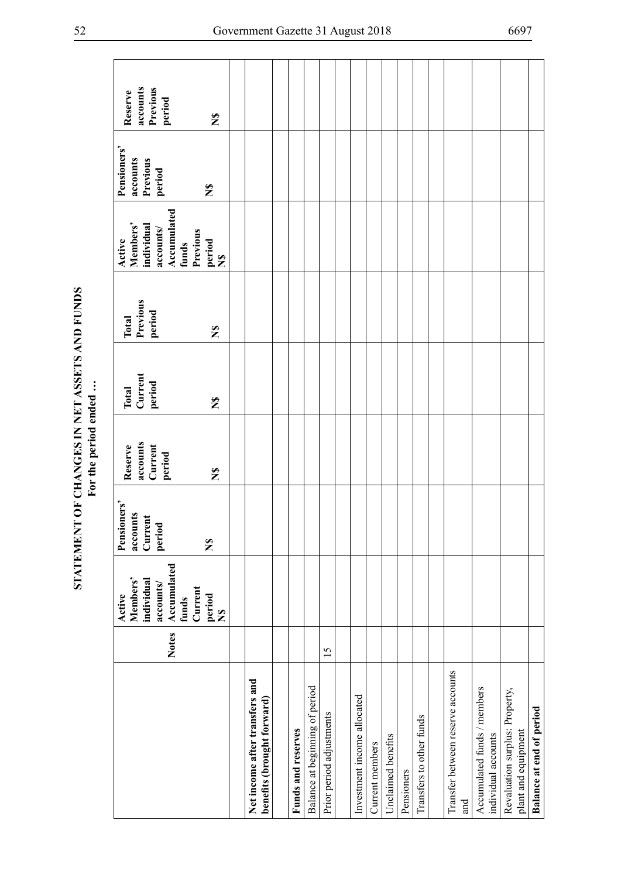|                                                              | <b>Notes</b> | Accumulated<br>Members'<br>individual<br>accounts/<br>Active | Pensioners'<br>accounts<br>Current<br>period | accounts<br>Current<br>Reserve<br>period | Current<br>period<br><b>Total</b> | Previous<br>period<br>Total | Accumulated<br>Members'<br>individual<br>accounts/<br>Active | Pensioners'<br>Previous<br>accounts<br>period | accounts<br>Previous<br>Reserve<br>period |
|--------------------------------------------------------------|--------------|--------------------------------------------------------------|----------------------------------------------|------------------------------------------|-----------------------------------|-----------------------------|--------------------------------------------------------------|-----------------------------------------------|-------------------------------------------|
|                                                              |              | Current<br>period<br>funds<br>$\tilde{\mathbf{z}}$           | $\mathbf{z}$                                 | $\mathbf{z}$                             | $\tilde{\mathbf{z}}$              | $\mathbf{z}$                | Previous<br>period<br>funds<br>$\boldsymbol{\Sigma}$         | $\frac{6}{5}$                                 | $\mathbf{z}$                              |
|                                                              |              |                                                              |                                              |                                          |                                   |                             |                                                              |                                               |                                           |
| Net income after transfers and<br>benefits (brought forward) |              |                                                              |                                              |                                          |                                   |                             |                                                              |                                               |                                           |
|                                                              |              |                                                              |                                              |                                          |                                   |                             |                                                              |                                               |                                           |
| Funds and reserves                                           |              |                                                              |                                              |                                          |                                   |                             |                                                              |                                               |                                           |
| Balance at beginning of period                               |              |                                                              |                                              |                                          |                                   |                             |                                                              |                                               |                                           |
| Prior period adjustments                                     | 15           |                                                              |                                              |                                          |                                   |                             |                                                              |                                               |                                           |
|                                                              |              |                                                              |                                              |                                          |                                   |                             |                                                              |                                               |                                           |
| Investment income allocated                                  |              |                                                              |                                              |                                          |                                   |                             |                                                              |                                               |                                           |
| Current members                                              |              |                                                              |                                              |                                          |                                   |                             |                                                              |                                               |                                           |
| Unclaimed benefits                                           |              |                                                              |                                              |                                          |                                   |                             |                                                              |                                               |                                           |
| Pensioners                                                   |              |                                                              |                                              |                                          |                                   |                             |                                                              |                                               |                                           |
| Transfers to other funds                                     |              |                                                              |                                              |                                          |                                   |                             |                                                              |                                               |                                           |
|                                                              |              |                                                              |                                              |                                          |                                   |                             |                                                              |                                               |                                           |
| Transfer between reserve accounts<br>and                     |              |                                                              |                                              |                                          |                                   |                             |                                                              |                                               |                                           |
| Accumulated funds / members<br>individual accounts           |              |                                                              |                                              |                                          |                                   |                             |                                                              |                                               |                                           |
| Revaluation surplus: Property,<br>plant and equipment        |              |                                                              |                                              |                                          |                                   |                             |                                                              |                                               |                                           |
| Balance at end of period                                     |              |                                                              |                                              |                                          |                                   |                             |                                                              |                                               |                                           |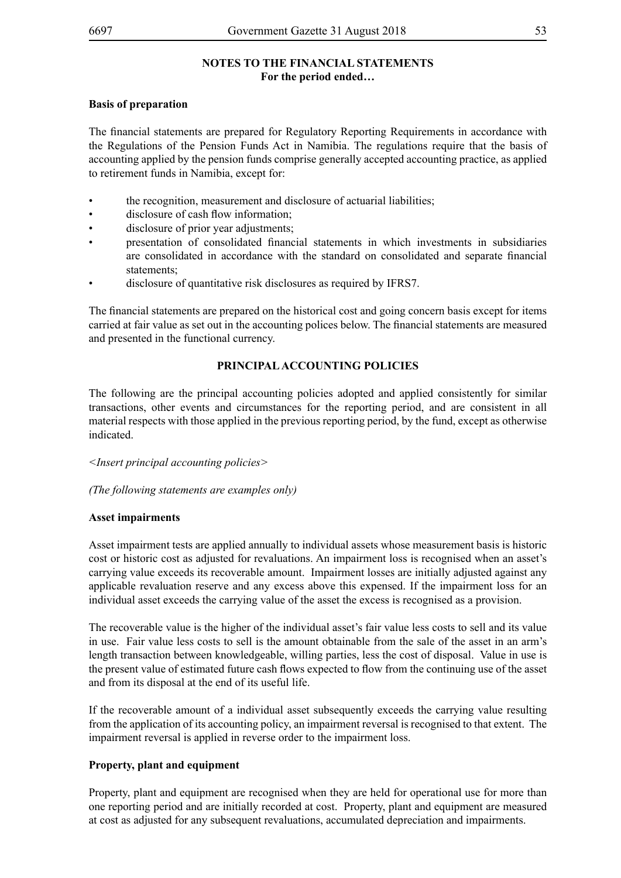## **NOTES TO THE FINANCIAL STATEMENTS For the period ended…**

## **Basis of preparation**

The financial statements are prepared for Regulatory Reporting Requirements in accordance with the Regulations of the Pension Funds Act in Namibia. The regulations require that the basis of accounting applied by the pension funds comprise generally accepted accounting practice, as applied to retirement funds in Namibia, except for:

- the recognition, measurement and disclosure of actuarial liabilities;
- disclosure of cash flow information:
- disclosure of prior year adjustments;
- presentation of consolidated financial statements in which investments in subsidiaries are consolidated in accordance with the standard on consolidated and separate financial statements;
- disclosure of quantitative risk disclosures as required by IFRS7.

The financial statements are prepared on the historical cost and going concern basis except for items carried at fair value as set out in the accounting polices below. The financial statements are measured and presented in the functional currency.

## **PRINCIPAL ACCOUNTING POLICIES**

The following are the principal accounting policies adopted and applied consistently for similar transactions, other events and circumstances for the reporting period, and are consistent in all material respects with those applied in the previous reporting period, by the fund, except as otherwise indicated.

*<Insert principal accounting policies>*

*(The following statements are examples only)*

#### **Asset impairments**

Asset impairment tests are applied annually to individual assets whose measurement basis is historic cost or historic cost as adjusted for revaluations. An impairment loss is recognised when an asset's carrying value exceeds its recoverable amount. Impairment losses are initially adjusted against any applicable revaluation reserve and any excess above this expensed. If the impairment loss for an individual asset exceeds the carrying value of the asset the excess is recognised as a provision.

The recoverable value is the higher of the individual asset's fair value less costs to sell and its value in use. Fair value less costs to sell is the amount obtainable from the sale of the asset in an arm's length transaction between knowledgeable, willing parties, less the cost of disposal. Value in use is the present value of estimated future cash flows expected to flow from the continuing use of the asset and from its disposal at the end of its useful life.

If the recoverable amount of a individual asset subsequently exceeds the carrying value resulting from the application of its accounting policy, an impairment reversal is recognised to that extent. The impairment reversal is applied in reverse order to the impairment loss.

## **Property, plant and equipment**

Property, plant and equipment are recognised when they are held for operational use for more than one reporting period and are initially recorded at cost. Property, plant and equipment are measured at cost as adjusted for any subsequent revaluations, accumulated depreciation and impairments.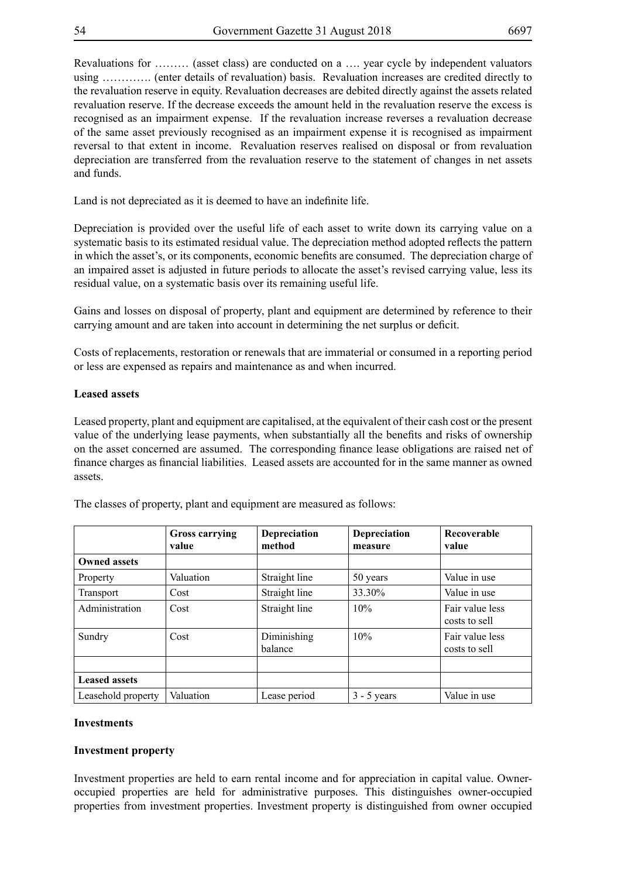Revaluations for ……… (asset class) are conducted on a …. year cycle by independent valuators using …………. (enter details of revaluation) basis. Revaluation increases are credited directly to the revaluation reserve in equity. Revaluation decreases are debited directly against the assets related revaluation reserve. If the decrease exceeds the amount held in the revaluation reserve the excess is recognised as an impairment expense. If the revaluation increase reverses a revaluation decrease of the same asset previously recognised as an impairment expense it is recognised as impairment reversal to that extent in income. Revaluation reserves realised on disposal or from revaluation depreciation are transferred from the revaluation reserve to the statement of changes in net assets and funds.

Land is not depreciated as it is deemed to have an indefinite life.

Depreciation is provided over the useful life of each asset to write down its carrying value on a systematic basis to its estimated residual value. The depreciation method adopted reflects the pattern in which the asset's, or its components, economic benefits are consumed. The depreciation charge of an impaired asset is adjusted in future periods to allocate the asset's revised carrying value, less its residual value, on a systematic basis over its remaining useful life.

Gains and losses on disposal of property, plant and equipment are determined by reference to their carrying amount and are taken into account in determining the net surplus or deficit.

Costs of replacements, restoration or renewals that are immaterial or consumed in a reporting period or less are expensed as repairs and maintenance as and when incurred.

#### **Leased assets**

Leased property, plant and equipment are capitalised, at the equivalent of their cash cost or the present value of the underlying lease payments, when substantially all the benefits and risks of ownership on the asset concerned are assumed. The corresponding finance lease obligations are raised net of finance charges as financial liabilities. Leased assets are accounted for in the same manner as owned assets.

|                      | <b>Gross carrying</b><br>value | Depreciation<br>method | <b>Depreciation</b><br>measure | Recoverable<br>value             |
|----------------------|--------------------------------|------------------------|--------------------------------|----------------------------------|
| <b>Owned assets</b>  |                                |                        |                                |                                  |
| Property             | Valuation                      | Straight line          | 50 years                       | Value in use                     |
| <b>Transport</b>     | Cost                           | Straight line          | 33.30%                         | Value in use                     |
| Administration       | Cost                           | Straight line          | 10%                            | Fair value less<br>costs to sell |
| Sundry               | Cost                           | Diminishing<br>balance | 10%                            | Fair value less<br>costs to sell |
|                      |                                |                        |                                |                                  |
| <b>Leased assets</b> |                                |                        |                                |                                  |
| Leasehold property   | Valuation                      | Lease period           | $3 - 5$ years                  | Value in use                     |

The classes of property, plant and equipment are measured as follows:

#### **Investments**

#### **Investment property**

Investment properties are held to earn rental income and for appreciation in capital value. Owneroccupied properties are held for administrative purposes. This distinguishes owner-occupied properties from investment properties. Investment property is distinguished from owner occupied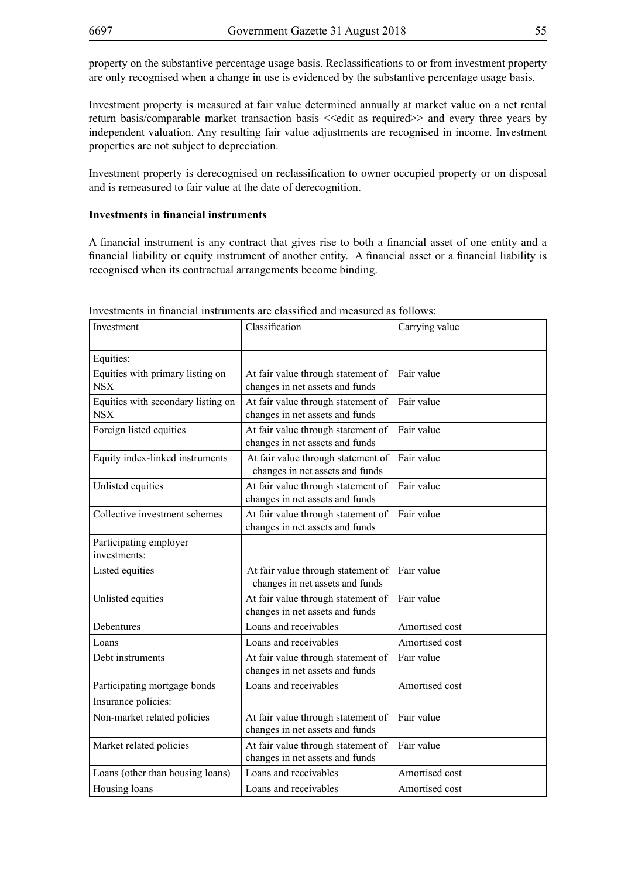property on the substantive percentage usage basis. Reclassifications to or from investment property are only recognised when a change in use is evidenced by the substantive percentage usage basis.

Investment property is measured at fair value determined annually at market value on a net rental return basis/comparable market transaction basis << edit as required>> and every three years by independent valuation. Any resulting fair value adjustments are recognised in income. Investment properties are not subject to depreciation.

Investment property is derecognised on reclassification to owner occupied property or on disposal and is remeasured to fair value at the date of derecognition.

## **Investments in financial instruments**

A financial instrument is any contract that gives rise to both a financial asset of one entity and a financial liability or equity instrument of another entity. A financial asset or a financial liability is recognised when its contractual arrangements become binding.

| Investment                                       | Classification                                                        | Carrying value |
|--------------------------------------------------|-----------------------------------------------------------------------|----------------|
|                                                  |                                                                       |                |
| Equities:                                        |                                                                       |                |
| Equities with primary listing on<br><b>NSX</b>   | At fair value through statement of<br>changes in net assets and funds | Fair value     |
| Equities with secondary listing on<br><b>NSX</b> | At fair value through statement of<br>changes in net assets and funds | Fair value     |
| Foreign listed equities                          | At fair value through statement of<br>changes in net assets and funds | Fair value     |
| Equity index-linked instruments                  | At fair value through statement of<br>changes in net assets and funds | Fair value     |
| Unlisted equities                                | At fair value through statement of<br>changes in net assets and funds | Fair value     |
| Collective investment schemes                    | At fair value through statement of<br>changes in net assets and funds | Fair value     |
| Participating employer<br>investments:           |                                                                       |                |
| Listed equities                                  | At fair value through statement of<br>changes in net assets and funds | Fair value     |
| Unlisted equities                                | At fair value through statement of<br>changes in net assets and funds | Fair value     |
| Debentures                                       | Loans and receivables                                                 | Amortised cost |
| Loans                                            | Loans and receivables                                                 | Amortised cost |
| Debt instruments                                 | At fair value through statement of<br>changes in net assets and funds | Fair value     |
| Participating mortgage bonds                     | Loans and receivables                                                 | Amortised cost |
| Insurance policies:                              |                                                                       |                |
| Non-market related policies                      | At fair value through statement of<br>changes in net assets and funds | Fair value     |
| Market related policies                          | At fair value through statement of<br>changes in net assets and funds | Fair value     |
| Loans (other than housing loans)                 | Loans and receivables                                                 | Amortised cost |
| Housing loans                                    | Loans and receivables                                                 | Amortised cost |

Investments in financial instruments are classified and measured as follows: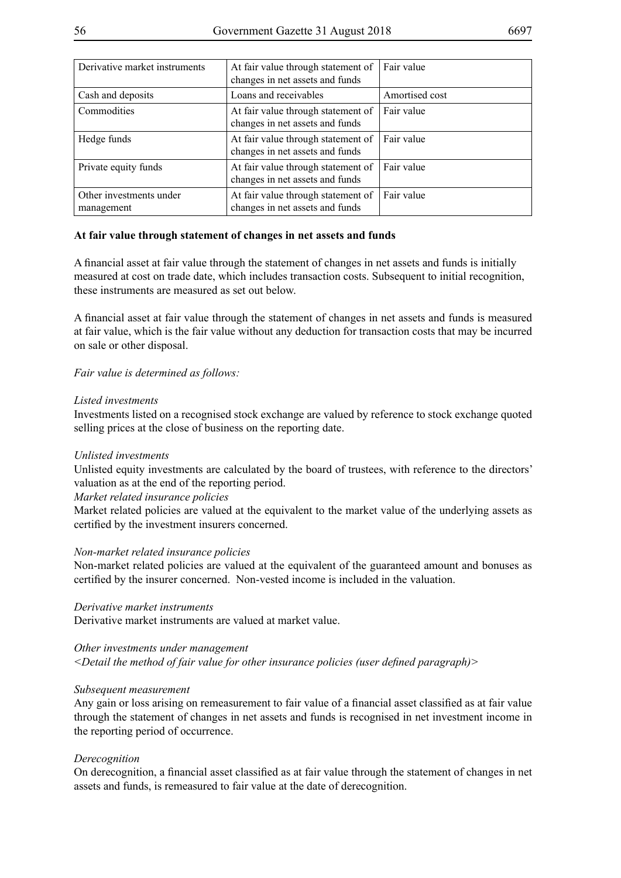| Derivative market instruments         | At fair value through statement of<br>changes in net assets and funds | Fair value     |
|---------------------------------------|-----------------------------------------------------------------------|----------------|
| Cash and deposits                     | Loans and receivables                                                 | Amortised cost |
| Commodities                           | At fair value through statement of<br>changes in net assets and funds | Fair value     |
| Hedge funds                           | At fair value through statement of<br>changes in net assets and funds | Fair value     |
| Private equity funds                  | At fair value through statement of<br>changes in net assets and funds | Fair value     |
| Other investments under<br>management | At fair value through statement of<br>changes in net assets and funds | Fair value     |

## **At fair value through statement of changes in net assets and funds**

A financial asset at fair value through the statement of changes in net assets and funds is initially measured at cost on trade date, which includes transaction costs. Subsequent to initial recognition, these instruments are measured as set out below.

A financial asset at fair value through the statement of changes in net assets and funds is measured at fair value, which is the fair value without any deduction for transaction costs that may be incurred on sale or other disposal.

*Fair value is determined as follows:*

#### *Listed investments*

Investments listed on a recognised stock exchange are valued by reference to stock exchange quoted selling prices at the close of business on the reporting date.

#### *Unlisted investments*

Unlisted equity investments are calculated by the board of trustees, with reference to the directors' valuation as at the end of the reporting period.

## *Market related insurance policies*

Market related policies are valued at the equivalent to the market value of the underlying assets as certified by the investment insurers concerned.

#### *Non-market related insurance policies*

Non-market related policies are valued at the equivalent of the guaranteed amount and bonuses as certified by the insurer concerned. Non-vested income is included in the valuation.

#### *Derivative market instruments*

Derivative market instruments are valued at market value.

#### *Other investments under management*

*<Detail the method of fair value for other insurance policies (user defined paragraph)>*

#### *Subsequent measurement*

Any gain or loss arising on remeasurement to fair value of a financial asset classified as at fair value through the statement of changes in net assets and funds is recognised in net investment income in the reporting period of occurrence.

#### *Derecognition*

On derecognition, a financial asset classified as at fair value through the statement of changes in net assets and funds, is remeasured to fair value at the date of derecognition.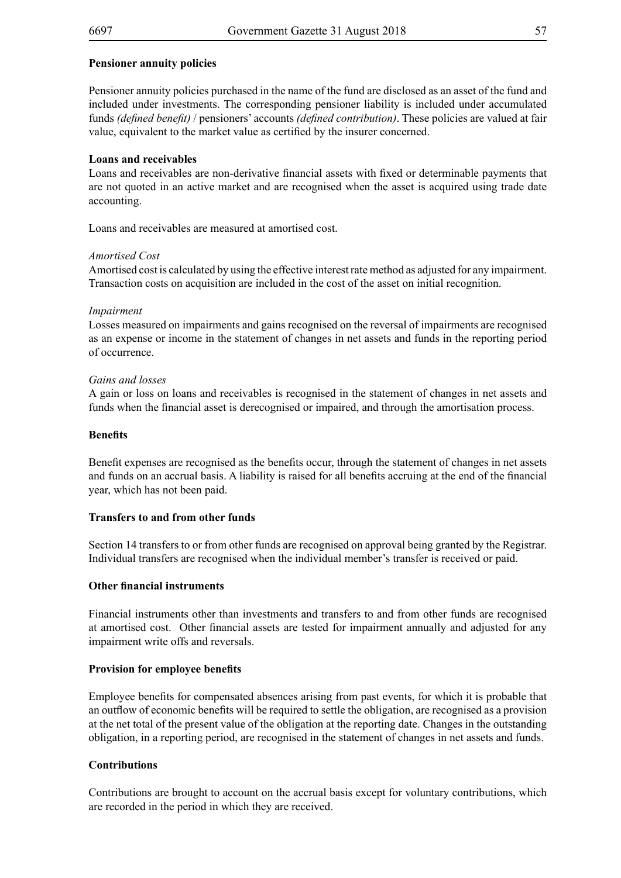## **Pensioner annuity policies**

Pensioner annuity policies purchased in the name of the fund are disclosed as an asset of the fund and included under investments. The corresponding pensioner liability is included under accumulated funds *(defined benefit)* / pensioners' accounts *(defined contribution)*. These policies are valued at fair value, equivalent to the market value as certified by the insurer concerned.

### **Loans and receivables**

Loans and receivables are non-derivative financial assets with fixed or determinable payments that are not quoted in an active market and are recognised when the asset is acquired using trade date accounting.

Loans and receivables are measured at amortised cost.

#### *Amortised Cost*

Amortised cost is calculated by using the effective interest rate method as adjusted for any impairment. Transaction costs on acquisition are included in the cost of the asset on initial recognition.

#### *Impairment*

Losses measured on impairments and gains recognised on the reversal of impairments are recognised as an expense or income in the statement of changes in net assets and funds in the reporting period of occurrence.

#### *Gains and losses*

A gain or loss on loans and receivables is recognised in the statement of changes in net assets and funds when the financial asset is derecognised or impaired, and through the amortisation process.

#### **Benefits**

Benefit expenses are recognised as the benefits occur, through the statement of changes in net assets and funds on an accrual basis. A liability is raised for all benefits accruing at the end of the financial year, which has not been paid.

#### **Transfers to and from other funds**

Section 14 transfers to or from other funds are recognised on approval being granted by the Registrar. Individual transfers are recognised when the individual member's transfer is received or paid.

#### **Other financial instruments**

Financial instruments other than investments and transfers to and from other funds are recognised at amortised cost. Other financial assets are tested for impairment annually and adjusted for any impairment write offs and reversals.

#### **Provision for employee benefits**

Employee benefits for compensated absences arising from past events, for which it is probable that an outflow of economic benefits will be required to settle the obligation, are recognised as a provision at the net total of the present value of the obligation at the reporting date. Changes in the outstanding obligation, in a reporting period, are recognised in the statement of changes in net assets and funds.

#### **Contributions**

Contributions are brought to account on the accrual basis except for voluntary contributions, which are recorded in the period in which they are received.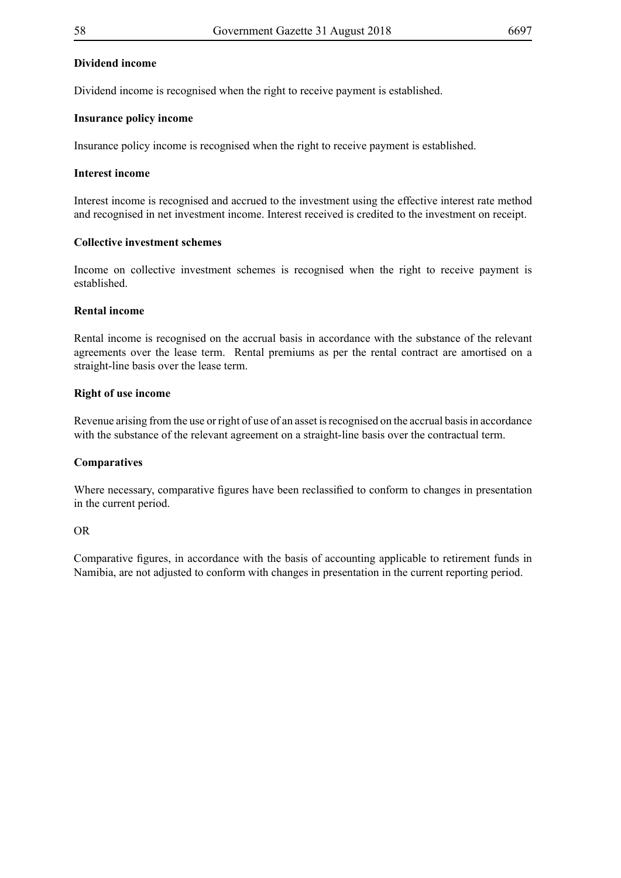## **Dividend income**

Dividend income is recognised when the right to receive payment is established.

### **Insurance policy income**

Insurance policy income is recognised when the right to receive payment is established.

## **Interest income**

Interest income is recognised and accrued to the investment using the effective interest rate method and recognised in net investment income. Interest received is credited to the investment on receipt.

## **Collective investment schemes**

Income on collective investment schemes is recognised when the right to receive payment is established.

## **Rental income**

Rental income is recognised on the accrual basis in accordance with the substance of the relevant agreements over the lease term. Rental premiums as per the rental contract are amortised on a straight-line basis over the lease term.

## **Right of use income**

Revenue arising from the use or right of use of an asset is recognised on the accrual basis in accordance with the substance of the relevant agreement on a straight-line basis over the contractual term.

## **Comparatives**

Where necessary, comparative figures have been reclassified to conform to changes in presentation in the current period.

#### OR

Comparative figures, in accordance with the basis of accounting applicable to retirement funds in Namibia, are not adjusted to conform with changes in presentation in the current reporting period.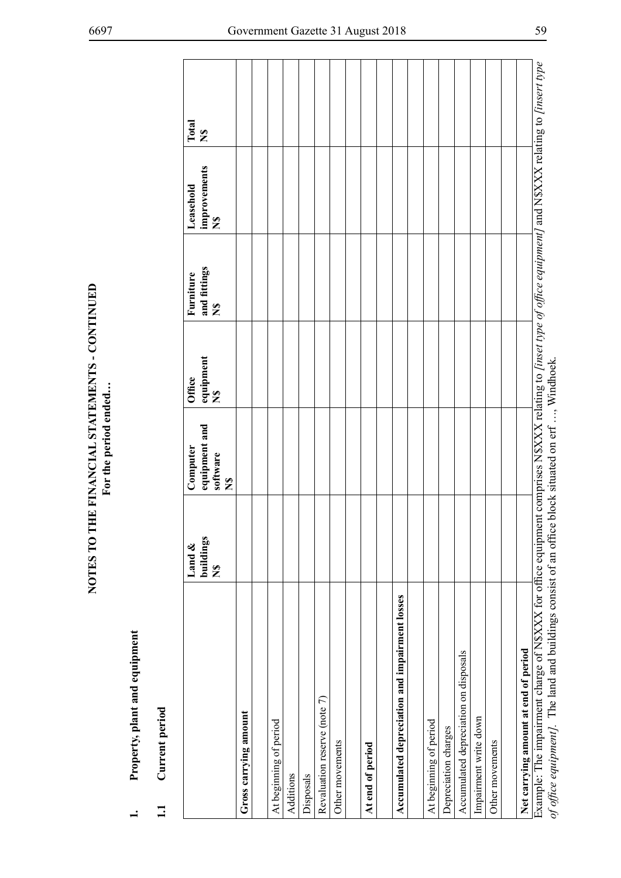| Property, plant and equipment                                                                                                                                                                                                                           |                                     |                                                       |                                     |                                           |                                           |              |
|---------------------------------------------------------------------------------------------------------------------------------------------------------------------------------------------------------------------------------------------------------|-------------------------------------|-------------------------------------------------------|-------------------------------------|-------------------------------------------|-------------------------------------------|--------------|
| Current period<br>$\Xi$                                                                                                                                                                                                                                 |                                     |                                                       |                                     |                                           |                                           |              |
|                                                                                                                                                                                                                                                         | buildings<br>Land &<br>$\mathbf{z}$ | equipment and<br>Computer<br>software<br>$\mathbf{z}$ | equipment<br>Office<br>$\mathbf{z}$ | and fittings<br>Furniture<br>$\mathbf{z}$ | improvements<br>Leasehold<br>$\mathbf{z}$ | Total<br>N\$ |
| Gross carrying amount                                                                                                                                                                                                                                   |                                     |                                                       |                                     |                                           |                                           |              |
|                                                                                                                                                                                                                                                         |                                     |                                                       |                                     |                                           |                                           |              |
| At beginning of period                                                                                                                                                                                                                                  |                                     |                                                       |                                     |                                           |                                           |              |
| Additions                                                                                                                                                                                                                                               |                                     |                                                       |                                     |                                           |                                           |              |
| Disposals                                                                                                                                                                                                                                               |                                     |                                                       |                                     |                                           |                                           |              |
| Revaluation reserve (note 7)                                                                                                                                                                                                                            |                                     |                                                       |                                     |                                           |                                           |              |
| Other movements                                                                                                                                                                                                                                         |                                     |                                                       |                                     |                                           |                                           |              |
|                                                                                                                                                                                                                                                         |                                     |                                                       |                                     |                                           |                                           |              |
| At end of period                                                                                                                                                                                                                                        |                                     |                                                       |                                     |                                           |                                           |              |
|                                                                                                                                                                                                                                                         |                                     |                                                       |                                     |                                           |                                           |              |
| Accumulated depreciation and impairment losses                                                                                                                                                                                                          |                                     |                                                       |                                     |                                           |                                           |              |
|                                                                                                                                                                                                                                                         |                                     |                                                       |                                     |                                           |                                           |              |
| At beginning of period                                                                                                                                                                                                                                  |                                     |                                                       |                                     |                                           |                                           |              |
| Depreciation charges                                                                                                                                                                                                                                    |                                     |                                                       |                                     |                                           |                                           |              |
| Accumulated depreciation on disposals                                                                                                                                                                                                                   |                                     |                                                       |                                     |                                           |                                           |              |
| Impairment write down                                                                                                                                                                                                                                   |                                     |                                                       |                                     |                                           |                                           |              |
| Other movements                                                                                                                                                                                                                                         |                                     |                                                       |                                     |                                           |                                           |              |
|                                                                                                                                                                                                                                                         |                                     |                                                       |                                     |                                           |                                           |              |
| Net carrying amount at end of period                                                                                                                                                                                                                    |                                     |                                                       |                                     |                                           |                                           |              |
| Example: The impairment charge of N\$XXX for office equipment comprises N\$XXX relating to [inset type of office equipment] and N\$XXX relating to [insert type<br>and The land and huildings against of an office block situated an out<br>$f \circ f$ |                                     |                                                       | $W_{\text{in}}$ dhoolr              |                                           |                                           |              |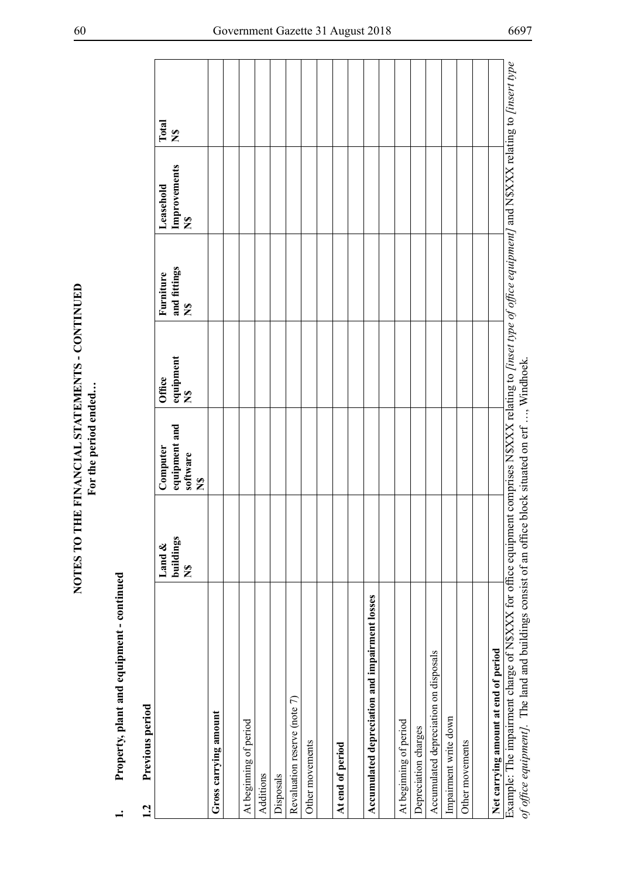| Total<br>$\sum_{i=1}^{n}$<br>Improvements<br>Leasehold<br>$\sum_{i=1}^{n}$<br>and fittings<br>Furniture<br>$\tilde{\mathbf{z}}$<br>  equipment<br>N\$<br>Office<br>equipment and<br>Computer<br>software<br>$\mathbf{z}$<br>buildings<br>Land &<br>$\sum_{i=1}^{n}$<br>Accumulated depreciation and impairment losses<br>Accumulated depreciation on disposals<br>Revaluation reserve (note 7)<br>Gross carrying amount<br>Impairment write down<br>At beginning of period<br>At beginning of period<br>Depreciation charges<br>Other movements<br>Other movements<br>At end of period<br>Disposals<br>Additions | Previous period<br>1.2               |  |  |  |
|------------------------------------------------------------------------------------------------------------------------------------------------------------------------------------------------------------------------------------------------------------------------------------------------------------------------------------------------------------------------------------------------------------------------------------------------------------------------------------------------------------------------------------------------------------------------------------------------------------------|--------------------------------------|--|--|--|
|                                                                                                                                                                                                                                                                                                                                                                                                                                                                                                                                                                                                                  |                                      |  |  |  |
|                                                                                                                                                                                                                                                                                                                                                                                                                                                                                                                                                                                                                  |                                      |  |  |  |
|                                                                                                                                                                                                                                                                                                                                                                                                                                                                                                                                                                                                                  |                                      |  |  |  |
|                                                                                                                                                                                                                                                                                                                                                                                                                                                                                                                                                                                                                  |                                      |  |  |  |
|                                                                                                                                                                                                                                                                                                                                                                                                                                                                                                                                                                                                                  |                                      |  |  |  |
|                                                                                                                                                                                                                                                                                                                                                                                                                                                                                                                                                                                                                  |                                      |  |  |  |
|                                                                                                                                                                                                                                                                                                                                                                                                                                                                                                                                                                                                                  |                                      |  |  |  |
|                                                                                                                                                                                                                                                                                                                                                                                                                                                                                                                                                                                                                  |                                      |  |  |  |
|                                                                                                                                                                                                                                                                                                                                                                                                                                                                                                                                                                                                                  |                                      |  |  |  |
|                                                                                                                                                                                                                                                                                                                                                                                                                                                                                                                                                                                                                  |                                      |  |  |  |
|                                                                                                                                                                                                                                                                                                                                                                                                                                                                                                                                                                                                                  |                                      |  |  |  |
|                                                                                                                                                                                                                                                                                                                                                                                                                                                                                                                                                                                                                  |                                      |  |  |  |
|                                                                                                                                                                                                                                                                                                                                                                                                                                                                                                                                                                                                                  |                                      |  |  |  |
|                                                                                                                                                                                                                                                                                                                                                                                                                                                                                                                                                                                                                  |                                      |  |  |  |
|                                                                                                                                                                                                                                                                                                                                                                                                                                                                                                                                                                                                                  |                                      |  |  |  |
|                                                                                                                                                                                                                                                                                                                                                                                                                                                                                                                                                                                                                  |                                      |  |  |  |
|                                                                                                                                                                                                                                                                                                                                                                                                                                                                                                                                                                                                                  |                                      |  |  |  |
|                                                                                                                                                                                                                                                                                                                                                                                                                                                                                                                                                                                                                  |                                      |  |  |  |
|                                                                                                                                                                                                                                                                                                                                                                                                                                                                                                                                                                                                                  |                                      |  |  |  |
|                                                                                                                                                                                                                                                                                                                                                                                                                                                                                                                                                                                                                  |                                      |  |  |  |
|                                                                                                                                                                                                                                                                                                                                                                                                                                                                                                                                                                                                                  | Net carrying amount at end of period |  |  |  |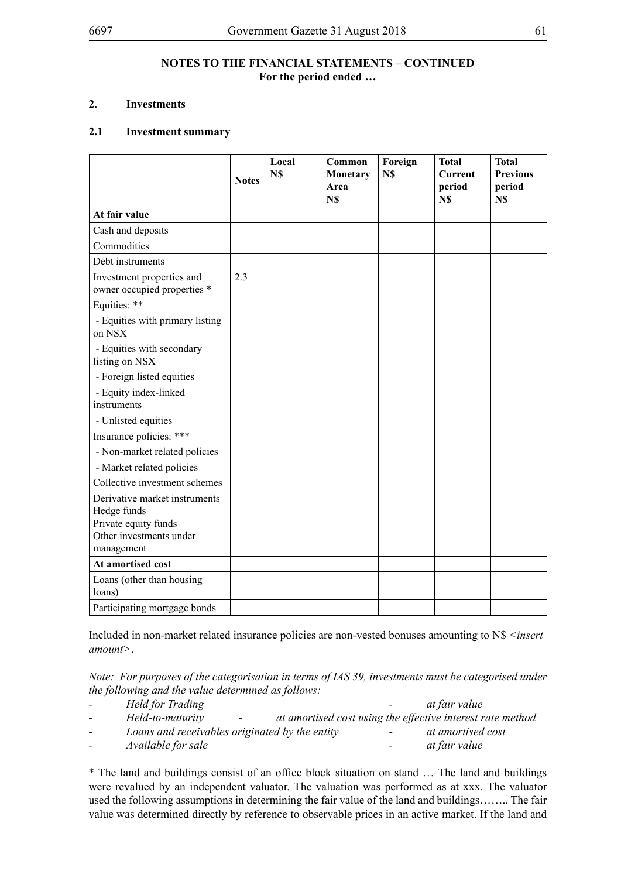## **NOTES TO THE FINANCIAL STATEMENTS – CONTINUED For the period ended …**

## **2. Investments**

## **2.1 Investment summary**

|                                                                                                               | <b>Notes</b> | Local<br>N\$ | Common<br>Monetary<br>Area<br>N\$ | Foreign<br>N\$ | <b>Total</b><br><b>Current</b><br>period<br>N\$ | <b>Total</b><br><b>Previous</b><br>period<br>N\$ |
|---------------------------------------------------------------------------------------------------------------|--------------|--------------|-----------------------------------|----------------|-------------------------------------------------|--------------------------------------------------|
| At fair value                                                                                                 |              |              |                                   |                |                                                 |                                                  |
| Cash and deposits                                                                                             |              |              |                                   |                |                                                 |                                                  |
| Commodities                                                                                                   |              |              |                                   |                |                                                 |                                                  |
| Debt instruments                                                                                              |              |              |                                   |                |                                                 |                                                  |
| Investment properties and<br>owner occupied properties *                                                      | 2.3          |              |                                   |                |                                                 |                                                  |
| Equities: **                                                                                                  |              |              |                                   |                |                                                 |                                                  |
| - Equities with primary listing<br>on NSX                                                                     |              |              |                                   |                |                                                 |                                                  |
| - Equities with secondary<br>listing on NSX                                                                   |              |              |                                   |                |                                                 |                                                  |
| - Foreign listed equities                                                                                     |              |              |                                   |                |                                                 |                                                  |
| - Equity index-linked<br>instruments                                                                          |              |              |                                   |                |                                                 |                                                  |
| - Unlisted equities                                                                                           |              |              |                                   |                |                                                 |                                                  |
| Insurance policies: ***                                                                                       |              |              |                                   |                |                                                 |                                                  |
| - Non-market related policies                                                                                 |              |              |                                   |                |                                                 |                                                  |
| - Market related policies                                                                                     |              |              |                                   |                |                                                 |                                                  |
| Collective investment schemes                                                                                 |              |              |                                   |                |                                                 |                                                  |
| Derivative market instruments<br>Hedge funds<br>Private equity funds<br>Other investments under<br>management |              |              |                                   |                |                                                 |                                                  |
| At amortised cost                                                                                             |              |              |                                   |                |                                                 |                                                  |
| Loans (other than housing<br>loans)                                                                           |              |              |                                   |                |                                                 |                                                  |
| Participating mortgage bonds                                                                                  |              |              |                                   |                |                                                 |                                                  |

Included in non-market related insurance policies are non-vested bonuses amounting to N\$ *<insert amount>*.

*Note: For purposes of the categorisation in terms of IAS 39, investments must be categorised under the following and the value determined as follows:*

| $\sim$ | Held for Trading                                 | $\sim$ 100 $\sim$ | at fair value                                              |
|--------|--------------------------------------------------|-------------------|------------------------------------------------------------|
| $\sim$ | Held-to-maturity<br>$\sim$ 100 $\sim$ 100 $\sim$ |                   | at amortised cost using the effective interest rate method |
| $\sim$ | Loans and receivables originated by the entity   | $\sim$            | at amortised cost                                          |
| $\sim$ | <i>Available for sale</i>                        | $\sim$            | at fair value                                              |

\* The land and buildings consist of an office block situation on stand … The land and buildings were revalued by an independent valuator. The valuation was performed as at xxx. The valuator used the following assumptions in determining the fair value of the land and buildings…….. The fair value was determined directly by reference to observable prices in an active market. If the land and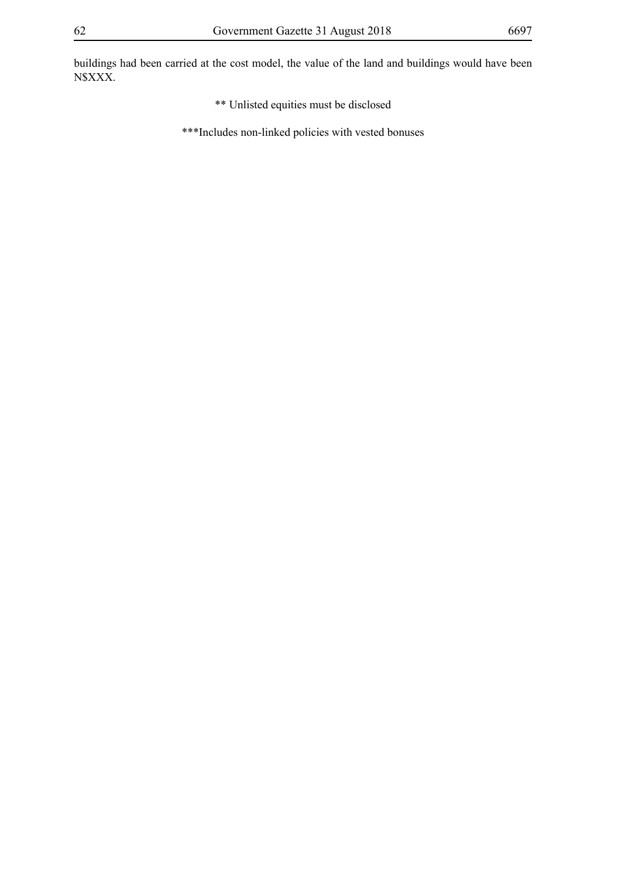buildings had been carried at the cost model, the value of the land and buildings would have been N\$XXX.

- \*\* Unlisted equities must be disclosed
- \*\*\*Includes non-linked policies with vested bonuses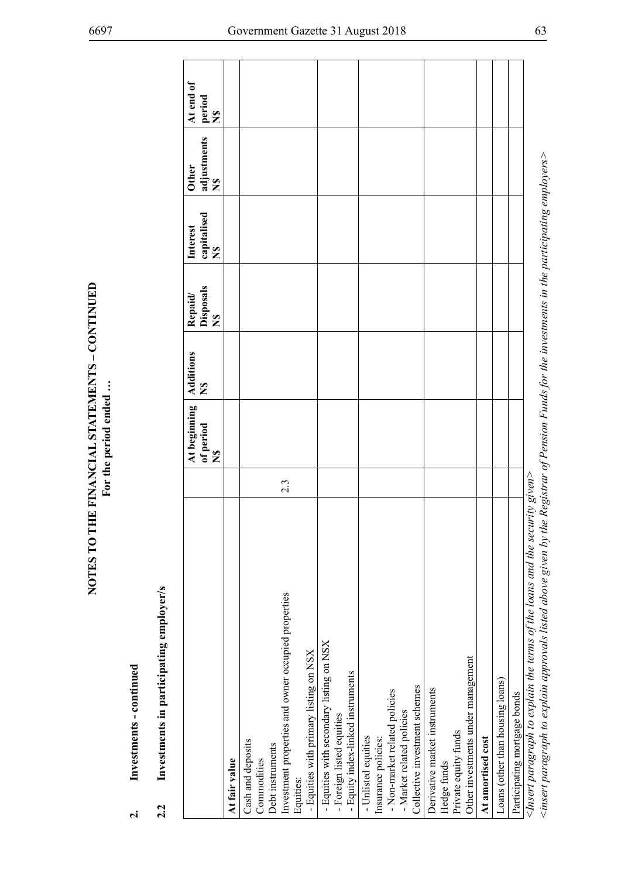| 2.2                                                                                                                                                                                                                                            |  |           |                                          |                                         |                                                     |                                     |  |
|------------------------------------------------------------------------------------------------------------------------------------------------------------------------------------------------------------------------------------------------|--|-----------|------------------------------------------|-----------------------------------------|-----------------------------------------------------|-------------------------------------|--|
| Investments in participating employer/s                                                                                                                                                                                                        |  |           |                                          |                                         |                                                     |                                     |  |
| $\frac{8}{5}$<br>At beginning<br>of period<br>$\tilde{\mathbf{z}}$                                                                                                                                                                             |  | Additions | Disposals<br>Repaid/<br>$\sum_{i=1}^{n}$ | capitalised<br>Interest<br>$\mathbf{z}$ | adjustments<br><b>Other</b><br>$\tilde{\mathbf{z}}$ | At end of<br>period<br>$\mathbf{z}$ |  |
| At fair value                                                                                                                                                                                                                                  |  |           |                                          |                                         |                                                     |                                     |  |
| Cash and deposits<br>Debt instruments<br>Commodities                                                                                                                                                                                           |  |           |                                          |                                         |                                                     |                                     |  |
| 2.3<br>Investment properties and owner occupied properties                                                                                                                                                                                     |  |           |                                          |                                         |                                                     |                                     |  |
| - Equities with primary listing on NSX<br>Equities:                                                                                                                                                                                            |  |           |                                          |                                         |                                                     |                                     |  |
| - Equities with secondary listing on NSX<br>- Foreign listed equities                                                                                                                                                                          |  |           |                                          |                                         |                                                     |                                     |  |
| - Equity index-linked instruments                                                                                                                                                                                                              |  |           |                                          |                                         |                                                     |                                     |  |
| - Non-market related policies<br>- Unlisted equities<br>Insurance policies:                                                                                                                                                                    |  |           |                                          |                                         |                                                     |                                     |  |
| Collective investment schemes<br>- Market related policies                                                                                                                                                                                     |  |           |                                          |                                         |                                                     |                                     |  |
| Derivative market instruments<br>Hedge funds                                                                                                                                                                                                   |  |           |                                          |                                         |                                                     |                                     |  |
| Other investments under management<br>Private equity funds                                                                                                                                                                                     |  |           |                                          |                                         |                                                     |                                     |  |
| At amortised cost                                                                                                                                                                                                                              |  |           |                                          |                                         |                                                     |                                     |  |
| Loans (other than housing loans)                                                                                                                                                                                                               |  |           |                                          |                                         |                                                     |                                     |  |
| Participating mortgage bonds                                                                                                                                                                                                                   |  |           |                                          |                                         |                                                     |                                     |  |
| $\lt$ insert paragraph to explain approvals listed above given by the Registrar of Pension Funds for the investments in the participating employers $\gt$<br>$\leq$ Insert paragraph to explain the terms of the loans and the security given> |  |           |                                          |                                         |                                                     |                                     |  |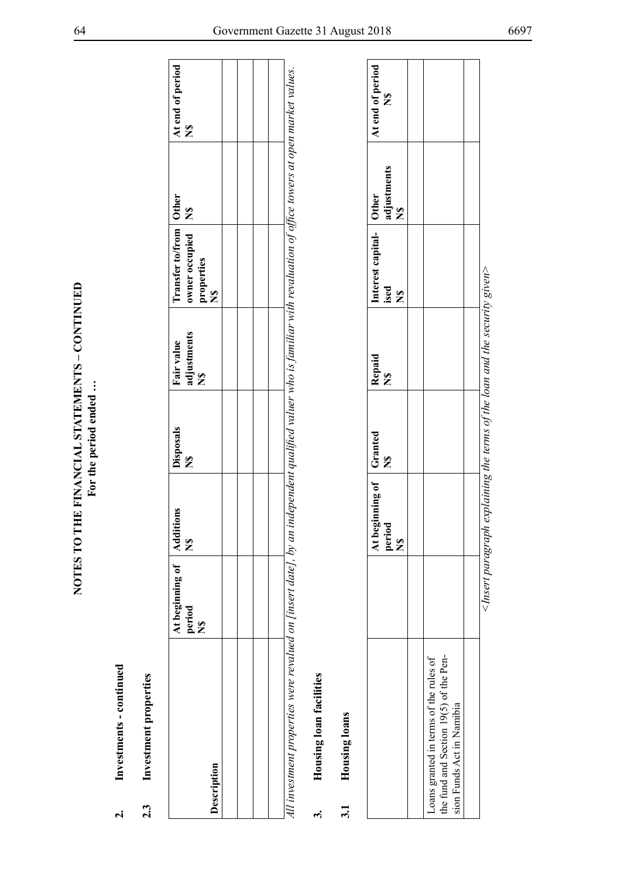- 
- 

| $\dot{\mathbf{c}}$ | Investments - continued                                                                                       |                                                   |                                                   |                                                                                     |                           |                                                                                                       |                                              |                                          |
|--------------------|---------------------------------------------------------------------------------------------------------------|---------------------------------------------------|---------------------------------------------------|-------------------------------------------------------------------------------------|---------------------------|-------------------------------------------------------------------------------------------------------|----------------------------------------------|------------------------------------------|
| 2.3                | Investment properties                                                                                         |                                                   |                                                   |                                                                                     |                           |                                                                                                       |                                              |                                          |
|                    | Description                                                                                                   | At beginning of<br>period<br>$\tilde{\mathbf{z}}$ | <b>Additions</b><br>$\tilde{\mathbf{z}}$          | Disposals<br>$\mathbf{z}$                                                           | adjustments<br>Fair value | Transfer to/from<br>owner occupied<br>properties<br>$\tilde{\mathbf{z}}$                              | <b>Other</b><br>$\tilde{\mathbf{z}}$         | At end of period<br>$\mathbf{z}$         |
|                    |                                                                                                               |                                                   |                                                   |                                                                                     |                           |                                                                                                       |                                              |                                          |
|                    | All investment properties were revalued on [insert date], by an                                               |                                                   |                                                   |                                                                                     |                           | independent qualified valuer who is familiar with revaluation of office towers at open market values. |                                              |                                          |
| $\ddot{ }$         | Housing loan facilities                                                                                       |                                                   |                                                   |                                                                                     |                           |                                                                                                       |                                              |                                          |
| 3.1                | Housing loans                                                                                                 |                                                   |                                                   |                                                                                     |                           |                                                                                                       |                                              |                                          |
|                    |                                                                                                               |                                                   | At beginning of<br>period<br>$\tilde{\mathbf{z}}$ | Granted<br>$\tilde{\mathbf{z}}$                                                     | Repaid<br>$\mathbf{z}$    | Interest capital-<br>ised<br>$\mathbf{z}$                                                             | adjustments<br>Other<br>$\tilde{\mathbf{z}}$ | At end of period<br>$\tilde{\mathbf{z}}$ |
|                    | the fund and Section 19(5) of the Pen-<br>Loans granted in terms of the rules of<br>sion Funds Act in Namibia |                                                   |                                                   |                                                                                     |                           |                                                                                                       |                                              |                                          |
|                    |                                                                                                               |                                                   |                                                   |                                                                                     |                           |                                                                                                       |                                              |                                          |
|                    |                                                                                                               |                                                   |                                                   | $\leq$ Insert paragraph explaining the terms of the loan and the security given $>$ |                           |                                                                                                       |                                              |                                          |

|                                                                                                               | At beginning of   Granted<br>period<br>S<br>S | $\tilde{\mathbf{z}}$ | Repaid<br>$\frac{6}{5}$ | Interest capital- Other<br>ised<br>$\tilde{\mathbf{z}}$ | adjustments<br>  N\$ | At end of period<br>$\frac{8}{5}$ |
|---------------------------------------------------------------------------------------------------------------|-----------------------------------------------|----------------------|-------------------------|---------------------------------------------------------|----------------------|-----------------------------------|
|                                                                                                               |                                               |                      |                         |                                                         |                      |                                   |
| the fund and Section 19(5) of the Pen-<br>Loans granted in terms of the rules of<br>sion Funds Act in Namibia |                                               |                      |                         |                                                         |                      |                                   |
|                                                                                                               |                                               |                      |                         |                                                         |                      |                                   |
|                                                                                                               |                                               |                      |                         |                                                         |                      |                                   |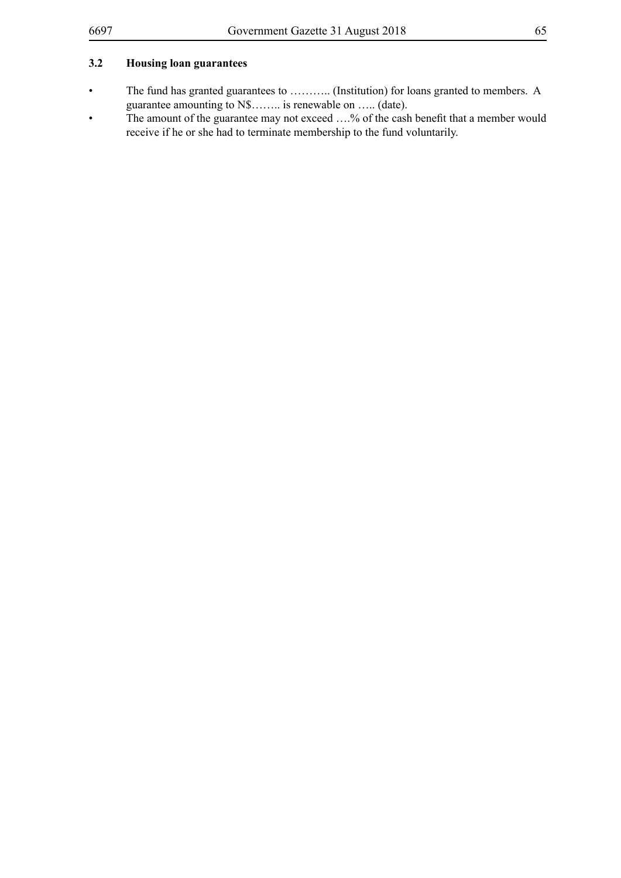## **3.2 Housing loan guarantees**

- The fund has granted guarantees to ……….. (Institution) for loans granted to members. A guarantee amounting to N\$…….. is renewable on ….. (date).
- The amount of the guarantee may not exceed ....% of the cash benefit that a member would receive if he or she had to terminate membership to the fund voluntarily.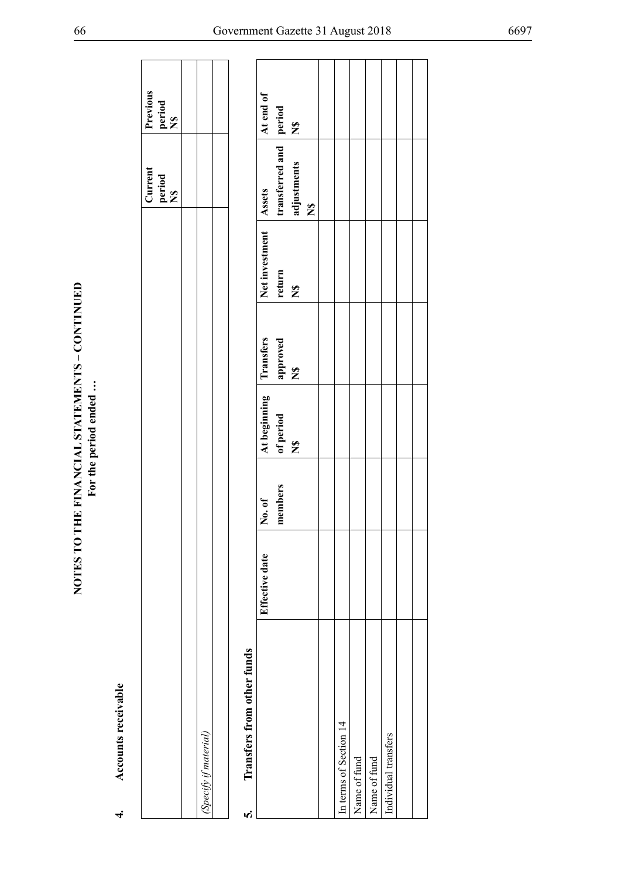| Accounts receivable<br>4.       |                |         |                      |                      |                      |                          |                           |  |
|---------------------------------|----------------|---------|----------------------|----------------------|----------------------|--------------------------|---------------------------|--|
|                                 |                |         |                      |                      |                      | Current<br>period<br>N\$ | Previous<br>period<br>N\$ |  |
|                                 |                |         |                      |                      |                      |                          |                           |  |
| (Specify if material)           |                |         |                      |                      |                      |                          |                           |  |
|                                 |                |         |                      |                      |                      |                          |                           |  |
| Transfers from other funds<br>n |                |         |                      |                      |                      |                          |                           |  |
|                                 | Effective date | No. of  | At beginning         | Transfers            | Net investment       | Assets                   | At end of                 |  |
|                                 |                | members | of period            | approved             | return               | transferred and period   |                           |  |
|                                 |                |         | $\tilde{\mathbf{z}}$ | $\tilde{\mathbf{z}}$ | $\tilde{\mathbf{z}}$ | adjustments              | $\frac{8}{5}$             |  |
|                                 |                |         |                      |                      |                      | $\tilde{\mathbf{z}}$     |                           |  |
|                                 |                |         |                      |                      |                      |                          |                           |  |
| In terms of Section 14          |                |         |                      |                      |                      |                          |                           |  |
| Name of fund                    |                |         |                      |                      |                      |                          |                           |  |
| Name of fund                    |                |         |                      |                      |                      |                          |                           |  |
| Individual transfers            |                |         |                      |                      |                      |                          |                           |  |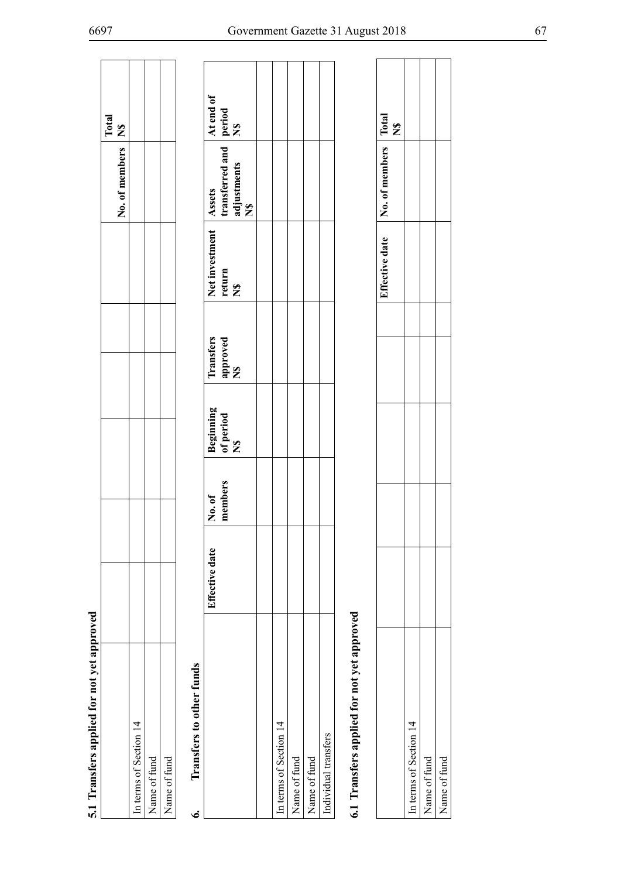| T Transiers abilition in April 10 approved |                |                       |
|--------------------------------------------|----------------|-----------------------|
|                                            | No. of members | Total<br>$\mathbb{Z}$ |
| n terms of Section 14                      |                |                       |
| Vame of fund                               |                |                       |
| Vame of fund                               |                |                       |
| Transfers to other funds                   |                |                       |

| 5.1 Transfers applied for not yet approved |                |         |                               |                 |                |                                                 | Total                         |
|--------------------------------------------|----------------|---------|-------------------------------|-----------------|----------------|-------------------------------------------------|-------------------------------|
|                                            |                |         |                               |                 |                | No. of members                                  | $\tilde{\mathbf{z}}$          |
| In terms of Section 14                     |                |         |                               |                 |                |                                                 |                               |
| Name of fund                               |                |         |                               |                 |                |                                                 |                               |
| Name of fund                               |                |         |                               |                 |                |                                                 |                               |
| Transfers to other funds<br>ق              |                |         |                               |                 |                |                                                 |                               |
|                                            | Effective date | No. of  |                               | Transfers       | Net investment | Assets                                          | At end of                     |
|                                            |                | members | Beginning<br>of period<br>N\$ | approved<br>N\$ | return<br>N\$  | transferred and<br>adjustments<br>$\frac{6}{5}$ | period<br>N\$                 |
|                                            |                |         |                               |                 |                |                                                 |                               |
| In terms of Section 14                     |                |         |                               |                 |                |                                                 |                               |
| Name of fund                               |                |         |                               |                 |                |                                                 |                               |
| Name of fund                               |                |         |                               |                 |                |                                                 |                               |
| Individual transfers                       |                |         |                               |                 |                |                                                 |                               |
| 6.1 Transfers applied for not yet approved |                |         |                               |                 |                |                                                 |                               |
|                                            |                |         |                               |                 | Effective date | No. of members                                  | Total<br>$\tilde{\mathbf{z}}$ |
| In terms of Section 14                     |                |         |                               |                 |                |                                                 |                               |
| Name of fund                               |                |         |                               |                 |                |                                                 |                               |
| Name of fund                               |                |         |                               |                 |                |                                                 |                               |

|                        |  | Effective date | No. of members | $\Gamma$ otal<br>Ş |
|------------------------|--|----------------|----------------|--------------------|
| In terms of Section 14 |  |                |                |                    |
| Vame of fund           |  |                |                |                    |
| Jame of fund           |  |                |                |                    |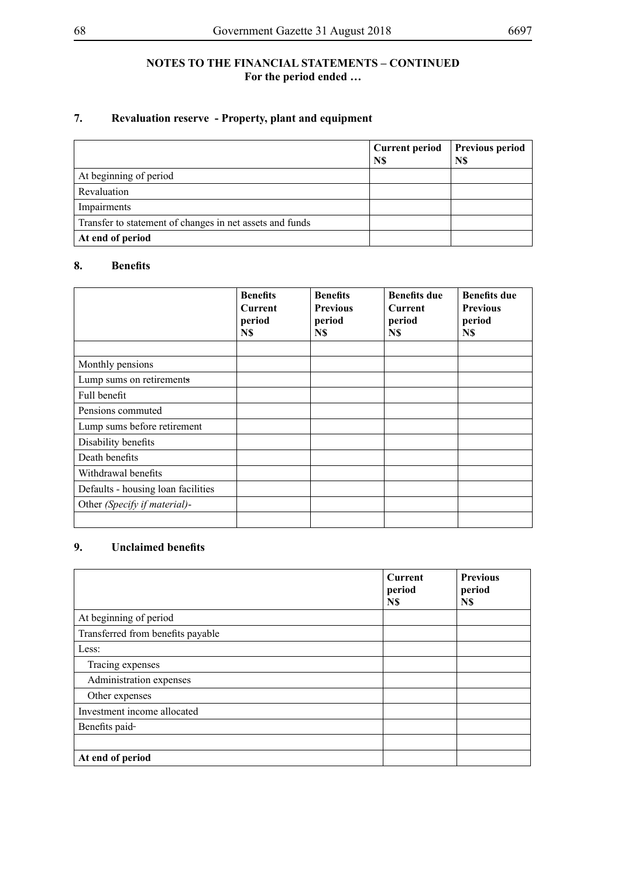## **NOTES TO THE FINANCIAL STATEMENTS – CONTINUED For the period ended …**

# **7. Revaluation reserve - Property, plant and equipment**

|                                                          | <b>Current period</b><br>N\$ | <b>Previous period</b><br>N\$ |
|----------------------------------------------------------|------------------------------|-------------------------------|
| At beginning of period                                   |                              |                               |
| Revaluation                                              |                              |                               |
| Impairments                                              |                              |                               |
| Transfer to statement of changes in net assets and funds |                              |                               |
| At end of period                                         |                              |                               |

## **8. Benefits**

|                                    | <b>Benefits</b><br><b>Current</b><br>period<br>N\$ | <b>Benefits</b><br><b>Previous</b><br>period<br>N\$ | <b>Benefits due</b><br><b>Current</b><br>period<br>N\$ | <b>Benefits due</b><br><b>Previous</b><br>period<br>N\$ |
|------------------------------------|----------------------------------------------------|-----------------------------------------------------|--------------------------------------------------------|---------------------------------------------------------|
|                                    |                                                    |                                                     |                                                        |                                                         |
| Monthly pensions                   |                                                    |                                                     |                                                        |                                                         |
| Lump sums on retirements           |                                                    |                                                     |                                                        |                                                         |
| Full benefit                       |                                                    |                                                     |                                                        |                                                         |
| Pensions commuted                  |                                                    |                                                     |                                                        |                                                         |
| Lump sums before retirement        |                                                    |                                                     |                                                        |                                                         |
| Disability benefits                |                                                    |                                                     |                                                        |                                                         |
| Death benefits                     |                                                    |                                                     |                                                        |                                                         |
| Withdrawal benefits                |                                                    |                                                     |                                                        |                                                         |
| Defaults - housing loan facilities |                                                    |                                                     |                                                        |                                                         |
| Other (Specify if material)-       |                                                    |                                                     |                                                        |                                                         |
|                                    |                                                    |                                                     |                                                        |                                                         |

# **9. Unclaimed benefits**

|                                   | <b>Current</b><br>period<br>N\$ | <b>Previous</b><br>period<br>N\$ |
|-----------------------------------|---------------------------------|----------------------------------|
| At beginning of period            |                                 |                                  |
| Transferred from benefits payable |                                 |                                  |
| Less:                             |                                 |                                  |
| Tracing expenses                  |                                 |                                  |
| Administration expenses           |                                 |                                  |
| Other expenses                    |                                 |                                  |
| Investment income allocated       |                                 |                                  |
| Benefits paid-                    |                                 |                                  |
|                                   |                                 |                                  |
| At end of period                  |                                 |                                  |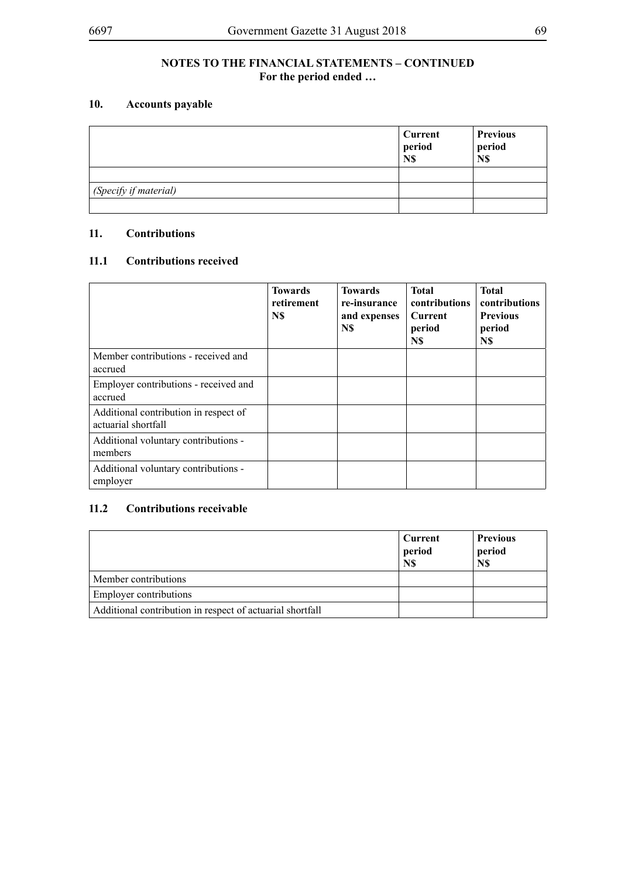# **10. Accounts payable**

|                       | Current<br>period<br>N\$ | <b>Previous</b><br>period<br>N\$ |
|-----------------------|--------------------------|----------------------------------|
|                       |                          |                                  |
| (Specify if material) |                          |                                  |
|                       |                          |                                  |

## **11. Contributions**

## **11.1 Contributions received**

|                                                              | <b>Towards</b><br>retirement<br>N\$ | <b>Towards</b><br>re-insurance<br>and expenses<br>N\$ | <b>Total</b><br>contributions<br>Current<br>period<br>N\$ | <b>Total</b><br>contributions<br><b>Previous</b><br>period<br>N\$ |
|--------------------------------------------------------------|-------------------------------------|-------------------------------------------------------|-----------------------------------------------------------|-------------------------------------------------------------------|
| Member contributions - received and<br>accrued               |                                     |                                                       |                                                           |                                                                   |
| Employer contributions - received and<br>accrued             |                                     |                                                       |                                                           |                                                                   |
| Additional contribution in respect of<br>actuarial shortfall |                                     |                                                       |                                                           |                                                                   |
| Additional voluntary contributions -<br>members              |                                     |                                                       |                                                           |                                                                   |
| Additional voluntary contributions -<br>employer             |                                     |                                                       |                                                           |                                                                   |

# **11.2 Contributions receivable**

|                                                           | Current<br>period<br>N\$ | <b>Previous</b><br>period<br>N\$ |
|-----------------------------------------------------------|--------------------------|----------------------------------|
| Member contributions                                      |                          |                                  |
| <b>Employer contributions</b>                             |                          |                                  |
| Additional contribution in respect of actuarial shortfall |                          |                                  |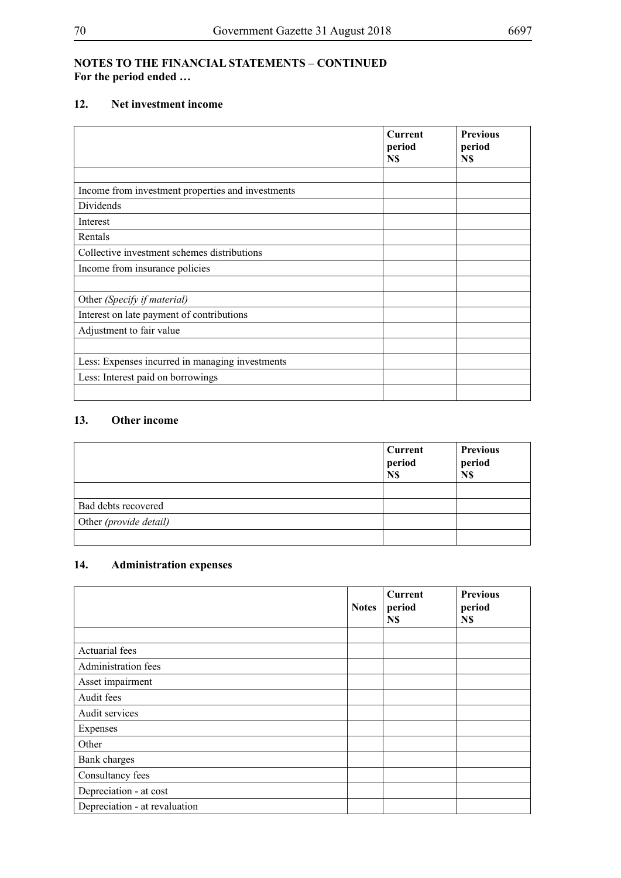## **NOTES TO THE FINANCIAL STATEMENTS – CONTINUED For the period ended …**

## **12. Net investment income**

|                                                   | <b>Current</b><br>period<br>N\$ | <b>Previous</b><br>period<br>N\$ |
|---------------------------------------------------|---------------------------------|----------------------------------|
|                                                   |                                 |                                  |
| Income from investment properties and investments |                                 |                                  |
| Dividends                                         |                                 |                                  |
| Interest                                          |                                 |                                  |
| Rentals                                           |                                 |                                  |
| Collective investment schemes distributions       |                                 |                                  |
| Income from insurance policies                    |                                 |                                  |
|                                                   |                                 |                                  |
| Other (Specify if material)                       |                                 |                                  |
| Interest on late payment of contributions         |                                 |                                  |
| Adjustment to fair value                          |                                 |                                  |
|                                                   |                                 |                                  |
| Less: Expenses incurred in managing investments   |                                 |                                  |
| Less: Interest paid on borrowings                 |                                 |                                  |
|                                                   |                                 |                                  |

# **13. Other income**

|                        | Current<br>period<br>N\$ | <b>Previous</b><br>period<br>N\$ |
|------------------------|--------------------------|----------------------------------|
|                        |                          |                                  |
| Bad debts recovered    |                          |                                  |
| Other (provide detail) |                          |                                  |
|                        |                          |                                  |

# **14. Administration expenses**

|                               | <b>Notes</b> | <b>Current</b><br>period<br>N\$ | <b>Previous</b><br>period<br>N\$ |
|-------------------------------|--------------|---------------------------------|----------------------------------|
|                               |              |                                 |                                  |
| Actuarial fees                |              |                                 |                                  |
| Administration fees           |              |                                 |                                  |
| Asset impairment              |              |                                 |                                  |
| Audit fees                    |              |                                 |                                  |
| Audit services                |              |                                 |                                  |
| Expenses                      |              |                                 |                                  |
| Other                         |              |                                 |                                  |
| Bank charges                  |              |                                 |                                  |
| Consultancy fees              |              |                                 |                                  |
| Depreciation - at cost        |              |                                 |                                  |
| Depreciation - at revaluation |              |                                 |                                  |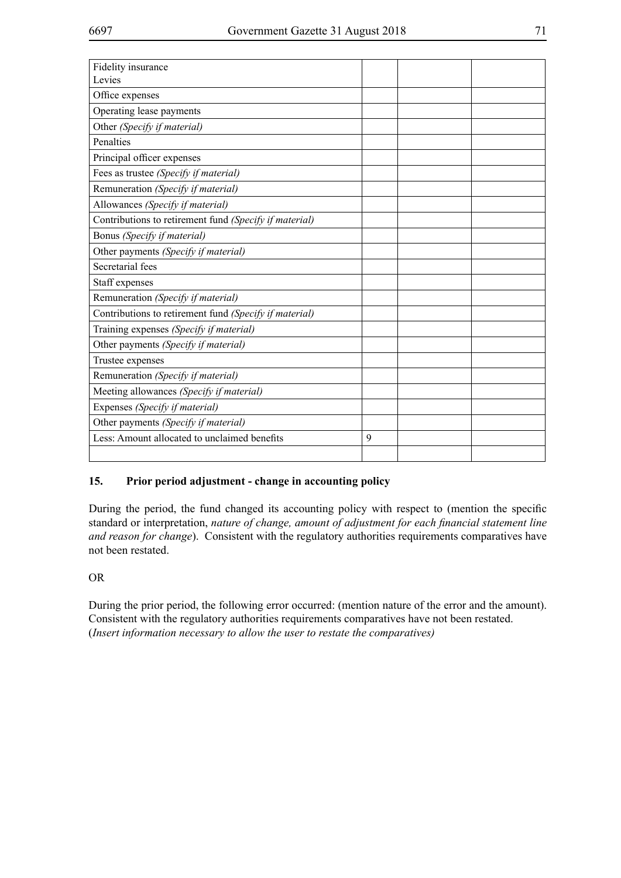| Fidelity insurance                                     |   |  |
|--------------------------------------------------------|---|--|
| Levies                                                 |   |  |
| Office expenses                                        |   |  |
| Operating lease payments                               |   |  |
| Other (Specify if material)                            |   |  |
| Penalties                                              |   |  |
| Principal officer expenses                             |   |  |
| Fees as trustee (Specify if material)                  |   |  |
| Remuneration (Specify if material)                     |   |  |
| Allowances (Specify if material)                       |   |  |
| Contributions to retirement fund (Specify if material) |   |  |
| Bonus (Specify if material)                            |   |  |
| Other payments (Specify if material)                   |   |  |
| Secretarial fees                                       |   |  |
| Staff expenses                                         |   |  |
| Remuneration (Specify if material)                     |   |  |
| Contributions to retirement fund (Specify if material) |   |  |
| Training expenses (Specify if material)                |   |  |
| Other payments (Specify if material)                   |   |  |
| Trustee expenses                                       |   |  |
| Remuneration (Specify if material)                     |   |  |
| Meeting allowances (Specify if material)               |   |  |
| Expenses (Specify if material)                         |   |  |
| Other payments (Specify if material)                   |   |  |
| Less: Amount allocated to unclaimed benefits           | 9 |  |
|                                                        |   |  |

# **15. Prior period adjustment - change in accounting policy**

During the period, the fund changed its accounting policy with respect to (mention the specific standard or interpretation, *nature of change, amount of adjustment for each financial statement line and reason for change*). Consistent with the regulatory authorities requirements comparatives have not been restated.

## OR

During the prior period, the following error occurred: (mention nature of the error and the amount). Consistent with the regulatory authorities requirements comparatives have not been restated. (*Insert information necessary to allow the user to restate the comparatives)*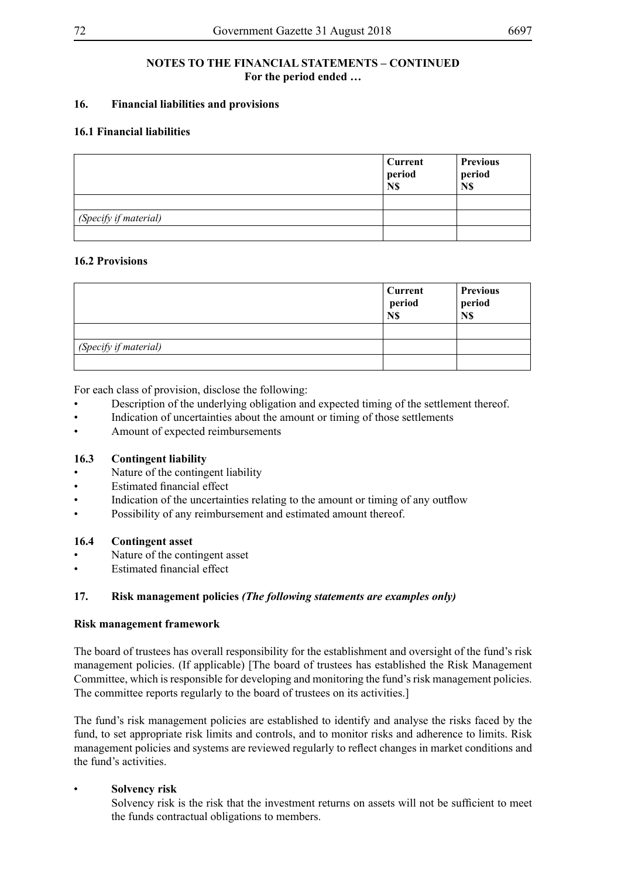## **NOTES TO THE FINANCIAL STATEMENTS – CONTINUED For the period ended …**

## **16. Financial liabilities and provisions**

## **16.1 Financial liabilities**

|                       | Current<br>period<br>N\$ | <b>Previous</b><br>period<br>N\$ |
|-----------------------|--------------------------|----------------------------------|
|                       |                          |                                  |
| (Specify if material) |                          |                                  |
|                       |                          |                                  |

## **16.2 Provisions**

|                       | <b>Current</b><br>period<br>N\$ | <b>Previous</b><br>period<br>N\$ |
|-----------------------|---------------------------------|----------------------------------|
|                       |                                 |                                  |
| (Specify if material) |                                 |                                  |
|                       |                                 |                                  |

For each class of provision, disclose the following:

- Description of the underlying obligation and expected timing of the settlement thereof.
- Indication of uncertainties about the amount or timing of those settlements
- Amount of expected reimbursements

## **16.3 Contingent liability**

- Nature of the contingent liability
- **Estimated financial effect**
- Indication of the uncertainties relating to the amount or timing of any outflow
- Possibility of any reimbursement and estimated amount thereof.

## **16.4 Contingent asset**

- Nature of the contingent asset
- **Estimated financial effect**

## **17. Risk management policies** *(The following statements are examples only)*

#### **Risk management framework**

The board of trustees has overall responsibility for the establishment and oversight of the fund's risk management policies. (If applicable) [The board of trustees has established the Risk Management Committee, which is responsible for developing and monitoring the fund's risk management policies. The committee reports regularly to the board of trustees on its activities.]

The fund's risk management policies are established to identify and analyse the risks faced by the fund, to set appropriate risk limits and controls, and to monitor risks and adherence to limits. Risk management policies and systems are reviewed regularly to reflect changes in market conditions and the fund's activities.

## **Solvency risk**

Solvency risk is the risk that the investment returns on assets will not be sufficient to meet the funds contractual obligations to members.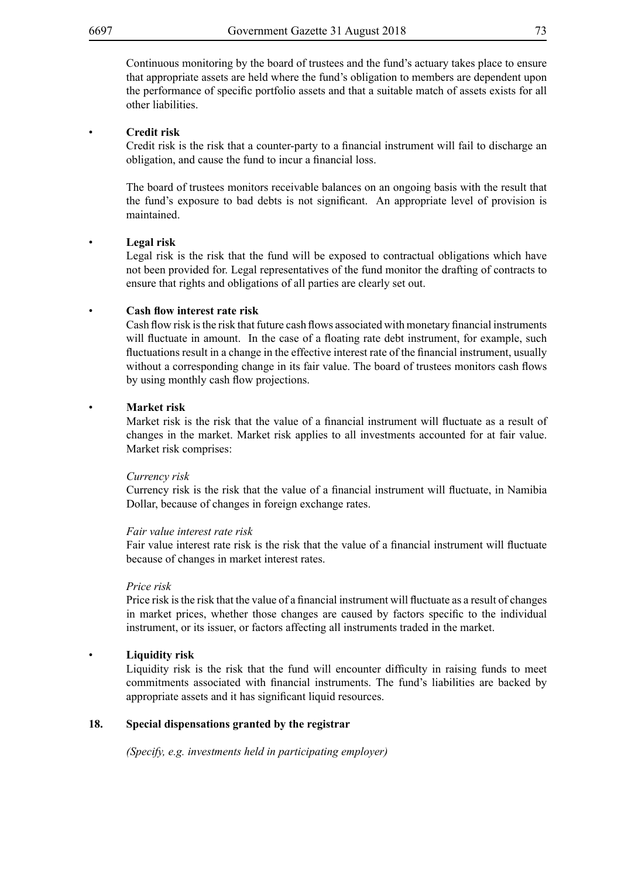Continuous monitoring by the board of trustees and the fund's actuary takes place to ensure that appropriate assets are held where the fund's obligation to members are dependent upon the performance of specific portfolio assets and that a suitable match of assets exists for all other liabilities.

#### • **Credit risk**

Credit risk is the risk that a counter-party to a financial instrument will fail to discharge an obligation, and cause the fund to incur a financial loss.

The board of trustees monitors receivable balances on an ongoing basis with the result that the fund's exposure to bad debts is not significant. An appropriate level of provision is maintained.

#### • **Legal risk**

Legal risk is the risk that the fund will be exposed to contractual obligations which have not been provided for. Legal representatives of the fund monitor the drafting of contracts to ensure that rights and obligations of all parties are clearly set out.

## • **Cash flow interest rate risk**

Cash flow risk isthe risk that future cash flows associated with monetary financial instruments will fluctuate in amount. In the case of a floating rate debt instrument, for example, such fluctuations result in a change in the effective interest rate of the financial instrument, usually without a corresponding change in its fair value. The board of trustees monitors cash flows by using monthly cash flow projections.

#### • **Market risk**

Market risk is the risk that the value of a financial instrument will fluctuate as a result of changes in the market. Market risk applies to all investments accounted for at fair value. Market risk comprises:

#### *Currency risk*

Currency risk is the risk that the value of a financial instrument will fluctuate, in Namibia Dollar, because of changes in foreign exchange rates.

#### *Fair value interest rate risk*

Fair value interest rate risk is the risk that the value of a financial instrument will fluctuate because of changes in market interest rates.

#### *Price risk*

Price risk isthe risk that the value of a financial instrument will fluctuate as a result of changes in market prices, whether those changes are caused by factors specific to the individual instrument, or its issuer, or factors affecting all instruments traded in the market.

#### • **Liquidity risk**

Liquidity risk is the risk that the fund will encounter difficulty in raising funds to meet commitments associated with financial instruments. The fund's liabilities are backed by appropriate assets and it has significant liquid resources.

## **18. Special dispensations granted by the registrar**

*(Specify, e.g. investments held in participating employer)*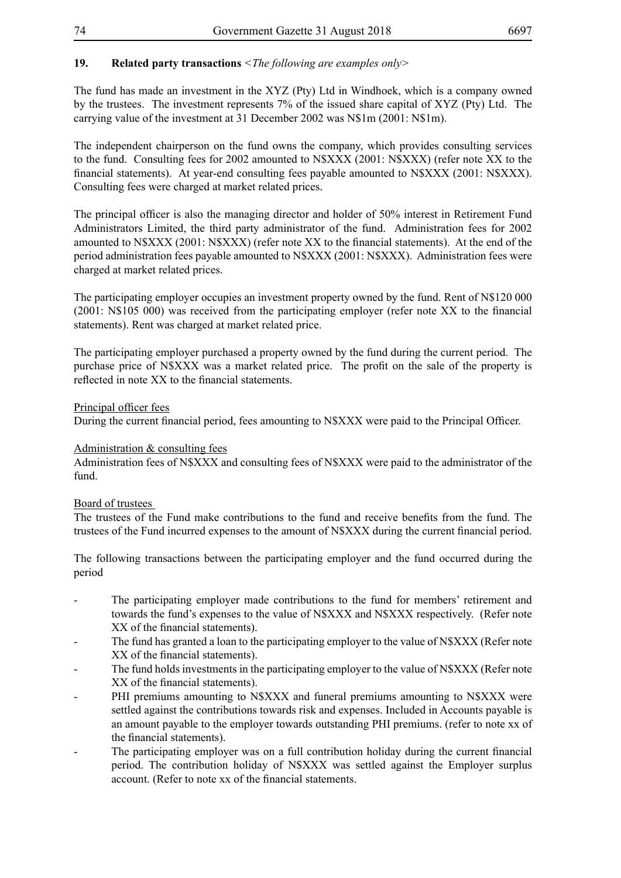## **19. Related party transactions** *<The following are examples only>*

The fund has made an investment in the XYZ (Pty) Ltd in Windhoek, which is a company owned by the trustees. The investment represents 7% of the issued share capital of XYZ (Pty) Ltd. The carrying value of the investment at 31 December 2002 was N\$1m (2001: N\$1m).

The independent chairperson on the fund owns the company, which provides consulting services to the fund. Consulting fees for 2002 amounted to N\$XXX (2001: N\$XXX) (refer note XX to the financial statements). At year-end consulting fees payable amounted to N\$XXX (2001: N\$XXX). Consulting fees were charged at market related prices.

The principal officer is also the managing director and holder of 50% interest in Retirement Fund Administrators Limited, the third party administrator of the fund. Administration fees for 2002 amounted to N\$XXX (2001: N\$XXX) (refer note XX to the financial statements). At the end of the period administration fees payable amounted to N\$XXX (2001: N\$XXX). Administration fees were charged at market related prices.

The participating employer occupies an investment property owned by the fund. Rent of N\$120 000 (2001: N\$105 000) was received from the participating employer (refer note XX to the financial statements). Rent was charged at market related price.

The participating employer purchased a property owned by the fund during the current period. The purchase price of N\$XXX was a market related price. The profit on the sale of the property is reflected in note XX to the financial statements.

#### Principal officer fees

During the current financial period, fees amounting to N\$XXX were paid to the Principal Officer.

#### Administration & consulting fees

Administration fees of N\$XXX and consulting fees of N\$XXX were paid to the administrator of the fund.

## Board of trustees

The trustees of the Fund make contributions to the fund and receive benefits from the fund. The trustees of the Fund incurred expenses to the amount of N\$XXX during the current financial period.

The following transactions between the participating employer and the fund occurred during the period

- The participating employer made contributions to the fund for members' retirement and towards the fund's expenses to the value of N\$XXX and N\$XXX respectively. (Refer note XX of the financial statements).
- The fund has granted a loan to the participating employer to the value of N\$XXX (Refer note XX of the financial statements).
- The fund holds investments in the participating employer to the value of N\$XXX (Refer note XX of the financial statements).
- PHI premiums amounting to N\$XXX and funeral premiums amounting to N\$XXX were settled against the contributions towards risk and expenses. Included in Accounts payable is an amount payable to the employer towards outstanding PHI premiums. (refer to note xx of the financial statements).
- The participating employer was on a full contribution holiday during the current financial period. The contribution holiday of N\$XXX was settled against the Employer surplus account. (Refer to note xx of the financial statements.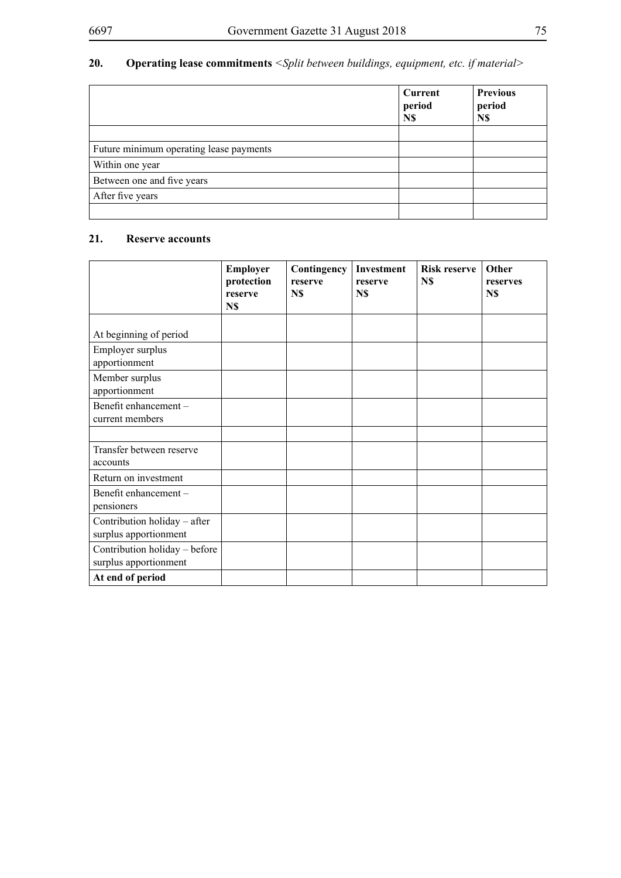## **20. Operating lease commitments** *<Split between buildings, equipment, etc. if material>*

|                                         | Current<br>period<br>N\$ | <b>Previous</b><br>period<br>N\$ |
|-----------------------------------------|--------------------------|----------------------------------|
|                                         |                          |                                  |
| Future minimum operating lease payments |                          |                                  |
| Within one year                         |                          |                                  |
| Between one and five years              |                          |                                  |
| After five years                        |                          |                                  |
|                                         |                          |                                  |

## **21. Reserve accounts**

|                                                        | Employer<br>protection<br>reserve<br>N\$ | Contingency<br>reserve<br>N\$ | <b>Investment</b><br>reserve<br>N\$ | <b>Risk reserve</b><br>N\$ | Other<br>reserves<br>N\$ |
|--------------------------------------------------------|------------------------------------------|-------------------------------|-------------------------------------|----------------------------|--------------------------|
| At beginning of period                                 |                                          |                               |                                     |                            |                          |
| Employer surplus<br>apportionment                      |                                          |                               |                                     |                            |                          |
| Member surplus<br>apportionment                        |                                          |                               |                                     |                            |                          |
| Benefit enhancement-<br>current members                |                                          |                               |                                     |                            |                          |
|                                                        |                                          |                               |                                     |                            |                          |
| Transfer between reserve<br>accounts                   |                                          |                               |                                     |                            |                          |
| Return on investment                                   |                                          |                               |                                     |                            |                          |
| Benefit enhancement-<br>pensioners                     |                                          |                               |                                     |                            |                          |
| Contribution holiday - after<br>surplus apportionment  |                                          |                               |                                     |                            |                          |
| Contribution holiday - before<br>surplus apportionment |                                          |                               |                                     |                            |                          |
| At end of period                                       |                                          |                               |                                     |                            |                          |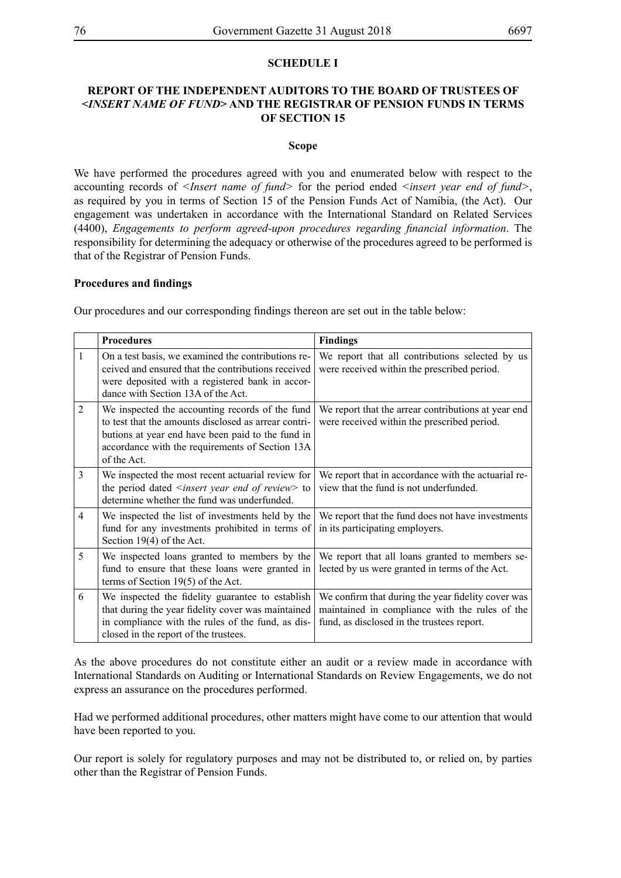## **SCHEDULE I**

## **Report of the independent auditors to the Board of Trustees of** *<Insert name of fund>* **and the Registrar of Pension Funds in terms of Section 15**

#### **Scope**

We have performed the procedures agreed with you and enumerated below with respect to the accounting records of *<Insert name of fund>* for the period ended *<insert year end of fund>*, as required by you in terms of Section 15 of the Pension Funds Act of Namibia, (the Act). Our engagement was undertaken in accordance with the International Standard on Related Services (4400), *Engagements to perform agreed-upon procedures regarding financial information*. The responsibility for determining the adequacy or otherwise of the procedures agreed to be performed is that of the Registrar of Pension Funds.

#### **Procedures and findings**

Our procedures and our corresponding findings thereon are set out in the table below:

|                | <b>Procedures</b>                                                                                                                                                                                                              | <b>Findings</b>                                                                                                                                    |
|----------------|--------------------------------------------------------------------------------------------------------------------------------------------------------------------------------------------------------------------------------|----------------------------------------------------------------------------------------------------------------------------------------------------|
| 1              | On a test basis, we examined the contributions re-<br>ceived and ensured that the contributions received<br>were deposited with a registered bank in accor-<br>dance with Section 13A of the Act.                              | We report that all contributions selected by us<br>were received within the prescribed period.                                                     |
| 2              | We inspected the accounting records of the fund<br>to test that the amounts disclosed as arrear contri-<br>butions at year end have been paid to the fund in<br>accordance with the requirements of Section 13A<br>of the Act. | We report that the arrear contributions at year end<br>were received within the prescribed period.                                                 |
| 3              | We inspected the most recent actuarial review for<br>the period dated $\leq$ <i>insert year end of review</i> $>$ to<br>determine whether the fund was underfunded.                                                            | We report that in accordance with the actuarial re-<br>view that the fund is not underfunded.                                                      |
| $\overline{4}$ | We inspected the list of investments held by the<br>fund for any investments prohibited in terms of<br>Section $19(4)$ of the Act.                                                                                             | We report that the fund does not have investments<br>in its participating employers.                                                               |
| 5              | We inspected loans granted to members by the<br>fund to ensure that these loans were granted in<br>terms of Section $19(5)$ of the Act.                                                                                        | We report that all loans granted to members se-<br>lected by us were granted in terms of the Act.                                                  |
| 6              | We inspected the fidelity guarantee to establish<br>that during the year fidelity cover was maintained<br>in compliance with the rules of the fund, as dis-<br>closed in the report of the trustees.                           | We confirm that during the year fidelity cover was<br>maintained in compliance with the rules of the<br>fund, as disclosed in the trustees report. |

As the above procedures do not constitute either an audit or a review made in accordance with International Standards on Auditing or International Standards on Review Engagements, we do not express an assurance on the procedures performed.

Had we performed additional procedures, other matters might have come to our attention that would have been reported to you.

Our report is solely for regulatory purposes and may not be distributed to, or relied on, by parties other than the Registrar of Pension Funds.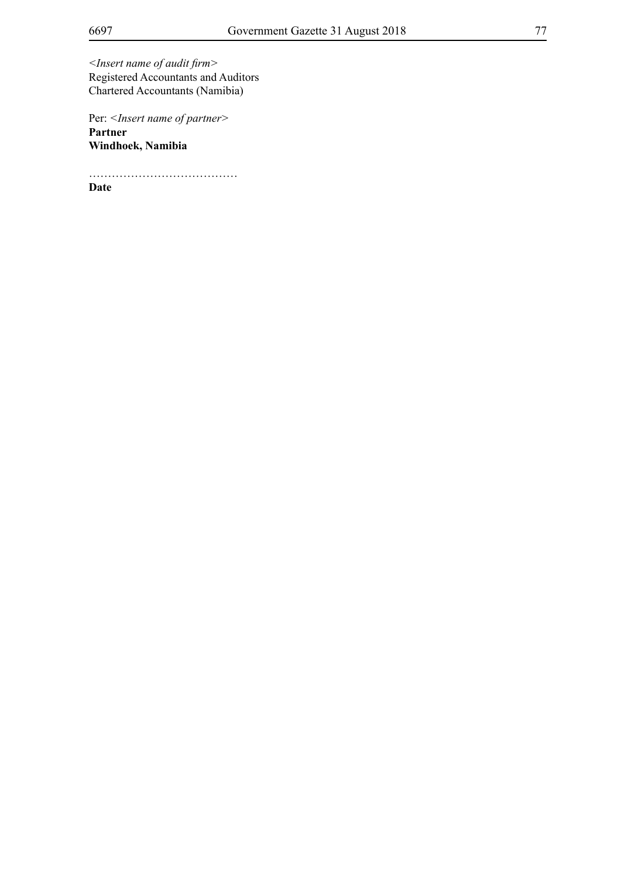*<Insert name of audit firm>* Registered Accountants and Auditors Chartered Accountants (Namibia)

Per: *<Insert name of partner>* **Partner Windhoek, Namibia**

…………………………………

**Date**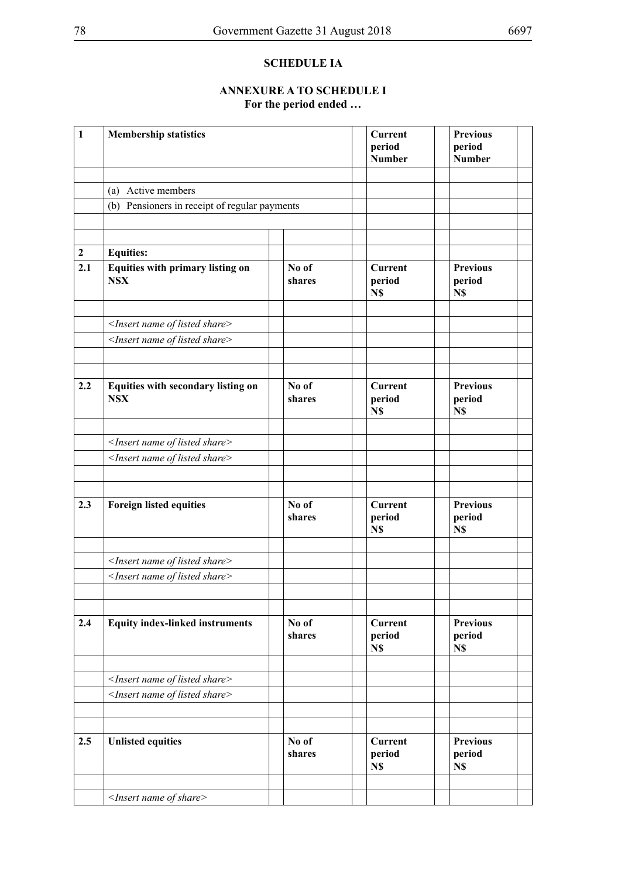## **SCHEDULE IA**

## **Annexure A to Schedule I For the period ended …**

| $\mathbf{1}$     | <b>Membership statistics</b>                                                                              |                 | <b>Current</b><br>period<br><b>Number</b> | <b>Previous</b><br>period<br><b>Number</b> |  |
|------------------|-----------------------------------------------------------------------------------------------------------|-----------------|-------------------------------------------|--------------------------------------------|--|
|                  | (a) Active members                                                                                        |                 |                                           |                                            |  |
|                  | (b) Pensioners in receipt of regular payments                                                             |                 |                                           |                                            |  |
|                  |                                                                                                           |                 |                                           |                                            |  |
|                  |                                                                                                           |                 |                                           |                                            |  |
| $\boldsymbol{2}$ | <b>Equities:</b>                                                                                          |                 |                                           |                                            |  |
| 2.1              | Equities with primary listing on<br><b>NSX</b>                                                            | No of<br>shares | <b>Current</b><br>period<br>N\$           | <b>Previous</b><br>period<br>N\$           |  |
|                  | <insert listed="" name="" of="" share=""></insert>                                                        |                 |                                           |                                            |  |
|                  | <insert listed="" name="" of="" share=""></insert>                                                        |                 |                                           |                                            |  |
|                  |                                                                                                           |                 |                                           |                                            |  |
|                  |                                                                                                           |                 |                                           |                                            |  |
| 2.2              | Equities with secondary listing on<br><b>NSX</b>                                                          | No of<br>shares | <b>Current</b><br>period<br>N\$           | <b>Previous</b><br>period<br>N\$           |  |
|                  |                                                                                                           |                 |                                           |                                            |  |
|                  | <insert listed="" name="" of="" share=""><br/><insert listed="" name="" of="" share=""></insert></insert> |                 |                                           |                                            |  |
|                  |                                                                                                           |                 |                                           |                                            |  |
|                  |                                                                                                           |                 |                                           |                                            |  |
| 2.3              | <b>Foreign listed equities</b>                                                                            | No of<br>shares | <b>Current</b><br>period<br>N\$           | <b>Previous</b><br>period<br>N\$           |  |
|                  |                                                                                                           |                 |                                           |                                            |  |
|                  | <insert listed="" name="" of="" share=""></insert>                                                        |                 |                                           |                                            |  |
|                  | <insert listed="" name="" of="" share=""></insert>                                                        |                 |                                           |                                            |  |
|                  |                                                                                                           |                 |                                           |                                            |  |
| 2.4              | <b>Equity index-linked instruments</b>                                                                    | No of<br>shares | <b>Current</b><br>period<br>N\$           | <b>Previous</b><br>period<br>N\$           |  |
|                  |                                                                                                           |                 |                                           |                                            |  |
|                  | <insert listed="" name="" of="" share=""></insert>                                                        |                 |                                           |                                            |  |
|                  | <insert listed="" name="" of="" share=""></insert>                                                        |                 |                                           |                                            |  |
|                  |                                                                                                           |                 |                                           |                                            |  |
| 2.5              | <b>Unlisted equities</b>                                                                                  | No of<br>shares | <b>Current</b><br>period<br>N\$           | <b>Previous</b><br>period<br>N\$           |  |
|                  | $<$ Insert name of share>                                                                                 |                 |                                           |                                            |  |
|                  |                                                                                                           |                 |                                           |                                            |  |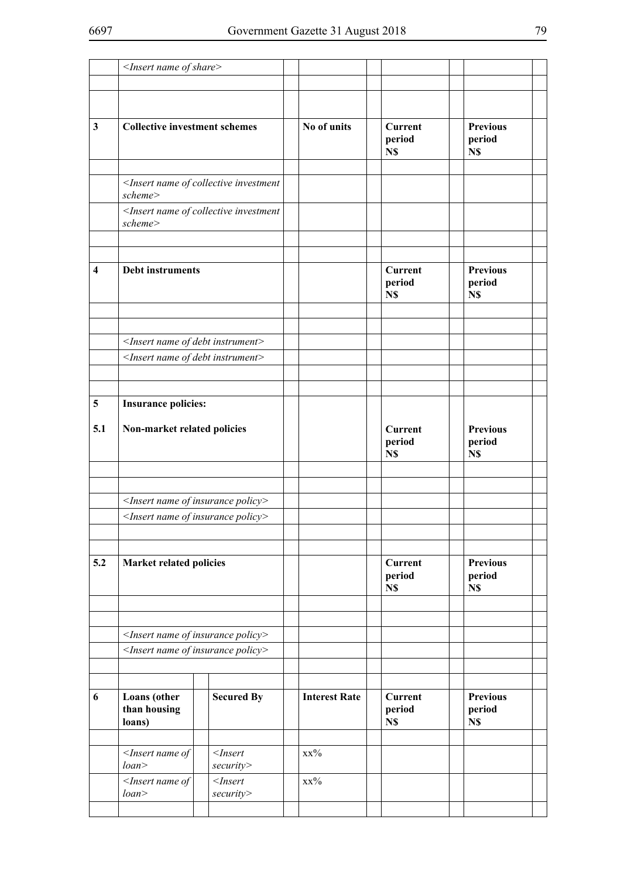|                         | <insert name="" of="" share=""></insert>                                 |                                |                      |                                 |                                  |  |
|-------------------------|--------------------------------------------------------------------------|--------------------------------|----------------------|---------------------------------|----------------------------------|--|
|                         |                                                                          |                                |                      |                                 |                                  |  |
|                         |                                                                          |                                |                      |                                 |                                  |  |
| $\mathbf{3}$            | <b>Collective investment schemes</b>                                     |                                | No of units          | <b>Current</b><br>period<br>N\$ | <b>Previous</b><br>period<br>N\$ |  |
|                         |                                                                          |                                |                      |                                 |                                  |  |
|                         | <insert collective="" investment<br="" name="" of="">scheme&gt;</insert> |                                |                      |                                 |                                  |  |
|                         | <insert collective="" investment<br="" name="" of="">scheme&gt;</insert> |                                |                      |                                 |                                  |  |
|                         |                                                                          |                                |                      |                                 |                                  |  |
| $\overline{\mathbf{4}}$ | <b>Debt instruments</b>                                                  |                                |                      | <b>Current</b><br>period<br>N\$ | <b>Previous</b><br>period<br>N\$ |  |
|                         |                                                                          |                                |                      |                                 |                                  |  |
|                         |                                                                          |                                |                      |                                 |                                  |  |
|                         | <insert debt="" instrument="" name="" of=""></insert>                    |                                |                      |                                 |                                  |  |
|                         | <insert debt="" instrument="" name="" of=""></insert>                    |                                |                      |                                 |                                  |  |
|                         |                                                                          |                                |                      |                                 |                                  |  |
| 5                       | <b>Insurance policies:</b>                                               |                                |                      |                                 |                                  |  |
|                         |                                                                          |                                |                      |                                 |                                  |  |
| 5.1                     | Non-market related policies                                              |                                |                      | <b>Current</b><br>period<br>N\$ | <b>Previous</b><br>period<br>N\$ |  |
|                         |                                                                          |                                |                      |                                 |                                  |  |
|                         |                                                                          |                                |                      |                                 |                                  |  |
|                         | <insert insurance="" name="" of="" policy=""></insert>                   |                                |                      |                                 |                                  |  |
|                         | <insert insurance="" name="" of="" policy=""></insert>                   |                                |                      |                                 |                                  |  |
|                         |                                                                          |                                |                      |                                 |                                  |  |
| 5.2                     | <b>Market related policies</b>                                           |                                |                      | <b>Current</b>                  | <b>Previous</b>                  |  |
|                         |                                                                          |                                |                      | period<br>N\$                   | period<br>N\$                    |  |
|                         |                                                                          |                                |                      |                                 |                                  |  |
|                         |                                                                          |                                |                      |                                 |                                  |  |
|                         | <insert insurance="" name="" of="" policy=""></insert>                   |                                |                      |                                 |                                  |  |
|                         | <insert insurance="" name="" of="" policy=""></insert>                   |                                |                      |                                 |                                  |  |
|                         |                                                                          |                                |                      |                                 |                                  |  |
| 6                       | Loans (other<br>than housing<br>loans)                                   | <b>Secured By</b>              | <b>Interest Rate</b> | <b>Current</b><br>period<br>N\$ | <b>Previous</b><br>period<br>N\$ |  |
|                         |                                                                          |                                |                      |                                 |                                  |  |
|                         | $<$ Insert name of<br>loan                                               | $<$ <i>Insert</i><br>security> | $XX\%$               |                                 |                                  |  |
|                         | $<$ Insert name of<br>loan                                               | $<$ Insert<br>security>        | $xx\%$               |                                 |                                  |  |
|                         |                                                                          |                                |                      |                                 |                                  |  |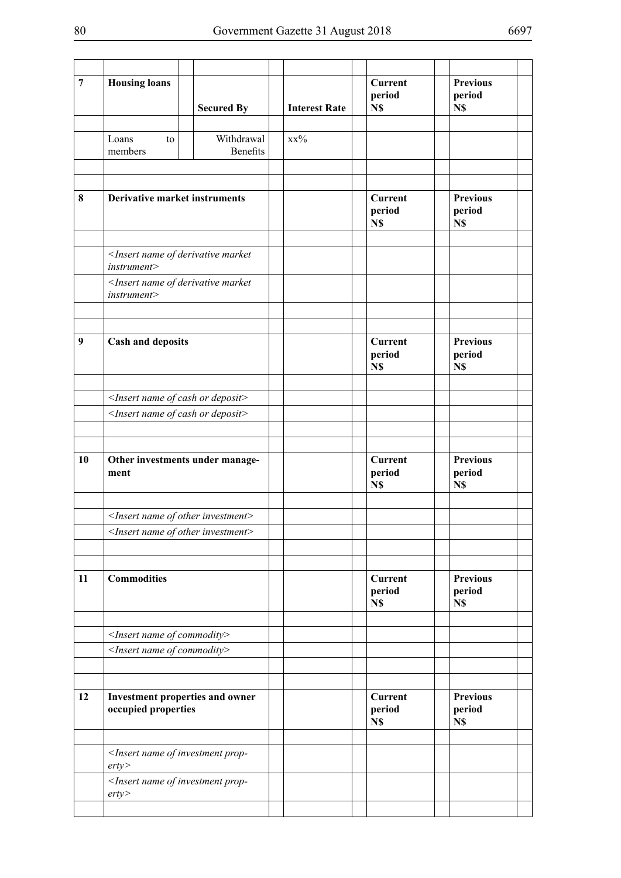| $\overline{7}$   | <b>Housing loans</b>                                                                          | <b>Secured By</b>             | <b>Interest Rate</b> | <b>Current</b><br>period<br>N\$ | <b>Previous</b><br>period<br>N\$ |  |
|------------------|-----------------------------------------------------------------------------------------------|-------------------------------|----------------------|---------------------------------|----------------------------------|--|
|                  | Loans<br>to<br>members                                                                        | Withdrawal<br><b>Benefits</b> | $XX\%$               |                                 |                                  |  |
|                  |                                                                                               |                               |                      |                                 |                                  |  |
| 8                | <b>Derivative market instruments</b>                                                          |                               |                      | <b>Current</b><br>period<br>N\$ | <b>Previous</b><br>period<br>N\$ |  |
|                  | <insert derivative="" market<br="" name="" of="">instrument&gt;</insert>                      |                               |                      |                                 |                                  |  |
|                  | <insert derivative="" market<br="" name="" of="">instrument</insert>                          |                               |                      |                                 |                                  |  |
|                  |                                                                                               |                               |                      |                                 |                                  |  |
| $\boldsymbol{9}$ | <b>Cash and deposits</b>                                                                      |                               |                      | <b>Current</b><br>period<br>N\$ | <b>Previous</b><br>period<br>N\$ |  |
|                  | <insert cash="" deposit="" name="" of="" or=""></insert>                                      |                               |                      |                                 |                                  |  |
|                  | <insert cash="" deposit="" name="" of="" or=""></insert>                                      |                               |                      |                                 |                                  |  |
|                  |                                                                                               |                               |                      |                                 |                                  |  |
|                  |                                                                                               |                               |                      |                                 |                                  |  |
| 10               | Other investments under manage-<br>ment                                                       |                               |                      | <b>Current</b><br>period<br>N\$ | <b>Previous</b><br>period<br>N\$ |  |
|                  | $\leq$ Insert name of other investment>                                                       |                               |                      |                                 |                                  |  |
|                  | $\leq$ Insert name of other investment>                                                       |                               |                      |                                 |                                  |  |
|                  |                                                                                               |                               |                      |                                 |                                  |  |
|                  |                                                                                               |                               |                      |                                 |                                  |  |
| 11               | <b>Commodities</b>                                                                            |                               |                      | <b>Current</b><br>period<br>N\$ | <b>Previous</b><br>period<br>N\$ |  |
|                  |                                                                                               |                               |                      |                                 |                                  |  |
|                  | <insert commodity="" name="" of=""><br/><insert commodity="" name="" of=""></insert></insert> |                               |                      |                                 |                                  |  |
|                  |                                                                                               |                               |                      |                                 |                                  |  |
|                  |                                                                                               |                               |                      |                                 |                                  |  |
| 12               | Investment properties and owner<br>occupied properties                                        |                               |                      | <b>Current</b><br>period<br>N\$ | <b>Previous</b><br>period<br>N\$ |  |
|                  | <insert investment="" name="" of="" prop-<br="">erty</insert>                                 |                               |                      |                                 |                                  |  |
|                  | <insert investment="" name="" of="" prop-<br="">erty</insert>                                 |                               |                      |                                 |                                  |  |
|                  |                                                                                               |                               |                      |                                 |                                  |  |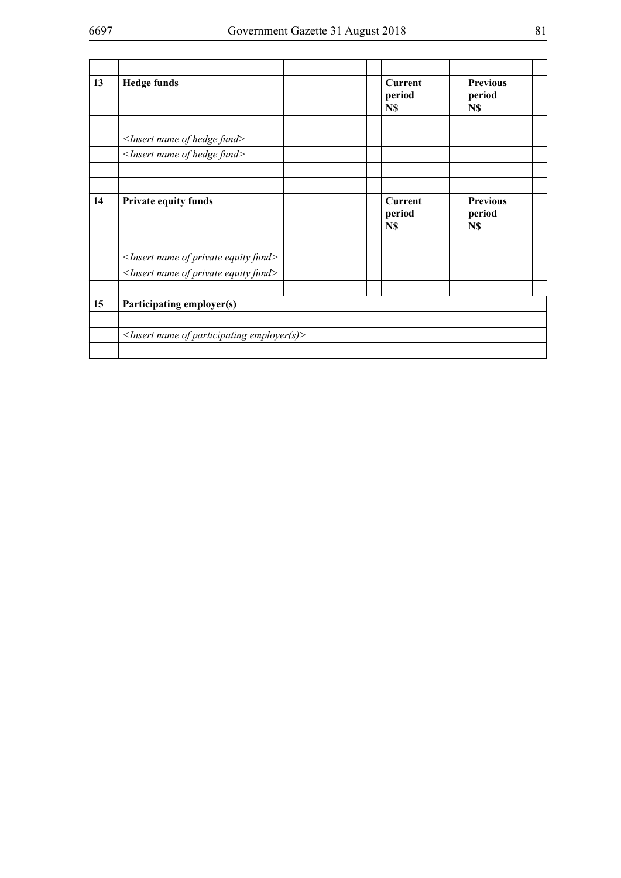|    | <insert fund="" hedge="" name="" of=""><br/><insert fund="" hedge="" name="" of=""></insert></insert> | N\$                             | N\$                              |  |
|----|-------------------------------------------------------------------------------------------------------|---------------------------------|----------------------------------|--|
|    |                                                                                                       |                                 |                                  |  |
|    |                                                                                                       |                                 |                                  |  |
|    |                                                                                                       |                                 |                                  |  |
| 14 | <b>Private equity funds</b>                                                                           | <b>Current</b><br>period<br>N\$ | <b>Previous</b><br>period<br>N\$ |  |
|    | $\leq$ Insert name of private equity fund $>$                                                         |                                 |                                  |  |
|    | $\leq$ Insert name of private equity fund $\geq$                                                      |                                 |                                  |  |
| 15 | Participating employer(s)                                                                             |                                 |                                  |  |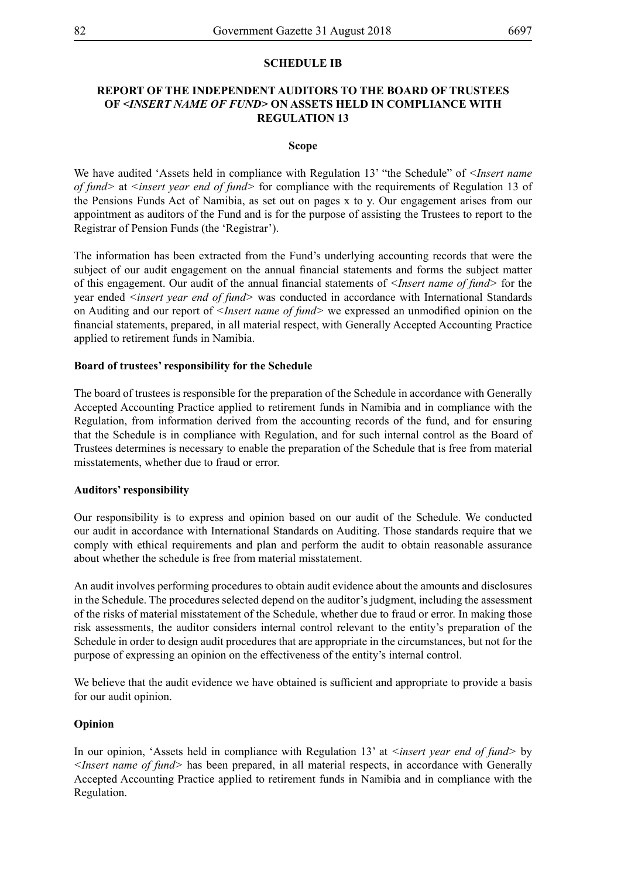## **SCHEDULE IB**

## **Report of the independent auditors to the Board of Trustees of** *<Insert name of fund>* **on assets held in compliance with Regulation 13**

#### **Scope**

We have audited 'Assets held in compliance with Regulation 13' "the Schedule" of *<Insert name of fund>* at *<insert year end of fund>* for compliance with the requirements of Regulation 13 of the Pensions Funds Act of Namibia, as set out on pages x to y. Our engagement arises from our appointment as auditors of the Fund and is for the purpose of assisting the Trustees to report to the Registrar of Pension Funds (the 'Registrar').

The information has been extracted from the Fund's underlying accounting records that were the subject of our audit engagement on the annual financial statements and forms the subject matter of this engagement. Our audit of the annual financial statements of *<Insert name of fund>* for the year ended *<insert year end of fund>* was conducted in accordance with International Standards on Auditing and our report of *<Insert name of fund>* we expressed an unmodified opinion on the financial statements, prepared, in all material respect, with Generally Accepted Accounting Practice applied to retirement funds in Namibia.

#### **Board of trustees' responsibility for the Schedule**

The board of trustees is responsible for the preparation of the Schedule in accordance with Generally Accepted Accounting Practice applied to retirement funds in Namibia and in compliance with the Regulation, from information derived from the accounting records of the fund, and for ensuring that the Schedule is in compliance with Regulation, and for such internal control as the Board of Trustees determines is necessary to enable the preparation of the Schedule that is free from material misstatements, whether due to fraud or error.

#### **Auditors' responsibility**

Our responsibility is to express and opinion based on our audit of the Schedule. We conducted our audit in accordance with International Standards on Auditing. Those standards require that we comply with ethical requirements and plan and perform the audit to obtain reasonable assurance about whether the schedule is free from material misstatement.

An audit involves performing procedures to obtain audit evidence about the amounts and disclosures in the Schedule. The procedures selected depend on the auditor's judgment, including the assessment of the risks of material misstatement of the Schedule, whether due to fraud or error. In making those risk assessments, the auditor considers internal control relevant to the entity's preparation of the Schedule in order to design audit procedures that are appropriate in the circumstances, but not for the purpose of expressing an opinion on the effectiveness of the entity's internal control.

We believe that the audit evidence we have obtained is sufficient and appropriate to provide a basis for our audit opinion.

#### **Opinion**

In our opinion, 'Assets held in compliance with Regulation 13' at *<insert year end of fund* > by *<Insert name of fund>* has been prepared, in all material respects, in accordance with Generally Accepted Accounting Practice applied to retirement funds in Namibia and in compliance with the Regulation.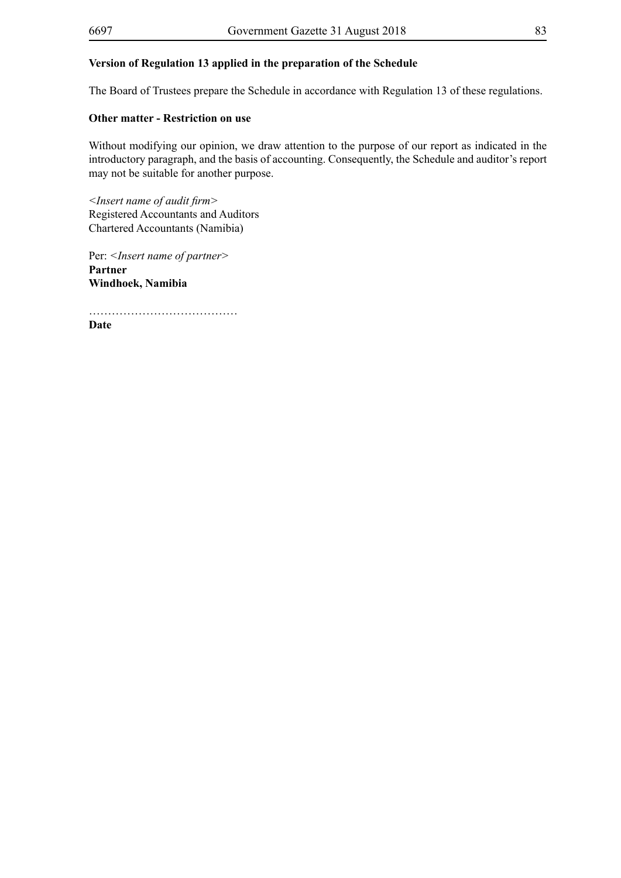## **Version of Regulation 13 applied in the preparation of the Schedule**

The Board of Trustees prepare the Schedule in accordance with Regulation 13 of these regulations.

## **Other matter - Restriction on use**

Without modifying our opinion, we draw attention to the purpose of our report as indicated in the introductory paragraph, and the basis of accounting. Consequently, the Schedule and auditor's report may not be suitable for another purpose.

*<Insert name of audit firm>* Registered Accountants and Auditors Chartered Accountants (Namibia)

Per: *<Insert name of partner>* **Partner Windhoek, Namibia**

…………………………………

**Date**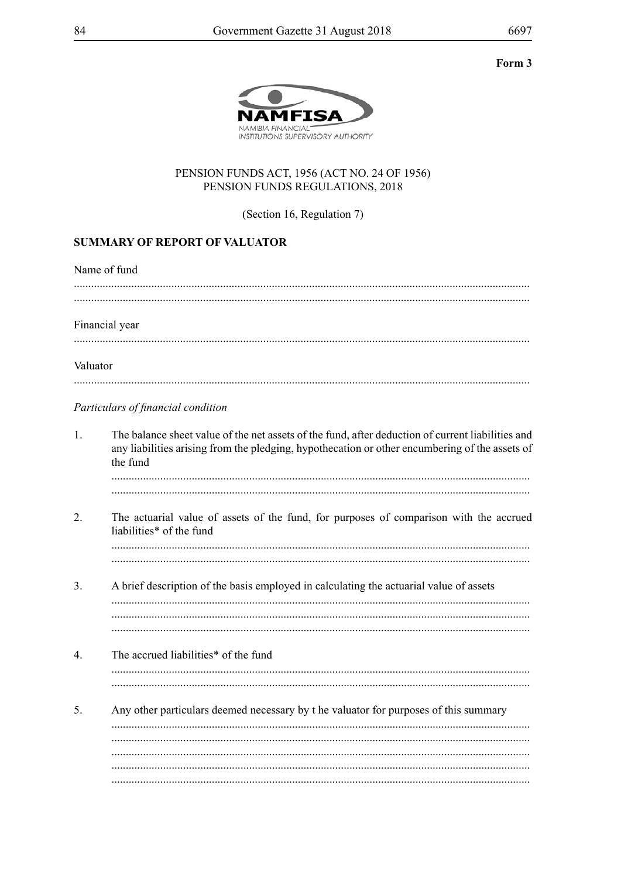## Form 3



## PENSION FUNDS ACT, 1956 (ACT NO. 24 OF 1956) PENSION FUNDS REGULATIONS, 2018

(Section 16, Regulation 7)

## **SUMMARY OF REPORT OF VALUATOR**

|                  | Name of fund                                                                                                                                                                                                    |
|------------------|-----------------------------------------------------------------------------------------------------------------------------------------------------------------------------------------------------------------|
|                  | Financial year                                                                                                                                                                                                  |
| Valuator         |                                                                                                                                                                                                                 |
|                  | Particulars of financial condition                                                                                                                                                                              |
| $\mathbf{1}$ .   | The balance sheet value of the net assets of the fund, after deduction of current liabilities and<br>any liabilities arising from the pledging, hypothecation or other encumbering of the assets of<br>the fund |
| $\overline{2}$ . | The actuarial value of assets of the fund, for purposes of comparison with the accrued<br>liabilities* of the fund                                                                                              |
| 3.               | A brief description of the basis employed in calculating the actuarial value of assets                                                                                                                          |
| $\overline{4}$ . | The accrued liabilities* of the fund                                                                                                                                                                            |
| 5.               | Any other particulars deemed necessary by t he valuator for purposes of this summary                                                                                                                            |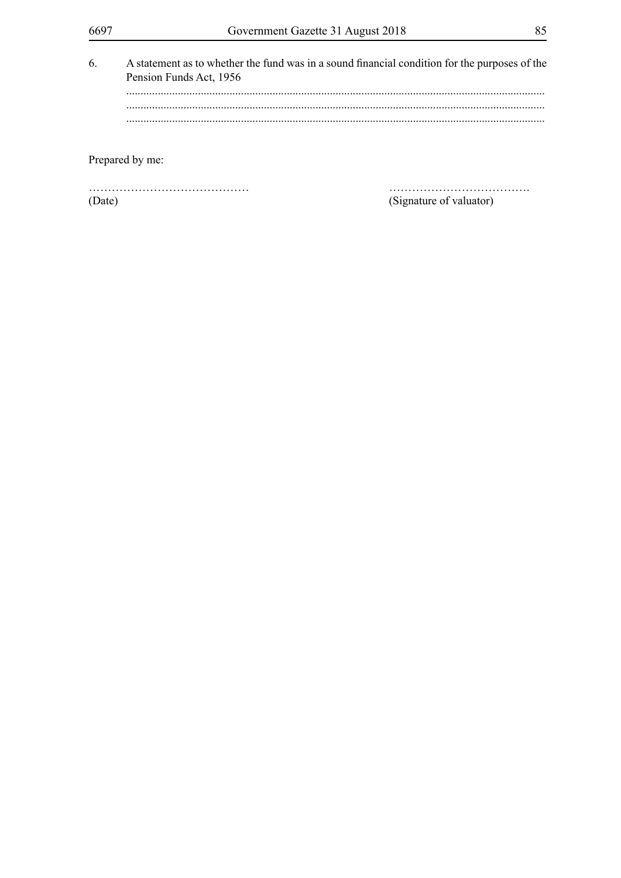| 6. | Pension Funds Act, 1956 | A statement as to whether the fund was in a sound financial condition for the purposes of the |
|----|-------------------------|-----------------------------------------------------------------------------------------------|
|    |                         |                                                                                               |
|    |                         |                                                                                               |
|    |                         |                                                                                               |
|    | Prepared by me:         |                                                                                               |
|    |                         |                                                                                               |

(Date)

(Signature of valuator)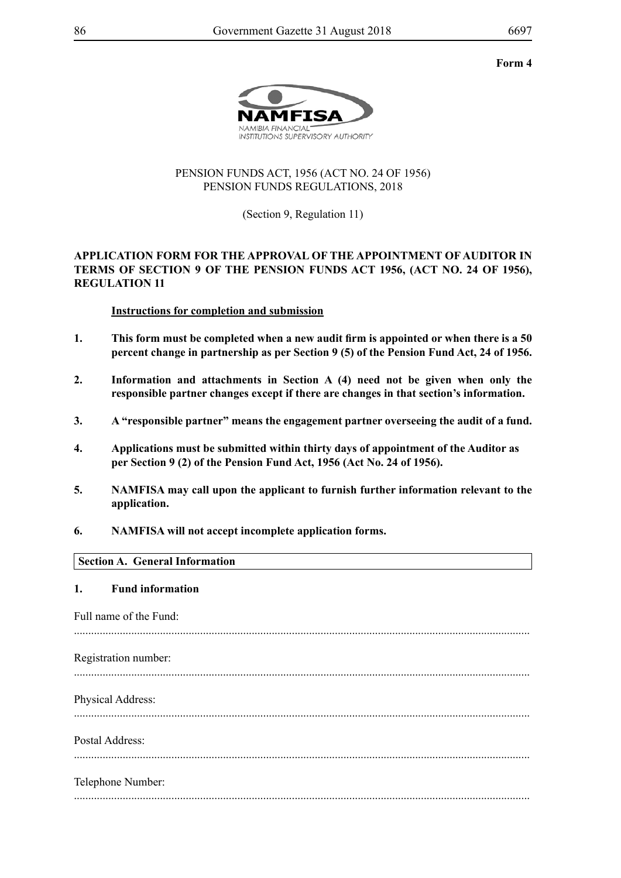#### **Form 4**



## PENSION FUNDS ACT, 1956 (ACT NO. 24 OF 1956) PENSION FUNDS REGULATIONS, 2018

(Section 9, Regulation 11)

## **APPLICATION FORM FOR THE APPROVAL OF THE APPOINTMENT OF AUDITOR IN TERMS OF SECTION 9 OF THE PENSION FUNDS ACT 1956, (ACT NO. 24 OF 1956), REGULATION 11**

## **Instructions for completion and submission**

- **1. This form must be completed when a new audit firm is appointed or when there is a 50 percent change in partnership as per Section 9 (5) of the Pension Fund Act, 24 of 1956.**
- **2. Information and attachments in Section A (4) need not be given when only the responsible partner changes except if there are changes in that section's information.**
- **3. A "responsible partner" means the engagement partner overseeing the audit of a fund.**
- **4. Applications must be submitted within thirty days of appointment of the Auditor as per Section 9 (2) of the Pension Fund Act, 1956 (Act No. 24 of 1956).**
- **5. NAMFISA may call upon the applicant to furnish further information relevant to the application.**
- **6. NAMFISA will not accept incomplete application forms.**

## **Section A. General Information**

#### **1. Fund information**

Full name of the Fund:

............................................................................................................................................................... Registration number:

...............................................................................................................................................................

Physical Address:

...............................................................................................................................................................

Postal Address:

...............................................................................................................................................................

Telephone Number: ...............................................................................................................................................................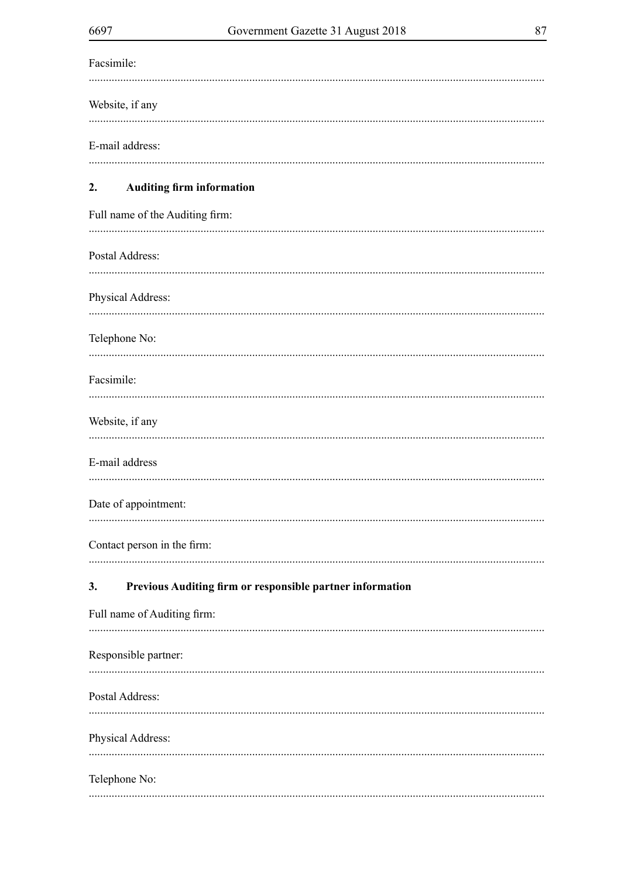| ×<br>۰. |  |
|---------|--|
|         |  |

| Facsimile:                                                      |
|-----------------------------------------------------------------|
| Website, if any                                                 |
| E-mail address:                                                 |
| <b>Auditing firm information</b><br>2.                          |
| Full name of the Auditing firm:                                 |
| Postal Address:                                                 |
| Physical Address:                                               |
| Telephone No:                                                   |
| Facsimile:                                                      |
| Website, if any                                                 |
| E-mail address                                                  |
| Date of appointment:                                            |
| Contact person in the firm:                                     |
| Previous Auditing firm or responsible partner information<br>3. |
| Full name of Auditing firm:                                     |
| Responsible partner:                                            |
| Postal Address:                                                 |
| Physical Address:                                               |
| Telephone No:                                                   |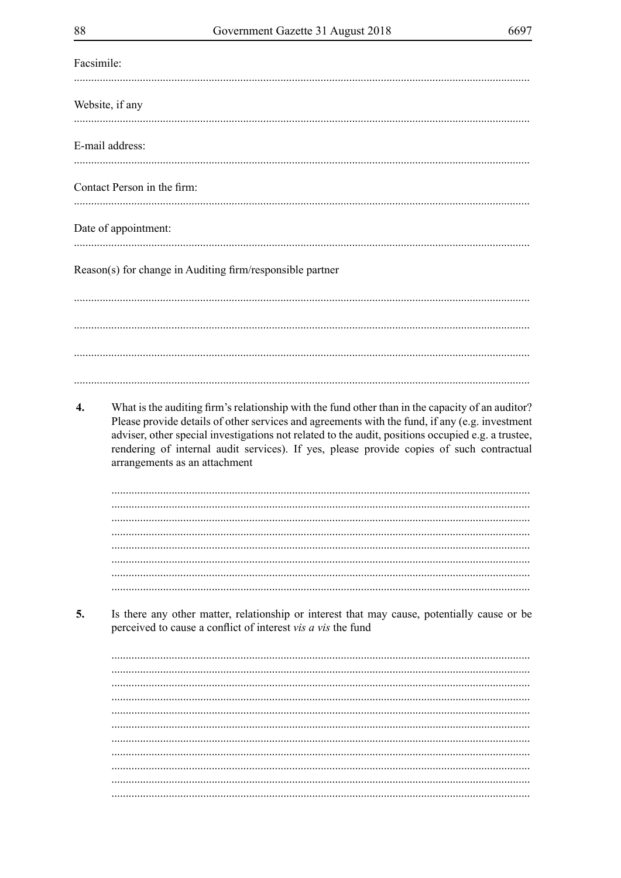| Facsimile: |                                                                                                                                                                                                                                                                                                                                                                                                                                       |
|------------|---------------------------------------------------------------------------------------------------------------------------------------------------------------------------------------------------------------------------------------------------------------------------------------------------------------------------------------------------------------------------------------------------------------------------------------|
|            | Website, if any                                                                                                                                                                                                                                                                                                                                                                                                                       |
|            | E-mail address:                                                                                                                                                                                                                                                                                                                                                                                                                       |
|            |                                                                                                                                                                                                                                                                                                                                                                                                                                       |
|            | Contact Person in the firm:                                                                                                                                                                                                                                                                                                                                                                                                           |
|            | Date of appointment:                                                                                                                                                                                                                                                                                                                                                                                                                  |
|            | Reason(s) for change in Auditing firm/responsible partner                                                                                                                                                                                                                                                                                                                                                                             |
|            |                                                                                                                                                                                                                                                                                                                                                                                                                                       |
|            |                                                                                                                                                                                                                                                                                                                                                                                                                                       |
|            |                                                                                                                                                                                                                                                                                                                                                                                                                                       |
| 4.         | What is the auditing firm's relationship with the fund other than in the capacity of an auditor?<br>Please provide details of other services and agreements with the fund, if any (e.g. investment<br>adviser, other special investigations not related to the audit, positions occupied e.g. a trustee,<br>rendering of internal audit services). If yes, please provide copies of such contractual<br>arrangements as an attachment |
|            |                                                                                                                                                                                                                                                                                                                                                                                                                                       |
|            |                                                                                                                                                                                                                                                                                                                                                                                                                                       |
|            |                                                                                                                                                                                                                                                                                                                                                                                                                                       |
|            |                                                                                                                                                                                                                                                                                                                                                                                                                                       |
|            |                                                                                                                                                                                                                                                                                                                                                                                                                                       |
| 5.         | Is there any other matter, relationship or interest that may cause, potentially cause or be<br>perceived to cause a conflict of interest vis a vis the fund                                                                                                                                                                                                                                                                           |
|            |                                                                                                                                                                                                                                                                                                                                                                                                                                       |
|            |                                                                                                                                                                                                                                                                                                                                                                                                                                       |
|            |                                                                                                                                                                                                                                                                                                                                                                                                                                       |
|            |                                                                                                                                                                                                                                                                                                                                                                                                                                       |
|            |                                                                                                                                                                                                                                                                                                                                                                                                                                       |
|            |                                                                                                                                                                                                                                                                                                                                                                                                                                       |
|            |                                                                                                                                                                                                                                                                                                                                                                                                                                       |
|            |                                                                                                                                                                                                                                                                                                                                                                                                                                       |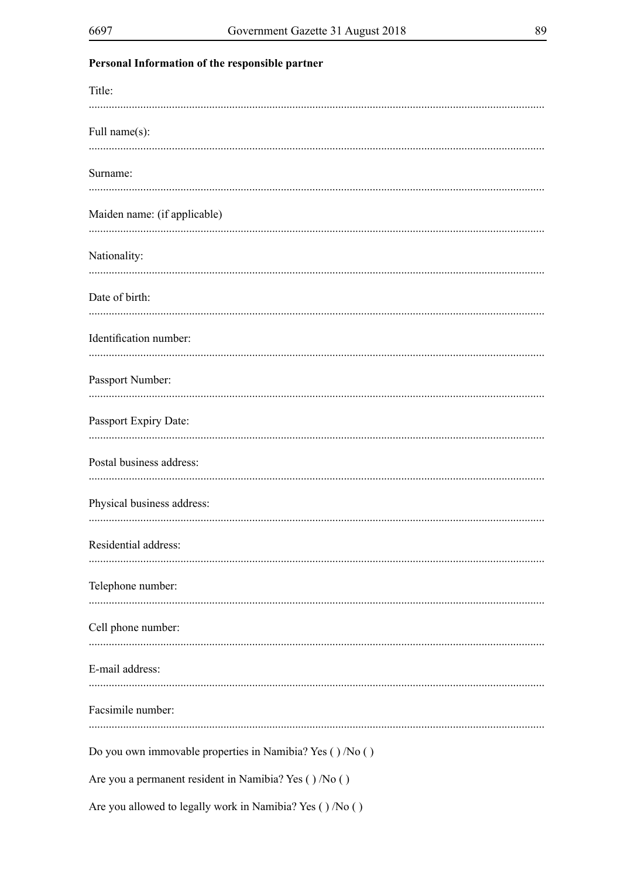Title:

Personal Information of the responsible partner

| THE.                         |  |
|------------------------------|--|
| Full name(s):                |  |
| Surname:                     |  |
| Maiden name: (if applicable) |  |
| Nationality:                 |  |
| Date of birth:               |  |
|                              |  |

# Identification number: Passport Number:

Telephone number:

Cell phone number:

E-mail address: 

Facsimile number:

Do you own immovable properties in Namibia? Yes ()/No ()

Are you a permanent resident in Namibia? Yes ()/No ()

Are you allowed to legally work in Namibia? Yes ()/No ()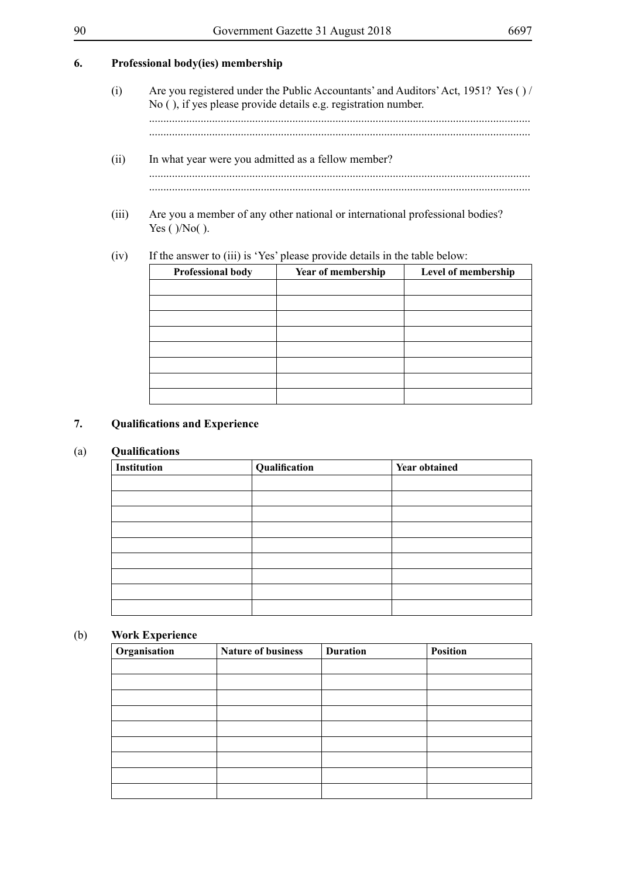## **6. Professional body(ies) membership**

| (i) | Are you registered under the Public Accountants' and Auditors' Act, 1951? Yes () /<br>No (), if yes please provide details e.g. registration number. |
|-----|------------------------------------------------------------------------------------------------------------------------------------------------------|
|     |                                                                                                                                                      |

- (ii) In what year were you admitted as a fellow member? ..................................................................................................................................... .....................................................................................................................................
- (iii) Are you a member of any other national or international professional bodies? Yes ( $)/No($ ).

## (iv) If the answer to (iii) is 'Yes' please provide details in the table below:

| Professional body | Year of membership | Level of membership |
|-------------------|--------------------|---------------------|
|                   |                    |                     |
|                   |                    |                     |
|                   |                    |                     |
|                   |                    |                     |
|                   |                    |                     |
|                   |                    |                     |
|                   |                    |                     |
|                   |                    |                     |

## **7. Qualifications and Experience**

## (a) **Qualifications**

| Institution | Qualification | <b>Year obtained</b> |
|-------------|---------------|----------------------|
|             |               |                      |
|             |               |                      |
|             |               |                      |
|             |               |                      |
|             |               |                      |
|             |               |                      |
|             |               |                      |
|             |               |                      |
|             |               |                      |

### (b) **Work Experience**

| Organisation | <b>Nature of business</b> | <b>Duration</b> | <b>Position</b> |
|--------------|---------------------------|-----------------|-----------------|
|              |                           |                 |                 |
|              |                           |                 |                 |
|              |                           |                 |                 |
|              |                           |                 |                 |
|              |                           |                 |                 |
|              |                           |                 |                 |
|              |                           |                 |                 |
|              |                           |                 |                 |
|              |                           |                 |                 |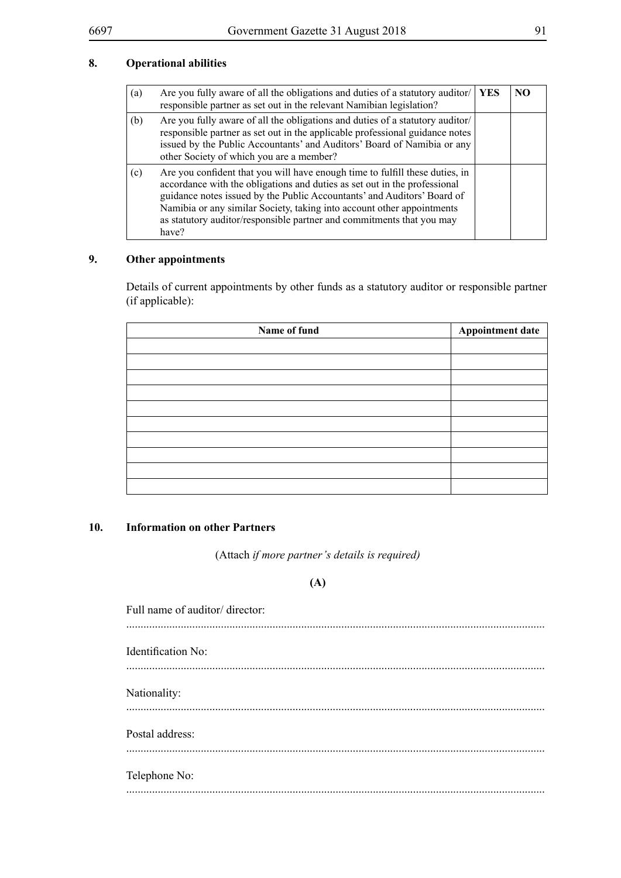## **8. Operational abilities**

| (a) | Are you fully aware of all the obligations and duties of a statutory auditor/<br>responsible partner as set out in the relevant Namibian legislation?                                                                                                                                                                                                                                            | <b>YES</b> | N <sub>O</sub> |
|-----|--------------------------------------------------------------------------------------------------------------------------------------------------------------------------------------------------------------------------------------------------------------------------------------------------------------------------------------------------------------------------------------------------|------------|----------------|
| (b) | Are you fully aware of all the obligations and duties of a statutory auditor/<br>responsible partner as set out in the applicable professional guidance notes<br>issued by the Public Accountants' and Auditors' Board of Namibia or any<br>other Society of which you are a member?                                                                                                             |            |                |
| (c) | Are you confident that you will have enough time to fulfill these duties, in<br>accordance with the obligations and duties as set out in the professional<br>guidance notes issued by the Public Accountants' and Auditors' Board of<br>Namibia or any similar Society, taking into account other appointments<br>as statutory auditor/responsible partner and commitments that you may<br>have? |            |                |

## **9. Other appointments**

Details of current appointments by other funds as a statutory auditor or responsible partner (if applicable):

| Name of fund | <b>Appointment date</b> |
|--------------|-------------------------|
|              |                         |
|              |                         |
|              |                         |
|              |                         |
|              |                         |
|              |                         |
|              |                         |
|              |                         |
|              |                         |
|              |                         |

## **10. Information on other Partners**

(Attach *if more partner's details is required)*

## **(A)**

| Full name of auditor/ director: |
|---------------------------------|
| <b>Identification No:</b>       |
| Nationality:                    |
| Postal address:                 |
| Telephone No:                   |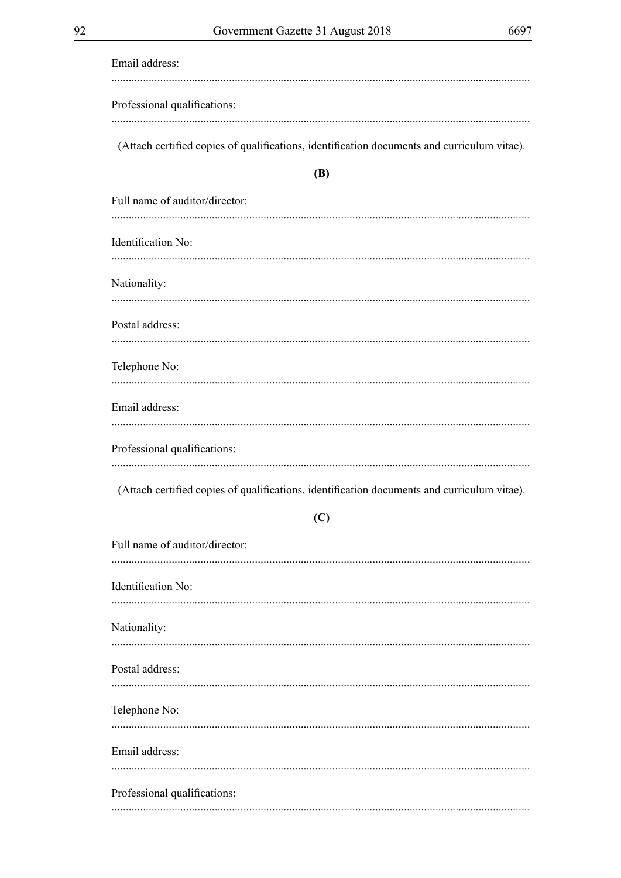| Email address:                                                                              |
|---------------------------------------------------------------------------------------------|
| Professional qualifications:                                                                |
| (Attach certified copies of qualifications, identification documents and curriculum vitae). |
| <b>(B)</b>                                                                                  |
| Full name of auditor/director:                                                              |
| Identification No:                                                                          |
| Nationality:                                                                                |
| Postal address:                                                                             |
| Telephone No:                                                                               |
| Email address:                                                                              |
| Professional qualifications:                                                                |
| (Attach certified copies of qualifications, identification documents and curriculum vitae). |
| (C)                                                                                         |
| Full name of auditor/director:                                                              |
| Identification No:<br>                                                                      |
| Nationality:                                                                                |
| Postal address:                                                                             |
| Telephone No:                                                                               |
| Email address:                                                                              |
| Professional qualifications:                                                                |
|                                                                                             |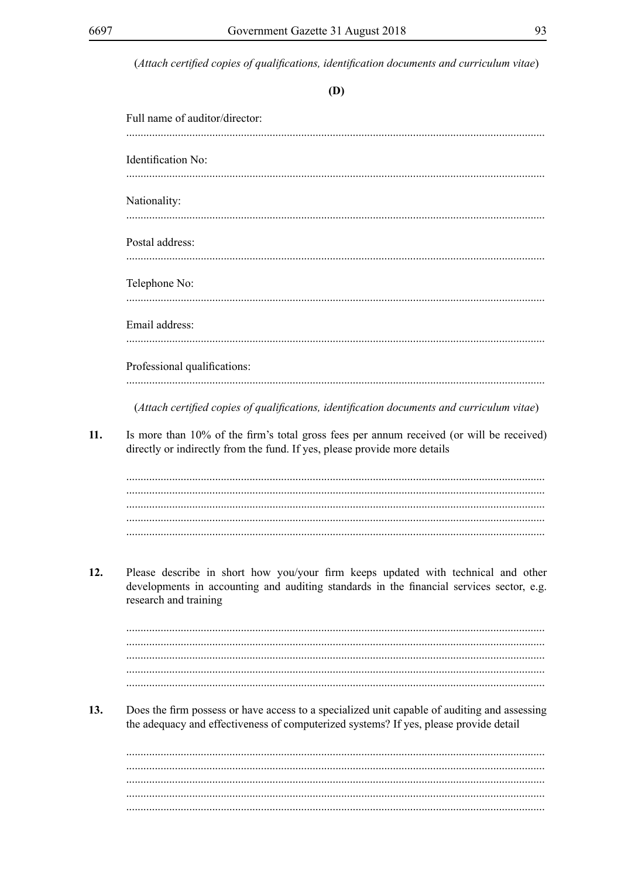$11.$ 

 $12.$ 

 $13.$ 

(Attach certified copies of qualifications, identification documents and curriculum vitae)

| I<br>۰. |
|---------|
|         |

|                    | Full name of auditor/director:                                                                                                                                                                         |
|--------------------|--------------------------------------------------------------------------------------------------------------------------------------------------------------------------------------------------------|
| Identification No: |                                                                                                                                                                                                        |
| Nationality:       |                                                                                                                                                                                                        |
| Postal address:    |                                                                                                                                                                                                        |
| Telephone No:      |                                                                                                                                                                                                        |
| Email address:     |                                                                                                                                                                                                        |
|                    | Professional qualifications:                                                                                                                                                                           |
|                    | (Attach certified copies of qualifications, identification documents and curriculum vitae)                                                                                                             |
|                    |                                                                                                                                                                                                        |
|                    | directly or indirectly from the fund. If yes, please provide more details                                                                                                                              |
|                    | Please describe in short how you/your firm keeps updated with technical and other<br>developments in accounting and auditing standards in the financial services sector, e.g.<br>research and training |
|                    |                                                                                                                                                                                                        |
|                    |                                                                                                                                                                                                        |
|                    | the adequacy and effectiveness of computerized systems? If yes, please provide detail                                                                                                                  |
|                    | Does the firm possess or have access to a specialized unit capable of auditing and assessing                                                                                                           |
|                    |                                                                                                                                                                                                        |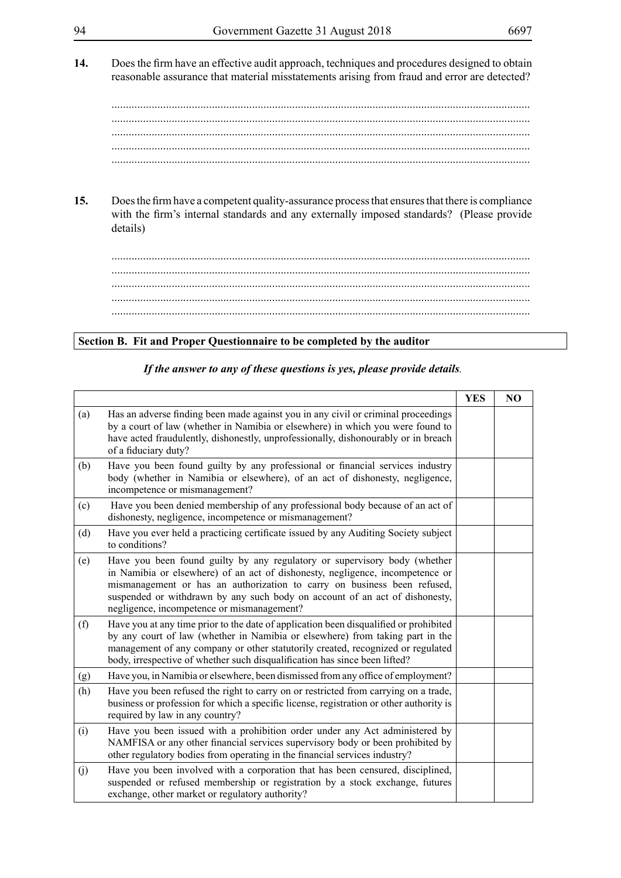- 
- **14.** Does the firm have an effective audit approach, techniques and procedures designed to obtain reasonable assurance that material misstatements arising from fraud and error are detected?

.................................................................................................................................................. .................................................................................................................................................. .................................................................................................................................................. .................................................................................................................................................. ..................................................................................................................................................

15. Does the firm have a competent quality-assurance process that ensures that there is compliance with the firm's internal standards and any externally imposed standards? (Please provide details)

.................................................................................................................................................. .................................................................................................................................................. .................................................................................................................................................. .................................................................................................................................................. ..................................................................................................................................................

## **Section B. Fit and Proper Questionnaire to be completed by the auditor**

|     |                                                                                                                                                                                                                                                                                                                                                                     | <b>YES</b> | N <sub>O</sub> |
|-----|---------------------------------------------------------------------------------------------------------------------------------------------------------------------------------------------------------------------------------------------------------------------------------------------------------------------------------------------------------------------|------------|----------------|
| (a) | Has an adverse finding been made against you in any civil or criminal proceedings<br>by a court of law (whether in Namibia or elsewhere) in which you were found to<br>have acted fraudulently, dishonestly, unprofessionally, dishonourably or in breach<br>of a fiduciary duty?                                                                                   |            |                |
| (b) | Have you been found guilty by any professional or financial services industry<br>body (whether in Namibia or elsewhere), of an act of dishonesty, negligence,<br>incompetence or mismanagement?                                                                                                                                                                     |            |                |
| (c) | Have you been denied membership of any professional body because of an act of<br>dishonesty, negligence, incompetence or mismanagement?                                                                                                                                                                                                                             |            |                |
| (d) | Have you ever held a practicing certificate issued by any Auditing Society subject<br>to conditions?                                                                                                                                                                                                                                                                |            |                |
| (e) | Have you been found guilty by any regulatory or supervisory body (whether<br>in Namibia or elsewhere) of an act of dishonesty, negligence, incompetence or<br>mismanagement or has an authorization to carry on business been refused,<br>suspended or withdrawn by any such body on account of an act of dishonesty,<br>negligence, incompetence or mismanagement? |            |                |
| (f) | Have you at any time prior to the date of application been disqualified or prohibited<br>by any court of law (whether in Namibia or elsewhere) from taking part in the<br>management of any company or other statutorily created, recognized or regulated<br>body, irrespective of whether such disqualification has since been lifted?                             |            |                |
| (g) | Have you, in Namibia or elsewhere, been dismissed from any office of employment?                                                                                                                                                                                                                                                                                    |            |                |
| (h) | Have you been refused the right to carry on or restricted from carrying on a trade,<br>business or profession for which a specific license, registration or other authority is<br>required by law in any country?                                                                                                                                                   |            |                |
| (i) | Have you been issued with a prohibition order under any Act administered by<br>NAMFISA or any other financial services supervisory body or been prohibited by<br>other regulatory bodies from operating in the financial services industry?                                                                                                                         |            |                |
| (j) | Have you been involved with a corporation that has been censured, disciplined,<br>suspended or refused membership or registration by a stock exchange, futures<br>exchange, other market or regulatory authority?                                                                                                                                                   |            |                |

*If the answer to any of these questions is yes, please provide details.*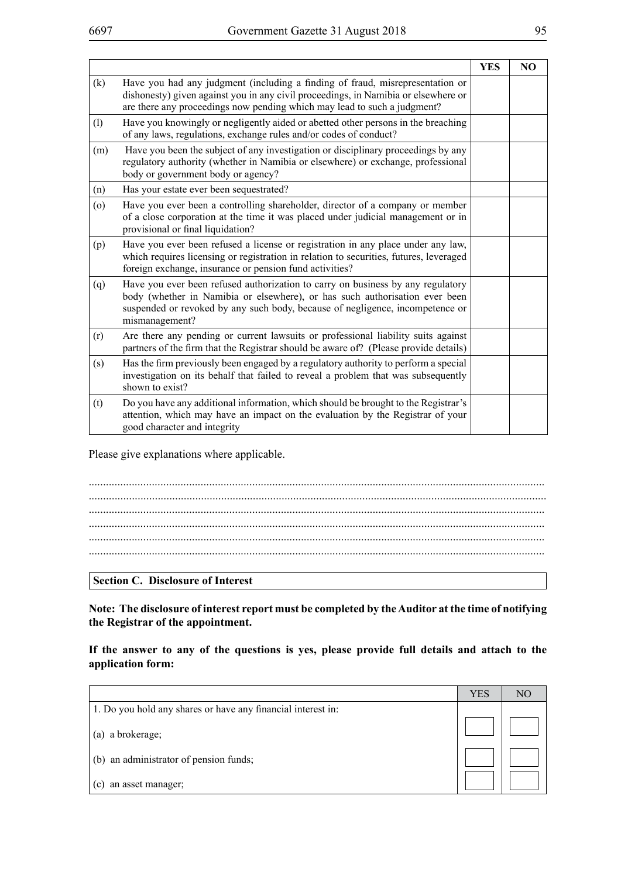|     |                                                                                                                                                                                                                                                                   | <b>YES</b> | N <sub>O</sub> |
|-----|-------------------------------------------------------------------------------------------------------------------------------------------------------------------------------------------------------------------------------------------------------------------|------------|----------------|
| (k) | Have you had any judgment (including a finding of fraud, misrepresentation or<br>dishonesty) given against you in any civil proceedings, in Namibia or elsewhere or<br>are there any proceedings now pending which may lead to such a judgment?                   |            |                |
| (1) | Have you knowingly or negligently aided or abetted other persons in the breaching<br>of any laws, regulations, exchange rules and/or codes of conduct?                                                                                                            |            |                |
| (m) | Have you been the subject of any investigation or disciplinary proceedings by any<br>regulatory authority (whether in Namibia or elsewhere) or exchange, professional<br>body or government body or agency?                                                       |            |                |
| (n) | Has your estate ever been sequestrated?                                                                                                                                                                                                                           |            |                |
| (0) | Have you ever been a controlling shareholder, director of a company or member<br>of a close corporation at the time it was placed under judicial management or in<br>provisional or final liquidation?                                                            |            |                |
| (p) | Have you ever been refused a license or registration in any place under any law,<br>which requires licensing or registration in relation to securities, futures, leveraged<br>foreign exchange, insurance or pension fund activities?                             |            |                |
| (q) | Have you ever been refused authorization to carry on business by any regulatory<br>body (whether in Namibia or elsewhere), or has such authorisation ever been<br>suspended or revoked by any such body, because of negligence, incompetence or<br>mismanagement? |            |                |
| (r) | Are there any pending or current lawsuits or professional liability suits against<br>partners of the firm that the Registrar should be aware of? (Please provide details)                                                                                         |            |                |
| (s) | Has the firm previously been engaged by a regulatory authority to perform a special<br>investigation on its behalf that failed to reveal a problem that was subsequently<br>shown to exist?                                                                       |            |                |
| (t) | Do you have any additional information, which should be brought to the Registrar's<br>attention, which may have an impact on the evaluation by the Registrar of your<br>good character and integrity                                                              |            |                |

Please give explanations where applicable.

**Section C. Disclosure of Interest**

**Note: The disclosure of interest report must be completed by the Auditor at the time of notifying the Registrar of the appointment.**

**If the answer to any of the questions is yes, please provide full details and attach to the application form:**

|                                                              | <b>YES</b> | NC |
|--------------------------------------------------------------|------------|----|
| 1. Do you hold any shares or have any financial interest in: |            |    |
| (a) a brokerage;                                             |            |    |
| (b) an administrator of pension funds;                       |            |    |
| an asset manager;<br>(c)                                     |            |    |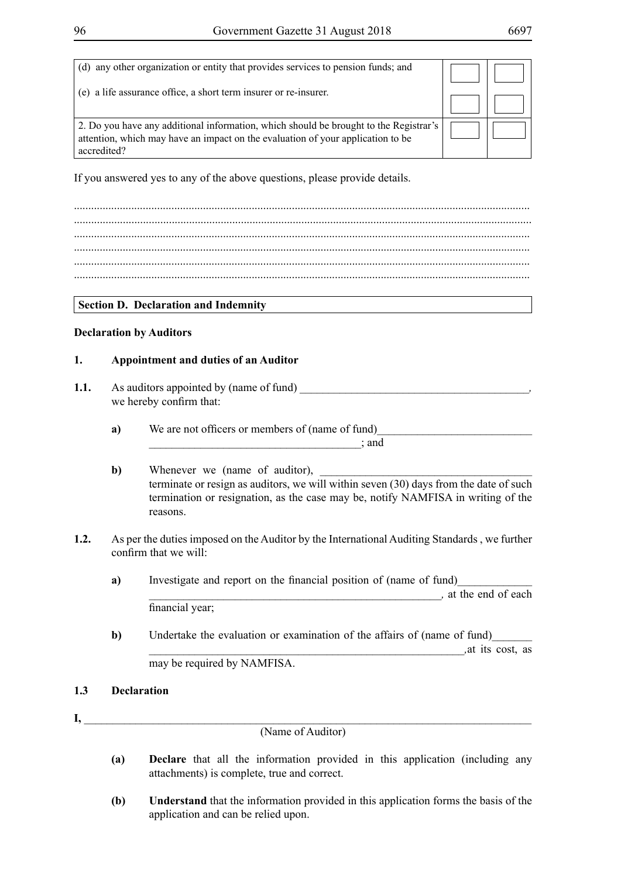| (d) any other organization or entity that provides services to pension funds; and                                                                                                       |  |
|-----------------------------------------------------------------------------------------------------------------------------------------------------------------------------------------|--|
| (e) a life assurance office, a short term insurer or re-insurer.                                                                                                                        |  |
| 2. Do you have any additional information, which should be brought to the Registrar's<br>attention, which may have an impact on the evaluation of your application to be<br>accredited? |  |

If you answered yes to any of the above questions, please provide details.

............................................................................................................................................................... ............................................................................................................................................................... ............................................................................................................................................................... ............................................................................................................................................................... ...............................................................................................................................................................

## **Section D. Declaration and Indemnity**

## **Declaration by Auditors**

## **1. Appointment and duties of an Auditor**

- **1.1.** As auditors appointed by (name of fund) we hereby confirm that:
	- **a**) We are not officers or members of (name of fund)  $\therefore$  and
	- **b**) Whenever we (name of auditor), terminate or resign as auditors, we will within seven (30) days from the date of such termination or resignation, as the case may be, notify NAMFISA in writing of the reasons.
- **1.2.** As per the duties imposed on the Auditor by the International Auditing Standards , we further confirm that we will:
	- **a**) Investigate and report on the financial position of (name of fund) external parameters of each parameters of each  $\frac{1}{2}$  at the end of each  $\frac{1}{2}$ financial year;
	- **b**) Undertake the evaluation or examination of the affairs of (name of fund) \_\_\_\_\_\_\_\_\_\_\_\_\_\_\_\_\_\_\_\_\_\_\_\_\_\_\_\_\_\_\_\_\_\_\_\_\_\_\_\_\_\_\_\_\_\_\_\_\_\_\_\_\_\_*\_,*at its cost, as may be required by NAMFISA.

## **1.3 Declaration**

**I,** \_\_\_\_\_\_\_\_\_\_\_\_\_\_\_\_\_\_\_\_\_\_\_\_\_\_\_\_\_\_\_\_\_\_\_\_\_\_\_\_\_\_\_\_\_\_\_\_\_\_\_\_\_\_\_\_\_\_\_\_\_\_\_\_\_\_\_\_\_\_\_\_\_\_\_\_\_\_

(Name of Auditor)

- **(a) Declare** that all the information provided in this application (including any attachments) is complete, true and correct.
- **(b) Understand** that the information provided in this application forms the basis of the application and can be relied upon.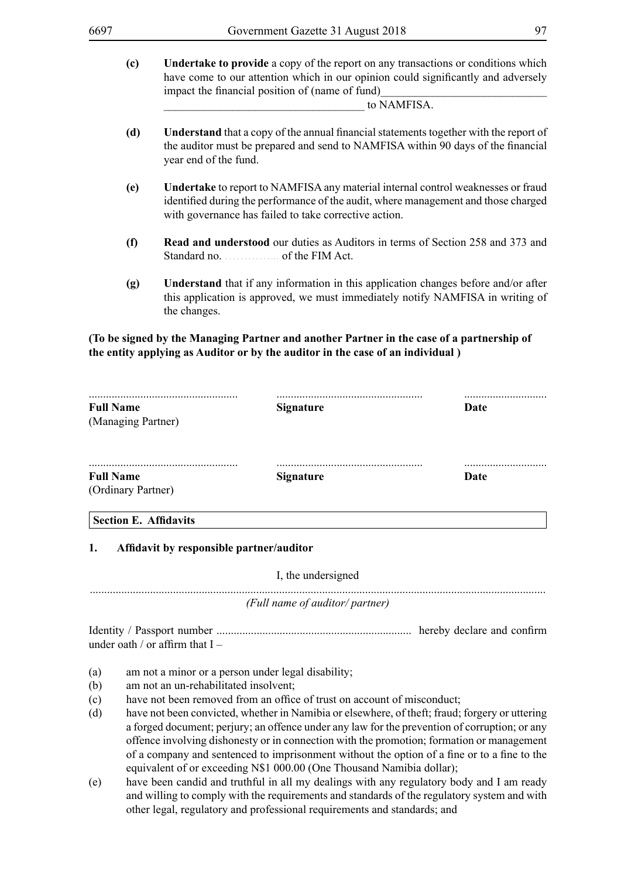**(c) Undertake to provide** a copy of the report on any transactions or conditions which have come to our attention which in our opinion could significantly and adversely impact the financial position of (name of fund)

\_\_\_\_\_\_\_\_\_\_\_\_\_\_\_\_\_\_\_\_\_\_\_\_\_\_\_\_\_\_\_\_\_\_*\_* to NAMFISA.

- **(d) Understand** that a copy of the annual financial statements together with the report of the auditor must be prepared and send to NAMFISA within 90 days of the financial year end of the fund.
- **(e) Undertake** to report to NAMFISA any material internal control weaknesses or fraud identified during the performance of the audit, where management and those charged with governance has failed to take corrective action.
- **(f) Read and understood** our duties as Auditors in terms of Section 258 and 373 and Standard no. . . . . . . . . . . . . . of the FIM Act.
- **(g) Understand** that if any information in this application changes before and/or after this application is approved, we must immediately notify NAMFISA in writing of the changes.

## **(To be signed by the Managing Partner and another Partner in the case of a partnership of the entity applying as Auditor or by the auditor in the case of an individual )**

| <b>Full Name</b><br>(Managing Partner) | <br><b>Signature</b> | <br>Date |
|----------------------------------------|----------------------|----------|
| <b>Full Name</b><br>(Ordinary Partner) | <b>Signature</b>     | Date     |
| <b>Section E. Affidavits</b>           |                      |          |

## **1. Affidavit by responsible partner/auditor**

#### I, the undersigned

...............................................................................................................................................................

*(Full name of auditor/ partner)*

Identity / Passport number .................................................................... hereby declare and confirm under oath / or affirm that I –

- (a) am not a minor or a person under legal disability;
- (b) am not an un-rehabilitated insolvent;
- (c) have not been removed from an office of trust on account of misconduct;
- (d) have not been convicted, whether in Namibia or elsewhere, of theft; fraud; forgery or uttering a forged document; perjury; an offence under any law for the prevention of corruption; or any offence involving dishonesty or in connection with the promotion; formation or management of a company and sentenced to imprisonment without the option of a fine or to a fine to the equivalent of or exceeding N\$1 000.00 (One Thousand Namibia dollar);
- (e) have been candid and truthful in all my dealings with any regulatory body and I am ready and willing to comply with the requirements and standards of the regulatory system and with other legal, regulatory and professional requirements and standards; and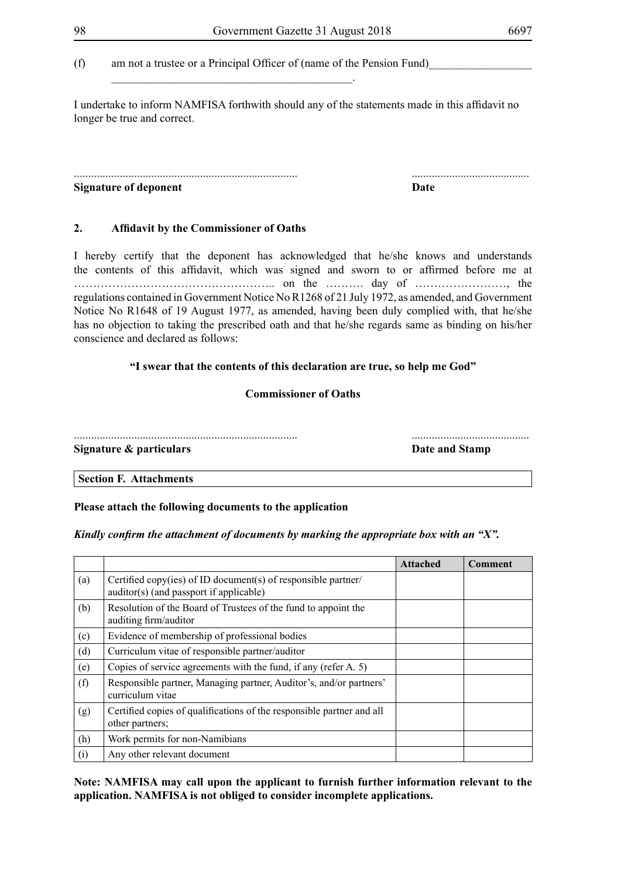(f) am not a trustee or a Principal Officer of (name of the Pension Fund)

\_\_\_\_\_\_\_\_\_\_\_\_\_\_\_\_\_\_\_\_\_\_\_\_\_\_\_\_\_\_\_\_\_\_\_\_\_\_\_\_\_\_.

I undertake to inform NAMFISA forthwith should any of the statements made in this affidavit no longer be true and correct.

#### .............................................................................. ......................................... **Signature of deponent Date**

## **2. Affidavit by the Commissioner of Oaths**

I hereby certify that the deponent has acknowledged that he/she knows and understands the contents of this affidavit, which was signed and sworn to or affirmed before me at …………………………………………….. on the ………. day of ……………………, the regulations contained in Government Notice No R1268 of 21 July 1972, as amended, and Government Notice No R1648 of 19 August 1977, as amended, having been duly complied with, that he/she has no objection to taking the prescribed oath and that he/she regards same as binding on his/her conscience and declared as follows:

#### **"I swear that the contents of this declaration are true, so help me God"**

#### **Commissioner of Oaths**

.............................................................................. .........................................

**Signature & particulars Constanting Stamp Date and Stamp** 

#### **Section F. Attachments**

#### **Please attach the following documents to the application**

#### *Kindly confirm the attachment of documents by marking the appropriate box with an "X".*

|     |                                                                                                          | <b>Attached</b> | Comment |
|-----|----------------------------------------------------------------------------------------------------------|-----------------|---------|
| (a) | Certified copy(ies) of ID document(s) of responsible partner/<br>auditor(s) (and passport if applicable) |                 |         |
| (b) | Resolution of the Board of Trustees of the fund to appoint the<br>auditing firm/auditor                  |                 |         |
| (c) | Evidence of membership of professional bodies                                                            |                 |         |
| (d) | Curriculum vitae of responsible partner/auditor                                                          |                 |         |
| (e) | Copies of service agreements with the fund, if any (refer A. 5)                                          |                 |         |
| (f) | Responsible partner, Managing partner, Auditor's, and/or partners'<br>curriculum vitae                   |                 |         |
| (g) | Certified copies of qualifications of the responsible partner and all<br>other partners;                 |                 |         |
| (h) | Work permits for non-Namibians                                                                           |                 |         |
| (i) | Any other relevant document                                                                              |                 |         |

**Note: NAMFISA may call upon the applicant to furnish further information relevant to the application. NAMFISA is not obliged to consider incomplete applications.**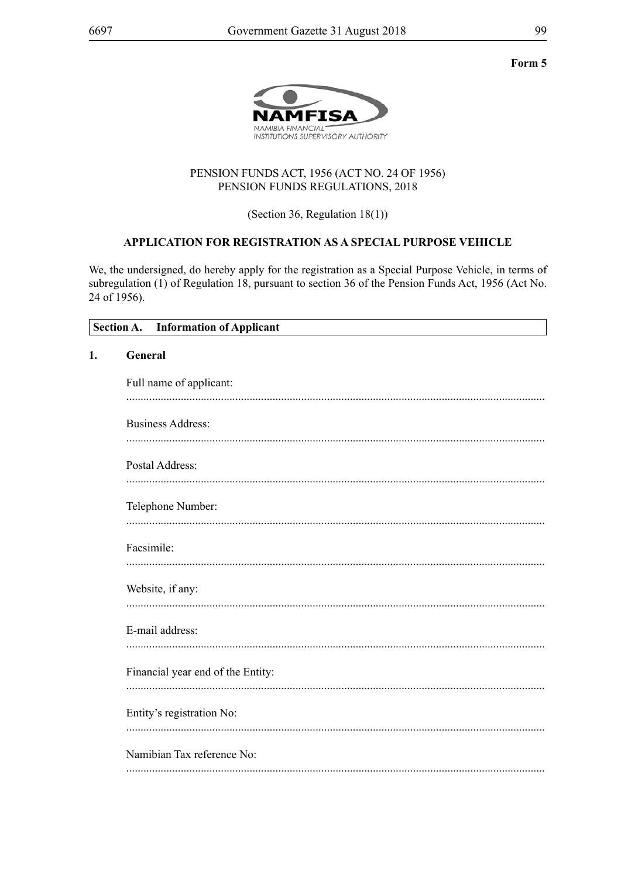Form 5



## PENSION FUNDS ACT, 1956 (ACT NO. 24 OF 1956) PENSION FUNDS REGULATIONS, 2018

(Section 36, Regulation  $18(1)$ )

## APPLICATION FOR REGISTRATION AS A SPECIAL PURPOSE VEHICLE

We, the undersigned, do hereby apply for the registration as a Special Purpose Vehicle, in terms of subregulation (1) of Regulation 18, pursuant to section 36 of the Pension Funds Act, 1956 (Act No. 24 of 1956).

|    | <b>Section A.</b><br><b>Information of Applicant</b> |
|----|------------------------------------------------------|
| 1. | General                                              |
|    | Full name of applicant:                              |
|    | <b>Business Address:</b>                             |
|    | Postal Address:                                      |
|    | Telephone Number:                                    |
|    | Facsimile:                                           |
|    | Website, if any:                                     |
|    | E-mail address:                                      |
|    | Financial year end of the Entity:                    |
|    | Entity's registration No:                            |
|    | Namibian Tax reference No:                           |
|    |                                                      |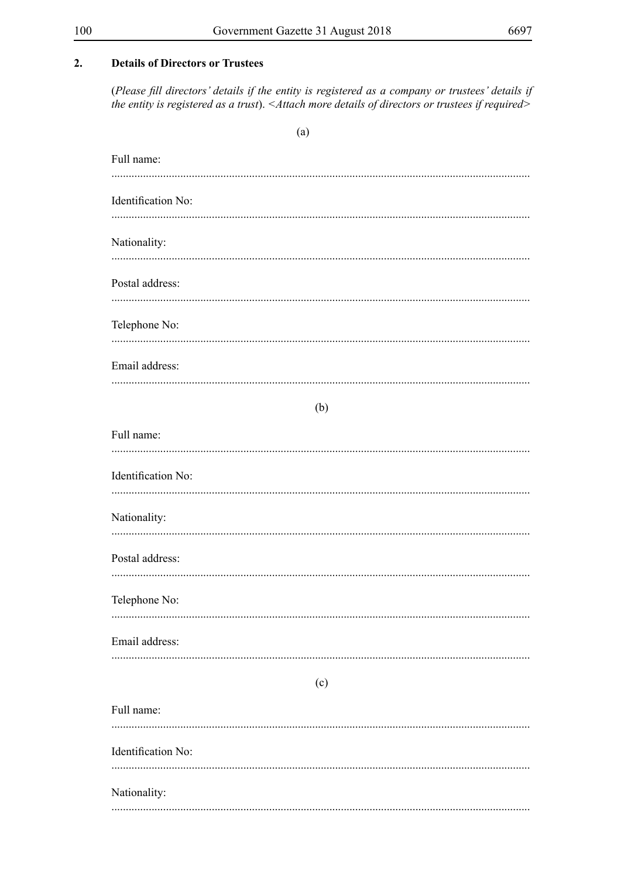$(a)$ 

#### **Details of Directors or Trustees**  $2.$

(Please fill directors' details if the entity is registered as a company or trustees' details if the entity is registered as a trust). < Attach more details of directors or trustees if required>

| Full name:         |
|--------------------|
| Identification No: |
| Nationality:       |
| Postal address:    |
| Telephone No:      |
| Email address:     |
| (b)                |
| Full name:         |
| Identification No: |
| Nationality:       |
| Postal address:    |
| Telephone No:      |
| Email address:     |
| (c)                |
| Full name:         |
| Identification No: |
| Nationality:       |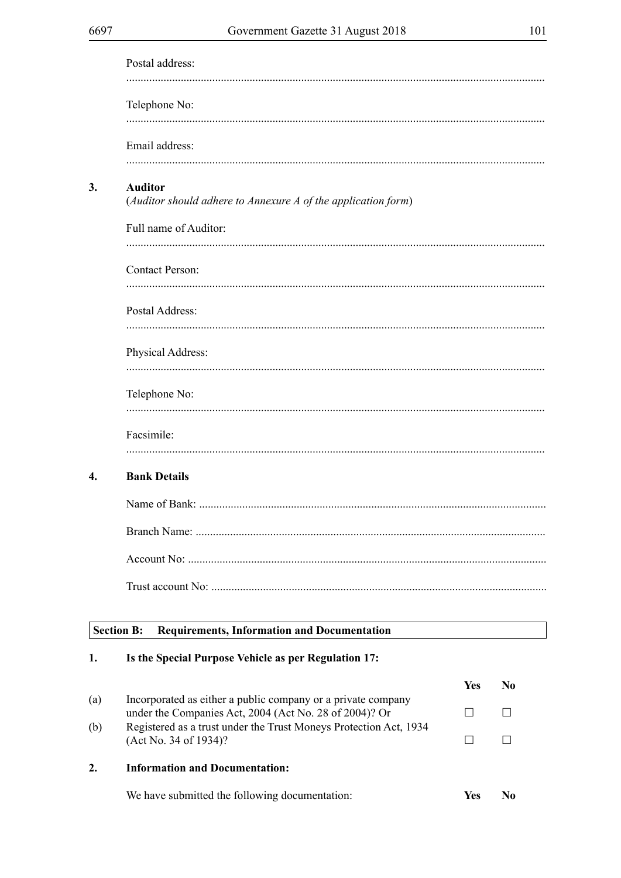| ٠ | I<br>٠<br>× |  |
|---|-------------|--|
|   |             |  |

| Postal address:                                                                 |
|---------------------------------------------------------------------------------|
| Telephone No:                                                                   |
| Email address:                                                                  |
| <b>Auditor</b><br>(Auditor should adhere to Annexure A of the application form) |
| Full name of Auditor:                                                           |
| <b>Contact Person:</b>                                                          |
| Postal Address:                                                                 |
| Physical Address:                                                               |
| Telephone No:                                                                   |
| Facsimile:                                                                      |
| <b>Bank Details</b>                                                             |
|                                                                                 |
|                                                                                 |
|                                                                                 |
|                                                                                 |
|                                                                                 |

#### Section B: **Requirements, Information and Documentation**

#### Is the Special Purpose Vehicle as per Regulation 17:  $1.$

|     |                                                                                                                        | Yes | No. |
|-----|------------------------------------------------------------------------------------------------------------------------|-----|-----|
| (a) | Incorporated as either a public company or a private company<br>under the Companies Act, 2004 (Act No. 28 of 2004)? Or |     |     |
| (b) | Registered as a trust under the Trust Moneys Protection Act, 1934<br>(Act No. 34 of 1934)?                             |     |     |
| 2.  | <b>Information and Documentation:</b>                                                                                  |     |     |
|     | We have submitted the following documentation:                                                                         | Yes |     |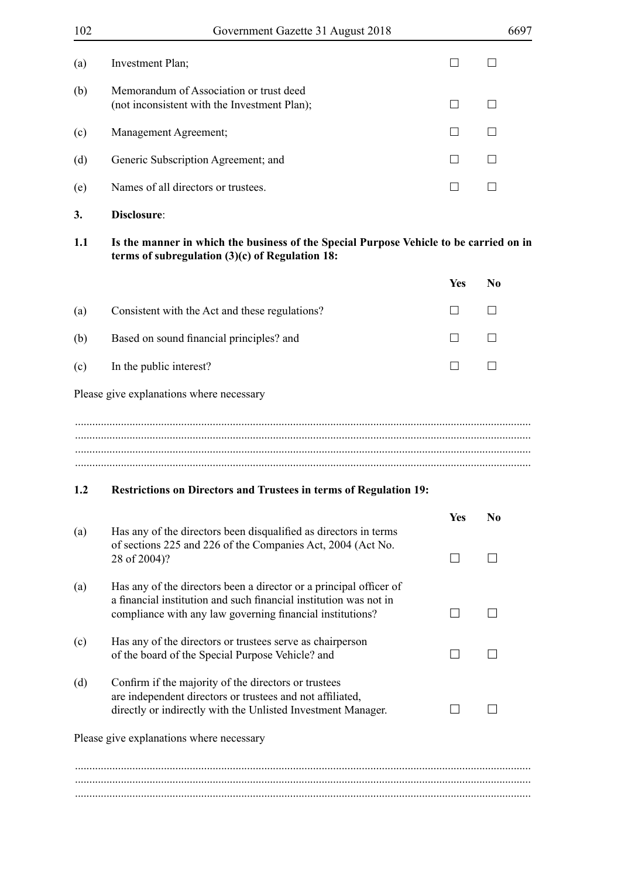| 102                                      | Government Gazette 31 August 2018                                                                                                                                                                    |                              | 6697                     |
|------------------------------------------|------------------------------------------------------------------------------------------------------------------------------------------------------------------------------------------------------|------------------------------|--------------------------|
| (a)                                      | Investment Plan;                                                                                                                                                                                     |                              |                          |
| (b)                                      | Memorandum of Association or trust deed<br>(not inconsistent with the Investment Plan);                                                                                                              |                              | $\vert \ \ \vert$        |
| (c)                                      | Management Agreement;                                                                                                                                                                                | $\mathsf{L}$                 | $\Box$                   |
| (d)                                      | Generic Subscription Agreement; and                                                                                                                                                                  | $\mathsf{L}$                 |                          |
| (e)                                      | Names of all directors or trustees.                                                                                                                                                                  |                              |                          |
| 3.                                       | Disclosure:                                                                                                                                                                                          |                              |                          |
| 1.1                                      | Is the manner in which the business of the Special Purpose Vehicle to be carried on in<br>terms of subregulation $(3)(c)$ of Regulation 18:                                                          |                              |                          |
|                                          |                                                                                                                                                                                                      | Yes                          | N <sub>0</sub>           |
| (a)                                      | Consistent with the Act and these regulations?                                                                                                                                                       |                              |                          |
| (b)                                      | Based on sound financial principles? and                                                                                                                                                             | $\vert \ \ \vert$            | П                        |
| (c)                                      | In the public interest?                                                                                                                                                                              |                              |                          |
|                                          | Please give explanations where necessary                                                                                                                                                             |                              |                          |
|                                          |                                                                                                                                                                                                      |                              |                          |
|                                          |                                                                                                                                                                                                      |                              |                          |
| 1.2                                      | <b>Restrictions on Directors and Trustees in terms of Regulation 19:</b>                                                                                                                             |                              |                          |
| (a)                                      | Has any of the directors been disqualified as directors in terms<br>of sections 225 and 226 of the Companies Act, 2004 (Act No.                                                                      | <b>Yes</b><br>$\blacksquare$ | N <sub>0</sub><br>$\Box$ |
|                                          | 28 of 2004)?                                                                                                                                                                                         |                              |                          |
| (a)                                      | Has any of the directors been a director or a principal officer of<br>a financial institution and such financial institution was not in<br>compliance with any law governing financial institutions? |                              |                          |
| (c)                                      | Has any of the directors or trustees serve as chairperson<br>of the board of the Special Purpose Vehicle? and                                                                                        |                              |                          |
| (d)                                      | Confirm if the majority of the directors or trustees<br>are independent directors or trustees and not affiliated,<br>directly or indirectly with the Unlisted Investment Manager.                    |                              |                          |
| Please give explanations where necessary |                                                                                                                                                                                                      |                              |                          |
|                                          |                                                                                                                                                                                                      |                              |                          |
|                                          |                                                                                                                                                                                                      |                              |                          |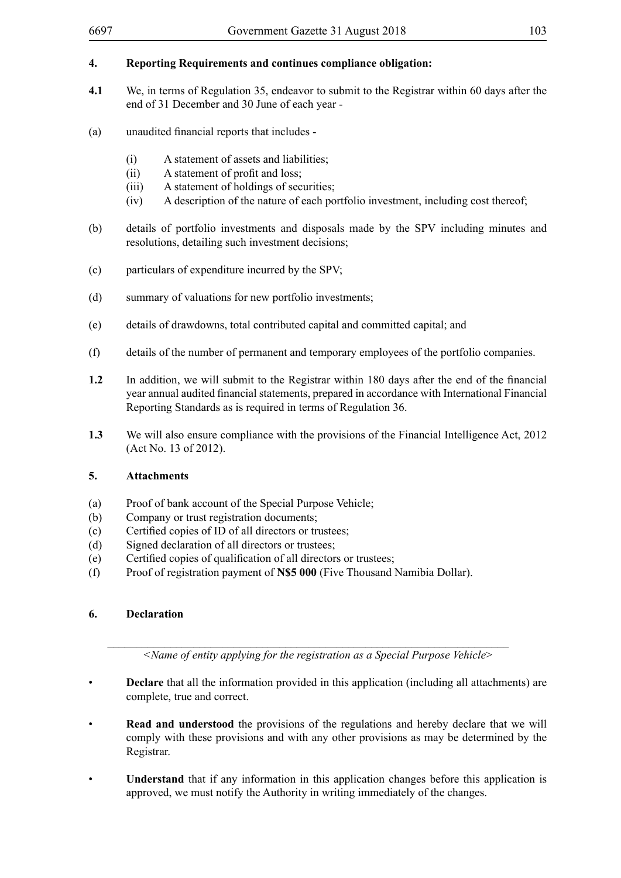## **4. Reporting Requirements and continues compliance obligation:**

- **4.1** We, in terms of Regulation 35, endeavor to submit to the Registrar within 60 days after the end of 31 December and 30 June of each year -
- (a) unaudited financial reports that includes
	- (i) A statement of assets and liabilities;
	- (ii) A statement of profit and loss;
	- (iii) A statement of holdings of securities;
	- (iv) A description of the nature of each portfolio investment, including cost thereof;
- (b) details of portfolio investments and disposals made by the SPV including minutes and resolutions, detailing such investment decisions;
- (c) particulars of expenditure incurred by the SPV;
- (d) summary of valuations for new portfolio investments;
- (e) details of drawdowns, total contributed capital and committed capital; and
- (f) details of the number of permanent and temporary employees of the portfolio companies.
- **1.2** In addition, we will submit to the Registrar within 180 days after the end of the financial year annual audited financial statements, prepared in accordance with International Financial Reporting Standards as is required in terms of Regulation 36.
- **1.3** We will also ensure compliance with the provisions of the Financial Intelligence Act, 2012 (Act No. 13 of 2012).

## **5. Attachments**

- (a) Proof of bank account of the Special Purpose Vehicle;
- (b) Company or trust registration documents;
- (c) Certified copies of ID of all directors or trustees;
- (d) Signed declaration of all directors or trustees;
- (e) Certified copies of qualification of all directors or trustees;
- (f) Proof of registration payment of **N\$5 000** (Five Thousand Namibia Dollar).

## **6. Declaration**

*<Name of entity applying for the registration as a Special Purpose Vehicle*>

\_\_\_\_\_\_\_\_\_\_\_\_\_\_\_\_\_\_\_\_\_\_\_\_\_\_\_\_\_\_\_\_\_\_\_\_\_\_\_\_\_\_\_\_\_\_\_\_\_\_\_\_\_\_\_\_\_\_\_\_\_\_\_\_\_\_\_\_\_\_

- **Declare** that all the information provided in this application (including all attachments) are complete, true and correct.
- **Read and understood** the provisions of the regulations and hereby declare that we will comply with these provisions and with any other provisions as may be determined by the Registrar.
- **Understand** that if any information in this application changes before this application is approved, we must notify the Authority in writing immediately of the changes.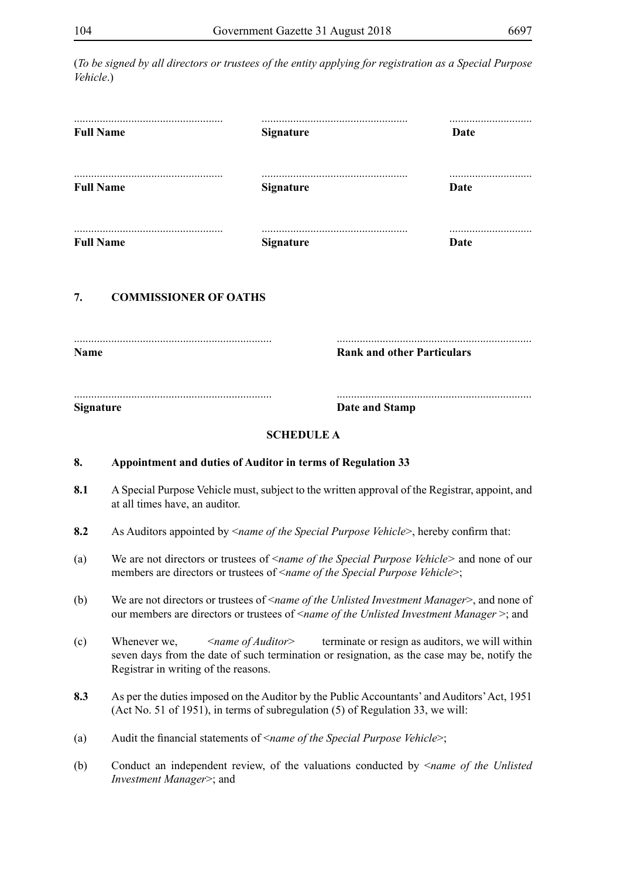(*To be signed by all directors or trustees of the entity applying for registration as a Special Purpose Vehicle*.)

| <b>Full Name</b>               | <b>Signature</b>                    | Date                              |
|--------------------------------|-------------------------------------|-----------------------------------|
| <b>Full Name</b>               | <b>Signature</b>                    | <br>Date                          |
| <b>Full Name</b>               | <b>Signature</b>                    | Date                              |
|                                |                                     |                                   |
| <b>COMMISSIONER OF OATHS</b>   |                                     |                                   |
|                                |                                     | <b>Rank and other Particulars</b> |
| 7.<br>Name<br><b>Signature</b> | Date and Stamp<br><b>SCHEDULE A</b> |                                   |

- **8.1** A Special Purpose Vehicle must, subject to the written approval of the Registrar, appoint, and at all times have, an auditor.
- **8.2** As Auditors appointed by <*name of the Special Purpose Vehicle*>, hereby confirm that:
- (a) We are not directors or trustees of <*name of the Special Purpose Vehicle>* and none of our members are directors or trustees of <*name of the Special Purpose Vehicle*>;
- (b) We are not directors or trustees of <*name of the Unlisted Investment Manager*>, and none of our members are directors or trustees of <*name of the Unlisted Investment Manager* >; and
- (c) Whenever we, <*name of Auditor*> terminate or resign as auditors, we will within seven days from the date of such termination or resignation, as the case may be, notify the Registrar in writing of the reasons.
- **8.3** As per the duties imposed on the Auditor by the Public Accountants' and Auditors' Act, 1951 (Act No. 51 of 1951), in terms of subregulation (5) of Regulation 33, we will:
- (a) Audit the financial statements of <*name of the Special Purpose Vehicle*>;
- (b) Conduct an independent review, of the valuations conducted by <*name of the Unlisted Investment Manager*>; and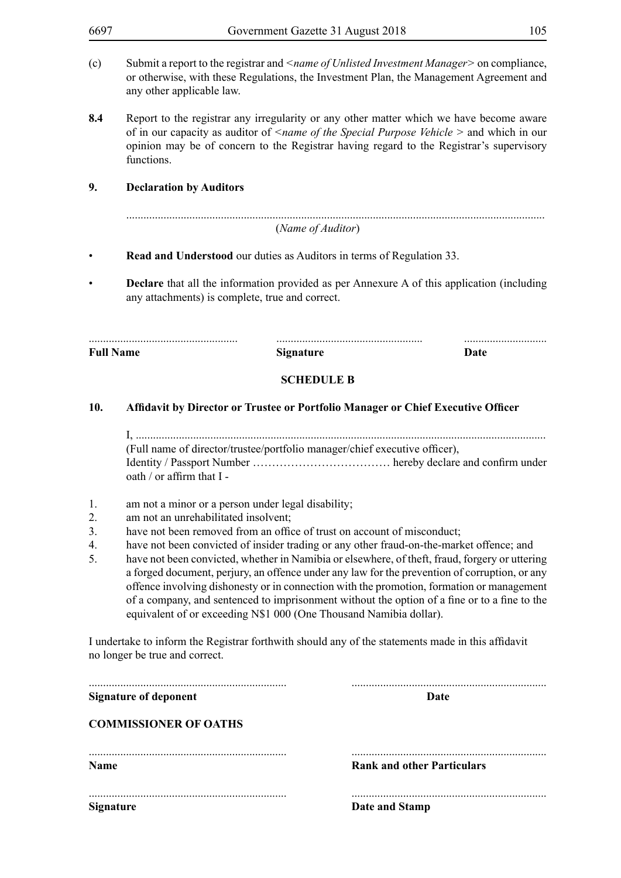- (c) Submit a report to the registrar and *<name of Unlisted Investment Manager>* on compliance, or otherwise, with these Regulations, the Investment Plan, the Management Agreement and any other applicable law.
- **8.4** Report to the registrar any irregularity or any other matter which we have become aware of in our capacity as auditor of *<name of the Special Purpose Vehicle >* and which in our opinion may be of concern to the Registrar having regard to the Registrar's supervisory functions.

## **9. Declaration by Auditors**

| (Name of Auditor) |  |
|-------------------|--|

- • **Read and Understood** our duties as Auditors in terms of Regulation 33.
- **Declare** that all the information provided as per Annexure A of this application (including any attachments) is complete, true and correct.

**Full Name** Date **Signature Signature Date** 

## **SCHEDULE B**

.................................................... ................................................... .............................

#### **10. Affidavit by Director or Trustee or Portfolio Manager or Chief Executive Officer**

I, ............................................................................................................................................... (Full name of director/trustee/portfolio manager/chief executive officer), Identity / Passport Number ……………………………… hereby declare and confirm under oath / or affirm that I -

- 1. am not a minor or a person under legal disability;
- 2. am not an unrehabilitated insolvent;
- 3. have not been removed from an office of trust on account of misconduct;
- 4. have not been convicted of insider trading or any other fraud-on-the-market offence; and
- 5. have not been convicted, whether in Namibia or elsewhere, of theft, fraud, forgery or uttering a forged document, perjury, an offence under any law for the prevention of corruption, or any offence involving dishonesty or in connection with the promotion, formation or management of a company, and sentenced to imprisonment without the option of a fine or to a fine to the equivalent of or exceeding N\$1 000 (One Thousand Namibia dollar).

I undertake to inform the Registrar forthwith should any of the statements made in this affidavit no longer be true and correct.

| <b>Signature of deponent</b> | Date                              |
|------------------------------|-----------------------------------|
| <b>COMMISSIONER OF OATHS</b> |                                   |
| <b>Name</b>                  | <b>Rank and other Particulars</b> |
| <b>Signature</b>             | Date and Stamp                    |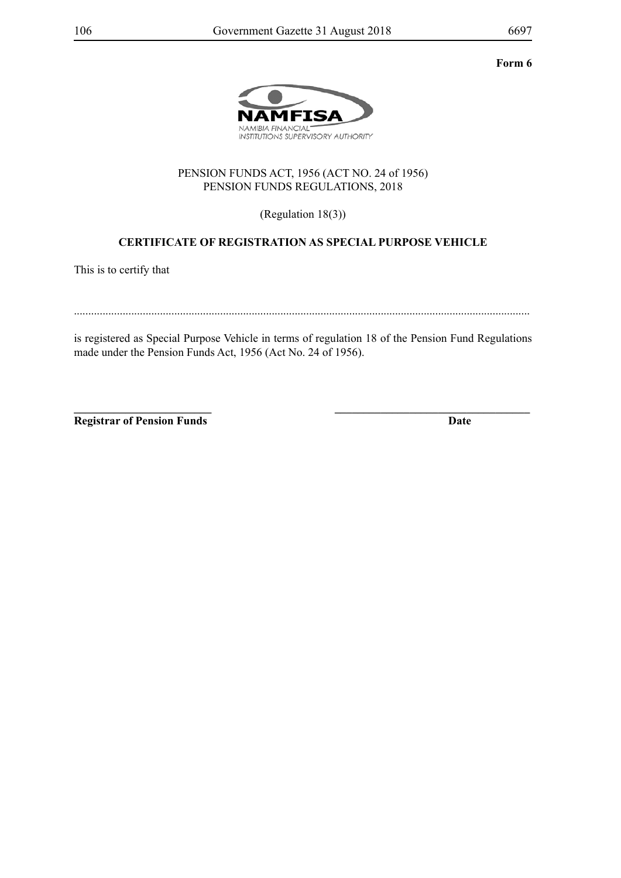**Form 6**



## PENSION FUNDS ACT, 1956 (ACT NO. 24 of 1956) PENSION FUNDS REGULATIONS, 2018

(Regulation 18(3))

## **CERTIFICATE OF REGISTRATION AS SPECIAL PURPOSE VEHICLE**

This is to certify that

...............................................................................................................................................................

is registered as Special Purpose Vehicle in terms of regulation 18 of the Pension Fund Regulations made under the Pension Funds Act, 1956 (Act No. 24 of 1956).

**\_\_\_\_\_\_\_\_\_\_\_\_\_\_\_\_\_\_\_\_\_\_\_\_ \_\_\_\_\_\_\_\_\_\_\_\_\_\_\_\_\_\_\_\_\_\_\_\_\_\_\_\_\_\_\_\_\_\_ Registrar of Pension Funds Date**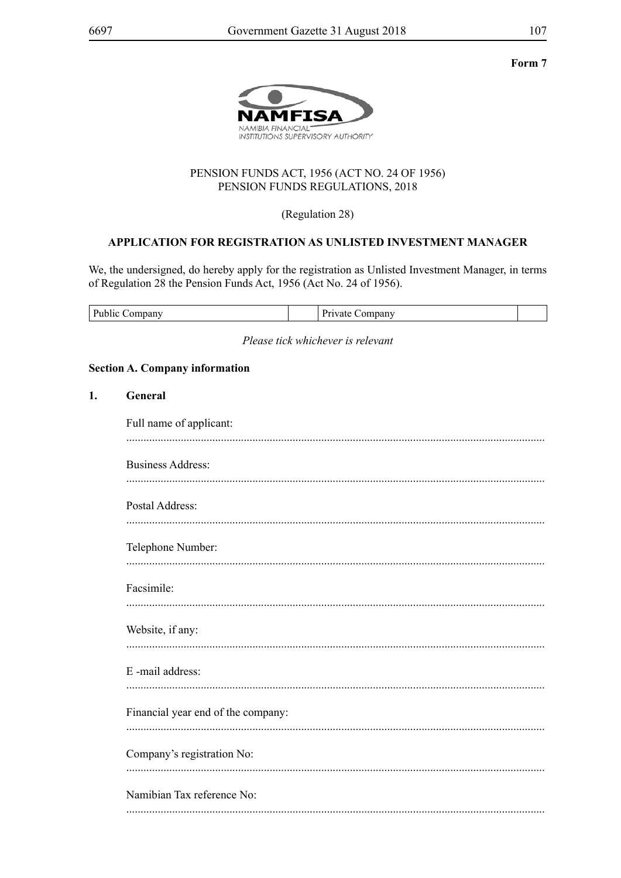Form 7



## PENSION FUNDS ACT, 1956 (ACT NO. 24 OF 1956) PENSION FUNDS REGULATIONS, 2018

(Regulation 28)

## APPLICATION FOR REGISTRATION AS UNLISTED INVESTMENT MANAGER

We, the undersigned, do hereby apply for the registration as Unlisted Investment Manager, in terms of Regulation 28 the Pension Funds Act, 1956 (Act No. 24 of 1956).

| D.<br>Danv | unany |  |
|------------|-------|--|
|------------|-------|--|

Please tick whichever is relevant

#### **Section A. Company information**

| 1. | General                            |
|----|------------------------------------|
|    | Full name of applicant:            |
|    | <b>Business Address:</b>           |
|    | Postal Address:                    |
|    | Telephone Number:                  |
|    | Facsimile:                         |
|    | Website, if any:                   |
|    | E-mail address:                    |
|    | Financial year end of the company: |
|    | Company's registration No:         |
|    | Namibian Tax reference No:         |
|    |                                    |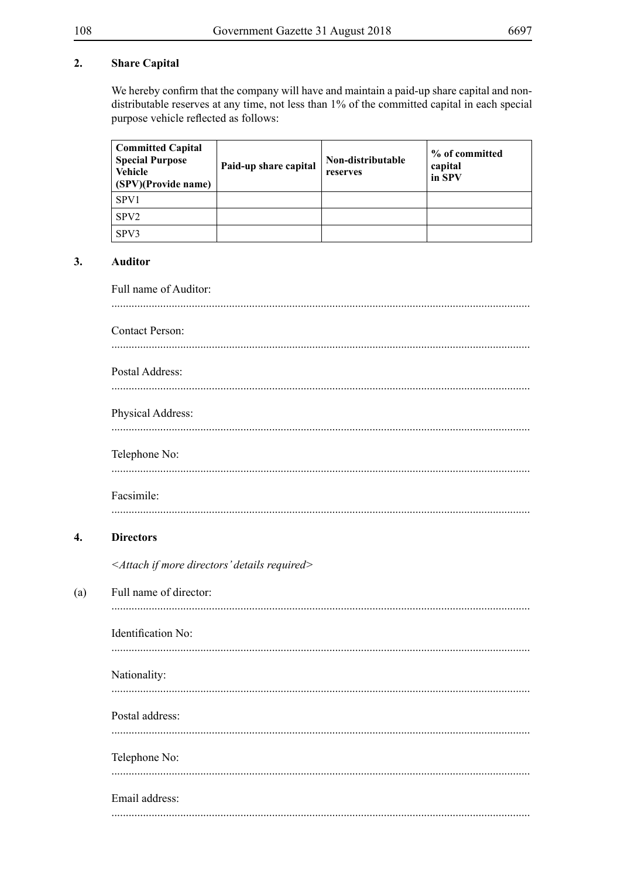#### **Share Capital**  $2.$

We hereby confirm that the company will have and maintain a paid-up share capital and nondistributable reserves at any time, not less than 1% of the committed capital in each special purpose vehicle reflected as follows:

| <b>Committed Capital</b><br><b>Special Purpose</b><br><b>Vehicle</b><br>(SPV)(Provide name) | Paid-up share capital | Non-distributable<br>reserves | % of committed<br>capital<br>in SPV |
|---------------------------------------------------------------------------------------------|-----------------------|-------------------------------|-------------------------------------|
| SPV1                                                                                        |                       |                               |                                     |
| SPV <sub>2</sub>                                                                            |                       |                               |                                     |
| SPV3                                                                                        |                       |                               |                                     |

#### $3.$ **Auditor**

 $\overline{4}$ .

 $(a)$ 

Full name of Auditor: **Contact Person:** Postal Address: Physical Address: Telephone No: Facsimile: **Directors** <Attach if more directors' details required> Full name of director: Identification No: Nationality: Postal address: Telephone No: Email address: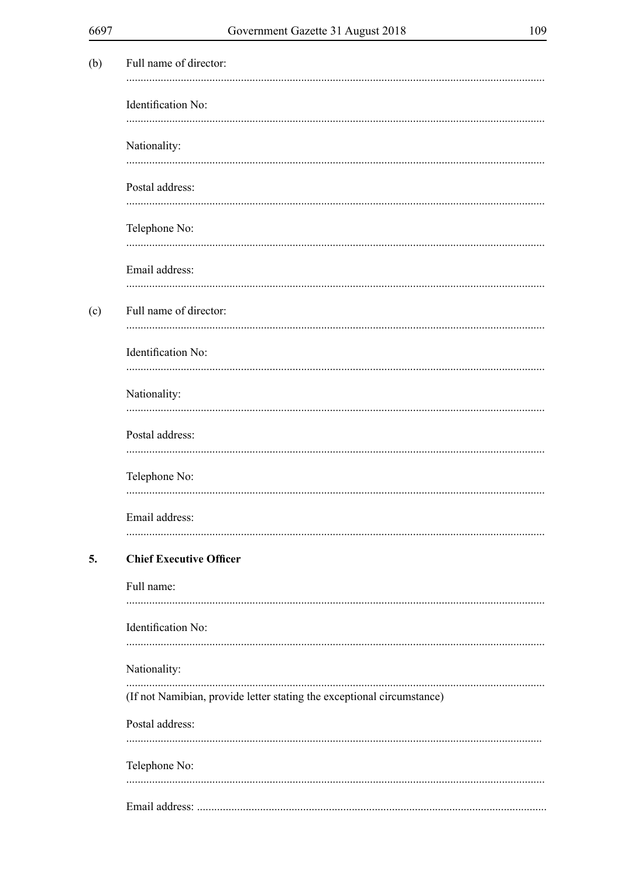| ×<br>I<br>I<br>۰.<br>ı<br>v<br>٧<br>× |  |
|---------------------------------------|--|
|---------------------------------------|--|

| (b) | Full name of director:                                                 |
|-----|------------------------------------------------------------------------|
|     | Identification No:                                                     |
|     | Nationality:                                                           |
|     | Postal address:                                                        |
|     | Telephone No:                                                          |
|     | Email address:                                                         |
| (c) | Full name of director:                                                 |
|     | Identification No:                                                     |
|     | Nationality:                                                           |
|     | Postal address:                                                        |
|     | Telephone No:                                                          |
|     | Email address:                                                         |
| 5.  | <b>Chief Executive Officer</b>                                         |
|     | Full name:                                                             |
|     | Identification No:                                                     |
|     | Nationality:                                                           |
|     | (If not Namibian, provide letter stating the exceptional circumstance) |
|     | Postal address:                                                        |
|     | Telephone No:                                                          |
|     |                                                                        |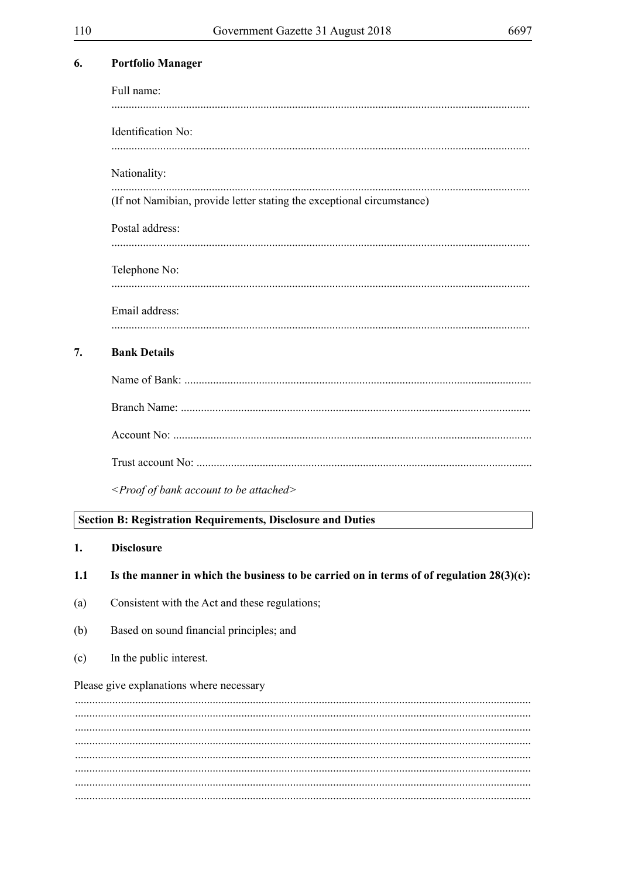| Identification No:<br>Nationality:<br>(If not Namibian, provide letter stating the exceptional circumstance)<br>Postal address:<br>Telephone No:<br>Email address:<br><b>Bank Details</b><br>7.<br><proof account="" attached="" bank="" be="" of="" to=""><br/><b>Section B: Registration Requirements, Disclosure and Duties</b><br/><b>Disclosure</b><br/>1.<br/>Is the manner in which the business to be carried on in terms of of regulation <math>28(3)(c)</math>:<br/>1.1<br/>Consistent with the Act and these regulations;<br/>(a)<br/>Based on sound financial principles; and<br/>(b)<br/>In the public interest.<br/>(c)</proof> | Full name: |  |  |  |  |  |  |
|-----------------------------------------------------------------------------------------------------------------------------------------------------------------------------------------------------------------------------------------------------------------------------------------------------------------------------------------------------------------------------------------------------------------------------------------------------------------------------------------------------------------------------------------------------------------------------------------------------------------------------------------------|------------|--|--|--|--|--|--|
|                                                                                                                                                                                                                                                                                                                                                                                                                                                                                                                                                                                                                                               |            |  |  |  |  |  |  |
|                                                                                                                                                                                                                                                                                                                                                                                                                                                                                                                                                                                                                                               |            |  |  |  |  |  |  |
|                                                                                                                                                                                                                                                                                                                                                                                                                                                                                                                                                                                                                                               |            |  |  |  |  |  |  |
|                                                                                                                                                                                                                                                                                                                                                                                                                                                                                                                                                                                                                                               |            |  |  |  |  |  |  |
|                                                                                                                                                                                                                                                                                                                                                                                                                                                                                                                                                                                                                                               |            |  |  |  |  |  |  |
|                                                                                                                                                                                                                                                                                                                                                                                                                                                                                                                                                                                                                                               |            |  |  |  |  |  |  |
|                                                                                                                                                                                                                                                                                                                                                                                                                                                                                                                                                                                                                                               |            |  |  |  |  |  |  |
|                                                                                                                                                                                                                                                                                                                                                                                                                                                                                                                                                                                                                                               |            |  |  |  |  |  |  |
|                                                                                                                                                                                                                                                                                                                                                                                                                                                                                                                                                                                                                                               |            |  |  |  |  |  |  |
|                                                                                                                                                                                                                                                                                                                                                                                                                                                                                                                                                                                                                                               |            |  |  |  |  |  |  |
|                                                                                                                                                                                                                                                                                                                                                                                                                                                                                                                                                                                                                                               |            |  |  |  |  |  |  |
|                                                                                                                                                                                                                                                                                                                                                                                                                                                                                                                                                                                                                                               |            |  |  |  |  |  |  |
|                                                                                                                                                                                                                                                                                                                                                                                                                                                                                                                                                                                                                                               |            |  |  |  |  |  |  |
|                                                                                                                                                                                                                                                                                                                                                                                                                                                                                                                                                                                                                                               |            |  |  |  |  |  |  |
|                                                                                                                                                                                                                                                                                                                                                                                                                                                                                                                                                                                                                                               |            |  |  |  |  |  |  |
|                                                                                                                                                                                                                                                                                                                                                                                                                                                                                                                                                                                                                                               |            |  |  |  |  |  |  |
|                                                                                                                                                                                                                                                                                                                                                                                                                                                                                                                                                                                                                                               |            |  |  |  |  |  |  |
|                                                                                                                                                                                                                                                                                                                                                                                                                                                                                                                                                                                                                                               |            |  |  |  |  |  |  |
| Please give explanations where necessary                                                                                                                                                                                                                                                                                                                                                                                                                                                                                                                                                                                                      |            |  |  |  |  |  |  |
|                                                                                                                                                                                                                                                                                                                                                                                                                                                                                                                                                                                                                                               |            |  |  |  |  |  |  |
|                                                                                                                                                                                                                                                                                                                                                                                                                                                                                                                                                                                                                                               |            |  |  |  |  |  |  |
|                                                                                                                                                                                                                                                                                                                                                                                                                                                                                                                                                                                                                                               |            |  |  |  |  |  |  |

**Portfolio Manager** 

6.

 $\ddotsc$ 

 $\cdots$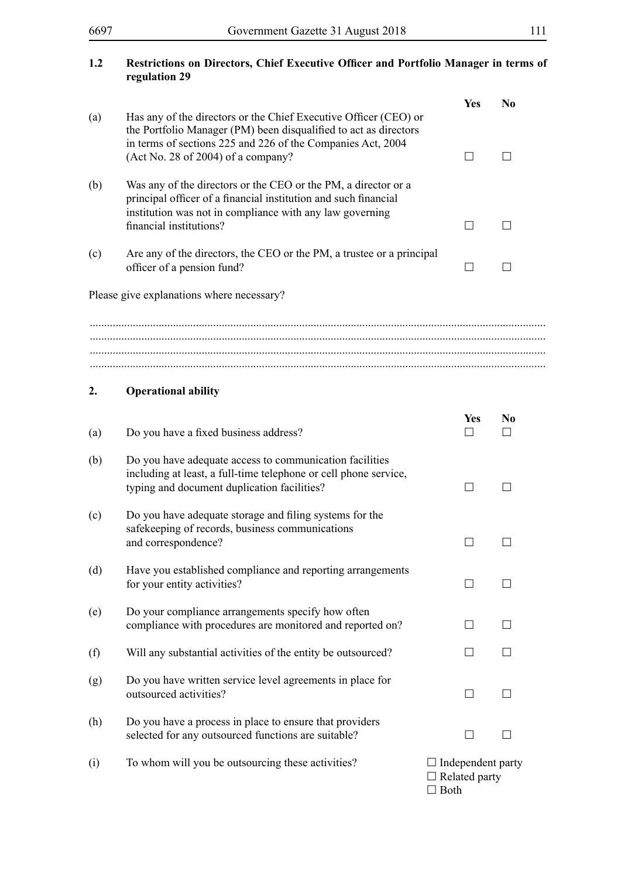### **1.2 Restrictions on Directors, Chief Executive Officer and Portfolio Manager in terms of regulation 29**

|     |                                                                                                                                                                                                                                           | Yes                                                             | N <sub>0</sub>       |
|-----|-------------------------------------------------------------------------------------------------------------------------------------------------------------------------------------------------------------------------------------------|-----------------------------------------------------------------|----------------------|
| (a) | Has any of the directors or the Chief Executive Officer (CEO) or<br>the Portfolio Manager (PM) been disqualified to act as directors<br>in terms of sections 225 and 226 of the Companies Act, 2004<br>(Act No. 28 of 2004) of a company? |                                                                 | $\perp$              |
| (b) | Was any of the directors or the CEO or the PM, a director or a<br>principal officer of a financial institution and such financial<br>institution was not in compliance with any law governing<br>financial institutions?                  | $\perp$                                                         | $\perp$              |
| (c) | Are any of the directors, the CEO or the PM, a trustee or a principal<br>officer of a pension fund?                                                                                                                                       |                                                                 |                      |
|     | Please give explanations where necessary?                                                                                                                                                                                                 |                                                                 |                      |
|     |                                                                                                                                                                                                                                           |                                                                 |                      |
|     |                                                                                                                                                                                                                                           |                                                                 |                      |
| 2.  | <b>Operational ability</b>                                                                                                                                                                                                                |                                                                 |                      |
| (a) | Do you have a fixed business address?                                                                                                                                                                                                     | Yes<br>$\mathbf{I}$                                             | N <sub>0</sub><br>ΙI |
| (b) | Do you have adequate access to communication facilities<br>including at least, a full-time telephone or cell phone service,<br>typing and document duplication facilities?                                                                | H                                                               | $\Box$               |
| (c) | Do you have adequate storage and filing systems for the<br>safekeeping of records, business communications<br>and correspondence?                                                                                                         |                                                                 |                      |
| (d) | Have you established compliance and reporting arrangements<br>for your entity activities?                                                                                                                                                 |                                                                 |                      |
| (e) | Do your compliance arrangements specify how often<br>compliance with procedures are monitored and reported on?                                                                                                                            | $\Box$                                                          | $\mathsf{L}$         |
| (f) | Will any substantial activities of the entity be outsourced?                                                                                                                                                                              |                                                                 |                      |
| (g) | Do you have written service level agreements in place for<br>outsourced activities?                                                                                                                                                       | $\Box$                                                          |                      |
| (h) | Do you have a process in place to ensure that providers<br>selected for any outsourced functions are suitable?                                                                                                                            |                                                                 |                      |
| (i) | To whom will you be outsourcing these activities?                                                                                                                                                                                         | $\Box$ Independent party<br>$\Box$ Related party<br>$\Box$ Both |                      |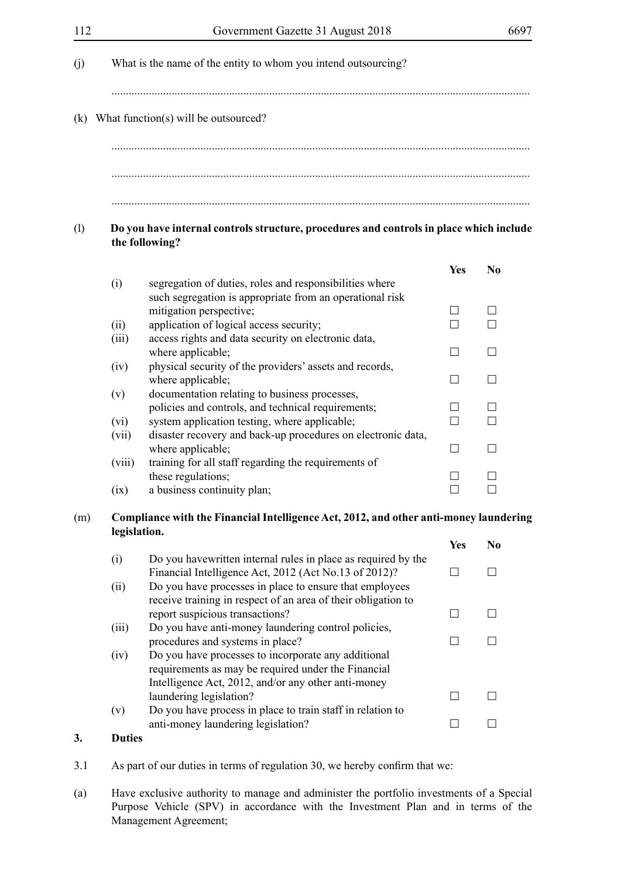|               | (k) What function(s) will be outsourced?                                                                  |                          |                   |
|---------------|-----------------------------------------------------------------------------------------------------------|--------------------------|-------------------|
|               | Do you have internal controls structure, procedures and controls in place which include<br>the following? |                          |                   |
|               |                                                                                                           | <b>Yes</b>               | N <sub>0</sub>    |
| (i)           | segregation of duties, roles and responsibilities where                                                   |                          |                   |
|               | such segregation is appropriate from an operational risk                                                  |                          |                   |
|               | mitigation perspective;                                                                                   | $\perp$                  | $\perp$           |
| (ii)<br>(iii) | application of logical access security;<br>access rights and data security on electronic data,            | H                        | П                 |
|               | where applicable;                                                                                         | $\overline{\phantom{0}}$ | $\Box$            |
| (iv)          | physical security of the providers' assets and records,                                                   |                          |                   |
|               | where applicable;                                                                                         | $\vert \ \ \vert$        | П                 |
| (v)           | documentation relating to business processes,                                                             |                          |                   |
|               | policies and controls, and technical requirements;                                                        | $\blacksquare$           | $\vert \ \ \vert$ |
| (vi)          | system application testing, where applicable;                                                             | П                        |                   |
| (vii)         | disaster recovery and back-up procedures on electronic data,                                              |                          |                   |
|               | where applicable;                                                                                         | П                        | $\vert \ \ \vert$ |
| (viii)        | training for all staff regarding the requirements of                                                      |                          |                   |
|               | these regulations;<br>a business continuity plan;                                                         |                          |                   |
| (ix)          |                                                                                                           |                          |                   |
|               | Compliance with the Financial Intelligence Act, 2012, and other anti-money laundering                     |                          |                   |
| legislation.  |                                                                                                           | <b>Yes</b>               | N <sub>0</sub>    |
| (i)           | Do you have written internal rules in place as required by the                                            |                          |                   |
|               | Financial Intelligence Act, 2012 (Act No.13 of 2012)?                                                     | $\Box$                   | П                 |
| (ii)          | Do you have processes in place to ensure that employees                                                   |                          |                   |
|               | receive training in respect of an area of their obligation to                                             |                          | П                 |
| (iii)         | report suspicious transactions?<br>Do you have anti-money laundering control policies,                    | П                        |                   |
|               | procedures and systems in place?                                                                          | П                        | П                 |
| (iv)          | Do you have processes to incorporate any additional                                                       |                          |                   |
|               | requirements as may be required under the Financial                                                       |                          |                   |
|               | Intelligence Act, 2012, and/or any other anti-money                                                       |                          |                   |
|               | laundering legislation?                                                                                   | $\overline{\phantom{0}}$ |                   |
| (v)           | Do you have process in place to train staff in relation to                                                |                          |                   |
|               | anti-money laundering legislation?                                                                        | $\vert \ \ \vert$        | П                 |

(a) Have exclusive authority to manage and administer the portfolio investments of a Special Purpose Vehicle (SPV) in accordance with the Investment Plan and in terms of the Management Agreement;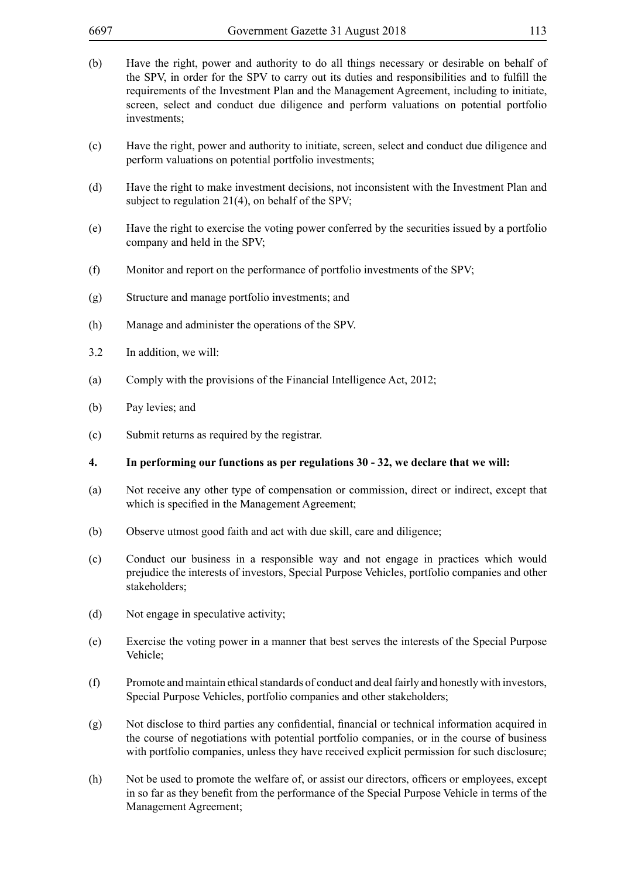- (b) Have the right, power and authority to do all things necessary or desirable on behalf of the SPV, in order for the SPV to carry out its duties and responsibilities and to fulfill the requirements of the Investment Plan and the Management Agreement, including to initiate, screen, select and conduct due diligence and perform valuations on potential portfolio investments;
- (c) Have the right, power and authority to initiate, screen, select and conduct due diligence and perform valuations on potential portfolio investments;
- (d) Have the right to make investment decisions, not inconsistent with the Investment Plan and subject to regulation 21(4), on behalf of the SPV;
- (e) Have the right to exercise the voting power conferred by the securities issued by a portfolio company and held in the SPV;
- (f) Monitor and report on the performance of portfolio investments of the SPV;
- (g) Structure and manage portfolio investments; and
- (h) Manage and administer the operations of the SPV.
- 3.2 In addition, we will:
- (a) Comply with the provisions of the Financial Intelligence Act, 2012;
- (b) Pay levies; and
- (c) Submit returns as required by the registrar.
- **4. In performing our functions as per regulations 30 32, we declare that we will:**
- (a) Not receive any other type of compensation or commission, direct or indirect, except that which is specified in the Management Agreement;
- (b) Observe utmost good faith and act with due skill, care and diligence;
- (c) Conduct our business in a responsible way and not engage in practices which would prejudice the interests of investors, Special Purpose Vehicles, portfolio companies and other stakeholders;
- (d) Not engage in speculative activity;
- (e) Exercise the voting power in a manner that best serves the interests of the Special Purpose Vehicle;
- (f) Promote and maintain ethical standards of conduct and deal fairly and honestly with investors, Special Purpose Vehicles, portfolio companies and other stakeholders;
- (g) Not disclose to third parties any confidential, financial or technical information acquired in the course of negotiations with potential portfolio companies, or in the course of business with portfolio companies, unless they have received explicit permission for such disclosure;
- (h) Not be used to promote the welfare of, or assist our directors, officers or employees, except in so far as they benefit from the performance of the Special Purpose Vehicle in terms of the Management Agreement;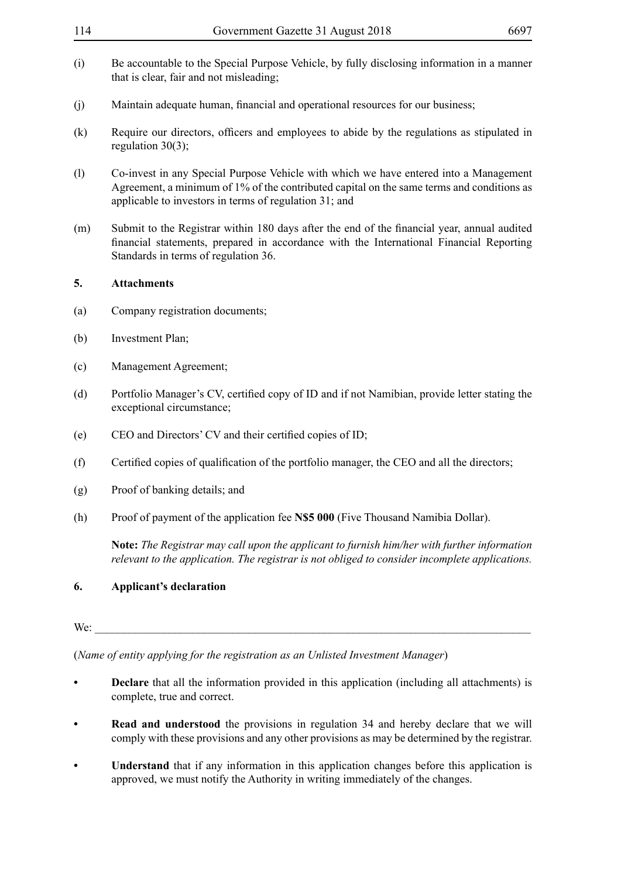- 114 Government Gazette 31 August 2018 6697 (i) Be accountable to the Special Purpose Vehicle, by fully disclosing information in a manner that is clear, fair and not misleading; (j) Maintain adequate human, financial and operational resources for our business; (k) Require our directors, officers and employees to abide by the regulations as stipulated in regulation 30(3); (l) Co-invest in any Special Purpose Vehicle with which we have entered into a Management Agreement, a minimum of 1% of the contributed capital on the same terms and conditions as applicable to investors in terms of regulation 31; and (m) Submit to the Registrar within 180 days after the end of the financial year, annual audited financial statements, prepared in accordance with the International Financial Reporting Standards in terms of regulation 36. **5. Attachments**  (a) Company registration documents; (b) Investment Plan; (c) Management Agreement; (d) Portfolio Manager's CV, certified copy of ID and if not Namibian, provide letter stating the exceptional circumstance;
- (e) CEO and Directors' CV and their certified copies of ID;
- (f) Certified copies of qualification of the portfolio manager, the CEO and all the directors;
- (g) Proof of banking details; and
- (h) Proof of payment of the application fee **N\$5 000** (Five Thousand Namibia Dollar).

**Note:** *The Registrar may call upon the applicant to furnish him/her with further information relevant to the application. The registrar is not obliged to consider incomplete applications.*

# **6. Applicant's declaration**

#### We: \_\_\_\_\_\_\_\_\_\_\_\_\_\_\_\_\_\_\_\_\_\_\_\_\_\_\_\_\_\_\_\_\_\_\_\_\_\_\_\_\_\_\_\_\_\_\_\_\_\_\_\_\_\_\_\_\_\_\_\_\_\_\_\_\_\_\_\_\_\_\_\_\_\_\_\_

(*Name of entity applying for the registration as an Unlisted Investment Manager*)

- **• Declare** that all the information provided in this application (including all attachments) is complete, true and correct.
- **• Read and understood** the provisions in regulation 34 and hereby declare that we will comply with these provisions and any other provisions as may be determined by the registrar.
- **• Understand** that if any information in this application changes before this application is approved, we must notify the Authority in writing immediately of the changes.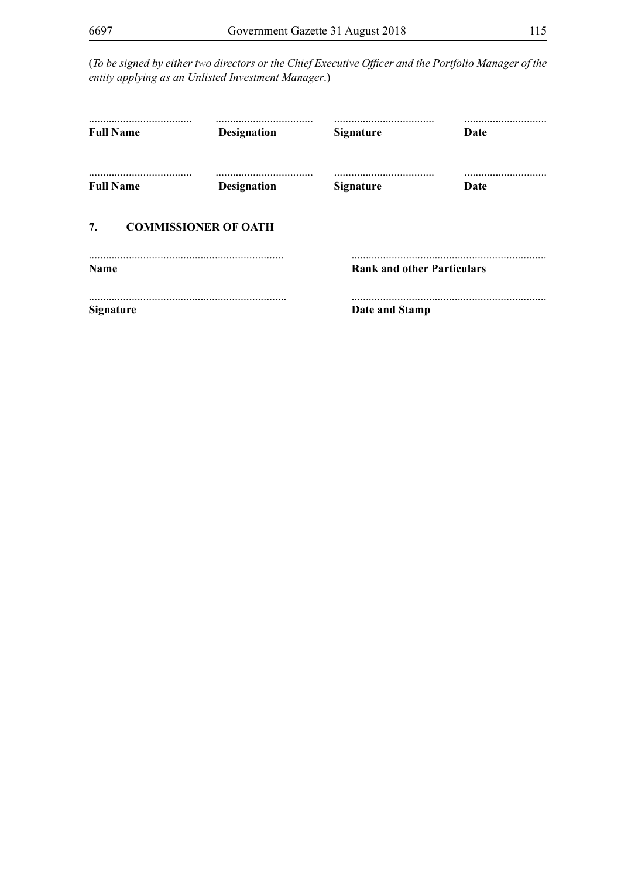(*To be signed by either two directors or the Chief Executive Officer and the Portfolio Manager of the entity applying as an Unlisted Investment Manager*.)

| <b>Full Name</b> | <br><b>Designation</b>      | <b>Signature</b>                      | Date        |  |
|------------------|-----------------------------|---------------------------------------|-------------|--|
| <b>Full Name</b> | <b>Designation</b>          | <b>Signature</b>                      | <b>Date</b> |  |
| 7.               | <b>COMMISSIONER OF OATH</b> |                                       |             |  |
| <b>Name</b>      |                             | <br><b>Rank and other Particulars</b> |             |  |
| <b>Signature</b> |                             | Date and Stamp                        |             |  |